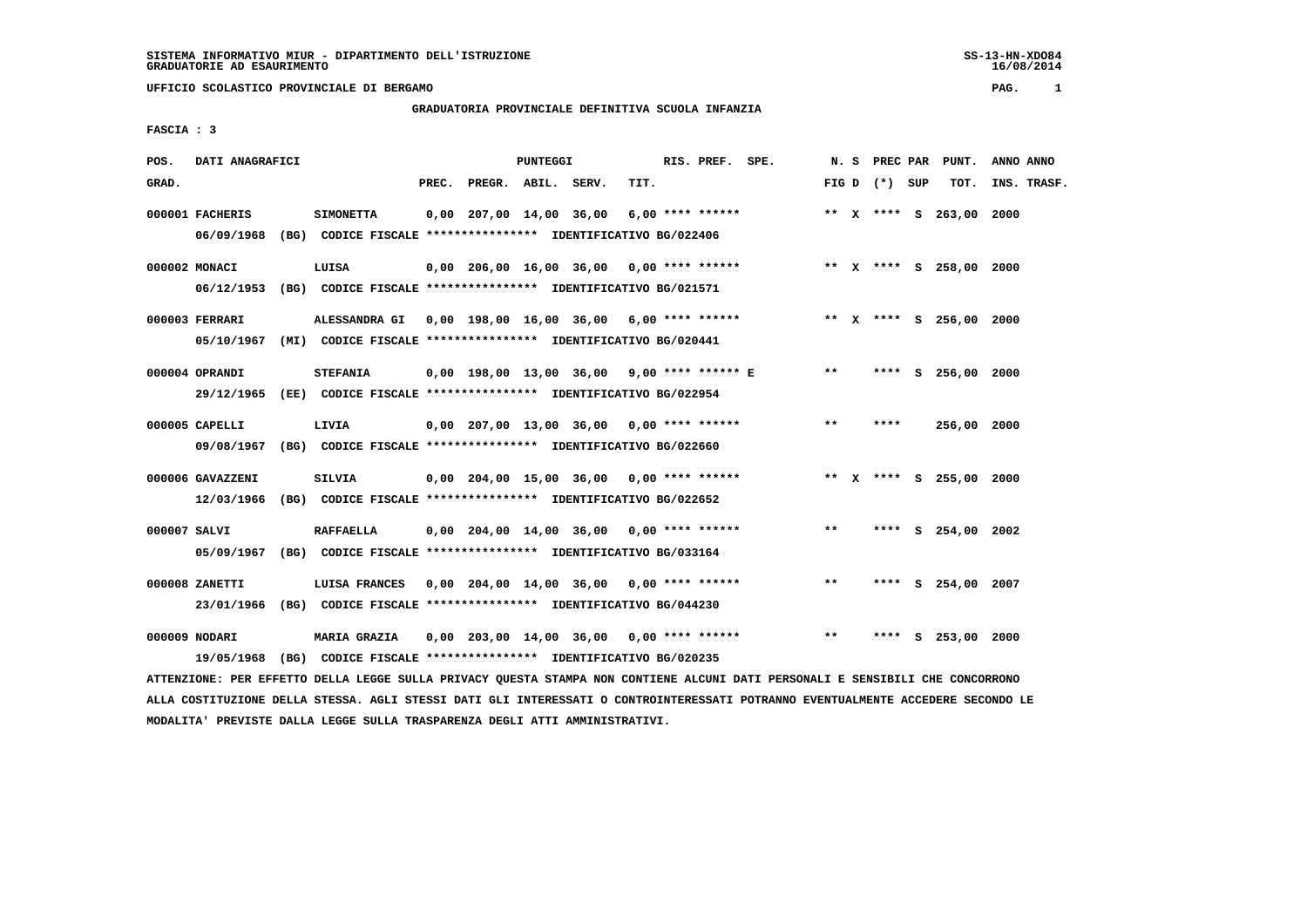**UFFICIO SCOLASTICO PROVINCIALE DI BERGAMO PAG. 1**

# **GRADUATORIA PROVINCIALE DEFINITIVA SCUOLA INFANZIA**

 **FASCIA : 3**

| POS.         | DATI ANAGRAFICI  |                                                               |                          | <b>PUNTEGGI</b> |                                            |      | RIS. PREF. SPE. |       | N. S | PREC PAR        |   | PUNT.                   | ANNO ANNO   |
|--------------|------------------|---------------------------------------------------------------|--------------------------|-----------------|--------------------------------------------|------|-----------------|-------|------|-----------------|---|-------------------------|-------------|
| GRAD.        |                  |                                                               | PREC. PREGR. ABIL. SERV. |                 |                                            | TIT. |                 |       |      | FIG D $(*)$ SUP |   | TOT.                    | INS. TRASF. |
|              | 000001 FACHERIS  | <b>SIMONETTA</b>                                              |                          |                 | $0,00$ 207,00 14,00 36,00 6,00 **** ****** |      |                 |       |      |                 |   | ** X **** S 263,00      | 2000        |
|              | 06/09/1968       | (BG) CODICE FISCALE **************** IDENTIFICATIVO BG/022406 |                          |                 |                                            |      |                 |       |      |                 |   |                         |             |
|              | 000002 MONACI    | LUISA                                                         |                          |                 | $0,00$ 206,00 16,00 36,00 0,00 **** ****** |      |                 |       |      |                 |   | ** X **** S 258,00 2000 |             |
|              | 06/12/1953       | (BG) CODICE FISCALE **************** IDENTIFICATIVO BG/021571 |                          |                 |                                            |      |                 |       |      |                 |   |                         |             |
|              | 000003 FERRARI   | ALESSANDRA GI 0,00 198,00 16,00 36,00 6,00 **** ******        |                          |                 |                                            |      |                 |       |      |                 |   | ** X **** S 256,00 2000 |             |
|              | 05/10/1967       | (MI) CODICE FISCALE **************** IDENTIFICATIVO BG/020441 |                          |                 |                                            |      |                 |       |      |                 |   |                         |             |
|              | 000004 OPRANDI   | <b>STEFANIA</b>                                               |                          |                 | 0,00 198,00 13,00 36,00 9,00 **** ****** E |      |                 | $* *$ |      |                 |   | **** S 256,00 2000      |             |
|              | 29/12/1965       | (EE) CODICE FISCALE **************** IDENTIFICATIVO BG/022954 |                          |                 |                                            |      |                 |       |      |                 |   |                         |             |
|              | 000005 CAPELLI   | LIVIA                                                         |                          |                 | $0.00$ 207.00 13.00 36.00 0.00 **** ****** |      |                 | **    |      | ****            |   | 256,00 2000             |             |
|              | 09/08/1967       | (BG) CODICE FISCALE **************** IDENTIFICATIVO BG/022660 |                          |                 |                                            |      |                 |       |      |                 |   |                         |             |
|              | 000006 GAVAZZENI | <b>SILVIA</b>                                                 |                          |                 | 0,00 204,00 15,00 36,00 0,00 **** ******   |      |                 |       |      |                 |   | ** X **** S 255,00 2000 |             |
|              | 12/03/1966       | (BG) CODICE FISCALE **************** IDENTIFICATIVO BG/022652 |                          |                 |                                            |      |                 |       |      |                 |   |                         |             |
| 000007 SALVI |                  | <b>RAFFAELLA</b>                                              |                          |                 | $0,00$ 204,00 14,00 36,00 0,00 **** ****** |      |                 | $***$ |      |                 |   | **** S 254,00 2002      |             |
|              | 05/09/1967       | (BG) CODICE FISCALE **************** IDENTIFICATIVO BG/033164 |                          |                 |                                            |      |                 |       |      |                 |   |                         |             |
|              | 000008 ZANETTI   | LUISA FRANCES                                                 |                          |                 | $0,00$ 204,00 14,00 36,00 0,00 **** ****** |      |                 | $* *$ |      |                 |   | **** S 254,00 2007      |             |
|              | 23/01/1966       | (BG) CODICE FISCALE **************** IDENTIFICATIVO BG/044230 |                          |                 |                                            |      |                 |       |      |                 |   |                         |             |
|              | 000009 NODARI    | <b>MARIA GRAZIA</b>                                           |                          |                 | $0,00$ 203,00 14,00 36,00 0,00 **** ****** |      |                 | **    |      | ****            | s | 253,00 2000             |             |
|              | 19/05/1968       | (BG) CODICE FISCALE **************** IDENTIFICATIVO BG/020235 |                          |                 |                                            |      |                 |       |      |                 |   |                         |             |

 **ATTENZIONE: PER EFFETTO DELLA LEGGE SULLA PRIVACY QUESTA STAMPA NON CONTIENE ALCUNI DATI PERSONALI E SENSIBILI CHE CONCORRONO ALLA COSTITUZIONE DELLA STESSA. AGLI STESSI DATI GLI INTERESSATI O CONTROINTERESSATI POTRANNO EVENTUALMENTE ACCEDERE SECONDO LE MODALITA' PREVISTE DALLA LEGGE SULLA TRASPARENZA DEGLI ATTI AMMINISTRATIVI.**

16/08/2014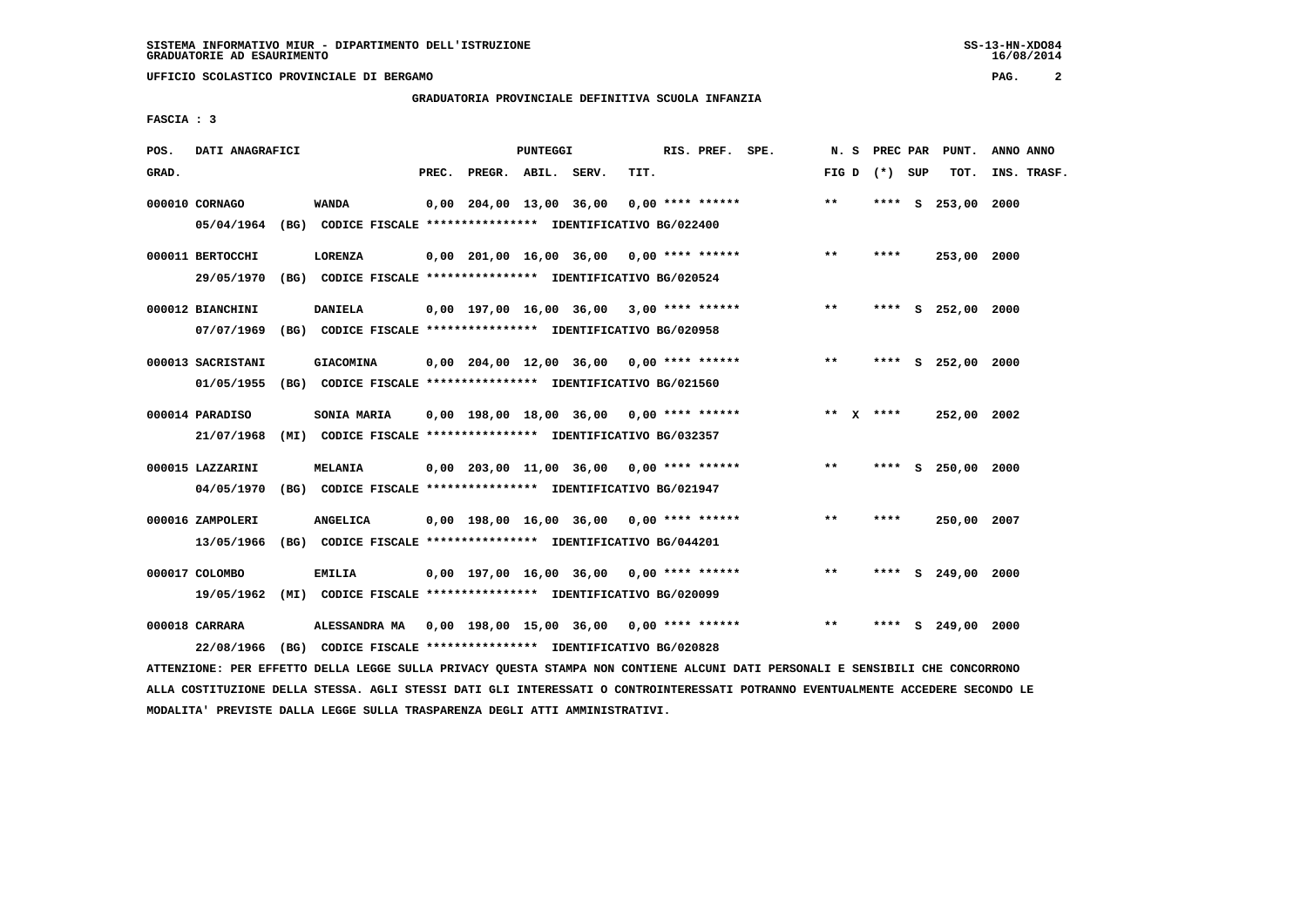**UFFICIO SCOLASTICO PROVINCIALE DI BERGAMO PAG. 2**

# **GRADUATORIA PROVINCIALE DEFINITIVA SCUOLA INFANZIA**

 **FASCIA : 3**

| POS.  | DATI ANAGRAFICI                 |      |                                                                                                                        |       |                         | PUNTEGGI |                                            |      | RIS. PREF. SPE.    | N.S         | PREC PAR |          | PUNT.              | ANNO ANNO   |
|-------|---------------------------------|------|------------------------------------------------------------------------------------------------------------------------|-------|-------------------------|----------|--------------------------------------------|------|--------------------|-------------|----------|----------|--------------------|-------------|
| GRAD. |                                 |      |                                                                                                                        | PREC. | PREGR. ABIL. SERV.      |          |                                            | TIT. |                    | FIG D       | (*) SUP  |          | TOT.               | INS. TRASF. |
|       | 000010 CORNAGO<br>05/04/1964    |      | <b>WANDA</b><br>(BG) CODICE FISCALE **************** IDENTIFICATIVO BG/022400                                          |       | 0,00 204,00 13,00 36,00 |          |                                            |      | $0.00$ **** ****** | $***$       | ****     | <b>S</b> | 253,00             | 2000        |
|       | 000011 BERTOCCHI<br>29/05/1970  | (BG) | LORENZA<br>CODICE FISCALE **************** IDENTIFICATIVO BG/020524                                                    |       |                         |          | $0,00$ 201,00 16,00 36,00 0,00 **** ****** |      |                    | $**$        | ****     |          | 253,00 2000        |             |
|       | 000012 BIANCHINI<br>07/07/1969  |      | DANIELA<br>(BG) CODICE FISCALE **************** IDENTIFICATIVO BG/020958                                               |       |                         |          | $0,00$ 197,00 16,00 36,00 3,00 **** ****** |      |                    | $***$       | ****     |          | S 252,00 2000      |             |
|       | 000013 SACRISTANI<br>01/05/1955 |      | <b>GIACOMINA</b><br>(BG) CODICE FISCALE **************** IDENTIFICATIVO BG/021560                                      |       |                         |          | $0,00$ 204,00 12,00 36,00 0,00 **** ****** |      |                    | $***$       |          |          | **** S 252,00 2000 |             |
|       | 000014 PARADISO<br>21/07/1968   |      | SONIA MARIA<br>(MI) CODICE FISCALE **************** IDENTIFICATIVO BG/032357                                           |       |                         |          | $0,00$ 198,00 18,00 36,00 0,00 **** ****** |      |                    | ** $X$ **** |          |          | 252,00 2002        |             |
|       | 000015 LAZZARINI<br>04/05/1970  |      | <b>MELANIA</b><br>(BG) CODICE FISCALE **************** IDENTIFICATIVO BG/021947                                        |       |                         |          | 0,00 203,00 11,00 36,00 0,00 **** ******   |      |                    | $* *$       | ****     |          | S 250,00 2000      |             |
|       | 000016 ZAMPOLERI<br>13/05/1966  |      | <b>ANGELICA</b><br>(BG) CODICE FISCALE **************** IDENTIFICATIVO BG/044201                                       |       |                         |          | $0,00$ 198,00 16,00 36,00 0,00 **** ****** |      |                    | $***$       | ****     |          | 250,00 2007        |             |
|       | 000017 COLOMBO<br>19/05/1962    | (MI) | <b>EMILIA</b><br>CODICE FISCALE **************** IDENTIFICATIVO BG/020099                                              |       |                         |          | $0,00$ 197,00 16,00 36,00 0,00 **** ****** |      |                    | $***$       | ****     | S        | 249,00 2000        |             |
|       | 000018 CARRARA<br>22/08/1966    |      | ALESSANDRA MA 0,00 198,00 15,00 36,00 0,00 **** ******<br>(BG) CODICE FISCALE *************** IDENTIFICATIVO BG/020828 |       |                         |          |                                            |      |                    | $**$        | ****     |          | $S$ 249,00 2000    |             |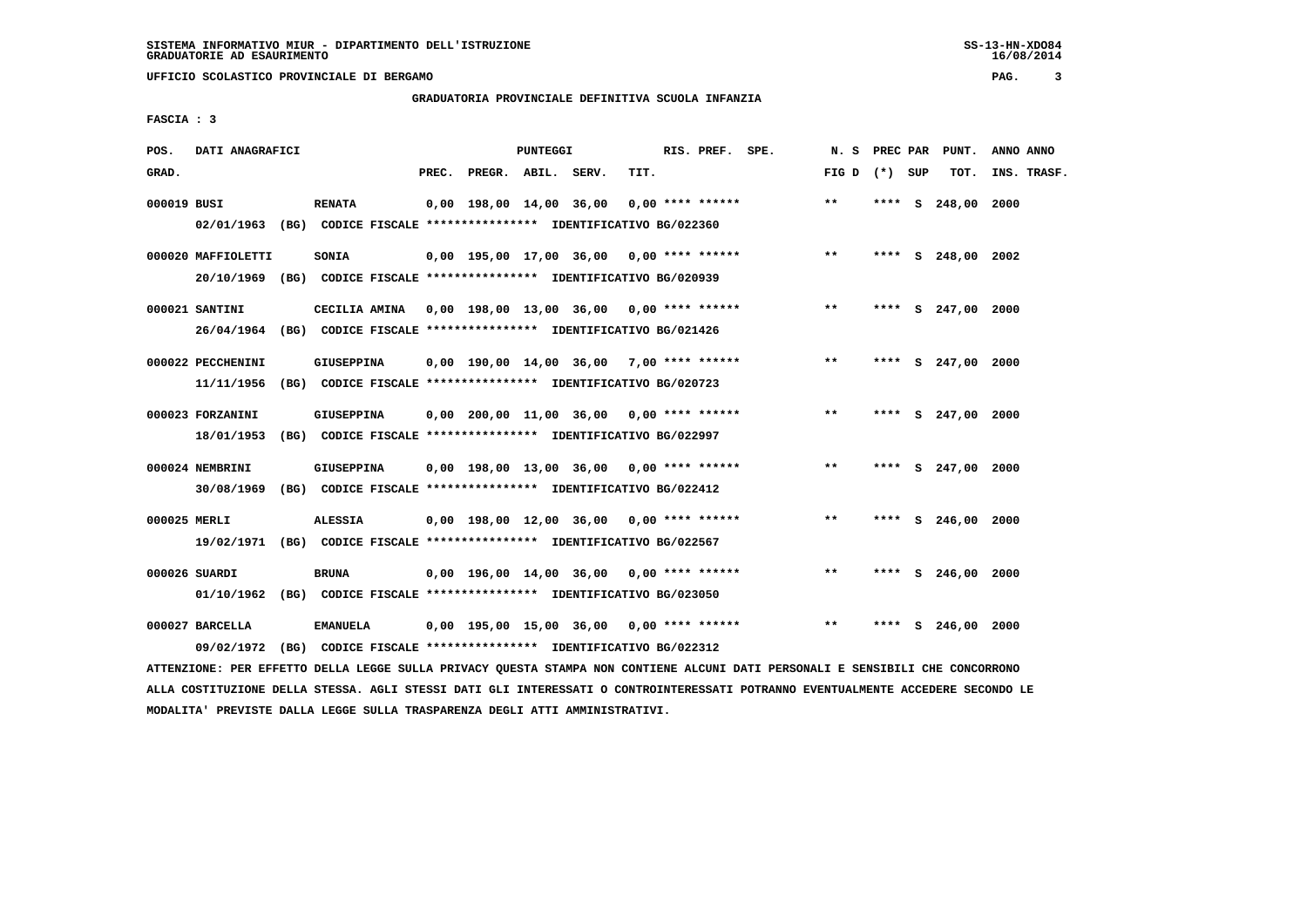**UFFICIO SCOLASTICO PROVINCIALE DI BERGAMO PAG. 3**

# **GRADUATORIA PROVINCIALE DEFINITIVA SCUOLA INFANZIA**

 **FASCIA : 3**

| POS.         | DATI ANAGRAFICI                |                                                                                          |       |                    | PUNTEGGI |                                            |      | RIS. PREF. SPE.  |                                          | N.S             |      |    | PREC PAR PUNT.     | ANNO ANNO   |
|--------------|--------------------------------|------------------------------------------------------------------------------------------|-------|--------------------|----------|--------------------------------------------|------|------------------|------------------------------------------|-----------------|------|----|--------------------|-------------|
| GRAD.        |                                |                                                                                          | PREC. | PREGR. ABIL. SERV. |          |                                            | TIT. |                  |                                          | FIG D $(*)$ SUP |      |    | TOT.               | INS. TRASF. |
| 000019 BUSI  |                                | <b>RENATA</b><br>02/01/1963 (BG) CODICE FISCALE *************** IDENTIFICATIVO BG/022360 |       |                    |          | 0,00 198,00 14,00 36,00                    |      | 0,00 **** ****** |                                          | $***$           |      |    | **** S 248,00      | 2000        |
|              |                                |                                                                                          |       |                    |          |                                            |      |                  |                                          |                 |      |    |                    |             |
|              | 000020 MAFFIOLETTI             | <b>SONIA</b>                                                                             |       |                    |          |                                            |      |                  | 0,00 195,00 17,00 36,00 0,00 **** ****** | $* *$           |      |    | **** S 248,00 2002 |             |
|              |                                | 20/10/1969 (BG) CODICE FISCALE *************** IDENTIFICATIVO BG/020939                  |       |                    |          |                                            |      |                  |                                          |                 |      |    |                    |             |
|              | 000021 SANTINI                 | CECILIA AMINA 0,00 198,00 13,00 36,00 0,00 **** ******                                   |       |                    |          |                                            |      |                  |                                          | $***$           |      |    | **** S 247,00 2000 |             |
|              |                                | 26/04/1964 (BG) CODICE FISCALE *************** IDENTIFICATIVO BG/021426                  |       |                    |          |                                            |      |                  |                                          |                 |      |    |                    |             |
|              | 000022 PECCHENINI              | <b>GIUSEPPINA</b>                                                                        |       |                    |          | $0,00$ 190,00 14,00 36,00 7,00 **** ****** |      |                  |                                          | $***$           |      |    | **** S 247,00 2000 |             |
|              | 11/11/1956                     | (BG) CODICE FISCALE **************** IDENTIFICATIVO BG/020723                            |       |                    |          |                                            |      |                  |                                          |                 |      |    |                    |             |
|              |                                |                                                                                          |       |                    |          | $0.00$ 200.00 11.00 36.00 0.00 **** ****** |      |                  |                                          | $***$           |      |    | **** S 247,00 2000 |             |
|              | 000023 FORZANINI<br>18/01/1953 | GIUSEPPINA<br>(BG) CODICE FISCALE **************** IDENTIFICATIVO BG/022997              |       |                    |          |                                            |      |                  |                                          |                 |      |    |                    |             |
|              |                                |                                                                                          |       |                    |          |                                            |      |                  |                                          |                 |      |    |                    |             |
|              | 000024 NEMBRINI                | GIUSEPPINA                                                                               |       |                    |          | 0,00 198,00 13,00 36,00 0,00 **** ******   |      |                  |                                          | $**$            |      |    | **** S 247,00 2000 |             |
|              | 30/08/1969                     | (BG) CODICE FISCALE **************** IDENTIFICATIVO BG/022412                            |       |                    |          |                                            |      |                  |                                          |                 |      |    |                    |             |
| 000025 MERLI |                                | <b>ALESSIA</b>                                                                           |       |                    |          | 0,00 198,00 12,00 36,00 0,00 **** ******   |      |                  |                                          | $**$            |      |    | **** S 246,00 2000 |             |
|              |                                | 19/02/1971 (BG) CODICE FISCALE *************** IDENTIFICATIVO BG/022567                  |       |                    |          |                                            |      |                  |                                          |                 |      |    |                    |             |
|              | 000026 SUARDI                  | <b>BRUNA</b>                                                                             |       |                    |          | $0,00$ 196,00 14,00 36,00 0,00 **** ****** |      |                  |                                          | $* *$           | **** |    | S 246,00 2000      |             |
|              |                                | 01/10/1962 (BG) CODICE FISCALE *************** IDENTIFICATIVO BG/023050                  |       |                    |          |                                            |      |                  |                                          |                 |      |    |                    |             |
|              |                                |                                                                                          |       |                    |          |                                            |      |                  |                                          |                 |      |    |                    |             |
|              | 000027 BARCELLA                | <b>EMANUELA</b>                                                                          |       |                    |          | $0,00$ 195,00 15,00 36,00 0,00 **** ****** |      |                  |                                          | $**$            | **** | S. | 246,00             | 2000        |
|              | 09/02/1972                     | (BG) CODICE FISCALE **************** IDENTIFICATIVO BG/022312                            |       |                    |          |                                            |      |                  |                                          |                 |      |    |                    |             |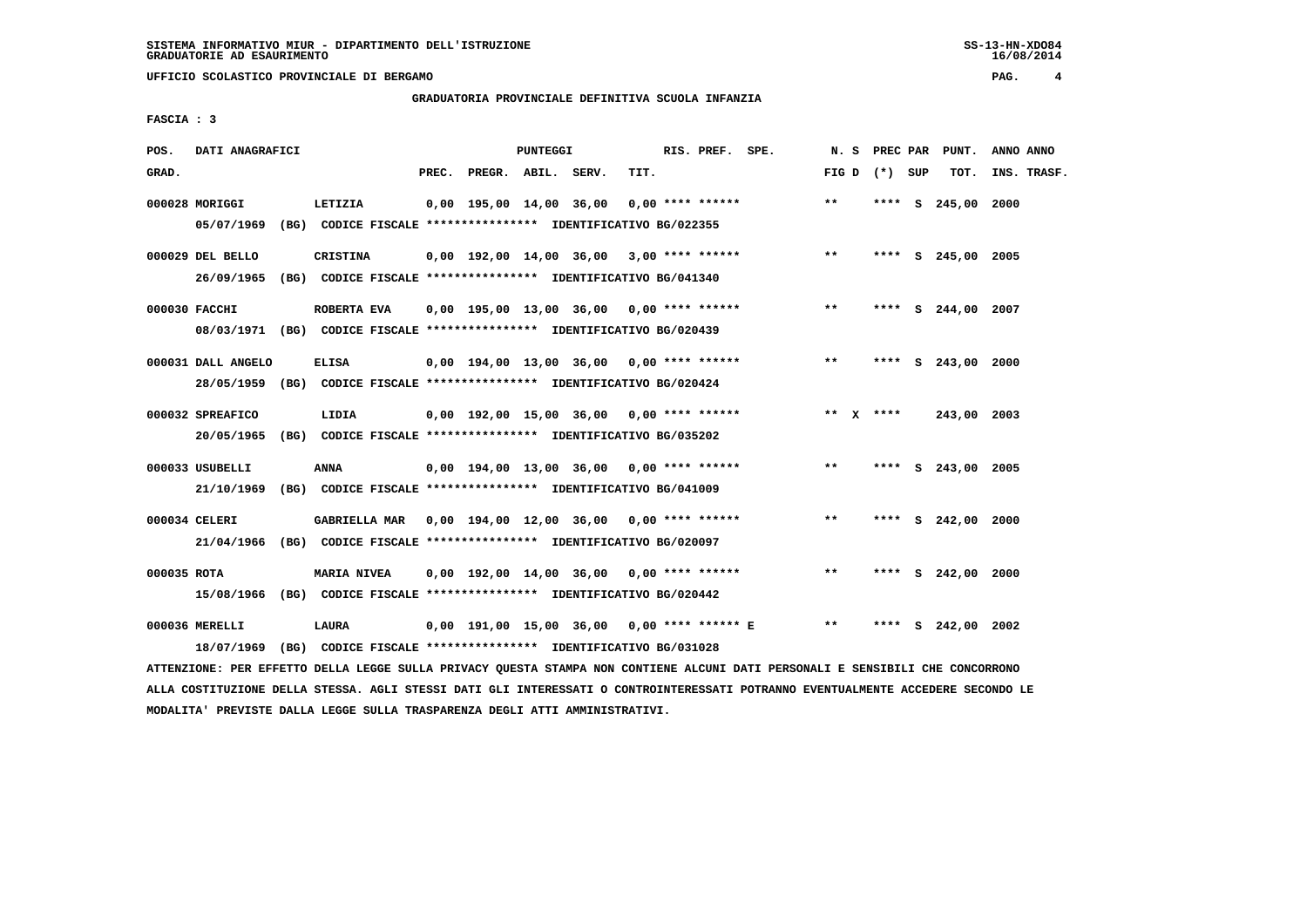**UFFICIO SCOLASTICO PROVINCIALE DI BERGAMO PAG. 4**

# **GRADUATORIA PROVINCIALE DEFINITIVA SCUOLA INFANZIA**

 **FASCIA : 3**

| POS.        | DATI ANAGRAFICI                |                                                                                                                                   |       |                    | PUNTEGGI |                                            |      | RIS. PREF. SPE.    |                                            | N. S            |      | PREC PAR PUNT.     | ANNO ANNO   |
|-------------|--------------------------------|-----------------------------------------------------------------------------------------------------------------------------------|-------|--------------------|----------|--------------------------------------------|------|--------------------|--------------------------------------------|-----------------|------|--------------------|-------------|
| GRAD.       |                                |                                                                                                                                   | PREC. | PREGR. ABIL. SERV. |          |                                            | TIT. |                    |                                            | FIG D $(*)$ SUP |      | TOT.               | INS. TRASF. |
|             | 000028 MORIGGI<br>05/07/1969   | LETIZIA<br>(BG) CODICE FISCALE **************** IDENTIFICATIVO BG/022355                                                          |       |                    |          | 0,00 195,00 14,00 36,00                    |      | $0.00$ **** ****** |                                            | **              |      | **** S 245,00 2000 |             |
|             | 000029 DEL BELLO<br>26/09/1965 | CRISTINA<br>(BG) CODICE FISCALE **************** IDENTIFICATIVO BG/041340                                                         |       |                    |          |                                            |      |                    | $0,00$ 192,00 14,00 36,00 3,00 **** ****** | $***$           |      | **** S 245,00 2005 |             |
|             | 000030 FACCHI                  | ROBERTA EVA<br>08/03/1971 (BG) CODICE FISCALE *************** IDENTIFICATIVO BG/020439                                            |       |                    |          | 0,00 195,00 13,00 36,00 0,00 **** ******   |      |                    |                                            | $* *$           |      | **** S 244,00 2007 |             |
|             | 000031 DALL ANGELO             | <b>ELISA</b><br>28/05/1959 (BG) CODICE FISCALE *************** IDENTIFICATIVO BG/020424                                           |       |                    |          | $0,00$ 194,00 13,00 36,00 0,00 **** ****** |      |                    |                                            | $***$           |      | **** S 243,00 2000 |             |
|             | 000032 SPREAFICO<br>20/05/1965 | LIDIA<br>(BG) CODICE FISCALE **************** IDENTIFICATIVO BG/035202                                                            |       |                    |          |                                            |      |                    | 0,00 192,00 15,00 36,00 0,00 **** ******   | ** $X$ ****     |      | 243,00 2003        |             |
|             | 000033 USUBELLI                | <b>ANNA</b><br>21/10/1969 (BG) CODICE FISCALE *************** IDENTIFICATIVO BG/041009                                            |       |                    |          | 0,00 194,00 13,00 36,00 0,00 **** ******   |      |                    |                                            | $***$           |      | **** S 243,00 2005 |             |
|             | 000034 CELERI                  | GABRIELLA MAR 0,00 194,00 12,00 36,00 0,00 **** ******<br>21/04/1966 (BG) CODICE FISCALE *************** IDENTIFICATIVO BG/020097 |       |                    |          |                                            |      |                    |                                            | **              |      | **** S 242,00 2000 |             |
| 000035 ROTA |                                | <b>MARIA NIVEA</b><br>15/08/1966 (BG) CODICE FISCALE *************** IDENTIFICATIVO BG/020442                                     |       |                    |          | $0,00$ 192,00 14,00 36,00 0,00 **** ****** |      |                    |                                            | $* *$           | **** | S 242,00 2000      |             |
|             | 000036 MERELLI<br>18/07/1969   | <b>LAURA</b><br>(BG) CODICE FISCALE *************** IDENTIFICATIVO BG/031028                                                      |       |                    |          | 0,00 191,00 15,00 36,00 0,00 **** ****** E |      |                    |                                            | $* *$           |      | **** S 242,00 2002 |             |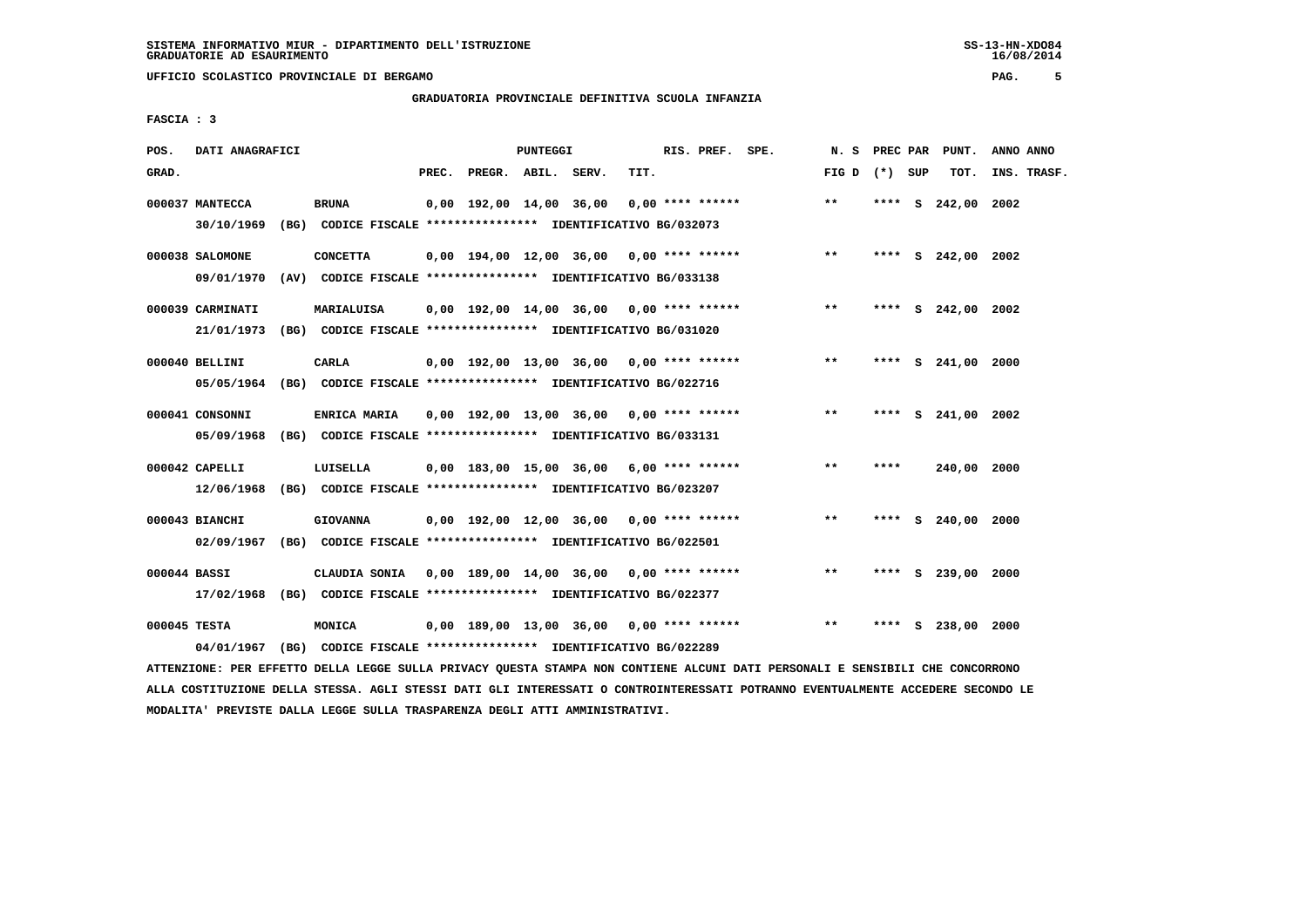**UFFICIO SCOLASTICO PROVINCIALE DI BERGAMO PAG. 5**

# **GRADUATORIA PROVINCIALE DEFINITIVA SCUOLA INFANZIA**

 **FASCIA : 3**

| POS.         | DATI ANAGRAFICI                |      |                                                                                                                         |       |                    | <b>PUNTEGGI</b> |                                            |      | RIS. PREF. SPE.    | N.S             |      | PREC PAR PUNT.     | ANNO ANNO   |
|--------------|--------------------------------|------|-------------------------------------------------------------------------------------------------------------------------|-------|--------------------|-----------------|--------------------------------------------|------|--------------------|-----------------|------|--------------------|-------------|
| GRAD.        |                                |      |                                                                                                                         | PREC. | PREGR. ABIL. SERV. |                 |                                            | TIT. |                    | FIG D $(*)$ SUP |      | TOT.               | INS. TRASF. |
|              | 000037 MANTECCA<br>30/10/1969  |      | <b>BRUNA</b><br>(BG) CODICE FISCALE **************** IDENTIFICATIVO BG/032073                                           |       |                    |                 | 0,00 192,00 14,00 36,00                    |      | $0.00$ **** ****** | $* *$           |      | **** S 242,00 2002 |             |
|              | 000038 SALOMONE<br>09/01/1970  |      | <b>CONCETTA</b><br>(AV) CODICE FISCALE **************** IDENTIFICATIVO BG/033138                                        |       |                    |                 | $0,00$ 194,00 12,00 36,00 0,00 **** ****** |      |                    | $**$            |      | **** S 242,00 2002 |             |
|              | 000039 CARMINATI<br>21/01/1973 |      | MARIALUISA<br>(BG) CODICE FISCALE **************** IDENTIFICATIVO BG/031020                                             |       |                    |                 | $0,00$ 192,00 14,00 36,00 0,00 **** ****** |      |                    | $***$           |      | **** S 242,00 2002 |             |
|              | 000040 BELLINI                 |      | <b>CARLA</b><br>05/05/1964 (BG) CODICE FISCALE *************** IDENTIFICATIVO BG/022716                                 |       |                    |                 | $0,00$ 192,00 13,00 36,00 0,00 **** ****** |      |                    | $***$           | **** | S 241,00           | 2000        |
|              | 000041 CONSONNI<br>05/09/1968  |      | <b>ENRICA MARIA</b><br>(BG) CODICE FISCALE **************** IDENTIFICATIVO BG/033131                                    |       |                    |                 | $0.00$ 192.00 13.00 36.00 0.00 **** ****** |      |                    | $* *$           | **** | S 241,00 2002      |             |
|              | 000042 CAPELLI<br>12/06/1968   |      | LUISELLA<br>(BG) CODICE FISCALE **************** IDENTIFICATIVO BG/023207                                               |       |                    |                 | 0,00 183,00 15,00 36,00 6,00 **** ******   |      |                    | $* *$           | **** | 240,00 2000        |             |
|              | 000043 BIANCHI<br>02/09/1967   |      | <b>GIOVANNA</b><br>(BG) CODICE FISCALE **************** IDENTIFICATIVO BG/022501                                        |       |                    |                 | $0.00$ 192.00 12.00 36.00 0.00 **** ****** |      |                    | $* *$           | **** | S 240,00           | 2000        |
| 000044 BASSI | 17/02/1968                     |      | CLAUDIA SONIA 0,00 189,00 14,00 36,00 0,00 **** ******<br>(BG) CODICE FISCALE **************** IDENTIFICATIVO BG/022377 |       |                    |                 |                                            |      |                    | $***$           | **** | S 239,00 2000      |             |
| 000045 TESTA | 04/01/1967                     | (BG) | MONICA<br>CODICE FISCALE **************** IDENTIFICATIVO BG/022289                                                      |       |                    |                 | $0,00$ 189,00 13,00 36,00 0,00 **** ****** |      |                    | $**$            | **** | S 238,00 2000      |             |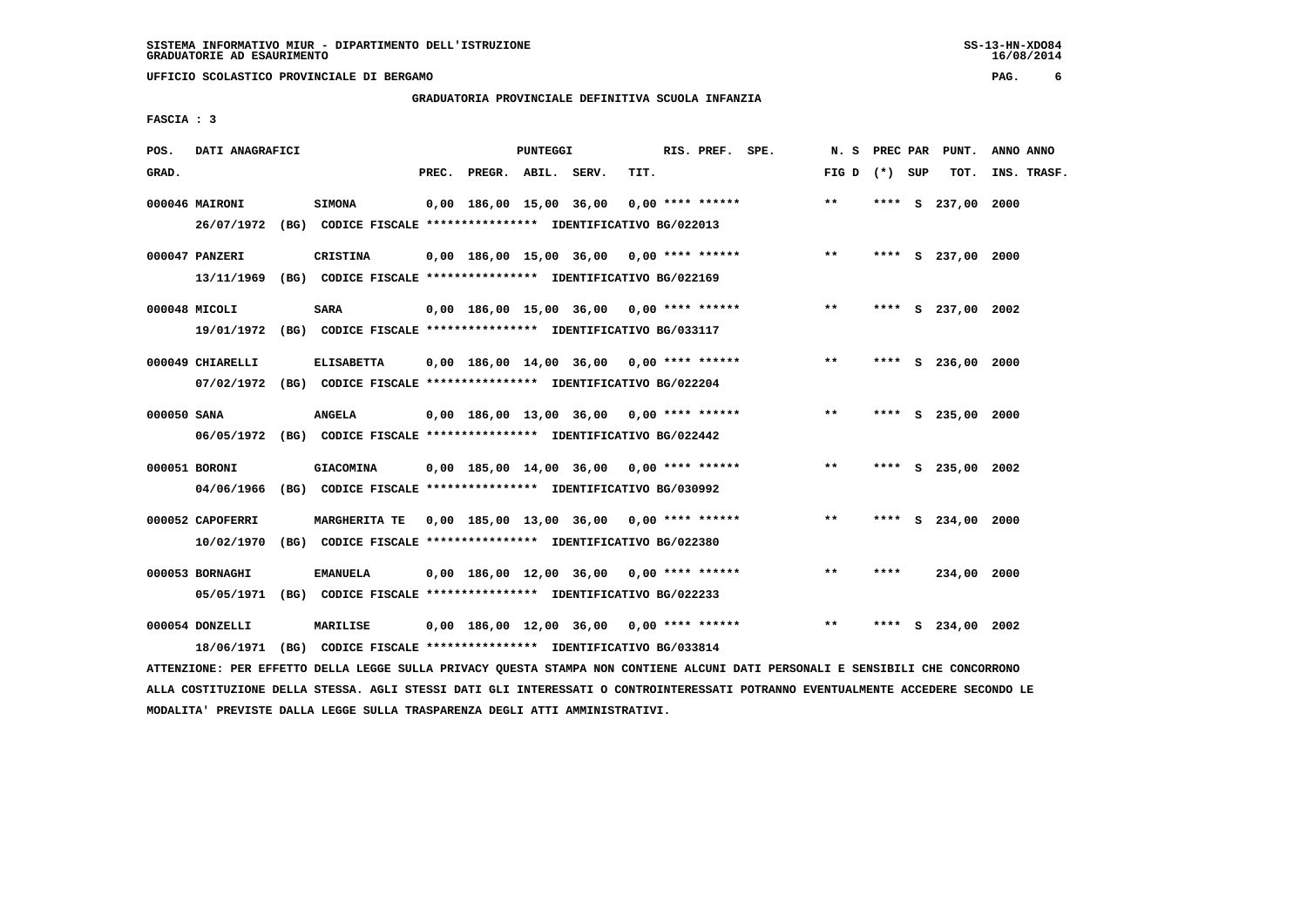**UFFICIO SCOLASTICO PROVINCIALE DI BERGAMO PAG. 6**

# **GRADUATORIA PROVINCIALE DEFINITIVA SCUOLA INFANZIA**

 **FASCIA : 3**

| POS.        | DATI ANAGRAFICI                |                                                                                              |       |                    | <b>PUNTEGGI</b> |                                            |      | RIS. PREF. SPE.  | N.S             |      | PREC PAR PUNT.     | ANNO ANNO   |
|-------------|--------------------------------|----------------------------------------------------------------------------------------------|-------|--------------------|-----------------|--------------------------------------------|------|------------------|-----------------|------|--------------------|-------------|
| GRAD.       |                                |                                                                                              | PREC. | PREGR. ABIL. SERV. |                 |                                            | TIT. |                  | FIG D $(*)$ SUP |      | TOT.               | INS. TRASF. |
|             | 000046 MAIRONI<br>26/07/1972   | <b>SIMONA</b><br>(BG) CODICE FISCALE **************** IDENTIFICATIVO BG/022013               |       |                    |                 | 0,00 186,00 15,00 36,00                    |      | 0,00 **** ****** | $**$            |      | **** S 237,00      | 2000        |
|             | 000047 PANZERI                 | CRISTINA<br>13/11/1969 (BG) CODICE FISCALE *************** IDENTIFICATIVO BG/022169          |       |                    |                 | 0,00 186,00 15,00 36,00 0,00 **** ******   |      |                  | $***$           |      | **** S 237,00 2000 |             |
|             | 000048 MICOLI                  | <b>SARA</b><br>19/01/1972 (BG) CODICE FISCALE *************** IDENTIFICATIVO BG/033117       |       |                    |                 | $0,00$ 186,00 15,00 36,00 0,00 **** ****** |      |                  | $***$           |      | **** S 237,00 2002 |             |
|             | 000049 CHIARELLI               | <b>ELISABETTA</b><br>07/02/1972 (BG) CODICE FISCALE *************** IDENTIFICATIVO BG/022204 |       |                    |                 | $0,00$ 186,00 14,00 36,00 0,00 **** ****** |      |                  | $***$           |      | **** S 236,00 2000 |             |
| 000050 SANA |                                | <b>ANGELA</b><br>06/05/1972 (BG) CODICE FISCALE *************** IDENTIFICATIVO BG/022442     |       |                    |                 | 0,00 186,00 13,00 36,00 0,00 **** ******   |      |                  | $* *$           |      | **** S 235,00 2000 |             |
|             | 000051 BORONI<br>04/06/1966    | <b>GIACOMINA</b><br>(BG) CODICE FISCALE **************** IDENTIFICATIVO BG/030992            |       |                    |                 | $0,00$ 185,00 14,00 36,00 0,00 **** ****** |      |                  | $***$           | **** | S 235,00 2002      |             |
|             | 000052 CAPOFERRI<br>10/02/1970 | <b>MARGHERITA TE</b><br>(BG) CODICE FISCALE **************** IDENTIFICATIVO BG/022380        |       |                    |                 | $0.00$ 185.00 13.00 36.00 0.00 **** ****** |      |                  | $* *$           | **** | S 234,00 2000      |             |
|             | 000053 BORNAGHI<br>05/05/1971  | <b>EMANUELA</b><br>(BG) CODICE FISCALE **************** IDENTIFICATIVO BG/022233             |       |                    |                 | $0,00$ 186,00 12,00 36,00 0,00 **** ****** |      |                  | $* *$           | **** | 234,00 2000        |             |
|             | 000054 DONZELLI<br>18/06/1971  | <b>MARILISE</b><br>(BG) CODICE FISCALE **************** IDENTIFICATIVO BG/033814             |       |                    |                 | $0,00$ 186,00 12,00 36,00 0,00 **** ****** |      |                  | $* *$           | **** | S 234,00 2002      |             |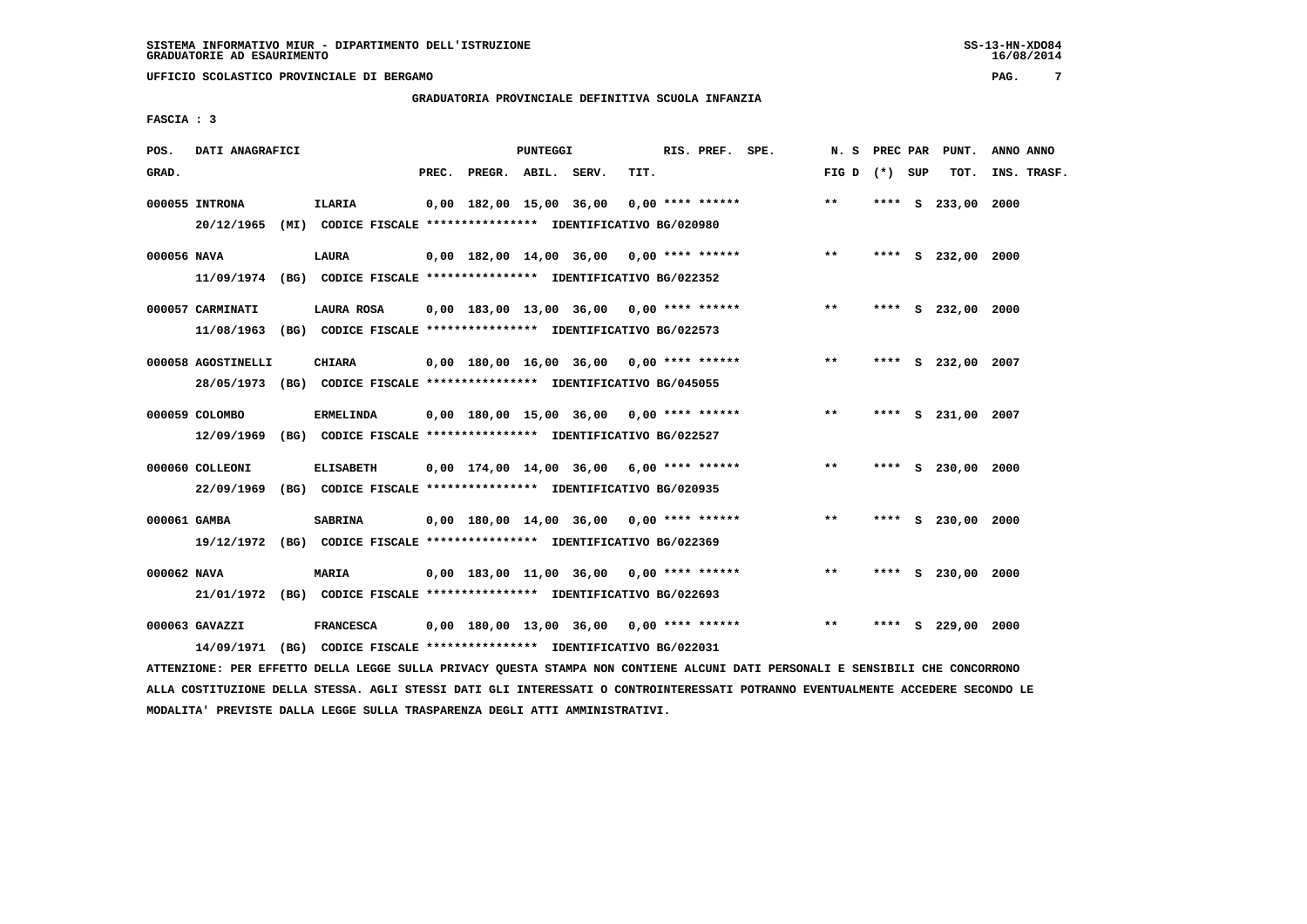**UFFICIO SCOLASTICO PROVINCIALE DI BERGAMO PAG. 7**

# **GRADUATORIA PROVINCIALE DEFINITIVA SCUOLA INFANZIA**

 **FASCIA : 3**

| POS.         | DATI ANAGRAFICI              |                                                                                             |       |                    | PUNTEGGI |                                            |      | RIS. PREF. SPE.    |                                            | N. S            |      | PREC PAR PUNT.     | ANNO ANNO   |
|--------------|------------------------------|---------------------------------------------------------------------------------------------|-------|--------------------|----------|--------------------------------------------|------|--------------------|--------------------------------------------|-----------------|------|--------------------|-------------|
| GRAD.        |                              |                                                                                             | PREC. | PREGR. ABIL. SERV. |          |                                            | TIT. |                    |                                            | FIG D $(*)$ SUP |      | TOT.               | INS. TRASF. |
|              | 000055 INTRONA               | ILARIA<br>20/12/1965 (MI) CODICE FISCALE *************** IDENTIFICATIVO BG/020980           |       |                    |          | 0,00 182,00 15,00 36,00                    |      | $0.00$ **** ****** |                                            | $***$           |      | **** S 233,00 2000 |             |
| 000056 NAVA  |                              | LAURA<br>11/09/1974 (BG) CODICE FISCALE *************** IDENTIFICATIVO BG/022352            |       |                    |          |                                            |      |                    | $0,00$ 182,00 14,00 36,00 0,00 **** ****** | $***$           |      | **** S 232,00 2000 |             |
|              | 000057 CARMINATI             | LAURA ROSA<br>11/08/1963 (BG) CODICE FISCALE *************** IDENTIFICATIVO BG/022573       |       |                    |          | 0,00 183,00 13,00 36,00 0,00 **** ******   |      |                    |                                            | $***$           |      | **** S 232,00 2000 |             |
|              | 000058 AGOSTINELLI           | <b>CHIARA</b><br>28/05/1973 (BG) CODICE FISCALE *************** IDENTIFICATIVO BG/045055    |       |                    |          | 0,00 180,00 16,00 36,00 0,00 **** ******   |      |                    |                                            | $***$           |      | **** S 232,00 2007 |             |
|              | 000059 COLOMBO               | <b>ERMELINDA</b><br>12/09/1969 (BG) CODICE FISCALE *************** IDENTIFICATIVO BG/022527 |       |                    |          | 0,00 180,00 15,00 36,00 0,00 **** ******   |      |                    |                                            | $* *$           | **** | S 231,00 2007      |             |
|              | 000060 COLLEONI              | <b>ELISABETH</b><br>22/09/1969 (BG) CODICE FISCALE *************** IDENTIFICATIVO BG/020935 |       |                    |          | 0,00 174,00 14,00 36,00 6,00 **** ******   |      |                    |                                            | $***$           |      | **** S 230,00 2000 |             |
| 000061 GAMBA |                              | <b>SABRINA</b><br>19/12/1972 (BG) CODICE FISCALE *************** IDENTIFICATIVO BG/022369   |       |                    |          | 0,00 180,00 14,00 36,00 0,00 **** ******   |      |                    |                                            | $**$            |      | **** S 230,00      | 2000        |
| 000062 NAVA  |                              | MARIA<br>21/01/1972 (BG) CODICE FISCALE *************** IDENTIFICATIVO BG/022693            |       |                    |          | $0,00$ 183,00 11,00 36,00 0,00 **** ****** |      |                    |                                            | $***$           |      | **** S 230,00 2000 |             |
|              | 000063 GAVAZZI<br>14/09/1971 | <b>FRANCESCA</b><br>(BG) CODICE FISCALE **************** IDENTIFICATIVO BG/022031           |       |                    |          | $0,00$ 180,00 13,00 36,00 0,00 **** ****** |      |                    |                                            | $* *$           |      | **** S 229,00 2000 |             |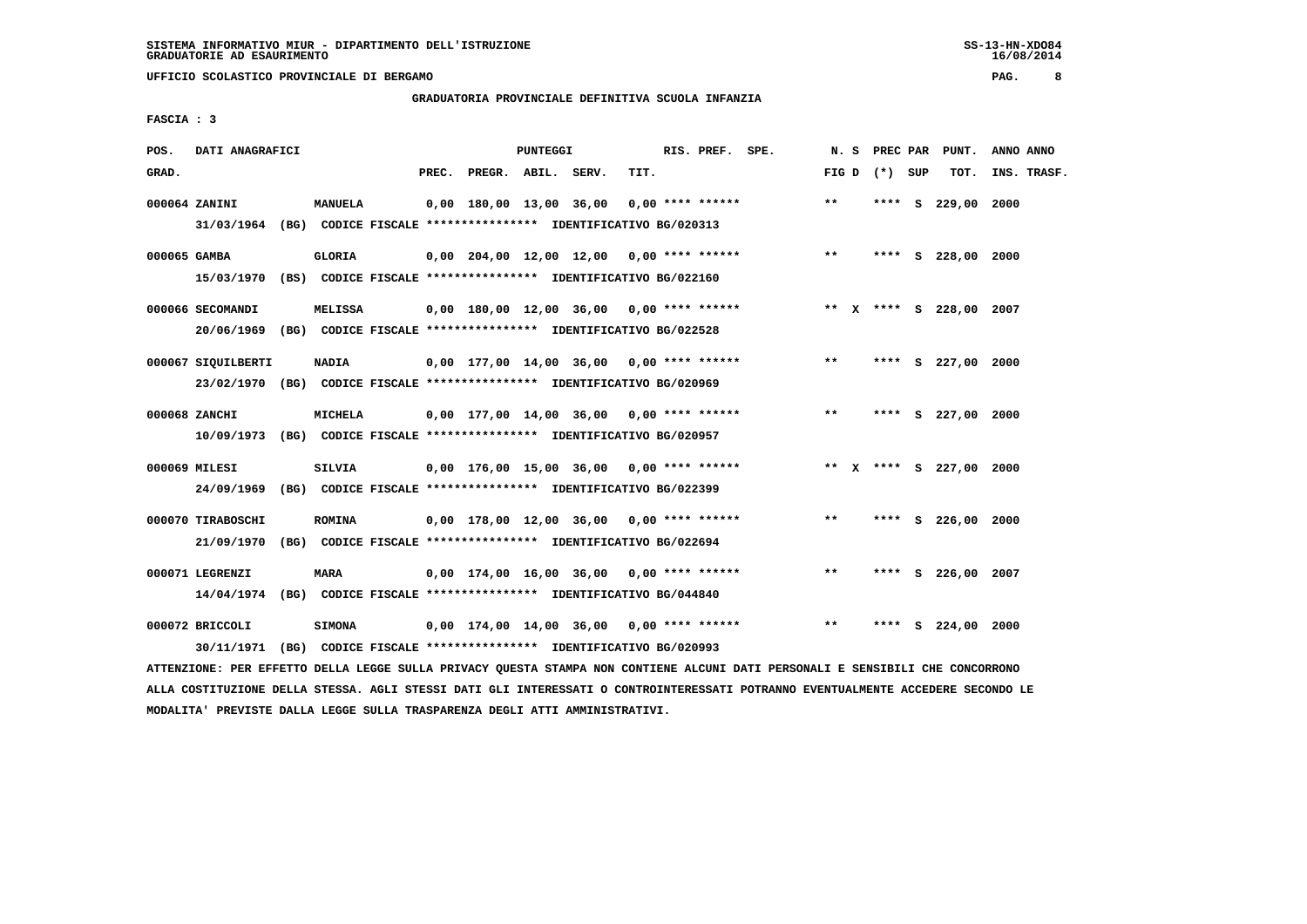**UFFICIO SCOLASTICO PROVINCIALE DI BERGAMO PAG. 8**

# **GRADUATORIA PROVINCIALE DEFINITIVA SCUOLA INFANZIA**

 **FASCIA : 3**

| POS.         | DATI ANAGRAFICI                                                                               |               |       |                    | PUNTEGGI |                                                                                                             |      | RIS. PREF. SPE.    |                                                    | N. S  |                 | PREC PAR PUNT.          | ANNO ANNO |             |
|--------------|-----------------------------------------------------------------------------------------------|---------------|-------|--------------------|----------|-------------------------------------------------------------------------------------------------------------|------|--------------------|----------------------------------------------------|-------|-----------------|-------------------------|-----------|-------------|
| GRAD.        |                                                                                               |               | PREC. | PREGR. ABIL. SERV. |          |                                                                                                             | TIT. |                    |                                                    |       | FIG D $(*)$ SUP | тот.                    |           | INS. TRASF. |
|              | 000064 ZANINI<br>31/03/1964 (BG) CODICE FISCALE *************** IDENTIFICATIVO BG/020313      | MANUELA       |       |                    |          | 0,00 180,00 13,00 36,00                                                                                     |      | $0.00$ **** ****** |                                                    | $* *$ |                 | **** S 229,00 2000      |           |             |
| 000065 GAMBA | 15/03/1970 (BS) CODICE FISCALE *************** IDENTIFICATIVO BG/022160                       | <b>GLORIA</b> |       |                    |          |                                                                                                             |      |                    | $0,00$ $204,00$ $12,00$ $12,00$ $0,00$ **** ****** | $***$ |                 | **** S 228,00 2000      |           |             |
|              | 000066 SECOMANDI<br>20/06/1969 (BG) CODICE FISCALE *************** IDENTIFICATIVO BG/022528   | MELISSA       |       |                    |          |                                                                                                             |      |                    | 0,00 180,00 12,00 36,00 0,00 **** ******           |       |                 | ** X **** S 228,00 2007 |           |             |
|              | 000067 SIQUILBERTI<br>23/02/1970 (BG) CODICE FISCALE *************** IDENTIFICATIVO BG/020969 | <b>NADIA</b>  |       |                    |          | 0,00 177,00 14,00 36,00 0,00 **** ******                                                                    |      |                    |                                                    | $* *$ |                 | **** S 227,00 2000      |           |             |
|              | 000068 ZANCHI<br>10/09/1973 (BG) CODICE FISCALE *************** IDENTIFICATIVO BG/020957      | MICHELA       |       |                    |          | 0,00 177,00 14,00 36,00 0,00 **** ******                                                                    |      |                    |                                                    | $***$ |                 | **** S 227,00 2000      |           |             |
|              | 000069 MILESI<br>24/09/1969 (BG) CODICE FISCALE *************** IDENTIFICATIVO BG/022399      | SILVIA        |       |                    |          | 0,00 176,00 15,00 36,00 0,00 **** ******                                                                    |      |                    |                                                    |       |                 | ** X **** S 227,00 2000 |           |             |
|              | 000070 TIRABOSCHI<br>21/09/1970                                                               | <b>ROMINA</b> |       |                    |          | 0,00 178,00 12,00 36,00 0,00 **** ******<br>(BG) CODICE FISCALE **************** IDENTIFICATIVO BG/022694   |      |                    |                                                    | $***$ |                 | **** S 226,00 2000      |           |             |
|              | 000071 LEGRENZI<br>14/04/1974 (BG) CODICE FISCALE *************** IDENTIFICATIVO BG/044840    | <b>MARA</b>   |       |                    |          | $0,00$ 174,00 16,00 36,00 0,00 **** ******                                                                  |      |                    |                                                    | $**$  |                 | **** S 226,00 2007      |           |             |
|              | 000072 BRICCOLI<br>30/11/1971                                                                 | <b>SIMONA</b> |       |                    |          | $0,00$ 174,00 14,00 36,00 0,00 **** ******<br>(BG) CODICE FISCALE **************** IDENTIFICATIVO BG/020993 |      |                    |                                                    | $***$ | ****            | $S$ 224,00 2000         |           |             |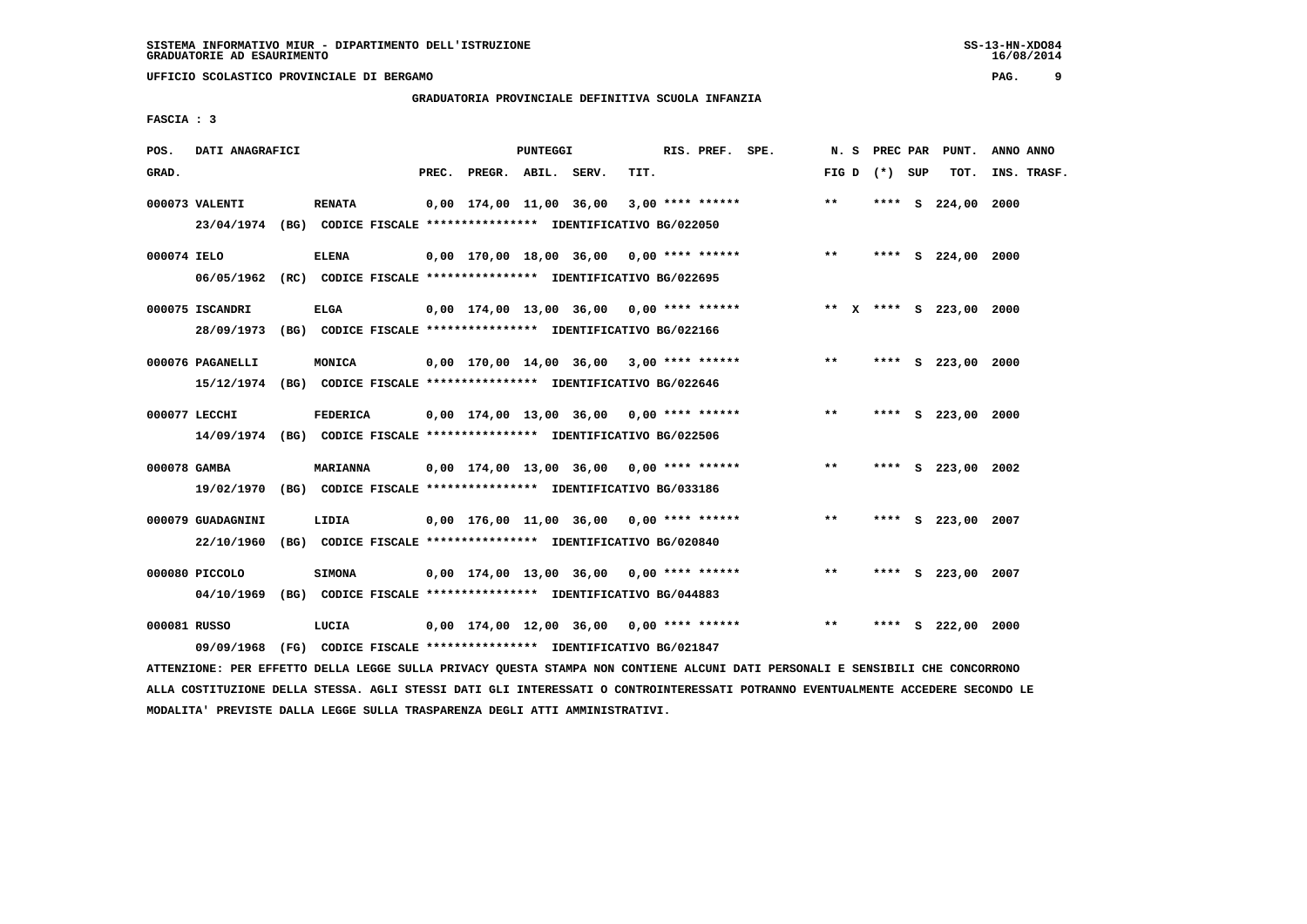**UFFICIO SCOLASTICO PROVINCIALE DI BERGAMO PAG. 9**

# **GRADUATORIA PROVINCIALE DEFINITIVA SCUOLA INFANZIA**

 **FASCIA : 3**

| POS.         | DATI ANAGRAFICI                 |                                                                                            |       |                    | PUNTEGGI |                                            |      | RIS. PREF. SPE.    |                                                                         | N.S             |  | PREC PAR PUNT.     | ANNO ANNO   |
|--------------|---------------------------------|--------------------------------------------------------------------------------------------|-------|--------------------|----------|--------------------------------------------|------|--------------------|-------------------------------------------------------------------------|-----------------|--|--------------------|-------------|
| GRAD.        |                                 |                                                                                            | PREC. | PREGR. ABIL. SERV. |          |                                            | TIT. |                    |                                                                         | FIG D $(*)$ SUP |  | TOT.               | INS. TRASF. |
|              | 000073 VALENTI                  | <b>RENATA</b><br>23/04/1974 (BG) CODICE FISCALE *************** IDENTIFICATIVO BG/022050   |       |                    |          | 0,00 174,00 11,00 36,00                    |      | $3,00$ **** ****** |                                                                         | $**$            |  | **** S 224,00 2000 |             |
| 000074 IELO  |                                 | <b>ELENA</b><br>06/05/1962 (RC) CODICE FISCALE *************** IDENTIFICATIVO BG/022695    |       |                    |          |                                            |      |                    | 0,00 170,00 18,00 36,00 0,00 **** ******                                | $***$           |  | **** S 224,00 2000 |             |
|              | 000075 ISCANDRI<br>28/09/1973   | <b>ELGA</b><br>(BG) CODICE FISCALE *************** IDENTIFICATIVO BG/022166                |       |                    |          |                                            |      |                    | 0,00 174,00 13,00 36,00 0,00 **** ****** **** *** ** **** S 223,00 2000 |                 |  |                    |             |
|              | 000076 PAGANELLI                | MONICA<br>15/12/1974 (BG) CODICE FISCALE *************** IDENTIFICATIVO BG/022646          |       |                    |          | $0.00$ 170.00 14.00 36.00 3.00 **** ****** |      |                    |                                                                         | $***$           |  | **** S 223,00 2000 |             |
|              | 000077 LECCHI                   | <b>FEDERICA</b><br>14/09/1974 (BG) CODICE FISCALE *************** IDENTIFICATIVO BG/022506 |       |                    |          | 0,00 174,00 13,00 36,00 0,00 **** ******   |      |                    |                                                                         | $**$            |  | **** S 223,00 2000 |             |
| 000078 GAMBA |                                 | <b>MARIANNA</b><br>19/02/1970 (BG) CODICE FISCALE *************** IDENTIFICATIVO BG/033186 |       |                    |          | $0,00$ 174,00 13,00 36,00 0,00 **** ****** |      |                    |                                                                         | $**$            |  | **** S 223,00 2002 |             |
|              | 000079 GUADAGNINI<br>22/10/1960 | LIDIA<br>(BG) CODICE FISCALE **************** IDENTIFICATIVO BG/020840                     |       |                    |          | 0,00 176,00 11,00 36,00 0,00 **** ******   |      |                    |                                                                         | $**$            |  | **** S 223,00 2007 |             |
|              | 000080 PICCOLO                  | <b>SIMONA</b><br>04/10/1969 (BG) CODICE FISCALE *************** IDENTIFICATIVO BG/044883   |       |                    |          | $0,00$ 174,00 13,00 36,00 0,00 **** ****** |      |                    |                                                                         | $***$           |  | **** S 223,00 2007 |             |
| 000081 RUSSO | 09/09/1968                      | LUCIA<br>(FG) CODICE FISCALE **************** IDENTIFICATIVO BG/021847                     |       |                    |          | $0,00$ 174,00 12,00 36,00 0,00 **** ****** |      |                    |                                                                         | $***$           |  | **** S 222,00 2000 |             |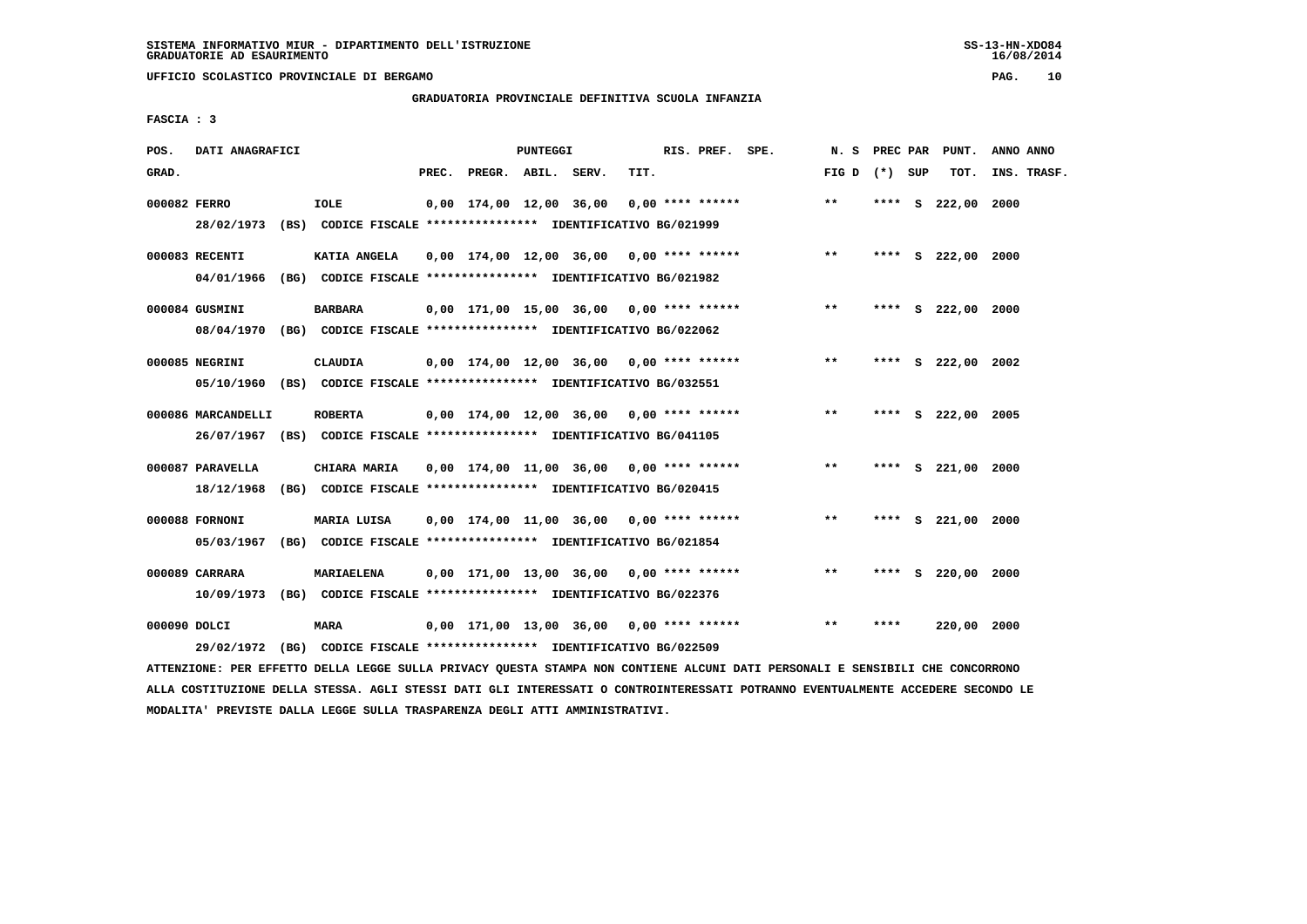**UFFICIO SCOLASTICO PROVINCIALE DI BERGAMO PAG. 10**

# **GRADUATORIA PROVINCIALE DEFINITIVA SCUOLA INFANZIA**

 **FASCIA : 3**

| POS.         | DATI ANAGRAFICI    |                                                                                        |       |                    | <b>PUNTEGGI</b> |                                            |      | RIS. PREF. SPE.    | N.S               | <b>PREC PAR</b> | PUNT.              | ANNO ANNO   |  |
|--------------|--------------------|----------------------------------------------------------------------------------------|-------|--------------------|-----------------|--------------------------------------------|------|--------------------|-------------------|-----------------|--------------------|-------------|--|
| GRAD.        |                    |                                                                                        | PREC. | PREGR. ABIL. SERV. |                 |                                            | TIT. |                    | FIG $D$ $(*)$ SUP |                 | TOT.               | INS. TRASF. |  |
| 000082 FERRO |                    | <b>IOLE</b><br>28/02/1973 (BS) CODICE FISCALE *************** IDENTIFICATIVO BG/021999 |       |                    |                 | 0,00 174,00 12,00 36,00                    |      | $0.00$ **** ****** | $* *$             |                 | **** S 222,00      | 2000        |  |
|              |                    |                                                                                        |       |                    |                 |                                            |      |                    |                   |                 |                    |             |  |
|              | 000083 RECENTI     | KATIA ANGELA                                                                           |       |                    |                 | $0,00$ 174,00 12,00 36,00 0,00 **** ****** |      |                    | $* *$             |                 | **** S 222,00 2000 |             |  |
|              | 04/01/1966         | (BG) CODICE FISCALE *************** IDENTIFICATIVO BG/021982                           |       |                    |                 |                                            |      |                    |                   |                 |                    |             |  |
|              | 000084 GUSMINI     | <b>BARBARA</b>                                                                         |       |                    |                 | $0,00$ 171,00 15,00 36,00 0,00 **** ****** |      |                    | $\star\star$      |                 | **** S 222,00 2000 |             |  |
|              |                    | 08/04/1970 (BG) CODICE FISCALE *************** IDENTIFICATIVO BG/022062                |       |                    |                 |                                            |      |                    |                   |                 |                    |             |  |
|              | 000085 NEGRINI     | CLAUDIA                                                                                |       |                    |                 | $0,00$ 174,00 12,00 36,00 0,00 **** ****** |      |                    | $**$              | ****            | S 222,00 2002      |             |  |
|              |                    | 05/10/1960 (BS) CODICE FISCALE *************** IDENTIFICATIVO BG/032551                |       |                    |                 |                                            |      |                    |                   |                 |                    |             |  |
|              |                    |                                                                                        |       |                    |                 |                                            |      |                    |                   |                 |                    |             |  |
|              | 000086 MARCANDELLI | <b>ROBERTA</b>                                                                         |       |                    |                 | 0,00 174,00 12,00 36,00 0,00 **** ******   |      |                    | $***$             | ****            | S 222,00 2005      |             |  |
|              |                    | 26/07/1967 (BS) CODICE FISCALE *************** IDENTIFICATIVO BG/041105                |       |                    |                 |                                            |      |                    |                   |                 |                    |             |  |
|              | 000087 PARAVELLA   | CHIARA MARIA                                                                           |       |                    |                 | $0.00$ 174.00 11.00 36.00 0.00 **** ****** |      |                    | $***$             | ****            | S 221,00 2000      |             |  |
|              | 18/12/1968         | (BG) CODICE FISCALE **************** IDENTIFICATIVO BG/020415                          |       |                    |                 |                                            |      |                    |                   |                 |                    |             |  |
|              | 000088 FORNONI     | MARIA LUISA                                                                            |       |                    |                 | $0,00$ 174,00 11,00 36,00 0,00 **** ****** |      |                    | $***$             | ****            | S 221,00 2000      |             |  |
|              | 05/03/1967         | (BG) CODICE FISCALE **************** IDENTIFICATIVO BG/021854                          |       |                    |                 |                                            |      |                    |                   |                 |                    |             |  |
|              | 000089 CARRARA     | MARIAELENA                                                                             |       |                    |                 | $0,00$ 171,00 13,00 36,00 0,00 **** ****** |      |                    | $* *$             | ****            | s 220,00 2000      |             |  |
|              |                    | 10/09/1973 (BG) CODICE FISCALE *************** IDENTIFICATIVO BG/022376                |       |                    |                 |                                            |      |                    |                   |                 |                    |             |  |
|              |                    |                                                                                        |       |                    |                 |                                            |      |                    |                   |                 |                    |             |  |
| 000090 DOLCI |                    | MARA                                                                                   |       |                    |                 | $0,00$ 171,00 13,00 36,00 0,00 **** ****** |      |                    | $* *$             | ****            | 220,00 2000        |             |  |
|              | 29/02/1972         | (BG) CODICE FISCALE **************** IDENTIFICATIVO BG/022509                          |       |                    |                 |                                            |      |                    |                   |                 |                    |             |  |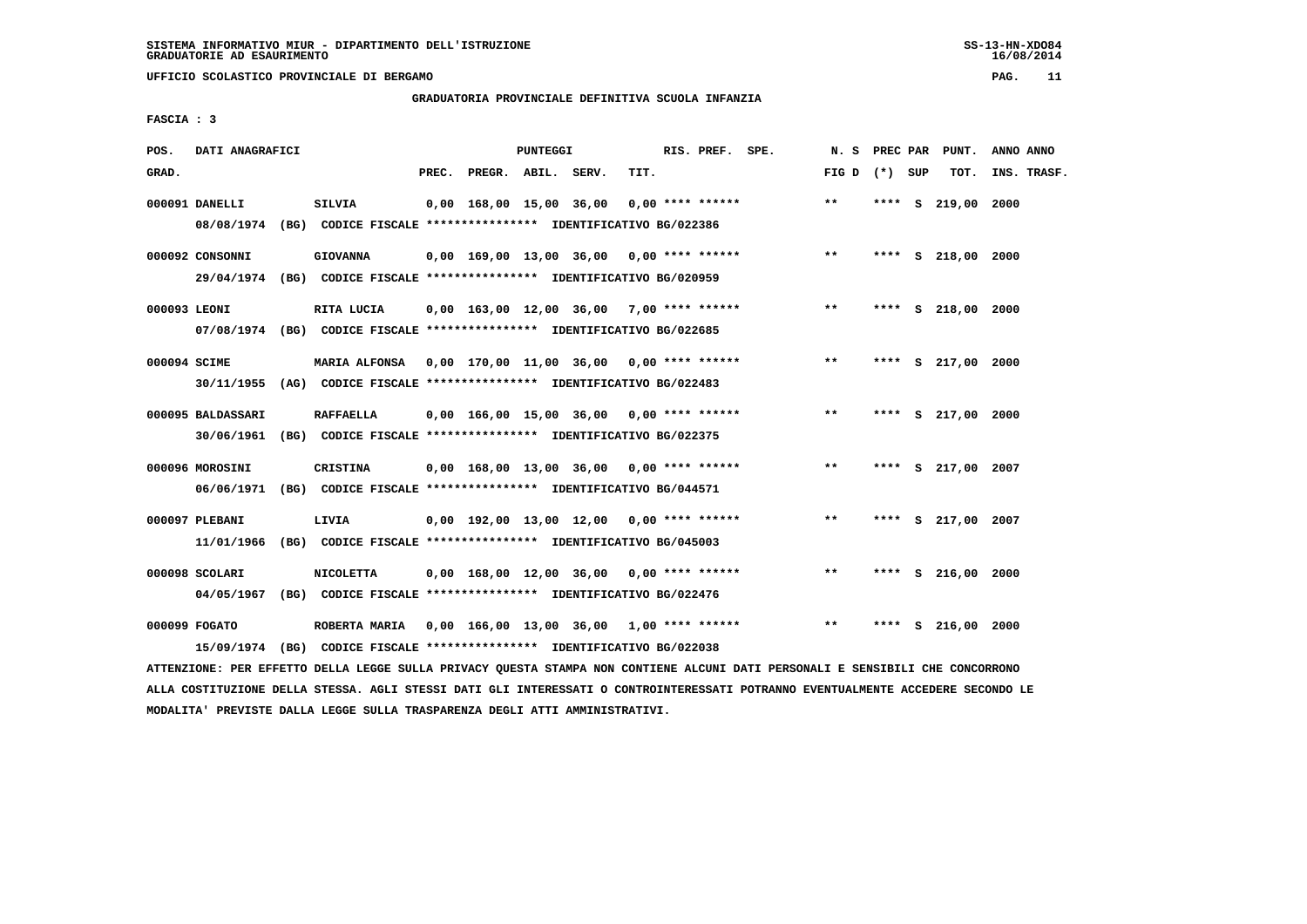**UFFICIO SCOLASTICO PROVINCIALE DI BERGAMO PAG. 11**

# **GRADUATORIA PROVINCIALE DEFINITIVA SCUOLA INFANZIA**

 **FASCIA : 3**

| POS.         | DATI ANAGRAFICI              |                                                                                                                                   |       |                    | PUNTEGGI |                                            |      | RIS. PREF. SPE. |                                            | N.S             |      | PREC PAR PUNT.     | ANNO ANNO   |
|--------------|------------------------------|-----------------------------------------------------------------------------------------------------------------------------------|-------|--------------------|----------|--------------------------------------------|------|-----------------|--------------------------------------------|-----------------|------|--------------------|-------------|
| GRAD.        |                              |                                                                                                                                   | PREC. | PREGR. ABIL. SERV. |          |                                            | TIT. |                 |                                            | FIG D $(*)$ SUP |      | TOT.               | INS. TRASF. |
|              | 000091 DANELLI               | <b>SILVIA</b><br>08/08/1974 (BG) CODICE FISCALE *************** IDENTIFICATIVO BG/022386                                          |       |                    |          | 0,00 168,00 15,00 36,00 0,00 **** ******   |      |                 |                                            | $***$           | **** | s 219,00 2000      |             |
|              | 000092 CONSONNI              | <b>GIOVANNA</b><br>29/04/1974 (BG) CODICE FISCALE *************** IDENTIFICATIVO BG/020959                                        |       |                    |          |                                            |      |                 | $0,00$ 169,00 13,00 36,00 0,00 **** ****** | $***$           |      | **** S 218,00 2000 |             |
| 000093 LEONI |                              | RITA LUCIA<br>07/08/1974 (BG) CODICE FISCALE *************** IDENTIFICATIVO BG/022685                                             |       |                    |          | 0,00 163,00 12,00 36,00 7,00 **** ******   |      |                 |                                            | $***$           |      | **** S 218,00 2000 |             |
| 000094 SCIME |                              | MARIA ALFONSA 0.00 170.00 11.00 36.00 0.00 **** ******<br>30/11/1955 (AG) CODICE FISCALE *************** IDENTIFICATIVO BG/022483 |       |                    |          |                                            |      |                 |                                            | $**$            | **** | S 217,00           | 2000        |
|              | 000095 BALDASSARI            | <b>RAFFAELLA</b><br>30/06/1961 (BG) CODICE FISCALE *************** IDENTIFICATIVO BG/022375                                       |       |                    |          | 0,00 166,00 15,00 36,00 0,00 **** ******   |      |                 |                                            | $**$            | **** | S 217,00 2000      |             |
|              | 000096 MOROSINI              | CRISTINA<br>06/06/1971 (BG) CODICE FISCALE *************** IDENTIFICATIVO BG/044571                                               |       |                    |          | 0,00 168,00 13,00 36,00 0,00 **** ******   |      |                 |                                            | $**$            | **** | S 217,00 2007      |             |
|              | 000097 PLEBANI<br>11/01/1966 | LIVIA<br>(BG) CODICE FISCALE **************** IDENTIFICATIVO BG/045003                                                            |       |                    |          | $0,00$ 192,00 13,00 12,00 0,00 **** ****** |      |                 |                                            | $**$            |      | **** S 217,00 2007 |             |
|              | 000098 SCOLARI               | <b>NICOLETTA</b><br>04/05/1967 (BG) CODICE FISCALE *************** IDENTIFICATIVO BG/022476                                       |       |                    |          | $0,00$ 168,00 12,00 36,00 0,00 **** ****** |      |                 |                                            | $***$           |      | **** S 216,00 2000 |             |
|              | 000099 FOGATO<br>15/09/1974  | ROBERTA MARIA 0,00 166,00 13,00 36,00 1,00 **** ******<br>(BG) CODICE FISCALE **************** IDENTIFICATIVO BG/022038           |       |                    |          |                                            |      |                 |                                            | $***$           |      | **** S 216,00 2000 |             |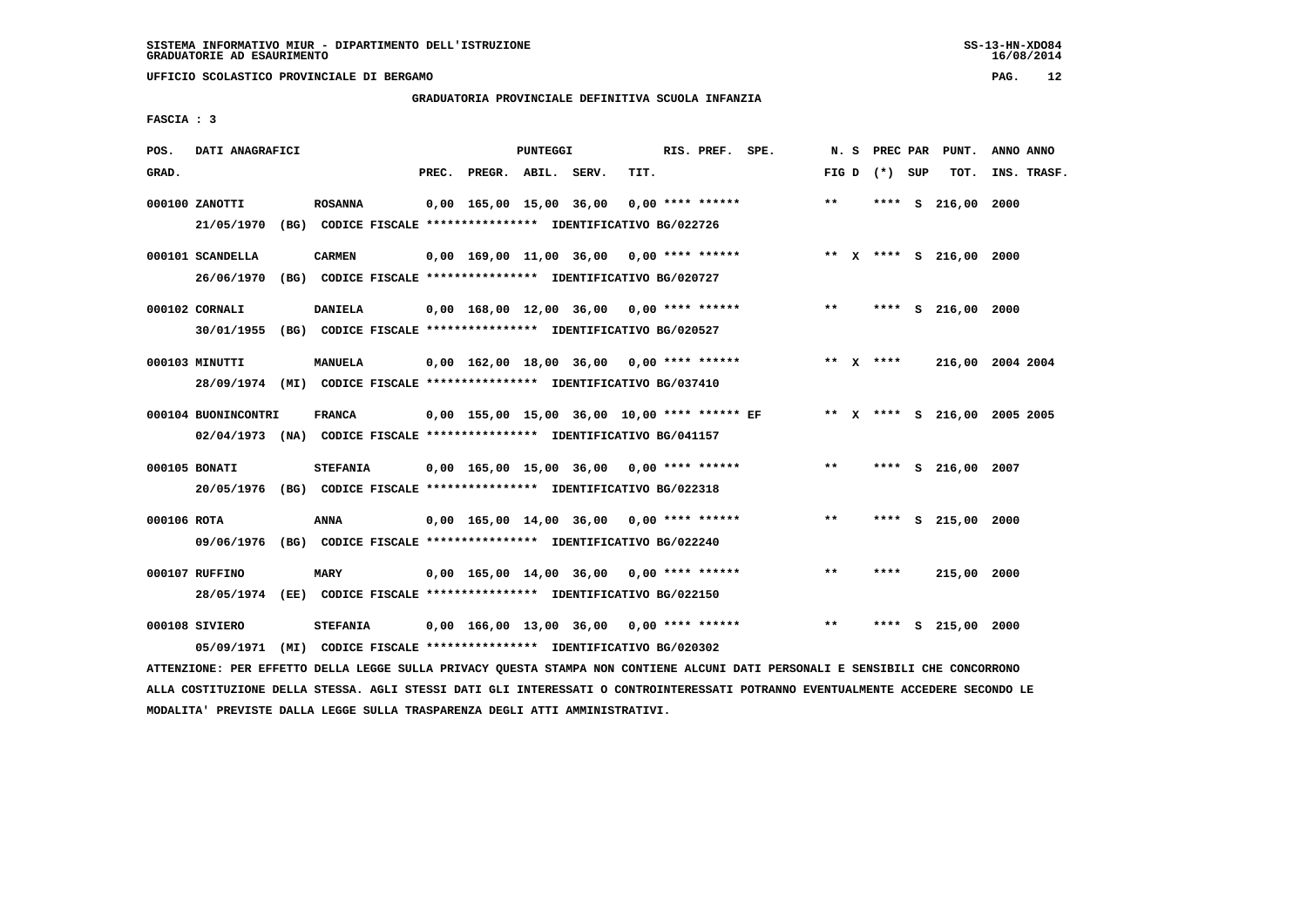**UFFICIO SCOLASTICO PROVINCIALE DI BERGAMO PAG. 12**

# **GRADUATORIA PROVINCIALE DEFINITIVA SCUOLA INFANZIA**

 **FASCIA : 3**

| POS.        | DATI ANAGRAFICI                                                                                |                                                                                  |       |                                            | <b>PUNTEGGI</b> |      | RIS. PREF. SPE.    |                                              |       |                 | N. S PREC PAR PUNT.          | ANNO ANNO |             |
|-------------|------------------------------------------------------------------------------------------------|----------------------------------------------------------------------------------|-------|--------------------------------------------|-----------------|------|--------------------|----------------------------------------------|-------|-----------------|------------------------------|-----------|-------------|
| GRAD.       |                                                                                                |                                                                                  | PREC. | PREGR. ABIL. SERV.                         |                 | TIT. |                    |                                              |       | FIG D $(*)$ SUP | тот.                         |           | INS. TRASF. |
|             | 000100 ZANOTTI<br>21/05/1970 (BG) CODICE FISCALE *************** IDENTIFICATIVO BG/022726      | <b>ROSANNA</b>                                                                   |       | 0,00 165,00 15,00 36,00                    |                 |      | $0.00$ **** ****** |                                              | **    |                 | **** S 216,00 2000           |           |             |
|             | 000101 SCANDELLA<br>26/06/1970                                                                 | <b>CARMEN</b><br>(BG) CODICE FISCALE **************** IDENTIFICATIVO BG/020727   |       | $0,00$ 169,00 11,00 36,00 0,00 **** ****** |                 |      |                    |                                              |       |                 | ** X **** S 216,00 2000      |           |             |
|             | 000102 CORNALI<br>30/01/1955 (BG) CODICE FISCALE *************** IDENTIFICATIVO BG/020527      | <b>DANIELA</b>                                                                   |       | $0.00$ 168.00 12.00 36.00 0.00 **** ****** |                 |      |                    |                                              | $* *$ |                 | **** S 216,00 2000           |           |             |
|             | 000103 MINUTTI<br>28/09/1974 (MI) CODICE FISCALE *************** IDENTIFICATIVO BG/037410      | <b>MANUELA</b>                                                                   |       | $0.00$ 162.00 18.00 36.00 0.00 **** ****** |                 |      |                    |                                              |       | ** x ****       | 216,00 2004 2004             |           |             |
|             | 000104 BUONINCONTRI<br>02/04/1973 (NA) CODICE FISCALE *************** IDENTIFICATIVO BG/041157 | <b>FRANCA</b>                                                                    |       |                                            |                 |      |                    | 0,00 155,00 15,00 36,00 10,00 **** ****** EF |       |                 | ** X **** S 216,00 2005 2005 |           |             |
|             | 000105 BONATI<br>20/05/1976 (BG) CODICE FISCALE *************** IDENTIFICATIVO BG/022318       | <b>STEFANIA</b>                                                                  |       | 0,00 165,00 15,00 36,00 0,00 **** ******   |                 |      |                    |                                              | **    |                 | **** S 216,00 2007           |           |             |
| 000106 ROTA | 09/06/1976 (BG) CODICE FISCALE *************** IDENTIFICATIVO BG/022240                        | ANNA                                                                             |       | $0.00$ 165,00 14,00 36,00 0,00 **** ****** |                 |      |                    |                                              | $* *$ |                 | **** S 215,00 2000           |           |             |
|             | 000107 RUFFINO<br>28/05/1974 (EE) CODICE FISCALE *************** IDENTIFICATIVO BG/022150      | <b>MARY</b>                                                                      |       | $0.00$ 165.00 14.00 36.00 0.00 **** ****** |                 |      |                    |                                              | $***$ | ****            | 215,00 2000                  |           |             |
|             | 000108 SIVIERO<br>05/09/1971                                                                   | <b>STEFANIA</b><br>(MI) CODICE FISCALE **************** IDENTIFICATIVO BG/020302 |       | $0,00$ 166,00 13,00 36,00 0,00 **** ****** |                 |      |                    |                                              | **    | ****            | s 215,00                     | 2000      |             |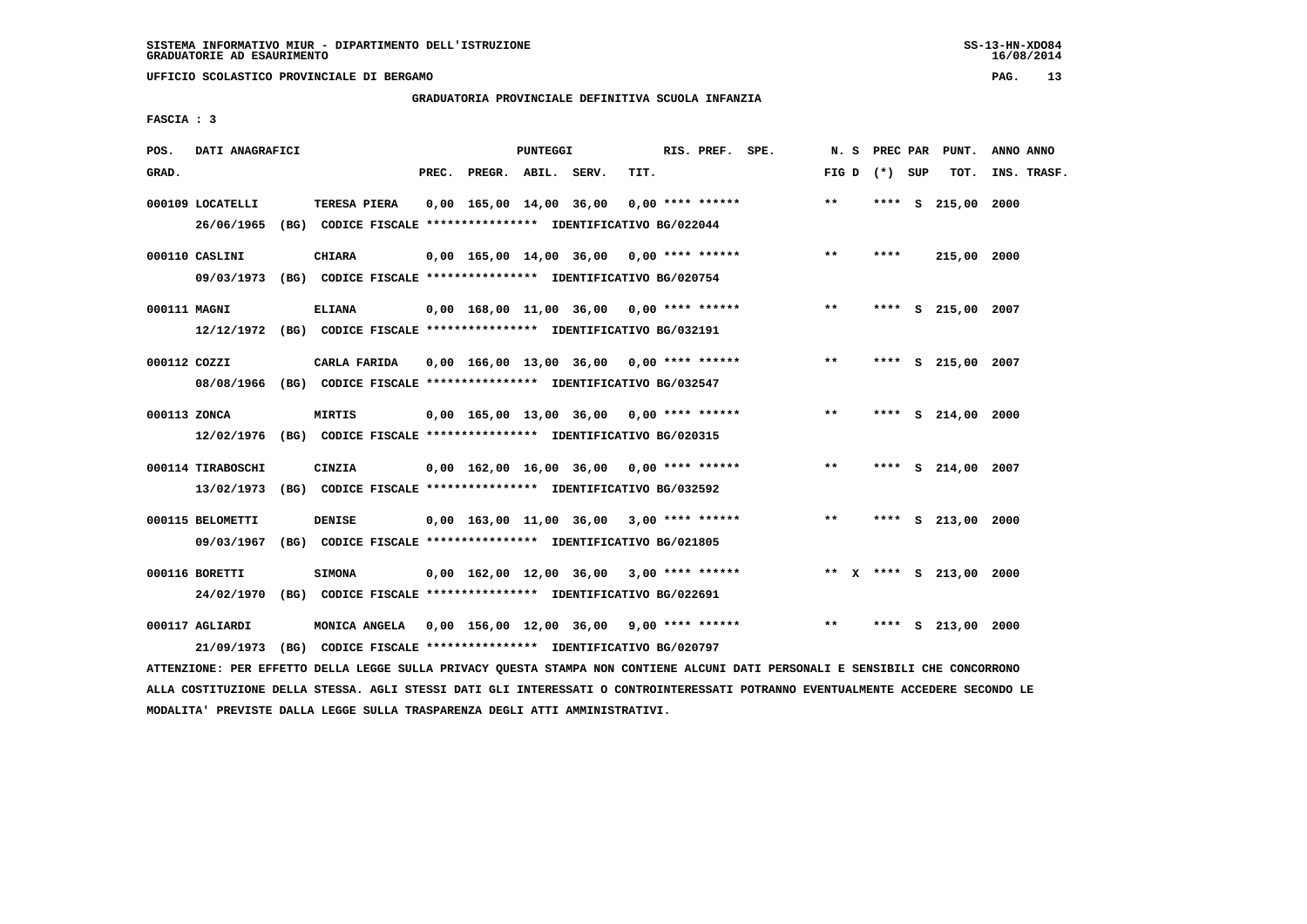**UFFICIO SCOLASTICO PROVINCIALE DI BERGAMO PAG. 13**

### **GRADUATORIA PROVINCIALE DEFINITIVA SCUOLA INFANZIA**

 **FASCIA : 3**

| POS.         | DATI ANAGRAFICI                             |                                                                                                                                                                                          |       |                                            | PUNTEGGI |      | RIS. PREF. SPE. |                                            | N. S              |      | PREC PAR PUNT.          | ANNO ANNO   |
|--------------|---------------------------------------------|------------------------------------------------------------------------------------------------------------------------------------------------------------------------------------------|-------|--------------------------------------------|----------|------|-----------------|--------------------------------------------|-------------------|------|-------------------------|-------------|
| GRAD.        |                                             |                                                                                                                                                                                          | PREC. | PREGR. ABIL. SERV.                         |          | TIT. |                 |                                            | FIG $D$ $(*)$ SUP |      | TOT.                    | INS. TRASF. |
|              | 000109 LOCATELLI<br>26/06/1965              | TERESA PIERA<br>(BG) CODICE FISCALE **************** IDENTIFICATIVO BG/022044                                                                                                            |       | $0,00$ 165,00 14,00 36,00 0,00 **** ****** |          |      |                 |                                            | $**$              |      | **** S 215,00 2000      |             |
|              | 000110 CASLINI<br>09/03/1973                | <b>CHIARA</b><br>(BG) CODICE FISCALE **************** IDENTIFICATIVO BG/020754                                                                                                           |       |                                            |          |      |                 | $0,00$ 165,00 14,00 36,00 0,00 **** ****** | $***$             | **** | 215,00 2000             |             |
| 000111 MAGNI |                                             | <b>ELIANA</b><br>12/12/1972 (BG) CODICE FISCALE *************** IDENTIFICATIVO BG/032191                                                                                                 |       | 0,00 168,00 11,00 36,00 0,00 **** ******   |          |      |                 |                                            | $***$             |      | **** S 215,00 2007      |             |
| 000112 COZZI |                                             | CARLA FARIDA<br>08/08/1966 (BG) CODICE FISCALE *************** IDENTIFICATIVO BG/032547                                                                                                  |       | $0.00$ 166.00 13.00 36.00 0.00 **** ****** |          |      |                 |                                            | $***$             |      | **** S 215,00 2007      |             |
| 000113 ZONCA |                                             | MIRTIS<br>12/02/1976 (BG) CODICE FISCALE *************** IDENTIFICATIVO BG/020315                                                                                                        |       | 0,00 165,00 13,00 36,00 0,00 **** ******   |          |      |                 |                                            | $* *$             |      | **** S 214,00 2000      |             |
|              | 000114 TIRABOSCHI<br>13/02/1973             | CINZIA<br>(BG) CODICE FISCALE **************** IDENTIFICATIVO BG/032592                                                                                                                  |       | 0,00 162,00 16,00 36,00 0,00 **** ******   |          |      |                 |                                            | $* *$             |      | **** S 214,00 2007      |             |
|              | 000115 BELOMETTI<br>09/03/1967              | <b>DENISE</b><br>(BG) CODICE FISCALE **************** IDENTIFICATIVO BG/021805                                                                                                           |       | 0,00 163,00 11,00 36,00 3,00 **** ******   |          |      |                 |                                            | $**$              |      | **** S 213,00 2000      |             |
|              | 000116 BORETTI                              | <b>SIMONA</b>                                                                                                                                                                            |       | $0,00$ 162,00 12,00 36,00 3,00 **** ****** |          |      |                 |                                            |                   |      | ** X **** S 213,00 2000 |             |
|              | 24/02/1970<br>000117 AGLIARDI<br>21/09/1973 | (BG) CODICE FISCALE **************** IDENTIFICATIVO BG/022691<br>MONICA ANGELA 0,00 156,00 12,00 36,00 9,00 **** ******<br>(BG) CODICE FISCALE **************** IDENTIFICATIVO BG/020797 |       |                                            |          |      |                 |                                            | $***$             | **** | S 213,00 2000           |             |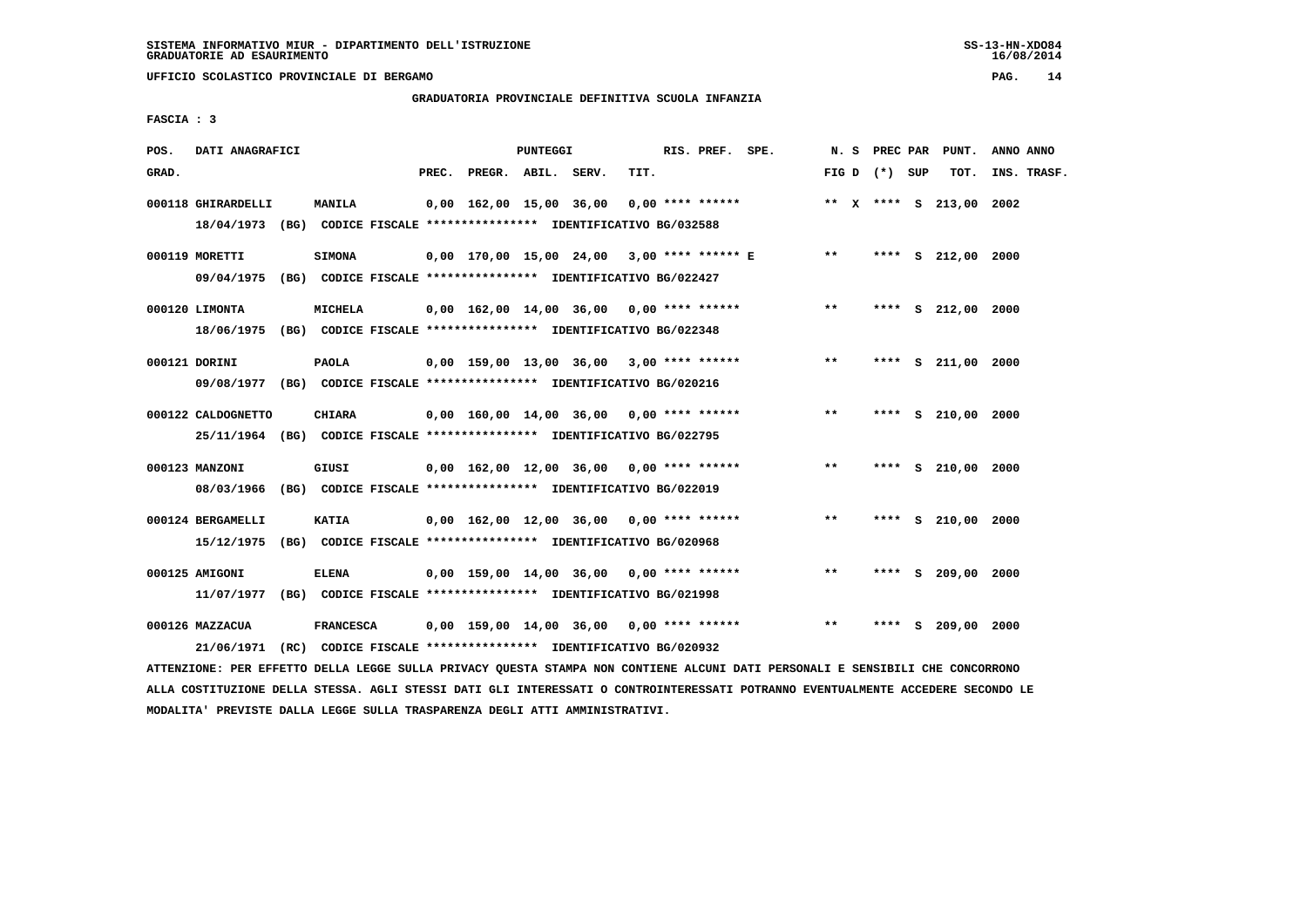**UFFICIO SCOLASTICO PROVINCIALE DI BERGAMO PAG. 14**

# **GRADUATORIA PROVINCIALE DEFINITIVA SCUOLA INFANZIA**

 **FASCIA : 3**

| POS.  | DATI ANAGRAFICI                                                         |                  |       |                    | PUNTEGGI |                                                               |      | RIS. PREF. SPE.    |                                            |       |                 |   | N. S PREC PAR PUNT.     | ANNO ANNO |             |
|-------|-------------------------------------------------------------------------|------------------|-------|--------------------|----------|---------------------------------------------------------------|------|--------------------|--------------------------------------------|-------|-----------------|---|-------------------------|-----------|-------------|
| GRAD. |                                                                         |                  | PREC. | PREGR. ABIL. SERV. |          |                                                               | TIT. |                    |                                            |       | FIG D $(*)$ SUP |   | тот.                    |           | INS. TRASF. |
|       |                                                                         |                  |       |                    |          |                                                               |      |                    |                                            |       |                 |   |                         |           |             |
|       | 000118 GHIRARDELLI                                                      | <b>MANILA</b>    |       |                    |          | 0,00 162,00 15,00 36,00                                       |      | $0.00$ **** ****** |                                            |       |                 |   | ** X **** S 213,00 2002 |           |             |
|       | 18/04/1973 (BG) CODICE FISCALE *************** IDENTIFICATIVO BG/032588 |                  |       |                    |          |                                                               |      |                    |                                            |       |                 |   |                         |           |             |
|       | 000119 MORETTI                                                          | <b>SIMONA</b>    |       |                    |          |                                                               |      |                    | 0,00 170,00 15,00 24,00 3,00 **** ****** E | $* *$ |                 |   | **** S 212,00 2000      |           |             |
|       | 09/04/1975 (BG) CODICE FISCALE *************** IDENTIFICATIVO BG/022427 |                  |       |                    |          |                                                               |      |                    |                                            |       |                 |   |                         |           |             |
|       |                                                                         |                  |       |                    |          |                                                               |      |                    |                                            |       |                 |   |                         |           |             |
|       | 000120 LIMONTA                                                          | MICHELA          |       |                    |          | $0,00$ 162,00 14,00 36,00 0,00 **** ******                    |      |                    |                                            | $***$ |                 |   | **** S 212,00 2000      |           |             |
|       | 18/06/1975 (BG) CODICE FISCALE *************** IDENTIFICATIVO BG/022348 |                  |       |                    |          |                                                               |      |                    |                                            |       |                 |   |                         |           |             |
|       |                                                                         |                  |       |                    |          |                                                               |      |                    |                                            |       |                 |   |                         |           |             |
|       | 000121 DORINI                                                           | <b>PAOLA</b>     |       |                    |          | $0,00$ 159,00 13,00 36,00 3,00 **** ******                    |      |                    |                                            | $***$ |                 |   | **** S 211,00 2000      |           |             |
|       | 09/08/1977 (BG) CODICE FISCALE *************** IDENTIFICATIVO BG/020216 |                  |       |                    |          |                                                               |      |                    |                                            |       |                 |   |                         |           |             |
|       | 000122 CALDOGNETTO                                                      | <b>CHIARA</b>    |       |                    |          | 0,00 160,00 14,00 36,00 0,00 **** ******                      |      |                    |                                            | $***$ |                 |   | **** S 210,00 2000      |           |             |
|       | 25/11/1964 (BG) CODICE FISCALE *************** IDENTIFICATIVO BG/022795 |                  |       |                    |          |                                                               |      |                    |                                            |       |                 |   |                         |           |             |
|       |                                                                         |                  |       |                    |          |                                                               |      |                    |                                            |       |                 |   |                         |           |             |
|       | 000123 MANZONI                                                          | GIUSI            |       |                    |          | 0,00 162,00 12,00 36,00 0,00 **** ******                      |      |                    |                                            | $***$ |                 |   | **** S 210,00 2000      |           |             |
|       | 08/03/1966 (BG) CODICE FISCALE *************** IDENTIFICATIVO BG/022019 |                  |       |                    |          |                                                               |      |                    |                                            |       |                 |   |                         |           |             |
|       | 000124 BERGAMELLI                                                       | KATIA            |       |                    |          | 0,00 162,00 12,00 36,00 0,00 **** ******                      |      |                    |                                            | **    |                 |   | **** S 210,00 2000      |           |             |
|       |                                                                         |                  |       |                    |          |                                                               |      |                    |                                            |       |                 |   |                         |           |             |
|       | 15/12/1975 (BG) CODICE FISCALE *************** IDENTIFICATIVO BG/020968 |                  |       |                    |          |                                                               |      |                    |                                            |       |                 |   |                         |           |             |
|       | 000125 AMIGONI                                                          | <b>ELENA</b>     |       |                    |          | $0,00$ 159,00 14,00 36,00 0,00 **** ******                    |      |                    |                                            | $***$ | ****            |   | S 209,00 2000           |           |             |
|       | 11/07/1977 (BG) CODICE FISCALE *************** IDENTIFICATIVO BG/021998 |                  |       |                    |          |                                                               |      |                    |                                            |       |                 |   |                         |           |             |
|       |                                                                         |                  |       |                    |          |                                                               |      |                    |                                            |       |                 |   |                         |           |             |
|       | 000126 MAZZACUA                                                         | <b>FRANCESCA</b> |       |                    |          | $0,00$ 159,00 14,00 36,00 0,00 **** ******                    |      |                    |                                            | $***$ | ****            | s | 209,00                  | 2000      |             |
|       | 21/06/1971                                                              |                  |       |                    |          | (RC) CODICE FISCALE **************** IDENTIFICATIVO BG/020932 |      |                    |                                            |       |                 |   |                         |           |             |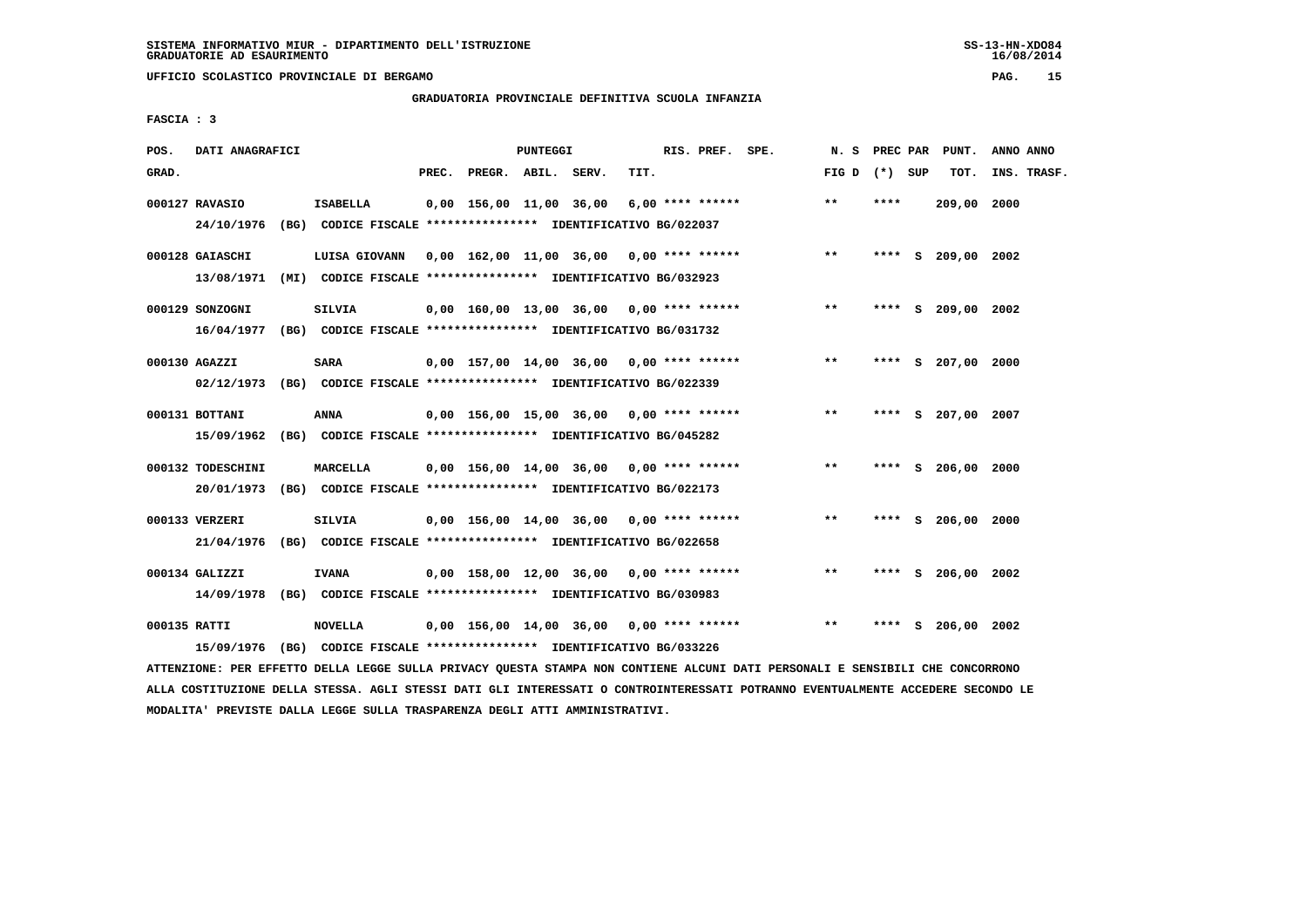**UFFICIO SCOLASTICO PROVINCIALE DI BERGAMO PAG. 15**

# **GRADUATORIA PROVINCIALE DEFINITIVA SCUOLA INFANZIA**

 **FASCIA : 3**

| POS.         | DATI ANAGRAFICI               |                                                                                            |       |                    | PUNTEGGI |                                            |      | RIS. PREF. SPE.    |                                            | N.S             | PREC PAR |       | PUNT.              | ANNO ANNO   |
|--------------|-------------------------------|--------------------------------------------------------------------------------------------|-------|--------------------|----------|--------------------------------------------|------|--------------------|--------------------------------------------|-----------------|----------|-------|--------------------|-------------|
| GRAD.        |                               |                                                                                            | PREC. | PREGR. ABIL. SERV. |          |                                            | TIT. |                    |                                            | FIG D $(*)$ SUP |          |       | TOT.               | INS. TRASF. |
|              | 000127 RAVASIO                | <b>ISABELLA</b><br>24/10/1976 (BG) CODICE FISCALE *************** IDENTIFICATIVO BG/022037 |       |                    |          | 0,00 156,00 11,00 36,00                    |      | 6,00 **** ******   |                                            | $***$           | ****     |       | 209,00 2000        |             |
|              | 000128 GAIASCHI<br>13/08/1971 | LUISA GIOVANN<br>(MI) CODICE FISCALE **************** IDENTIFICATIVO BG/032923             |       |                    |          |                                            |      |                    | $0,00$ 162,00 11,00 36,00 0,00 **** ****** | $* *$           |          |       | **** S 209,00 2002 |             |
|              | 000129 SONZOGNI<br>16/04/1977 | SILVIA<br>(BG) CODICE FISCALE **************** IDENTIFICATIVO BG/031732                    |       |                    |          | $0,00$ 160,00 13,00 36,00 0,00 **** ****** |      |                    |                                            | $***$           |          |       | **** S 209,00 2002 |             |
|              | 000130 AGAZZI                 | <b>SARA</b><br>02/12/1973 (BG) CODICE FISCALE *************** IDENTIFICATIVO BG/022339     |       |                    |          | $0,00$ 157,00 14,00 36,00 0,00 **** ****** |      |                    |                                            | $***$           |          |       | **** S 207,00 2000 |             |
|              | 000131 BOTTANI                | <b>ANNA</b><br>15/09/1962 (BG) CODICE FISCALE *************** IDENTIFICATIVO BG/045282     |       |                    |          | $0,00$ 156,00 15,00 36,00 0,00 **** ****** |      |                    |                                            | $* *$           | ****     |       | S 207,00 2007      |             |
|              | 000132 TODESCHINI             | MARCELLA<br>20/01/1973 (BG) CODICE FISCALE *************** IDENTIFICATIVO BG/022173        |       |                    |          | $0,00$ 156,00 14,00 36,00 0,00 **** ****** |      |                    |                                            | $***$           |          |       | **** S 206,00 2000 |             |
|              | 000133 VERZERI                | <b>SILVIA</b><br>21/04/1976 (BG) CODICE FISCALE *************** IDENTIFICATIVO BG/022658   |       |                    |          | 0,00 156,00 14,00 36,00                    |      | $0.00$ **** ****** |                                            | $* *$           | ****     |       | s 206,00           | 2000        |
|              | 000134 GALIZZI                | <b>IVANA</b><br>14/09/1978 (BG) CODICE FISCALE *************** IDENTIFICATIVO BG/030983    |       |                    |          | $0,00$ 158,00 12,00 36,00 0,00 **** ****** |      |                    |                                            | $* *$           | ****     | - S - | 206,00 2002        |             |
| 000135 RATTI | 15/09/1976                    | <b>NOVELLA</b><br>(BG) CODICE FISCALE **************** IDENTIFICATIVO BG/033226            |       |                    |          | $0,00$ 156,00 14,00 36,00 0,00 **** ****** |      |                    |                                            | $* *$           | ****     | s     | 206,00 2002        |             |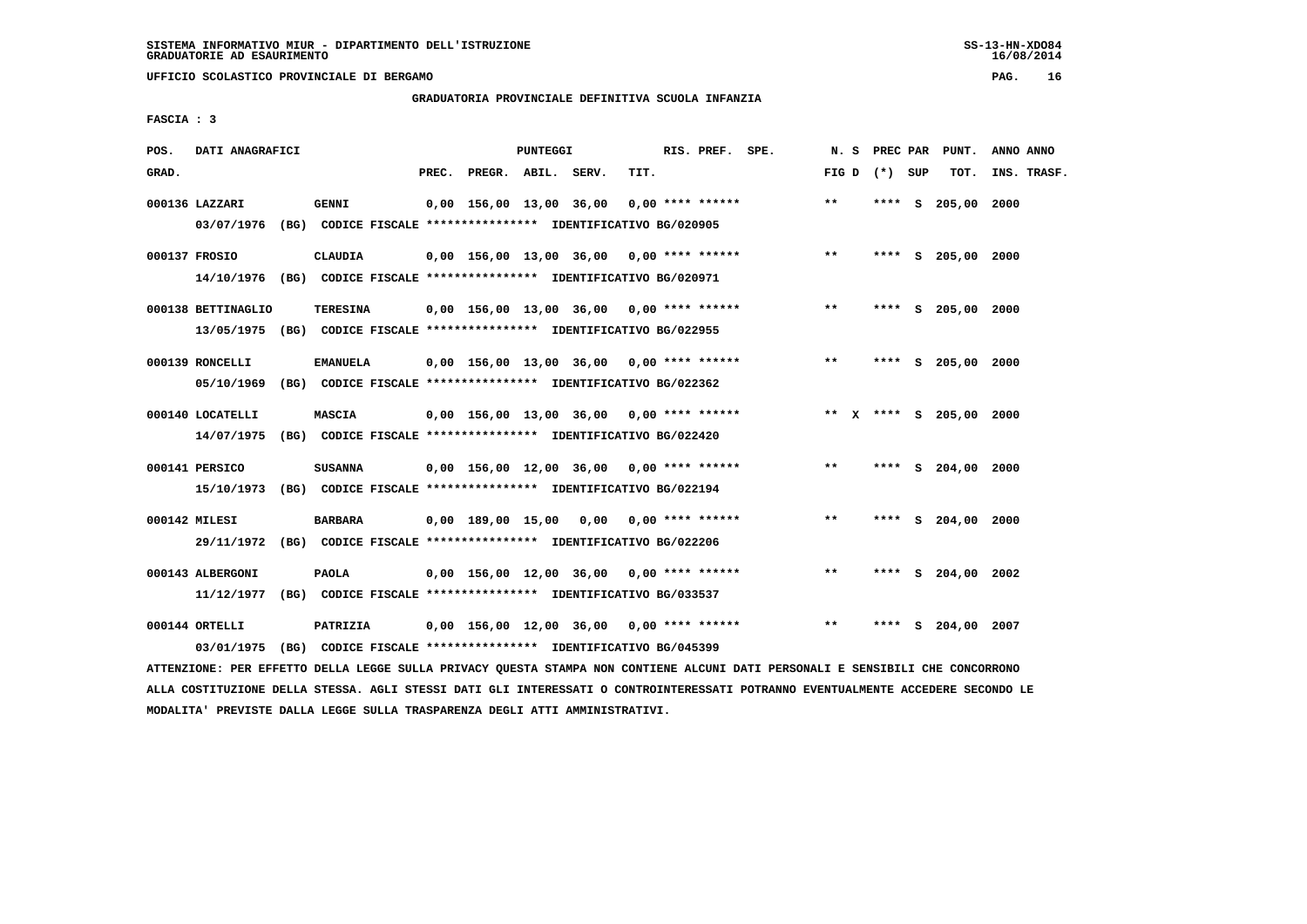**UFFICIO SCOLASTICO PROVINCIALE DI BERGAMO PAG. 16**

# **GRADUATORIA PROVINCIALE DEFINITIVA SCUOLA INFANZIA**

 **FASCIA : 3**

| POS.  | DATI ANAGRAFICI                |                                                                                            |       |                    | PUNTEGGI |                                            |      | RIS. PREF. SPE.    |                                            | N. S            |      |   | PREC PAR PUNT.          | ANNO ANNO   |
|-------|--------------------------------|--------------------------------------------------------------------------------------------|-------|--------------------|----------|--------------------------------------------|------|--------------------|--------------------------------------------|-----------------|------|---|-------------------------|-------------|
| GRAD. |                                |                                                                                            | PREC. | PREGR. ABIL. SERV. |          |                                            | TIT. |                    |                                            | FIG D $(*)$ SUP |      |   | TOT.                    | INS. TRASF. |
|       | 000136 LAZZARI                 | <b>GENNI</b><br>03/07/1976 (BG) CODICE FISCALE *************** IDENTIFICATIVO BG/020905    |       |                    |          | 0,00 156,00 13,00 36,00                    |      | $0.00$ **** ****** |                                            | $**$            |      |   | **** S 205,00 2000      |             |
|       | 000137 FROSIO                  | <b>CLAUDIA</b><br>14/10/1976 (BG) CODICE FISCALE *************** IDENTIFICATIVO BG/020971  |       |                    |          |                                            |      |                    | $0,00$ 156,00 13,00 36,00 0,00 **** ****** | $**$            |      |   | **** S 205,00 2000      |             |
|       | 000138 BETTINAGLIO             | <b>TERESINA</b><br>13/05/1975 (BG) CODICE FISCALE *************** IDENTIFICATIVO BG/022955 |       |                    |          | 0,00 156,00 13,00 36,00 0,00 **** ******   |      |                    |                                            | $***$           |      |   | **** S 205,00 2000      |             |
|       | 000139 RONCELLI<br>05/10/1969  | <b>EMANUELA</b><br>(BG) CODICE FISCALE **************** IDENTIFICATIVO BG/022362           |       |                    |          | $0,00$ 156,00 13,00 36,00 0,00 **** ****** |      |                    |                                            | $***$           |      |   | **** S 205,00 2000      |             |
|       | 000140 LOCATELLI<br>14/07/1975 | <b>MASCIA</b><br>(BG) CODICE FISCALE **************** IDENTIFICATIVO BG/022420             |       |                    |          |                                            |      |                    | 0,00 156,00 13,00 36,00 0,00 **** ******   |                 |      |   | ** X **** S 205,00 2000 |             |
|       | 000141 PERSICO                 | <b>SUSANNA</b><br>15/10/1973 (BG) CODICE FISCALE *************** IDENTIFICATIVO BG/022194  |       |                    |          | 0,00 156,00 12,00 36,00 0,00 **** ******   |      |                    |                                            | $\star\star$    |      |   | **** S 204,00 2000      |             |
|       | 000142 MILESI                  | <b>BARBARA</b><br>29/11/1972 (BG) CODICE FISCALE *************** IDENTIFICATIVO BG/022206  |       |                    |          | 0,00 189,00 15,00 0,00 0,00 **** ******    |      |                    |                                            | **              |      |   | **** S 204,00 2000      |             |
|       | 000143 ALBERGONI<br>11/12/1977 | <b>PAOLA</b><br>(BG) CODICE FISCALE **************** IDENTIFICATIVO BG/033537              |       |                    |          | $0,00$ 156,00 12,00 36,00 0,00 **** ****** |      |                    |                                            | **              | **** |   | S 204,00 2002           |             |
|       | 000144 ORTELLI<br>03/01/1975   | PATRIZIA<br>(BG) CODICE FISCALE **************** IDENTIFICATIVO BG/045399                  |       |                    |          | $0,00$ 156,00 12,00 36,00 0,00 **** ****** |      |                    |                                            | $**$            | **** | s | 204,00                  | 2007        |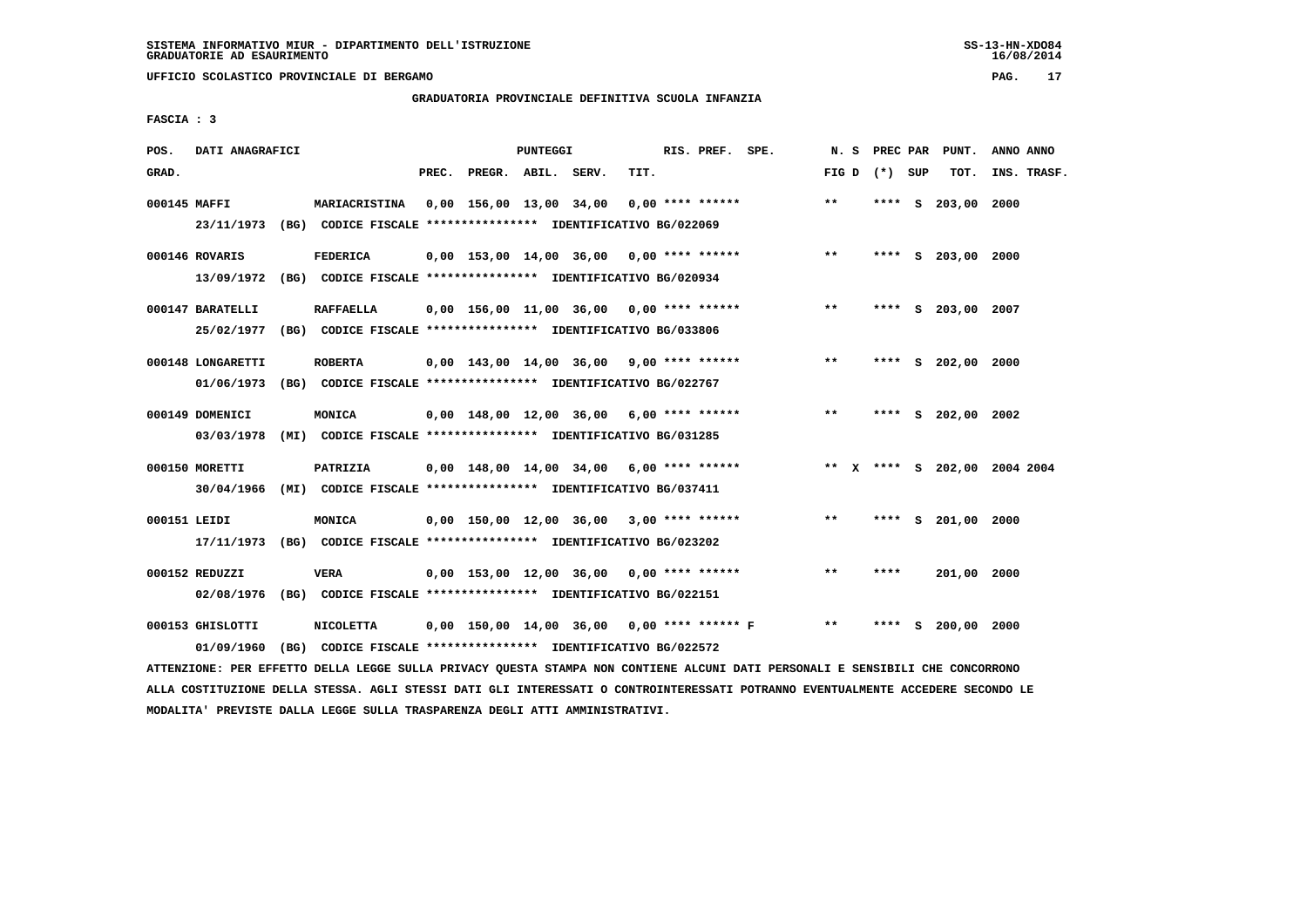**UFFICIO SCOLASTICO PROVINCIALE DI BERGAMO PAG. 17**

### **GRADUATORIA PROVINCIALE DEFINITIVA SCUOLA INFANZIA**

 **FASCIA : 3**

| POS.         | DATI ANAGRAFICI   |                                                                         |       |                    | <b>PUNTEGGI</b> |                                            |      | RIS. PREF. SPE. | N.S             |      |          | PREC PAR PUNT.       | ANNO ANNO                    |
|--------------|-------------------|-------------------------------------------------------------------------|-------|--------------------|-----------------|--------------------------------------------|------|-----------------|-----------------|------|----------|----------------------|------------------------------|
| GRAD.        |                   |                                                                         | PREC. | PREGR. ABIL. SERV. |                 |                                            | TIT. |                 | FIG D $(*)$ SUP |      |          | TOT.                 | INS. TRASF.                  |
| 000145 MAFFI |                   | <b>MARIACRISTINA</b>                                                    |       |                    |                 | 0,00 156,00 13,00 34,00 0,00 **** ******   |      |                 | $**$            |      |          | **** S 203,00        | 2000                         |
|              |                   | 23/11/1973 (BG) CODICE FISCALE *************** IDENTIFICATIVO BG/022069 |       |                    |                 |                                            |      |                 |                 |      |          |                      |                              |
|              | 000146 ROVARIS    | <b>FEDERICA</b>                                                         |       |                    |                 | $0,00$ 153,00 14,00 36,00 0,00 **** ****** |      |                 | $* *$           |      |          | **** S 203,00 2000   |                              |
|              | 13/09/1972        | (BG) CODICE FISCALE **************** IDENTIFICATIVO BG/020934           |       |                    |                 |                                            |      |                 |                 |      |          |                      |                              |
|              | 000147 BARATELLI  | <b>RAFFAELLA</b>                                                        |       |                    |                 | $0,00$ 156,00 11,00 36,00 0,00 **** ****** |      |                 | $***$           |      |          | **** S 203,00 2007   |                              |
|              | 25/02/1977        | (BG) CODICE FISCALE **************** IDENTIFICATIVO BG/033806           |       |                    |                 |                                            |      |                 |                 |      |          |                      |                              |
|              | 000148 LONGARETTI | <b>ROBERTA</b>                                                          |       |                    |                 | $0,00$ 143,00 14,00 36,00 9,00 **** ****** |      |                 | **              |      |          | **** S 202,00 2000   |                              |
|              | 01/06/1973        | (BG) CODICE FISCALE **************** IDENTIFICATIVO BG/022767           |       |                    |                 |                                            |      |                 |                 |      |          |                      |                              |
|              | 000149 DOMENICI   | <b>MONICA</b>                                                           |       |                    |                 | 0,00 148,00 12,00 36,00 6,00 **** ******   |      |                 | $***$           |      |          | **** $S$ 202,00 2002 |                              |
|              | 03/03/1978        | (MI) CODICE FISCALE **************** IDENTIFICATIVO BG/031285           |       |                    |                 |                                            |      |                 |                 |      |          |                      |                              |
|              | 000150 MORETTI    | PATRIZIA                                                                |       |                    |                 | $0,00$ 148,00 14,00 34,00 6,00 **** ****** |      |                 |                 |      |          |                      | ** X **** S 202,00 2004 2004 |
|              | 30/04/1966        | (MI) CODICE FISCALE *************** IDENTIFICATIVO BG/037411            |       |                    |                 |                                            |      |                 |                 |      |          |                      |                              |
| 000151 LEIDI |                   | <b>MONICA</b>                                                           |       |                    |                 | $0,00$ 150,00 12,00 36,00 3,00 **** ****** |      |                 | $* *$           | **** | <b>S</b> | 201,00 2000          |                              |
|              | 17/11/1973        | (BG) CODICE FISCALE **************** IDENTIFICATIVO BG/023202           |       |                    |                 |                                            |      |                 |                 |      |          |                      |                              |
|              | 000152 REDUZZI    | <b>VERA</b>                                                             |       |                    |                 | $0,00$ 153,00 12,00 36,00 0,00 **** ****** |      |                 | $* *$           | **** |          | 201,00 2000          |                              |
|              | 02/08/1976        | (BG) CODICE FISCALE **************** IDENTIFICATIVO BG/022151           |       |                    |                 |                                            |      |                 |                 |      |          |                      |                              |
|              | 000153 GHISLOTTI  | <b>NICOLETTA</b>                                                        |       |                    |                 | 0,00 150,00 14,00 36,00 0,00 **** ****** F |      |                 | $***$           | **** |          | $S$ 200,00 2000      |                              |
|              | 01/09/1960        | (BG) CODICE FISCALE **************** IDENTIFICATIVO BG/022572           |       |                    |                 |                                            |      |                 |                 |      |          |                      |                              |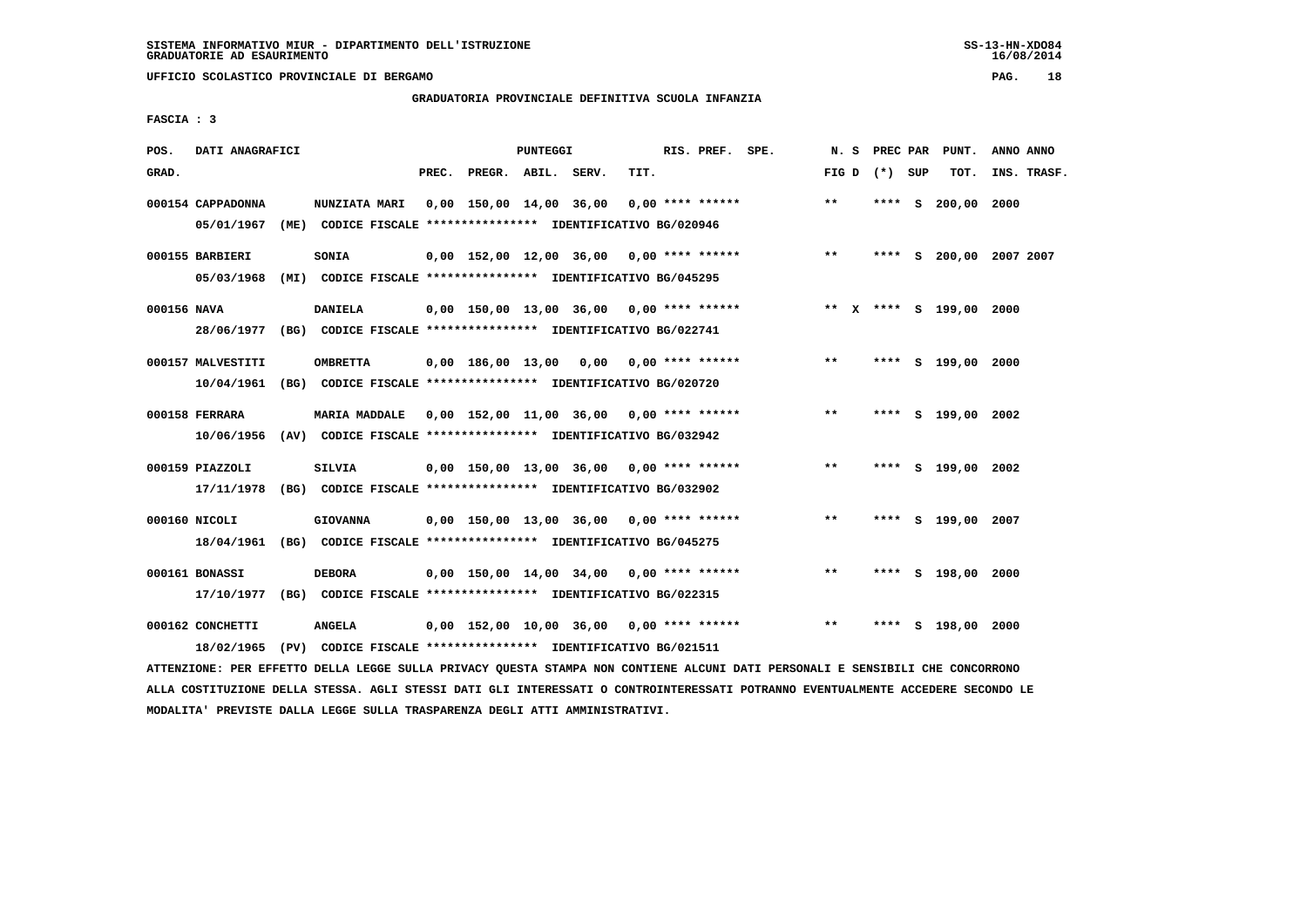**UFFICIO SCOLASTICO PROVINCIALE DI BERGAMO PAG. 18**

### **GRADUATORIA PROVINCIALE DEFINITIVA SCUOLA INFANZIA**

 **FASCIA : 3**

| POS.        | DATI ANAGRAFICI   |                                                                          |       |                    | PUNTEGGI |                                            |      | RIS. PREF. SPE.    |                                          |       |                 | N. S PREC PAR PUNT.     | ANNO ANNO |             |
|-------------|-------------------|--------------------------------------------------------------------------|-------|--------------------|----------|--------------------------------------------|------|--------------------|------------------------------------------|-------|-----------------|-------------------------|-----------|-------------|
|             |                   |                                                                          |       |                    |          |                                            |      |                    |                                          |       |                 |                         |           |             |
| GRAD.       |                   |                                                                          | PREC. | PREGR. ABIL. SERV. |          |                                            | TIT. |                    |                                          |       | FIG D $(*)$ SUP | тот.                    |           | INS. TRASF. |
|             | 000154 CAPPADONNA | <b>NUNZIATA MARI</b>                                                     |       |                    |          | 0,00 150,00 14,00 36,00                    |      | $0.00$ **** ****** |                                          | $* *$ |                 | **** S 200,00 2000      |           |             |
|             | 05/01/1967        | (ME) CODICE FISCALE **************** IDENTIFICATIVO BG/020946            |       |                    |          |                                            |      |                    |                                          |       |                 |                         |           |             |
|             | 000155 BARBIERI   | SONIA                                                                    |       |                    |          | 0,00 152,00 12,00 36,00                    |      | $0.00$ **** ****** |                                          | $***$ |                 | **** S 200,00 2007 2007 |           |             |
|             | 05/03/1968        | (MI) CODICE FISCALE **************** IDENTIFICATIVO BG/045295            |       |                    |          |                                            |      |                    |                                          |       |                 |                         |           |             |
|             |                   |                                                                          |       |                    |          |                                            |      |                    |                                          |       |                 |                         |           |             |
| 000156 NAVA |                   | <b>DANIELA</b>                                                           |       |                    |          |                                            |      |                    | 0,00 150,00 13,00 36,00 0,00 **** ****** |       |                 | ** X **** S 199,00 2000 |           |             |
|             |                   | 28/06/1977 (BG) CODICE FISCALE *************** IDENTIFICATIVO BG/022741  |       |                    |          |                                            |      |                    |                                          |       |                 |                         |           |             |
|             |                   |                                                                          |       |                    |          |                                            |      |                    |                                          |       |                 |                         |           |             |
|             | 000157 MALVESTITI | <b>OMBRETTA</b>                                                          |       | 0,00 186,00 13,00  |          | 0,00 0,00 **** ******                      |      |                    |                                          | $***$ |                 | **** S 199,00 2000      |           |             |
|             |                   | 10/04/1961 (BG) CODICE FISCALE **************** IDENTIFICATIVO BG/020720 |       |                    |          |                                            |      |                    |                                          |       |                 |                         |           |             |
|             |                   |                                                                          |       |                    |          |                                            |      |                    |                                          |       |                 |                         |           |             |
|             | 000158 FERRARA    | MARIA MADDALE 0,00 152,00 11,00 36,00 0,00 **** ******                   |       |                    |          |                                            |      |                    |                                          | $**$  |                 | **** S 199,00 2002      |           |             |
|             | 10/06/1956        | (AV) CODICE FISCALE **************** IDENTIFICATIVO BG/032942            |       |                    |          |                                            |      |                    |                                          |       |                 |                         |           |             |
|             |                   |                                                                          |       |                    |          |                                            |      |                    |                                          |       |                 |                         |           |             |
|             | 000159 PIAZZOLI   | SILVIA                                                                   |       |                    |          | 0,00 150,00 13,00 36,00 0,00 **** ******   |      |                    |                                          | $***$ |                 | **** S 199,00 2002      |           |             |
|             |                   | 17/11/1978 (BG) CODICE FISCALE *************** IDENTIFICATIVO BG/032902  |       |                    |          |                                            |      |                    |                                          |       |                 |                         |           |             |
|             |                   |                                                                          |       |                    |          |                                            |      |                    |                                          |       |                 |                         |           |             |
|             | 000160 NICOLI     | <b>GIOVANNA</b>                                                          |       |                    |          | $0,00$ 150,00 13,00 36,00 0,00 **** ****** |      |                    |                                          | $**$  |                 | **** S 199,00 2007      |           |             |
|             |                   | 18/04/1961 (BG) CODICE FISCALE *************** IDENTIFICATIVO BG/045275  |       |                    |          |                                            |      |                    |                                          |       |                 |                         |           |             |
|             |                   |                                                                          |       |                    |          |                                            |      |                    |                                          |       |                 |                         |           |             |
|             | 000161 BONASSI    | <b>DEBORA</b>                                                            |       |                    |          | 0,00 150,00 14,00 34,00                    |      | $0,00$ **** ****** |                                          | $***$ |                 | **** S 198,00 2000      |           |             |
|             |                   | 17/10/1977 (BG) CODICE FISCALE *************** IDENTIFICATIVO BG/022315  |       |                    |          |                                            |      |                    |                                          |       |                 |                         |           |             |
|             |                   |                                                                          |       |                    |          |                                            |      |                    |                                          |       |                 |                         |           |             |
|             | 000162 CONCHETTI  | <b>ANGELA</b>                                                            |       |                    |          | $0,00$ 152,00 10,00 36,00 0,00 **** ****** |      |                    |                                          | $***$ |                 | **** S 198,00 2000      |           |             |
|             | 18/02/1965        | (PV) CODICE FISCALE **************** IDENTIFICATIVO BG/021511            |       |                    |          |                                            |      |                    |                                          |       |                 |                         |           |             |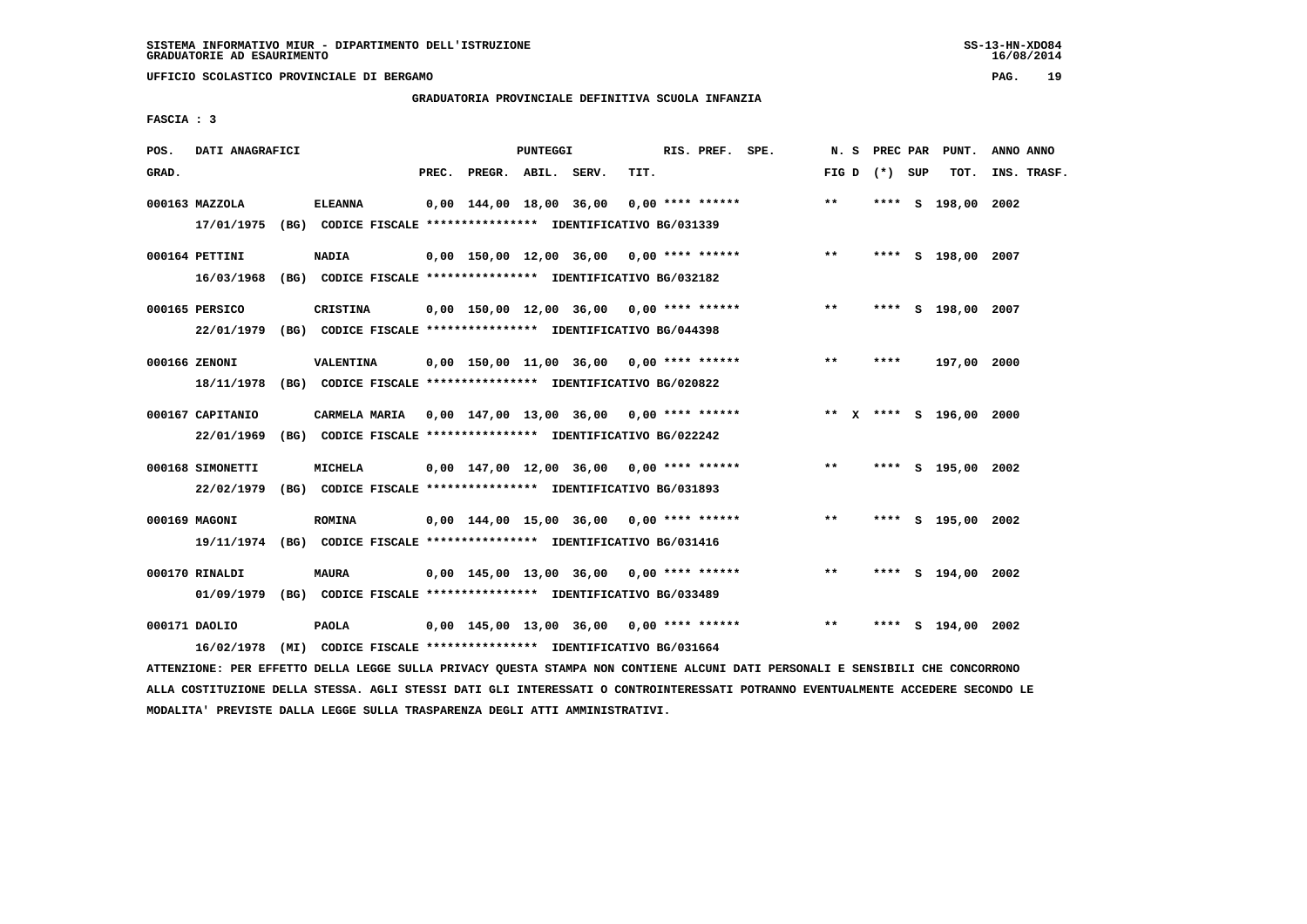**UFFICIO SCOLASTICO PROVINCIALE DI BERGAMO PAG. 19**

# **GRADUATORIA PROVINCIALE DEFINITIVA SCUOLA INFANZIA**

 **FASCIA : 3**

| POS.  | DATI ANAGRAFICI  |                                                                         |       |                    | PUNTEGGI |                                            |      | RIS. PREF. SPE.    |                                            | N.S             |      | PREC PAR PUNT.          | ANNO ANNO   |
|-------|------------------|-------------------------------------------------------------------------|-------|--------------------|----------|--------------------------------------------|------|--------------------|--------------------------------------------|-----------------|------|-------------------------|-------------|
| GRAD. |                  |                                                                         | PREC. | PREGR. ABIL. SERV. |          |                                            | TIT. |                    |                                            | FIG D $(*)$ SUP |      | TOT.                    | INS. TRASF. |
|       | 000163 MAZZOLA   | <b>ELEANNA</b>                                                          |       |                    |          | 0,00 144,00 18,00 36,00                    |      | $0.00$ **** ****** |                                            | $* *$           |      | **** S 198,00 2002      |             |
|       |                  | 17/01/1975 (BG) CODICE FISCALE *************** IDENTIFICATIVO BG/031339 |       |                    |          |                                            |      |                    |                                            |                 |      |                         |             |
|       | 000164 PETTINI   | <b>NADIA</b>                                                            |       |                    |          |                                            |      |                    | $0,00$ 150,00 12,00 36,00 0,00 **** ****** | $* *$           |      | **** S 198,00 2007      |             |
|       | 16/03/1968       | (BG) CODICE FISCALE **************** IDENTIFICATIVO BG/032182           |       |                    |          |                                            |      |                    |                                            |                 |      |                         |             |
|       | 000165 PERSICO   | <b>CRISTINA</b>                                                         |       |                    |          | 0,00 150,00 12,00 36,00 0,00 **** ******   |      |                    |                                            | $***$           |      | **** S 198,00 2007      |             |
|       |                  | 22/01/1979 (BG) CODICE FISCALE *************** IDENTIFICATIVO BG/044398 |       |                    |          |                                            |      |                    |                                            |                 |      |                         |             |
|       | 000166 ZENONI    | VALENTINA                                                               |       |                    |          | 0,00 150,00 11,00 36,00 0,00 **** ******   |      |                    |                                            | **              | **** | 197,00 2000             |             |
|       | 18/11/1978       | (BG) CODICE FISCALE **************** IDENTIFICATIVO BG/020822           |       |                    |          |                                            |      |                    |                                            |                 |      |                         |             |
|       |                  |                                                                         |       |                    |          |                                            |      |                    |                                            |                 |      |                         |             |
|       | 000167 CAPITANIO | CARMELA MARIA 0,00 147,00 13,00 36,00 0,00 **** ******                  |       |                    |          |                                            |      |                    |                                            |                 |      | ** X **** S 196,00 2000 |             |
|       | 22/01/1969       | (BG) CODICE FISCALE **************** IDENTIFICATIVO BG/022242           |       |                    |          |                                            |      |                    |                                            |                 |      |                         |             |
|       | 000168 SIMONETTI | MICHELA                                                                 |       |                    |          | 0,00 147,00 12,00 36,00 0,00 **** ******   |      |                    |                                            | $***$           |      | **** S 195,00 2002      |             |
|       | 22/02/1979       | (BG) CODICE FISCALE **************** IDENTIFICATIVO BG/031893           |       |                    |          |                                            |      |                    |                                            |                 |      |                         |             |
|       | 000169 MAGONI    | <b>ROMINA</b>                                                           |       |                    |          | $0,00$ 144,00 15,00 36,00 0,00 **** ****** |      |                    |                                            | $* *$           |      | **** S 195,00 2002      |             |
|       |                  | 19/11/1974 (BG) CODICE FISCALE *************** IDENTIFICATIVO BG/031416 |       |                    |          |                                            |      |                    |                                            |                 |      |                         |             |
|       |                  |                                                                         |       |                    |          |                                            |      |                    |                                            |                 |      |                         |             |
|       | 000170 RINALDI   | <b>MAURA</b>                                                            |       |                    |          | $0.00$ 145.00 13.00 36.00 0.00 **** ****** |      |                    |                                            | $***$           |      | **** S 194,00 2002      |             |
|       | 01/09/1979       | (BG) CODICE FISCALE *************** IDENTIFICATIVO BG/033489            |       |                    |          |                                            |      |                    |                                            |                 |      |                         |             |
|       | 000171 DAOLIO    | <b>PAOLA</b>                                                            |       |                    |          | $0,00$ 145,00 13,00 36,00 0,00 **** ****** |      |                    |                                            | $* *$           |      | **** S 194,00 2002      |             |
|       | 16/02/1978       | (MI) CODICE FISCALE **************** IDENTIFICATIVO BG/031664           |       |                    |          |                                            |      |                    |                                            |                 |      |                         |             |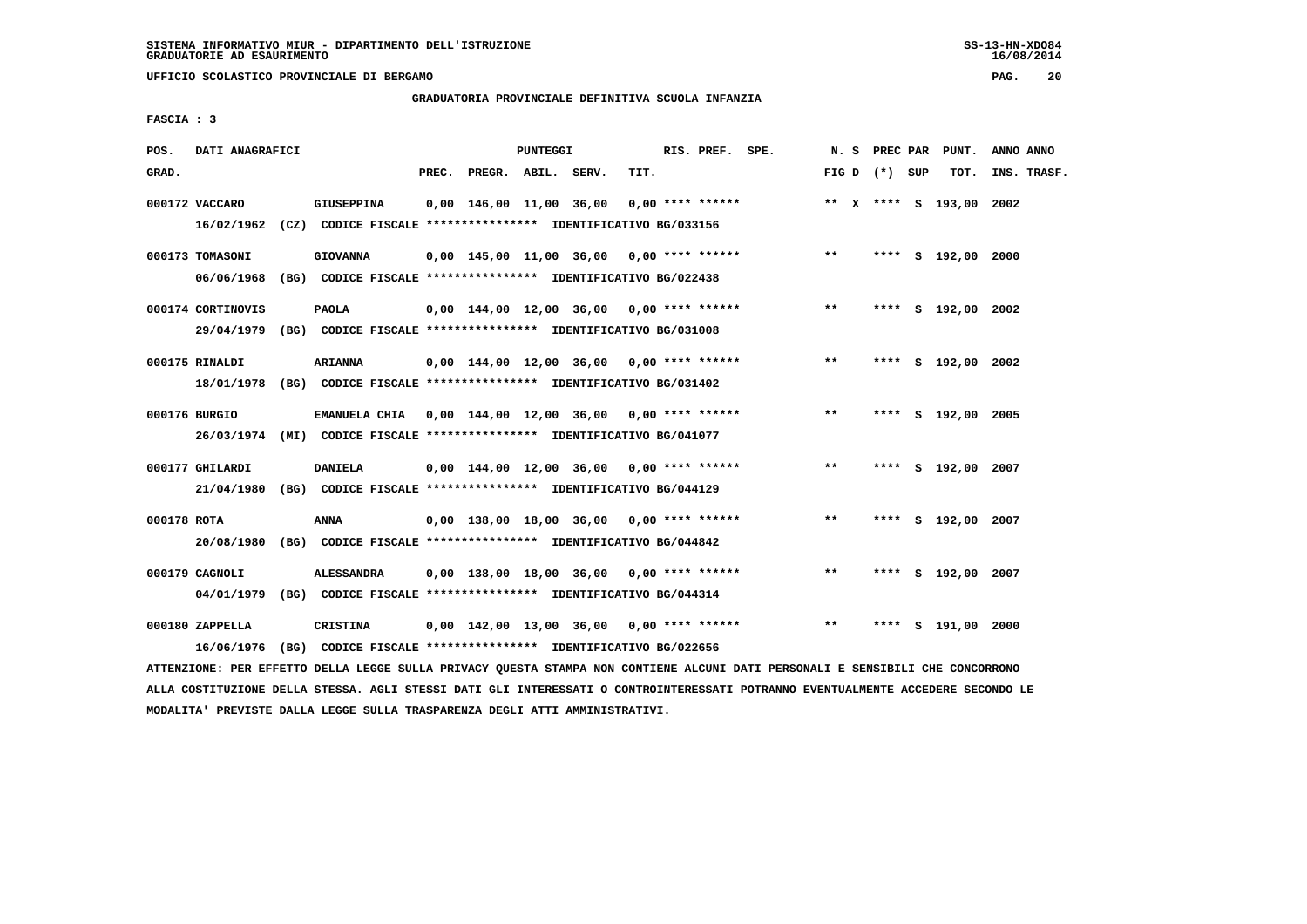**UFFICIO SCOLASTICO PROVINCIALE DI BERGAMO PAG. 20**

### **GRADUATORIA PROVINCIALE DEFINITIVA SCUOLA INFANZIA**

 **FASCIA : 3**

| POS.        | DATI ANAGRAFICI   |                                                                                              |       |                    | PUNTEGGI |                                            |      | RIS. PREF. SPE.    |                                            |       |                 | N. S PREC PAR PUNT.     | ANNO ANNO   |
|-------------|-------------------|----------------------------------------------------------------------------------------------|-------|--------------------|----------|--------------------------------------------|------|--------------------|--------------------------------------------|-------|-----------------|-------------------------|-------------|
| GRAD.       |                   |                                                                                              | PREC. | PREGR. ABIL. SERV. |          |                                            | TIT. |                    |                                            |       | FIG D $(*)$ SUP | TOT.                    | INS. TRASF. |
|             | 000172 VACCARO    | <b>GIUSEPPINA</b><br>16/02/1962 (CZ) CODICE FISCALE *************** IDENTIFICATIVO BG/033156 |       |                    |          | 0,00 146,00 11,00 36,00                    |      | $0.00$ **** ****** |                                            |       |                 | ** X **** S 193,00 2002 |             |
|             |                   |                                                                                              |       |                    |          |                                            |      |                    |                                            |       |                 |                         |             |
|             | 000173 TOMASONI   | <b>GIOVANNA</b>                                                                              |       |                    |          |                                            |      |                    | $0,00$ 145,00 11,00 36,00 0,00 **** ****** | $***$ |                 | **** S 192,00 2000      |             |
|             | 06/06/1968        | (BG) CODICE FISCALE **************** IDENTIFICATIVO BG/022438                                |       |                    |          |                                            |      |                    |                                            |       |                 |                         |             |
|             | 000174 CORTINOVIS | <b>PAOLA</b>                                                                                 |       |                    |          | $0,00$ 144,00 12,00 36,00 0,00 **** ****** |      |                    |                                            | $***$ |                 | **** S 192,00 2002      |             |
|             |                   | 29/04/1979 (BG) CODICE FISCALE *************** IDENTIFICATIVO BG/031008                      |       |                    |          |                                            |      |                    |                                            |       |                 |                         |             |
|             | 000175 RINALDI    | <b>ARIANNA</b>                                                                               |       |                    |          |                                            |      |                    | 0,00 144,00 12,00 36,00 0,00 **** ******   | $* *$ |                 | **** S 192,00 2002      |             |
|             |                   | 18/01/1978 (BG) CODICE FISCALE *************** IDENTIFICATIVO BG/031402                      |       |                    |          |                                            |      |                    |                                            |       |                 |                         |             |
|             |                   |                                                                                              |       |                    |          |                                            |      |                    |                                            |       |                 |                         |             |
|             | 000176 BURGIO     | EMANUELA CHIA 0,00 144,00 12,00 36,00 0,00 **** ******                                       |       |                    |          |                                            |      |                    |                                            | $**$  |                 | **** S 192,00 2005      |             |
|             |                   | 26/03/1974 (MI) CODICE FISCALE *************** IDENTIFICATIVO BG/041077                      |       |                    |          |                                            |      |                    |                                            |       |                 |                         |             |
|             | 000177 GHILARDI   | <b>DANIELA</b>                                                                               |       |                    |          | 0,00 144,00 12,00 36,00 0,00 **** ******   |      |                    |                                            | $* *$ |                 | **** S 192,00 2007      |             |
|             | 21/04/1980        | (BG) CODICE FISCALE *************** IDENTIFICATIVO BG/044129                                 |       |                    |          |                                            |      |                    |                                            |       |                 |                         |             |
| 000178 ROTA |                   | ANNA                                                                                         |       |                    |          |                                            |      |                    | $0,00$ 138,00 18,00 36,00 0,00 **** ****** | $* *$ |                 | **** S 192,00 2007      |             |
|             | 20/08/1980        | (BG) CODICE FISCALE **************** IDENTIFICATIVO BG/044842                                |       |                    |          |                                            |      |                    |                                            |       |                 |                         |             |
|             |                   |                                                                                              |       |                    |          |                                            |      |                    |                                            |       |                 |                         |             |
|             | 000179 CAGNOLI    | <b>ALESSANDRA</b>                                                                            |       |                    |          | $0,00$ 138,00 18,00 36,00 0,00 **** ****** |      |                    |                                            | $***$ |                 | **** S 192,00 2007      |             |
|             |                   | 04/01/1979 (BG) CODICE FISCALE *************** IDENTIFICATIVO BG/044314                      |       |                    |          |                                            |      |                    |                                            |       |                 |                         |             |
|             | 000180 ZAPPELLA   | <b>CRISTINA</b>                                                                              |       |                    |          | $0,00$ 142,00 13,00 36,00 0,00 **** ****** |      |                    |                                            | $***$ |                 | **** S 191,00 2000      |             |
|             | 16/06/1976        | (BG) CODICE FISCALE **************** IDENTIFICATIVO BG/022656                                |       |                    |          |                                            |      |                    |                                            |       |                 |                         |             |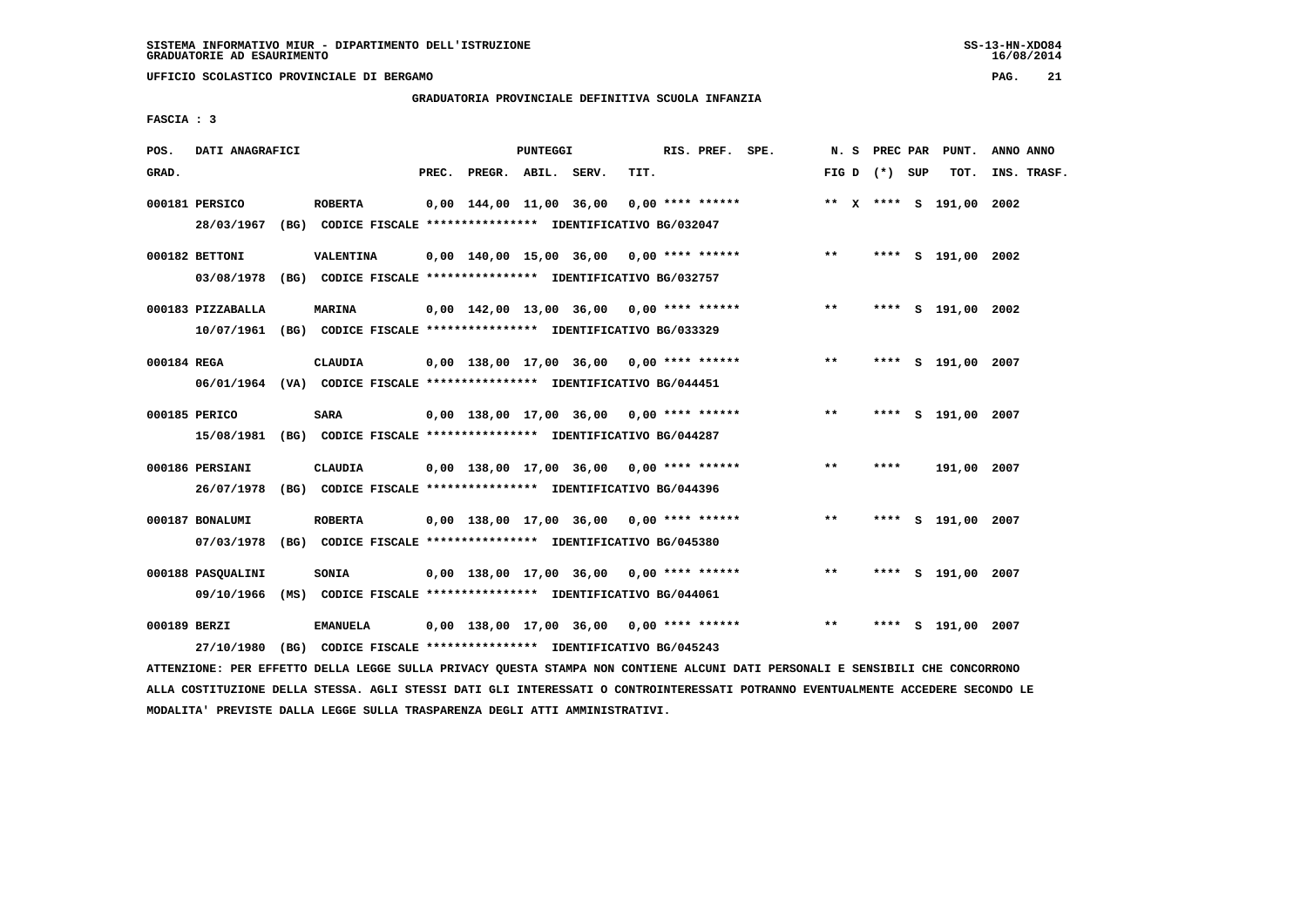**UFFICIO SCOLASTICO PROVINCIALE DI BERGAMO PAG. 21**

# **GRADUATORIA PROVINCIALE DEFINITIVA SCUOLA INFANZIA**

 **FASCIA : 3**

| POS.         | DATI ANAGRAFICI                 |                                                                                           |       |                    | PUNTEGGI |                                            |      | RIS. PREF. SPE.    |                                            |       |                 | N. S PREC PAR PUNT.     | ANNO ANNO |             |
|--------------|---------------------------------|-------------------------------------------------------------------------------------------|-------|--------------------|----------|--------------------------------------------|------|--------------------|--------------------------------------------|-------|-----------------|-------------------------|-----------|-------------|
| GRAD.        |                                 |                                                                                           | PREC. | PREGR. ABIL. SERV. |          |                                            | TIT. |                    |                                            |       | FIG D $(*)$ SUP | TOT.                    |           | INS. TRASF. |
|              | 000181 PERSICO                  | <b>ROBERTA</b><br>28/03/1967 (BG) CODICE FISCALE *************** IDENTIFICATIVO BG/032047 |       |                    |          | 0,00 144,00 11,00 36,00                    |      | $0.00$ **** ****** |                                            |       |                 | ** X **** S 191,00 2002 |           |             |
|              | 000182 BETTONI<br>03/08/1978    | VALENTINA<br>(BG) CODICE FISCALE *************** IDENTIFICATIVO BG/032757                 |       |                    |          |                                            |      |                    | $0,00$ 140,00 15,00 36,00 0,00 **** ****** | $***$ |                 | **** S 191,00 2002      |           |             |
|              | 000183 PIZZABALLA               | <b>MARINA</b><br>10/07/1961 (BG) CODICE FISCALE *************** IDENTIFICATIVO BG/033329  |       |                    |          | $0.00$ 142.00 13.00 36.00 0.00 **** ****** |      |                    |                                            | $***$ |                 | **** S 191,00 2002      |           |             |
| 000184 REGA  |                                 | <b>CLAUDIA</b><br>06/01/1964 (VA) CODICE FISCALE *************** IDENTIFICATIVO BG/044451 |       |                    |          |                                            |      |                    | 0,00 138,00 17,00 36,00 0,00 **** ******   | $***$ |                 | **** S 191,00 2007      |           |             |
|              | 000185 PERICO                   | <b>SARA</b><br>15/08/1981 (BG) CODICE FISCALE *************** IDENTIFICATIVO BG/044287    |       |                    |          | 0,00 138,00 17,00 36,00 0,00 **** ******   |      |                    |                                            | **    | ****            | S 191,00 2007           |           |             |
|              | 000186 PERSIANI<br>26/07/1978   | CLAUDIA<br>(BG) CODICE FISCALE **************** IDENTIFICATIVO BG/044396                  |       |                    |          | 0,00 138,00 17,00 36,00 0,00 **** ******   |      |                    |                                            | $**$  | ****            | 191,00 2007             |           |             |
|              | 000187 BONALUMI<br>07/03/1978   | <b>ROBERTA</b><br>(BG) CODICE FISCALE **************** IDENTIFICATIVO BG/045380           |       |                    |          |                                            |      |                    | $0,00$ 138,00 17,00 36,00 0,00 **** ****** | $***$ | ****            | S 191,00 2007           |           |             |
|              | 000188 PASQUALINI<br>09/10/1966 | <b>SONIA</b><br>(MS) CODICE FISCALE **************** IDENTIFICATIVO BG/044061             |       |                    |          | 0,00 138,00 17,00 36,00 0,00 **** ******   |      |                    |                                            | $***$ |                 | **** S 191,00 2007      |           |             |
| 000189 BERZI | 27/10/1980                      | <b>EMANUELA</b><br>(BG) CODICE FISCALE **************** IDENTIFICATIVO BG/045243          |       |                    |          | $0.00$ 138,00 17,00 36,00 0,00 **** ****** |      |                    |                                            | $***$ | ****            | S 191,00 2007           |           |             |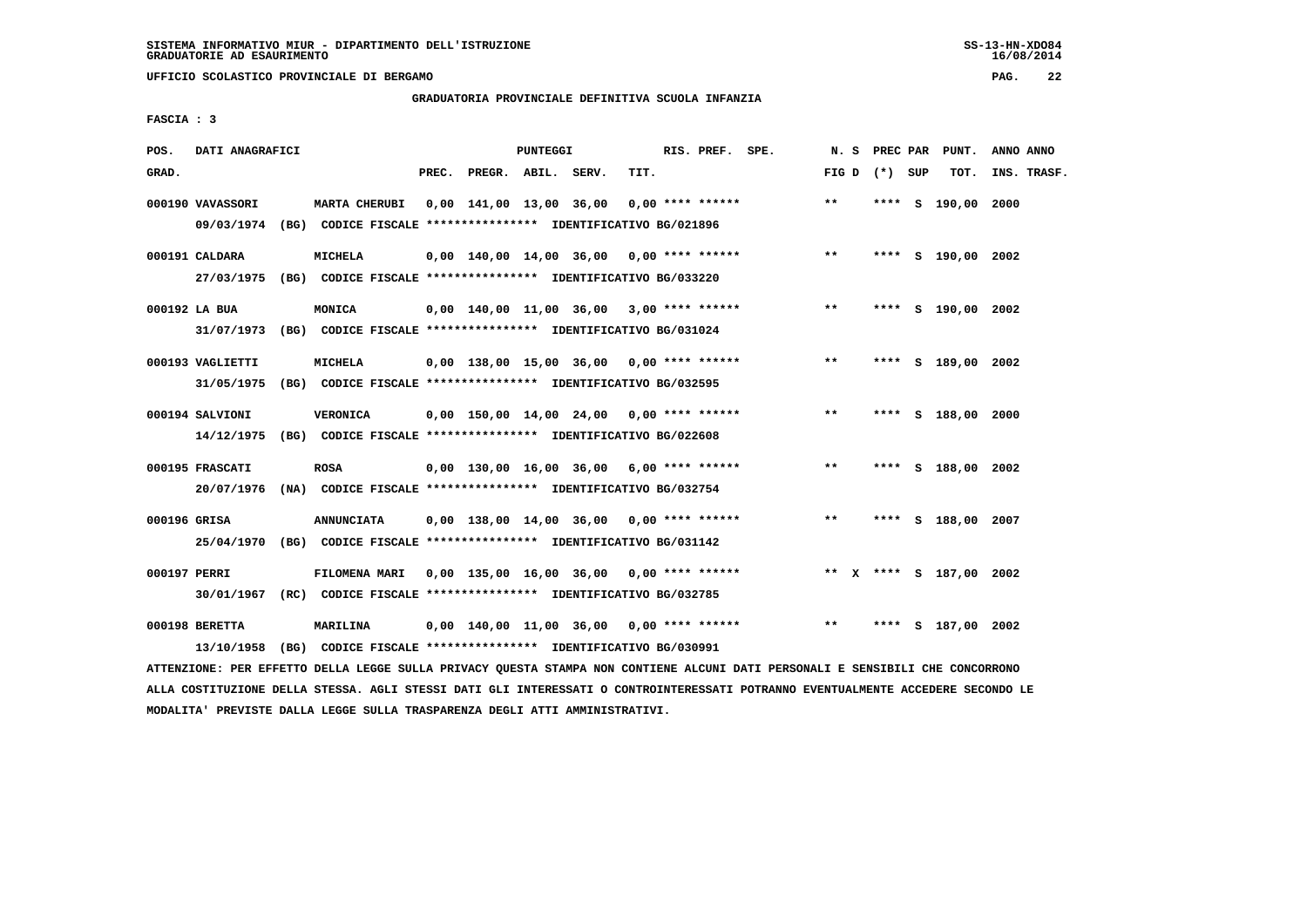**UFFICIO SCOLASTICO PROVINCIALE DI BERGAMO PAG. 22**

# **GRADUATORIA PROVINCIALE DEFINITIVA SCUOLA INFANZIA**

 **FASCIA : 3**

| POS.         | DATI ANAGRAFICI                |                                                                                          |       |                    | PUNTEGGI |                                            |      | RIS. PREF. SPE. |                                            | N.S               |      | PREC PAR PUNT.          | ANNO ANNO   |
|--------------|--------------------------------|------------------------------------------------------------------------------------------|-------|--------------------|----------|--------------------------------------------|------|-----------------|--------------------------------------------|-------------------|------|-------------------------|-------------|
| GRAD.        |                                |                                                                                          | PREC. | PREGR. ABIL. SERV. |          |                                            | TIT. |                 |                                            | FIG $D$ $(*)$ SUP |      | TOT.                    | INS. TRASF. |
|              | 000190 VAVASSORI<br>09/03/1974 | <b>MARTA CHERUBI</b><br>(BG) CODICE FISCALE **************** IDENTIFICATIVO BG/021896    |       |                    |          | $0,00$ 141,00 13,00 36,00 0,00 **** ****** |      |                 |                                            | $***$             |      | **** S 190,00 2000      |             |
|              | 000191 CALDARA<br>27/03/1975   | MICHELA<br>(BG) CODICE FISCALE **************** IDENTIFICATIVO BG/033220                 |       |                    |          |                                            |      |                 | $0,00$ 140,00 14,00 36,00 0,00 **** ****** | $* *$             |      | **** S 190,00 2002      |             |
|              | 000192 LA BUA                  | MONICA                                                                                   |       |                    |          | 0,00 140,00 11,00 36,00 3,00 **** ******   |      |                 |                                            | $***$             |      | **** S 190,00 2002      |             |
|              | 31/07/1973<br>000193 VAGLIETTI | (BG) CODICE FISCALE **************** IDENTIFICATIVO BG/031024<br><b>MICHELA</b>          |       |                    |          | 0,00 138,00 15,00 36,00 0,00 **** ******   |      |                 |                                            | $***$             |      | **** S 189,00 2002      |             |
|              | 31/05/1975<br>000194 SALVIONI  | (BG) CODICE FISCALE **************** IDENTIFICATIVO BG/032595<br><b>VERONICA</b>         |       |                    |          | $0.00$ 150.00 14.00 24.00 0.00 **** ****** |      |                 |                                            | $**$              |      | **** S 188,00 2000      |             |
|              | 14/12/1975<br>000195 FRASCATI  | (BG) CODICE FISCALE **************** IDENTIFICATIVO BG/022608<br><b>ROSA</b>             |       |                    |          | 0,00 130,00 16,00 36,00 6,00 **** ******   |      |                 |                                            | $**$              |      | **** S 188,00 2002      |             |
| 000196 GRISA | 20/07/1976                     | (NA) CODICE FISCALE *************** IDENTIFICATIVO BG/032754<br><b>ANNUNCIATA</b>        |       |                    |          | $0,00$ 138,00 14,00 36,00 0,00 **** ****** |      |                 |                                            | $* *$             |      | **** S 188,00 2007      |             |
| 000197 PERRI |                                | 25/04/1970 (BG) CODICE FISCALE *************** IDENTIFICATIVO BG/031142<br>FILOMENA MARI |       |                    |          | $0,00$ 135,00 16,00 36,00 0,00 **** ****** |      |                 |                                            |                   |      | ** X **** S 187,00 2002 |             |
|              | 30/01/1967<br>000198 BERETTA   | (RC) CODICE FISCALE **************** IDENTIFICATIVO BG/032785<br>MARILINA                |       |                    |          | $0,00$ 140,00 11,00 36,00 0,00 **** ****** |      |                 |                                            | $* *$             | **** | S 187,00 2002           |             |
|              | 13/10/1958                     | (BG) CODICE FISCALE *************** IDENTIFICATIVO BG/030991                             |       |                    |          |                                            |      |                 |                                            |                   |      |                         |             |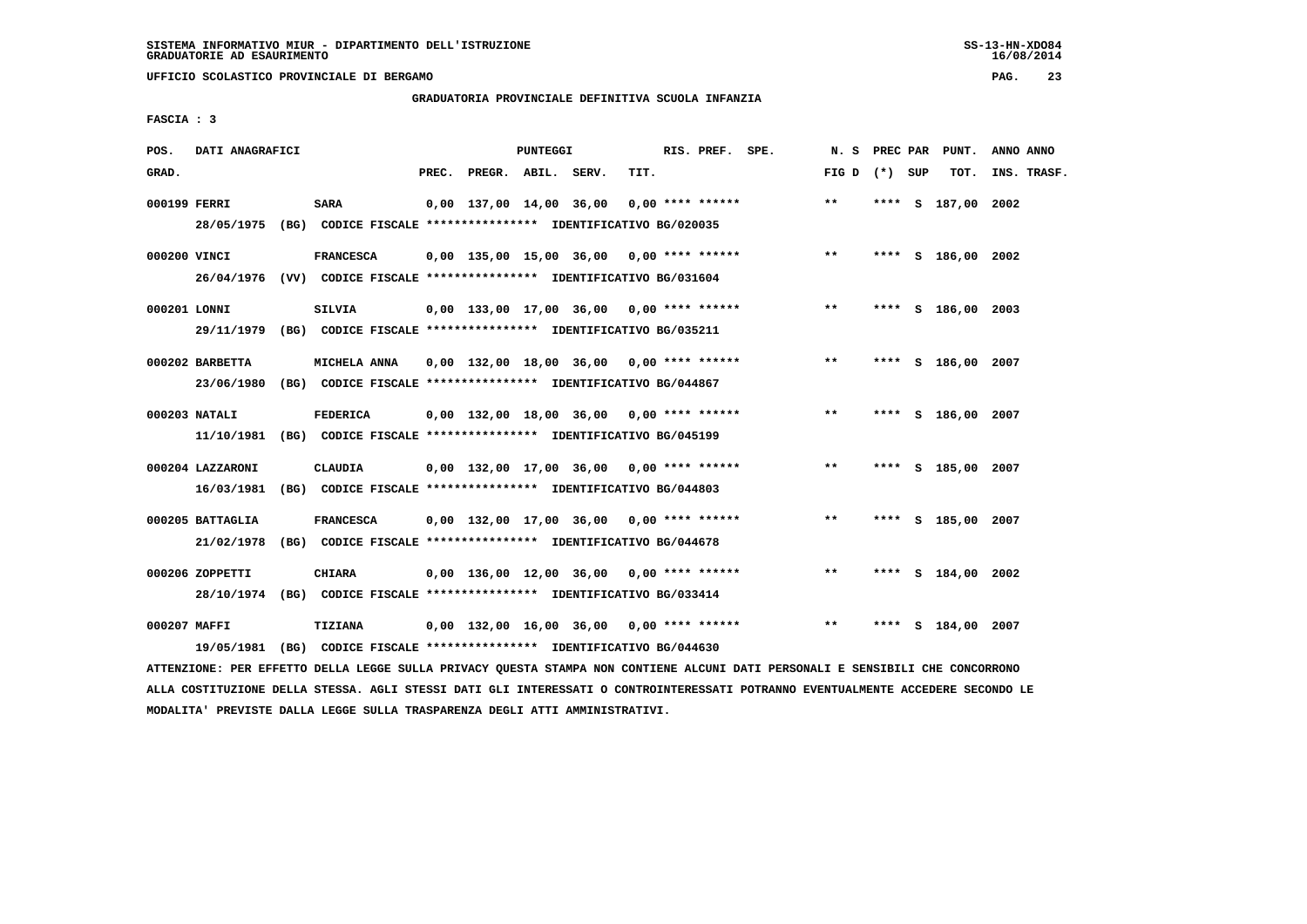**UFFICIO SCOLASTICO PROVINCIALE DI BERGAMO PAG. 23**

# **GRADUATORIA PROVINCIALE DEFINITIVA SCUOLA INFANZIA**

 **FASCIA : 3**

| POS.         | DATI ANAGRAFICI                |                                                                                             |       |                    | PUNTEGGI |                                            |      | RIS. PREF. SPE. |                                            | N.S             |  | PREC PAR PUNT.     | ANNO ANNO   |
|--------------|--------------------------------|---------------------------------------------------------------------------------------------|-------|--------------------|----------|--------------------------------------------|------|-----------------|--------------------------------------------|-----------------|--|--------------------|-------------|
| GRAD.        |                                |                                                                                             | PREC. | PREGR. ABIL. SERV. |          |                                            | TIT. |                 |                                            | FIG D $(*)$ SUP |  | TOT.               | INS. TRASF. |
| 000199 FERRI |                                | <b>SARA</b><br>28/05/1975 (BG) CODICE FISCALE *************** IDENTIFICATIVO BG/020035      |       |                    |          | 0,00 137,00 14,00 36,00 0,00 **** ******   |      |                 |                                            | $***$           |  | **** S 187,00 2002 |             |
| 000200 VINCI |                                | <b>FRANCESCA</b><br>26/04/1976 (VV) CODICE FISCALE *************** IDENTIFICATIVO BG/031604 |       |                    |          |                                            |      |                 | $0,00$ 135,00 15,00 36,00 0,00 **** ****** | $***$           |  | **** S 186,00 2002 |             |
| 000201 LONNI |                                | <b>SILVIA</b><br>29/11/1979 (BG) CODICE FISCALE *************** IDENTIFICATIVO BG/035211    |       |                    |          | $0,00$ 133,00 17,00 36,00 0,00 **** ****** |      |                 |                                            | $***$           |  | **** S 186,00 2003 |             |
|              | 000202 BARBETTA<br>23/06/1980  | MICHELA ANNA<br>(BG) CODICE FISCALE **************** IDENTIFICATIVO BG/044867               |       |                    |          | $0.00$ 132.00 18.00 36.00 0.00 **** ****** |      |                 |                                            | $* *$           |  | **** S 186,00 2007 |             |
|              | 000203 NATALI                  | <b>FEDERICA</b><br>11/10/1981 (BG) CODICE FISCALE *************** IDENTIFICATIVO BG/045199  |       |                    |          | 0,00 132,00 18,00 36,00 0,00 **** ******   |      |                 |                                            | $* *$           |  | **** S 186,00 2007 |             |
|              | 000204 LAZZARONI<br>16/03/1981 | CLAUDIA<br>(BG) CODICE FISCALE **************** IDENTIFICATIVO BG/044803                    |       |                    |          | 0,00 132,00 17,00 36,00 0,00 **** ******   |      |                 |                                            | $**$            |  | **** S 185,00 2007 |             |
|              | 000205 BATTAGLIA<br>21/02/1978 | <b>FRANCESCA</b><br>(BG) CODICE FISCALE **************** IDENTIFICATIVO BG/044678           |       |                    |          | $0,00$ 132,00 17,00 36,00 0,00 **** ****** |      |                 |                                            | $* *$           |  | **** S 185,00 2007 |             |
|              | 000206 ZOPPETTI                | <b>CHIARA</b><br>28/10/1974 (BG) CODICE FISCALE *************** IDENTIFICATIVO BG/033414    |       |                    |          | $0,00$ 136,00 12,00 36,00 0,00 **** ****** |      |                 |                                            | $***$           |  | **** S 184,00 2002 |             |
| 000207 MAFFI | 19/05/1981                     | TIZIANA<br>(BG) CODICE FISCALE **************** IDENTIFICATIVO BG/044630                    |       |                    |          | $0,00$ 132,00 16,00 36,00 0,00 **** ****** |      |                 |                                            | $***$           |  | **** S 184,00 2007 |             |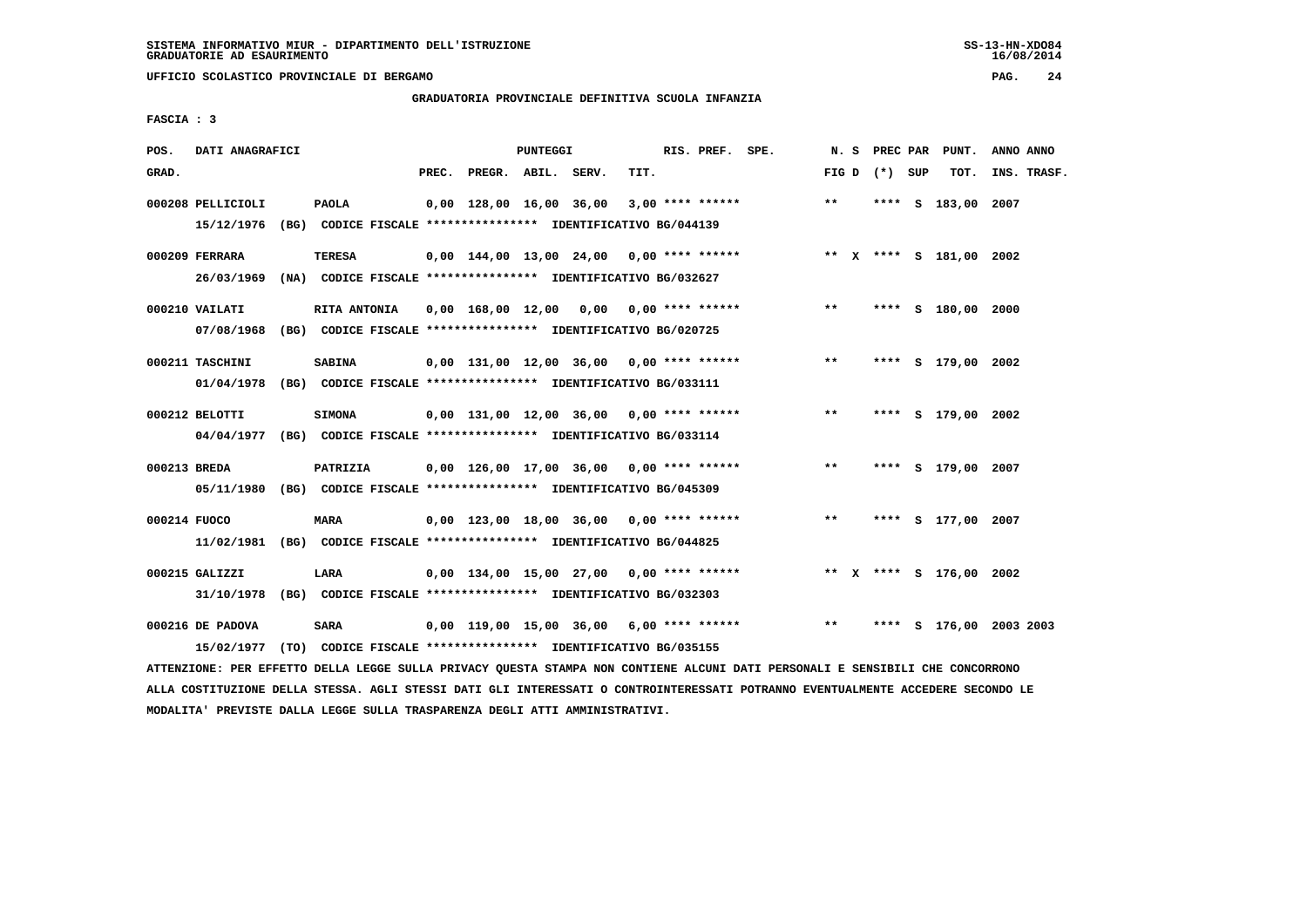**UFFICIO SCOLASTICO PROVINCIALE DI BERGAMO PAG. 24**

# **GRADUATORIA PROVINCIALE DEFINITIVA SCUOLA INFANZIA**

 **FASCIA : 3**

| POS.         | DATI ANAGRAFICI              |                                                                                          |       |                                                                            | PUNTEGGI |      | RIS. PREF. SPE.  |                                            | N. S  | PREC PAR        | PUNT.                   | ANNO ANNO               |
|--------------|------------------------------|------------------------------------------------------------------------------------------|-------|----------------------------------------------------------------------------|----------|------|------------------|--------------------------------------------|-------|-----------------|-------------------------|-------------------------|
| GRAD.        |                              |                                                                                          | PREC. | PREGR. ABIL. SERV.                                                         |          | TIT. |                  |                                            |       | FIG D $(*)$ SUP | TOT.                    | INS. TRASF.             |
|              | 000208 PELLICIOLI            | <b>PAOLA</b><br>15/12/1976 (BG) CODICE FISCALE *************** IDENTIFICATIVO BG/044139  |       | 0,00 128,00 16,00 36,00                                                    |          |      | 3,00 **** ****** |                                            | $***$ |                 | **** S 183,00 2007      |                         |
|              | 000209 FERRARA<br>26/03/1969 | TERESA<br>(NA) CODICE FISCALE **************** IDENTIFICATIVO BG/032627                  |       |                                                                            |          |      |                  | $0,00$ 144,00 13,00 24,00 0,00 **** ****** |       |                 | ** X **** S 181,00 2002 |                         |
|              | 000210 VAILATI               | RITA ANTONIA<br>07/08/1968 (BG) CODICE FISCALE *************** IDENTIFICATIVO BG/020725  |       | $0.00 \quad 168.00 \quad 12.00 \quad 0.00 \quad 0.00 \quad *** \quad ***}$ |          |      |                  |                                            | $***$ |                 | **** S 180,00 2000      |                         |
|              | 000211 TASCHINI              | <b>SABINA</b><br>01/04/1978 (BG) CODICE FISCALE *************** IDENTIFICATIVO BG/033111 |       | 0,00 131,00 12,00 36,00 0,00 **** ******                                   |          |      |                  |                                            | $***$ |                 | **** S 179,00 2002      |                         |
|              | 000212 BELOTTI               | <b>SIMONA</b><br>04/04/1977 (BG) CODICE FISCALE *************** IDENTIFICATIVO BG/033114 |       | $0,00$ 131,00 12,00 36,00 0,00 **** ******                                 |          |      |                  |                                            | $* *$ |                 | **** S 179,00 2002      |                         |
| 000213 BREDA |                              | PATRIZIA<br>05/11/1980 (BG) CODICE FISCALE *************** IDENTIFICATIVO BG/045309      |       | $0.00$ 126.00 17.00 36.00 0.00 **** ******                                 |          |      |                  |                                            | $***$ |                 | **** S 179,00 2007      |                         |
| 000214 FUOCO |                              | <b>MARA</b><br>11/02/1981 (BG) CODICE FISCALE *************** IDENTIFICATIVO BG/044825   |       | $0,00$ 123,00 18,00 36,00 0,00 **** ******                                 |          |      |                  |                                            | $***$ |                 | **** S 177,00 2007      |                         |
|              | 000215 GALIZZI<br>31/10/1978 | LARA<br>(BG) CODICE FISCALE **************** IDENTIFICATIVO BG/032303                    |       | $0,00$ 134,00 15,00 27,00 0,00 **** ******                                 |          |      |                  |                                            |       |                 | ** X **** S 176,00 2002 |                         |
|              | 000216 DE PADOVA             | <b>SARA</b><br>15/02/1977 (TO) CODICE FISCALE *************** IDENTIFICATIVO BG/035155   |       | 0,00 119,00 15,00 36,00                                                    |          |      | 6,00 **** ****** |                                            | $* *$ |                 |                         | **** S 176,00 2003 2003 |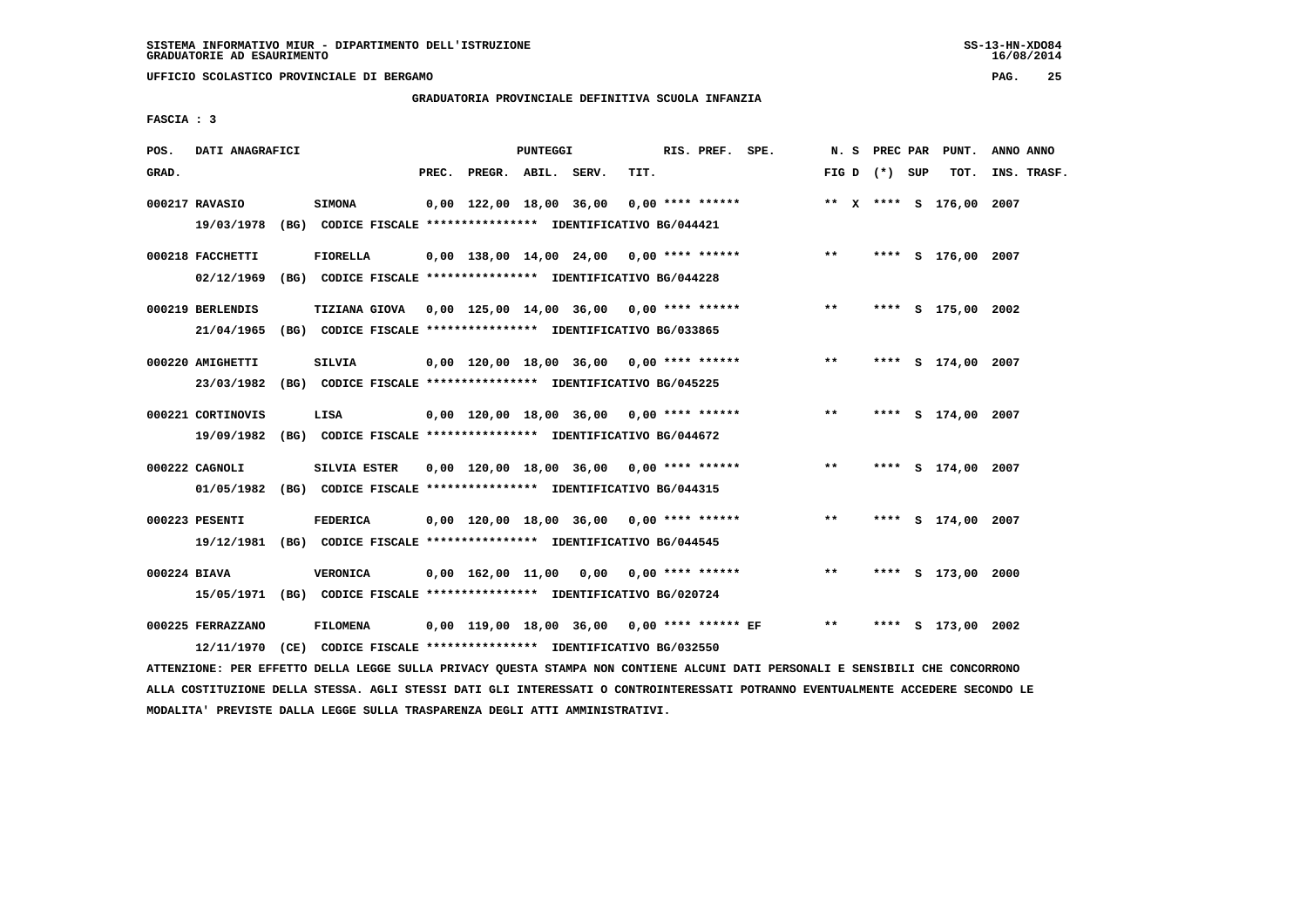**UFFICIO SCOLASTICO PROVINCIALE DI BERGAMO PAG. 25**

# **GRADUATORIA PROVINCIALE DEFINITIVA SCUOLA INFANZIA**

 **FASCIA : 3**

| POS.         | DATI ANAGRAFICI                 |                                                                                                                         |       |                    | PUNTEGGI |                                             |      | RIS. PREF. SPE.    |                                            | N. S  |                   | PREC PAR PUNT.          | ANNO ANNO   |  |
|--------------|---------------------------------|-------------------------------------------------------------------------------------------------------------------------|-------|--------------------|----------|---------------------------------------------|------|--------------------|--------------------------------------------|-------|-------------------|-------------------------|-------------|--|
| GRAD.        |                                 |                                                                                                                         | PREC. | PREGR. ABIL. SERV. |          |                                             | TIT. |                    |                                            |       | FIG $D$ $(*)$ SUP | тот.                    | INS. TRASF. |  |
|              | 000217 RAVASIO<br>19/03/1978    | <b>SIMONA</b><br>(BG) CODICE FISCALE **************** IDENTIFICATIVO BG/044421                                          |       |                    |          | 0,00 122,00 18,00 36,00                     |      | $0.00$ **** ****** |                                            |       |                   | ** X **** S 176,00 2007 |             |  |
|              | 000218 FACCHETTI<br>02/12/1969  | FIORELLA<br>(BG) CODICE FISCALE **************** IDENTIFICATIVO BG/044228                                               |       |                    |          |                                             |      |                    | $0,00$ 138,00 14,00 24,00 0,00 **** ****** | $* *$ |                   | **** S 176,00 2007      |             |  |
|              | 000219 BERLENDIS<br>21/04/1965  | TIZIANA GIOVA 0,00 125,00 14,00 36,00 0,00 **** ******<br>(BG) CODICE FISCALE **************** IDENTIFICATIVO BG/033865 |       |                    |          |                                             |      |                    |                                            | $* *$ |                   | **** S 175,00 2002      |             |  |
|              | 000220 AMIGHETTI<br>23/03/1982  | <b>SILVIA</b><br>(BG) CODICE FISCALE **************** IDENTIFICATIVO BG/045225                                          |       |                    |          | $0,00$ 120,00 18,00 36,00 0,00 **** ******  |      |                    |                                            | $***$ |                   | **** S 174,00 2007      |             |  |
|              | 000221 CORTINOVIS<br>19/09/1982 | LISA<br>(BG) CODICE FISCALE **************** IDENTIFICATIVO BG/044672                                                   |       |                    |          | $0,00$ 120,00 18,00 36,00 0,00 **** ******  |      |                    |                                            | $**$  |                   | **** S 174,00 2007      |             |  |
|              | 000222 CAGNOLI                  | SILVIA ESTER<br>01/05/1982 (BG) CODICE FISCALE *************** IDENTIFICATIVO BG/044315                                 |       |                    |          | 0,00 120,00 18,00 36,00 0,00 **** ******    |      |                    |                                            | $***$ |                   | **** S 174,00 2007      |             |  |
|              | 000223 PESENTI                  | FEDERICA<br>19/12/1981 (BG) CODICE FISCALE *************** IDENTIFICATIVO BG/044545                                     |       |                    |          | 0,00 120,00 18,00 36,00 0,00 **** ******    |      |                    |                                            | $* *$ |                   | **** S 174,00 2007      |             |  |
| 000224 BIAVA |                                 | <b>VERONICA</b><br>15/05/1971 (BG) CODICE FISCALE *************** IDENTIFICATIVO BG/020724                              |       |                    |          | $0,00$ 162,00 11,00 0,00 0,00 **** ******   |      |                    |                                            | $* *$ | ****              | S 173,00 2000           |             |  |
|              | 000225 FERRAZZANO<br>12/11/1970 | <b>FILOMENA</b><br>(CE) CODICE FISCALE **************** IDENTIFICATIVO BG/032550                                        |       |                    |          | 0,00 119,00 18,00 36,00 0,00 **** ****** EF |      |                    |                                            | $* *$ | ****              | S 173,00 2002           |             |  |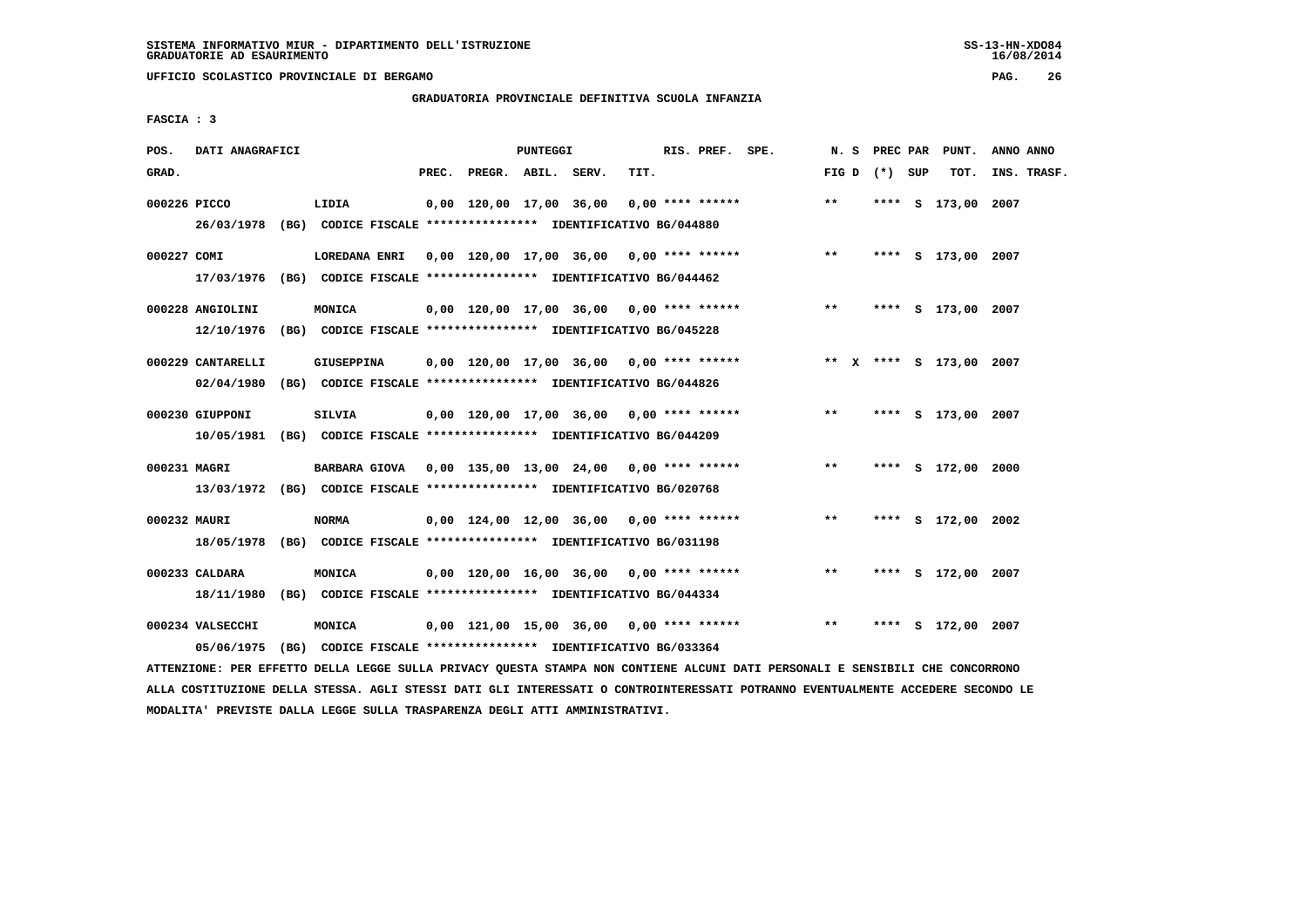**UFFICIO SCOLASTICO PROVINCIALE DI BERGAMO PAG. 26**

# **GRADUATORIA PROVINCIALE DEFINITIVA SCUOLA INFANZIA**

 **FASCIA : 3**

| POS.         | DATI ANAGRAFICI                                                                            |                                                                                          |  |                          | <b>PUNTEGGI</b> |                                          |      | RIS. PREF. SPE. |                                                                         | N. S  |                 | PREC PAR PUNT.     | ANNO ANNO |             |
|--------------|--------------------------------------------------------------------------------------------|------------------------------------------------------------------------------------------|--|--------------------------|-----------------|------------------------------------------|------|-----------------|-------------------------------------------------------------------------|-------|-----------------|--------------------|-----------|-------------|
| GRAD.        |                                                                                            |                                                                                          |  | PREC. PREGR. ABIL. SERV. |                 |                                          | TIT. |                 |                                                                         |       | FIG D $(*)$ SUP | тот.               |           | INS. TRASF. |
| 000226 PICCO |                                                                                            | LIDIA<br>26/03/1978 (BG) CODICE FISCALE *************** IDENTIFICATIVO BG/044880         |  |                          |                 | 0,00 120,00 17,00 36,00 0,00 **** ****** |      |                 |                                                                         | $* *$ |                 | **** S 173,00 2007 |           |             |
| 000227 COMI  |                                                                                            | LOREDANA ENRI<br>17/03/1976 (BG) CODICE FISCALE *************** IDENTIFICATIVO BG/044462 |  |                          |                 |                                          |      |                 | 0,00 120,00 17,00 36,00 0,00 **** ******                                | $***$ |                 | **** S 173,00 2007 |           |             |
|              | 000228 ANGIOLINI<br>12/10/1976                                                             | MONICA<br>(BG) CODICE FISCALE **************** IDENTIFICATIVO BG/045228                  |  |                          |                 |                                          |      |                 | $0,00$ 120,00 17,00 36,00 0,00 **** ****** *** **                       |       |                 | **** S 173,00 2007 |           |             |
|              | 000229 CANTARELLI<br>02/04/1980                                                            | GIUSEPPINA<br>(BG) CODICE FISCALE **************** IDENTIFICATIVO BG/044826              |  |                          |                 |                                          |      |                 | 0,00 120,00 17,00 36,00 0,00 **** ****** * *** * ** * *** S 173,00 2007 |       |                 |                    |           |             |
|              | 000230 GIUPPONI<br>10/05/1981 (BG) CODICE FISCALE *************** IDENTIFICATIVO BG/044209 | SILVIA                                                                                   |  |                          |                 |                                          |      |                 | 0,00 120,00 17,00 36,00 0,00 **** ******                                | **    |                 | **** S 173,00 2007 |           |             |
| 000231 MAGRI | 13/03/1972 (BG) CODICE FISCALE *************** IDENTIFICATIVO BG/020768                    | BARBARA GIOVA 0,00 135,00 13,00 24,00 0,00 **** ******                                   |  |                          |                 |                                          |      |                 |                                                                         | $***$ |                 | **** S 172,00 2000 |           |             |
| 000232 MAURI |                                                                                            | <b>NORMA</b><br>18/05/1978 (BG) CODICE FISCALE *************** IDENTIFICATIVO BG/031198  |  |                          |                 | 0,00 124,00 12,00 36,00 0,00 **** ****** |      |                 |                                                                         | $***$ |                 | **** S 172,00 2002 |           |             |
|              | 000233 CALDARA<br>18/11/1980                                                               | MONICA<br>(BG) CODICE FISCALE **************** IDENTIFICATIVO BG/044334                  |  |                          |                 |                                          |      |                 | $0,00$ 120,00 16,00 36,00 0,00 **** ******                              | $***$ | ****            | S 172,00 2007      |           |             |
|              | 000234 VALSECCHI<br>05/06/1975                                                             | <b>MONICA</b><br>(BG) CODICE FISCALE *************** IDENTIFICATIVO BG/033364            |  |                          |                 | 0,00 121,00 15,00 36,00 0,00 **** ****** |      |                 |                                                                         | $***$ |                 | **** S 172,00 2007 |           |             |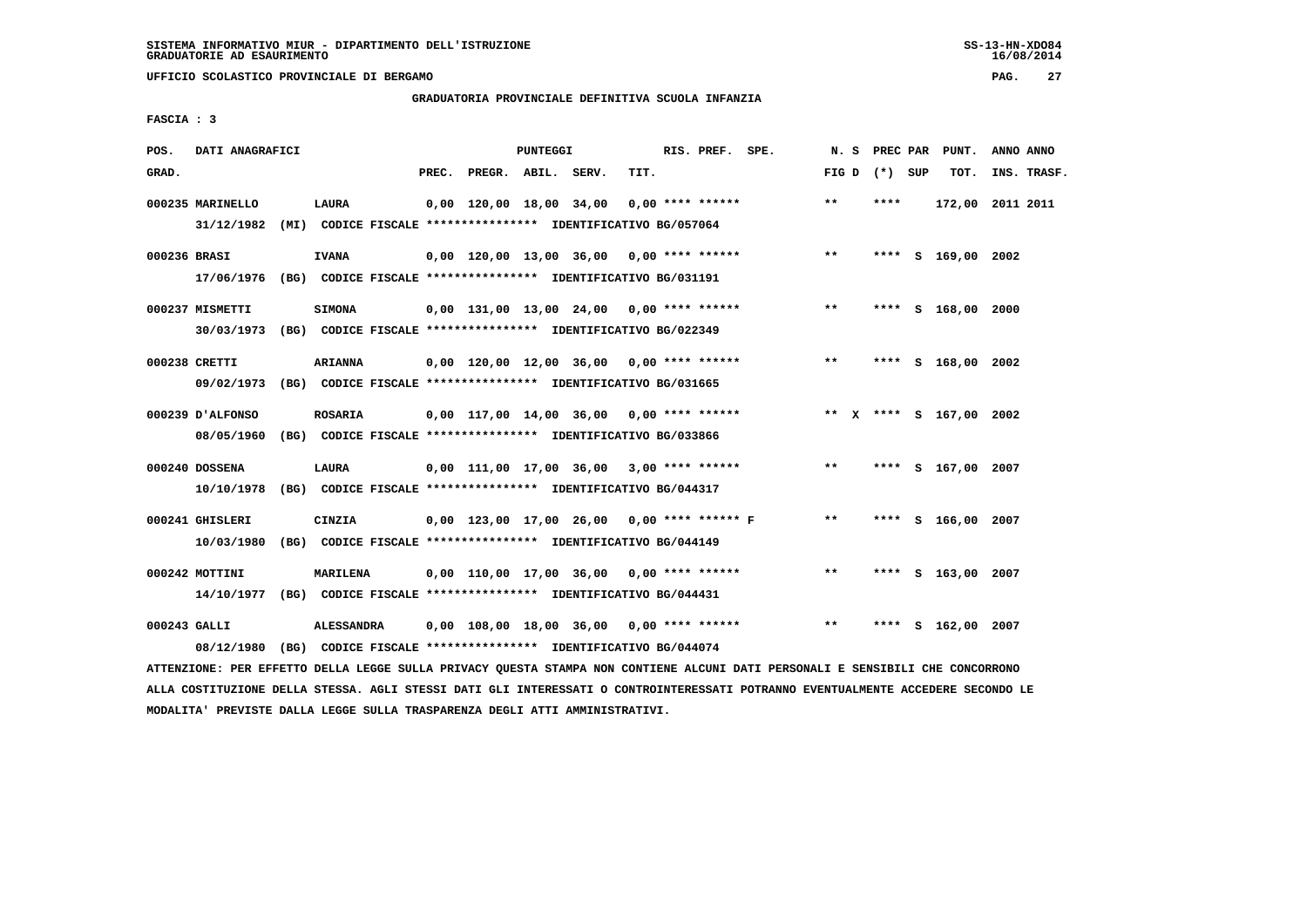**UFFICIO SCOLASTICO PROVINCIALE DI BERGAMO PAG. 27**

# **GRADUATORIA PROVINCIALE DEFINITIVA SCUOLA INFANZIA**

 **FASCIA : 3**

| POS.         | DATI ANAGRAFICI                                                                             |                                                                                    |       |                    | PUNTEGGI |                                            |      | RIS. PREF. SPE.    |                                            |                 | N. S PREC PAR | PUNT.                   | ANNO ANNO   |
|--------------|---------------------------------------------------------------------------------------------|------------------------------------------------------------------------------------|-------|--------------------|----------|--------------------------------------------|------|--------------------|--------------------------------------------|-----------------|---------------|-------------------------|-------------|
| GRAD.        |                                                                                             |                                                                                    | PREC. | PREGR. ABIL. SERV. |          |                                            | TIT. |                    |                                            | FIG D $(*)$ SUP |               | тот.                    | INS. TRASF. |
|              | 000235 MARINELLO<br>31/12/1982                                                              | LAURA<br>(MI) CODICE FISCALE **************** IDENTIFICATIVO BG/057064             |       |                    |          | 0,00 120,00 18,00 34,00                    |      | $0.00$ **** ****** |                                            | $***$           | ****          | 172,00 2011 2011        |             |
| 000236 BRASI | 17/06/1976 (BG) CODICE FISCALE *************** IDENTIFICATIVO BG/031191                     | <b>IVANA</b>                                                                       |       |                    |          |                                            |      |                    | $0,00$ 120,00 13,00 36,00 0,00 **** ****** | $***$           |               | **** S 169,00 2002      |             |
|              | 000237 MISMETTI<br>30/03/1973 (BG) CODICE FISCALE *************** IDENTIFICATIVO BG/022349  | <b>SIMONA</b>                                                                      |       |                    |          | $0,00$ 131,00 13,00 24,00 0,00 **** ****** |      |                    |                                            | $***$           |               | **** S 168,00 2000      |             |
|              | 000238 CRETTI<br>09/02/1973 (BG) CODICE FISCALE *************** IDENTIFICATIVO BG/031665    | <b>ARIANNA</b>                                                                     |       |                    |          |                                            |      |                    | $0,00$ 120,00 12,00 36,00 0,00 **** ****** | $***$           |               | **** S 168,00 2002      |             |
|              | 000239 D'ALFONSO<br>08/05/1960 (BG) CODICE FISCALE *************** IDENTIFICATIVO BG/033866 | ROSARIA                                                                            |       |                    |          | 0,00 117,00 14,00 36,00 0,00 **** ******   |      |                    |                                            |                 |               | ** X **** S 167,00 2002 |             |
|              | 000240 DOSSENA<br>10/10/1978 (BG) CODICE FISCALE *************** IDENTIFICATIVO BG/044317   | LAURA                                                                              |       |                    |          | $0,00$ 111,00 17,00 36,00 3,00 **** ****** |      |                    |                                            | $***$           |               | **** S 167,00 2007      |             |
|              | 000241 GHISLERI<br>10/03/1980                                                               | CINZIA<br>(BG) CODICE FISCALE **************** IDENTIFICATIVO BG/044149            |       |                    |          |                                            |      |                    | 0,00 123,00 17,00 26,00 0,00 **** ****** F | $***$           |               | **** S 166,00 2007      |             |
|              | 000242 MOTTINI<br>14/10/1977 (BG) CODICE FISCALE *************** IDENTIFICATIVO BG/044431   | <b>MARILENA</b>                                                                    |       |                    |          | $0,00$ 110,00 17,00 36,00 0,00 **** ****** |      |                    |                                            | $***$           |               | **** S 163,00 2007      |             |
| 000243 GALLI | 08/12/1980                                                                                  | <b>ALESSANDRA</b><br>(BG) CODICE FISCALE **************** IDENTIFICATIVO BG/044074 |       |                    |          | $0,00$ 108,00 18,00 36,00 0,00 **** ****** |      |                    |                                            | $* *$           | ****          | S 162,00 2007           |             |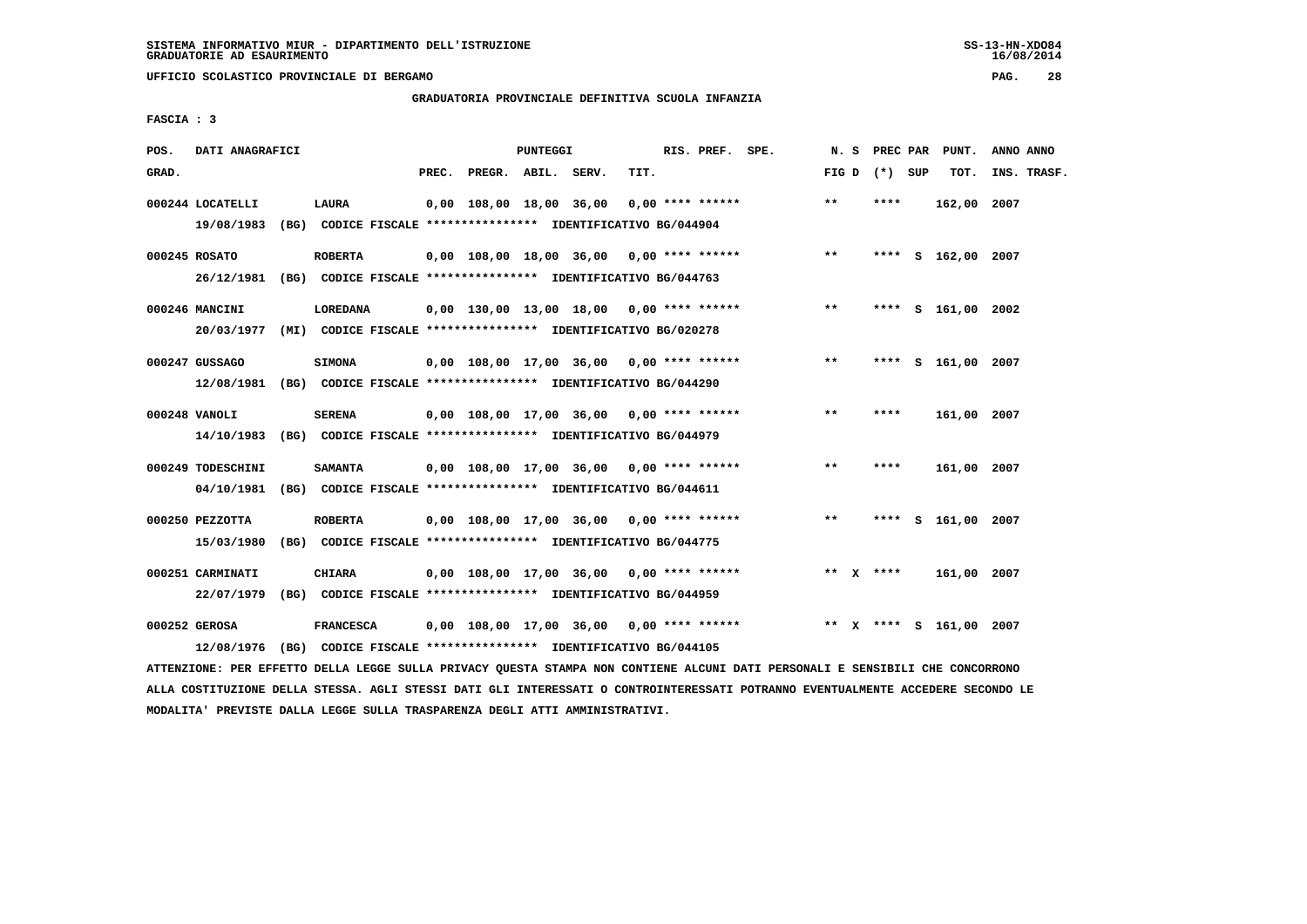**UFFICIO SCOLASTICO PROVINCIALE DI BERGAMO PAG. 28**

# **GRADUATORIA PROVINCIALE DEFINITIVA SCUOLA INFANZIA**

 **FASCIA : 3**

| POS.  | DATI ANAGRAFICI                                                                           |                  |       |                    | PUNTEGGI |                                                                                                             |      | RIS. PREF. SPE.    |                                            | N.S   |                 | PREC PAR PUNT.          | ANNO ANNO   |  |
|-------|-------------------------------------------------------------------------------------------|------------------|-------|--------------------|----------|-------------------------------------------------------------------------------------------------------------|------|--------------------|--------------------------------------------|-------|-----------------|-------------------------|-------------|--|
| GRAD. |                                                                                           |                  | PREC. | PREGR. ABIL. SERV. |          |                                                                                                             | TIT. |                    |                                            |       | FIG D $(*)$ SUP | TOT.                    | INS. TRASF. |  |
|       | 000244 LOCATELLI<br>19/08/1983                                                            | LAURA            |       |                    |          | 0,00 108,00 18,00 36,00<br>(BG) CODICE FISCALE **************** IDENTIFICATIVO BG/044904                    |      | $0.00$ **** ****** |                                            | $**$  | ****            | 162,00 2007             |             |  |
|       | 000245 ROSATO<br>26/12/1981 (BG) CODICE FISCALE *************** IDENTIFICATIVO BG/044763  | <b>ROBERTA</b>   |       |                    |          |                                                                                                             |      |                    | $0,00$ 108,00 18,00 36,00 0,00 **** ****** | $***$ |                 | **** S 162,00 2007      |             |  |
|       | 000246 MANCINI<br>20/03/1977 (MI) CODICE FISCALE *************** IDENTIFICATIVO BG/020278 | <b>LOREDANA</b>  |       |                    |          | $0,00$ 130,00 13,00 18,00 0,00 **** ******                                                                  |      |                    |                                            | $* *$ |                 | **** S 161,00 2002      |             |  |
|       | 000247 GUSSAGO<br>12/08/1981 (BG) CODICE FISCALE *************** IDENTIFICATIVO BG/044290 | <b>SIMONA</b>    |       |                    |          | 0,00 108,00 17,00 36,00 0,00 **** ******                                                                    |      |                    |                                            | $***$ |                 | **** S 161,00 2007      |             |  |
|       | 000248 VANOLI<br>14/10/1983 (BG) CODICE FISCALE *************** IDENTIFICATIVO BG/044979  | <b>SERENA</b>    |       |                    |          | $0.00$ 108.00 17.00 36.00 0.00 **** ******                                                                  |      |                    |                                            | $* *$ | ****            | 161,00 2007             |             |  |
|       | 000249 TODESCHINI<br>04/10/1981                                                           | <b>SAMANTA</b>   |       |                    |          | 0,00 108,00 17,00 36,00 0,00 **** ******<br>(BG) CODICE FISCALE **************** IDENTIFICATIVO BG/044611   |      |                    |                                            | **    | ****            | 161,00 2007             |             |  |
|       | 000250 PEZZOTTA<br>15/03/1980                                                             | <b>ROBERTA</b>   |       |                    |          | $0,00$ 108,00 17,00 36,00 0,00 **** ******<br>(BG) CODICE FISCALE **************** IDENTIFICATIVO BG/044775 |      |                    |                                            | $**$  | ****            | S 161,00 2007           |             |  |
|       | 000251 CARMINATI<br>22/07/1979                                                            | CHIARA           |       |                    |          | 0,00 108,00 17,00 36,00<br>(BG) CODICE FISCALE **************** IDENTIFICATIVO BG/044959                    |      | $0.00$ **** ****** |                                            |       | ** $X$ ****     | 161,00 2007             |             |  |
|       | 000252 GEROSA<br>12/08/1976                                                               | <b>FRANCESCA</b> |       |                    |          | $0.00$ 108.00 17.00 36.00 0.00 **** ******<br>(BG) CODICE FISCALE **************** IDENTIFICATIVO BG/044105 |      |                    |                                            |       |                 | ** X **** S 161,00 2007 |             |  |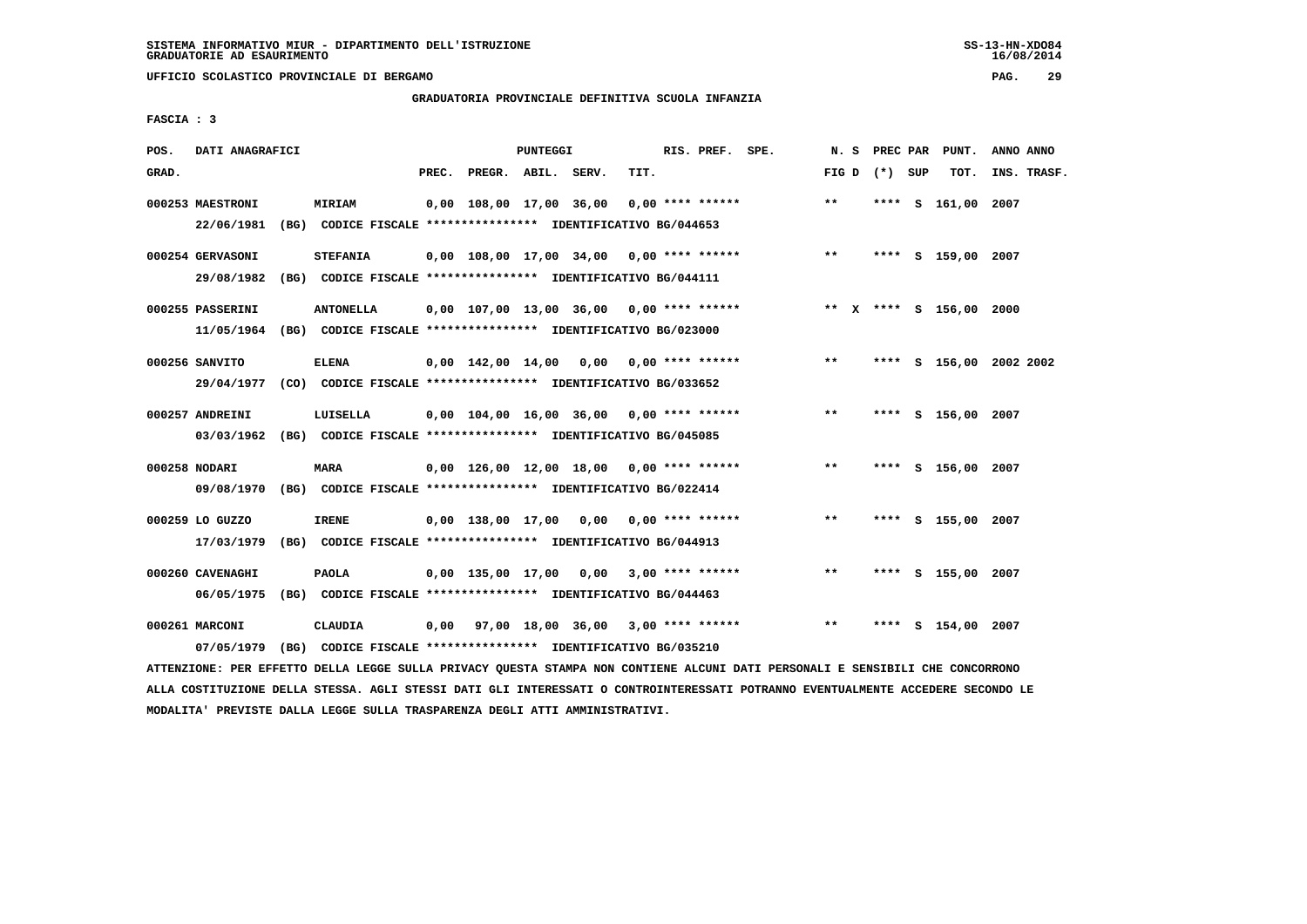**UFFICIO SCOLASTICO PROVINCIALE DI BERGAMO PAG. 29**

# **GRADUATORIA PROVINCIALE DEFINITIVA SCUOLA INFANZIA**

 **FASCIA : 3**

| POS.  | DATI ANAGRAFICI                |                                                                                     |       |                    | PUNTEGGI |                                            |      | RIS. PREF. SPE.    |                                            | N.S             |  | PREC PAR PUNT.          | ANNO ANNO |             |
|-------|--------------------------------|-------------------------------------------------------------------------------------|-------|--------------------|----------|--------------------------------------------|------|--------------------|--------------------------------------------|-----------------|--|-------------------------|-----------|-------------|
| GRAD. |                                |                                                                                     | PREC. | PREGR. ABIL. SERV. |          |                                            | TIT. |                    |                                            | FIG D $(*)$ SUP |  | TOT.                    |           | INS. TRASF. |
|       | 000253 MAESTRONI<br>22/06/1981 | <b>MIRIAM</b><br>(BG) CODICE FISCALE **************** IDENTIFICATIVO BG/044653      |       |                    |          | 0,00 108,00 17,00 36,00                    |      | $0.00$ **** ****** |                                            | $* *$           |  | **** S 161,00 2007      |           |             |
|       |                                |                                                                                     |       |                    |          |                                            |      |                    |                                            |                 |  |                         |           |             |
|       | 000254 GERVASONI               | <b>STEFANIA</b>                                                                     |       |                    |          |                                            |      |                    | $0,00$ 108,00 17,00 34,00 0,00 **** ****** | $* *$           |  | **** S 159,00 2007      |           |             |
|       | 29/08/1982                     | (BG) CODICE FISCALE **************** IDENTIFICATIVO BG/044111                       |       |                    |          |                                            |      |                    |                                            |                 |  |                         |           |             |
|       | 000255 PASSERINI               | <b>ANTONELLA</b>                                                                    |       |                    |          | $0.00$ 107.00 13.00 36.00 0.00 **** ****** |      |                    |                                            |                 |  | ** x **** s 156,00 2000 |           |             |
|       |                                | 11/05/1964 (BG) CODICE FISCALE *************** IDENTIFICATIVO BG/023000             |       |                    |          |                                            |      |                    |                                            |                 |  |                         |           |             |
|       | 000256 SANVITO                 | <b>ELENA</b>                                                                        |       |                    |          |                                            |      |                    | 0,00 142,00 14,00 0,00 0,00 **** ******    | $***$           |  | **** S 156,00 2002 2002 |           |             |
|       |                                | 29/04/1977 (CO) CODICE FISCALE *************** IDENTIFICATIVO BG/033652             |       |                    |          |                                            |      |                    |                                            |                 |  |                         |           |             |
|       |                                |                                                                                     |       |                    |          |                                            |      |                    |                                            |                 |  |                         |           |             |
|       | 000257 ANDREINI                | LUISELLA<br>03/03/1962 (BG) CODICE FISCALE *************** IDENTIFICATIVO BG/045085 |       |                    |          | 0,00 104,00 16,00 36,00 0,00 **** ******   |      |                    |                                            | $***$           |  | **** S 156,00 2007      |           |             |
|       |                                |                                                                                     |       |                    |          |                                            |      |                    |                                            |                 |  |                         |           |             |
|       | 000258 NODARI                  | <b>MARA</b>                                                                         |       |                    |          | 0,00 126,00 12,00 18,00 0,00 **** ******   |      |                    |                                            | $* *$           |  | **** S 156,00 2007      |           |             |
|       |                                | 09/08/1970 (BG) CODICE FISCALE *************** IDENTIFICATIVO BG/022414             |       |                    |          |                                            |      |                    |                                            |                 |  |                         |           |             |
|       | 000259 LO GUZZO                | <b>IRENE</b>                                                                        |       |                    |          | 0,00 138,00 17,00 0,00 0,00 **** ******    |      |                    |                                            | $* *$           |  | **** S 155,00 2007      |           |             |
|       | 17/03/1979                     | (BG) CODICE FISCALE **************** IDENTIFICATIVO BG/044913                       |       |                    |          |                                            |      |                    |                                            |                 |  |                         |           |             |
|       | 000260 CAVENAGHI               | <b>PAOLA</b>                                                                        |       |                    |          | $0,00$ 135,00 17,00 0,00 3,00 **** ******  |      |                    |                                            | $***$           |  | **** S 155,00 2007      |           |             |
|       | 06/05/1975                     | (BG) CODICE FISCALE **************** IDENTIFICATIVO BG/044463                       |       |                    |          |                                            |      |                    |                                            |                 |  |                         |           |             |
|       |                                |                                                                                     |       |                    |          |                                            |      |                    |                                            |                 |  |                         |           |             |
|       | 000261 MARCONI                 | <b>CLAUDIA</b>                                                                      |       |                    |          | $0,00$ 97,00 18,00 36,00 3,00 **** ******  |      |                    |                                            | $**$            |  | **** S 154,00 2007      |           |             |
|       | 07/05/1979                     | (BG) CODICE FISCALE **************** IDENTIFICATIVO BG/035210                       |       |                    |          |                                            |      |                    |                                            |                 |  |                         |           |             |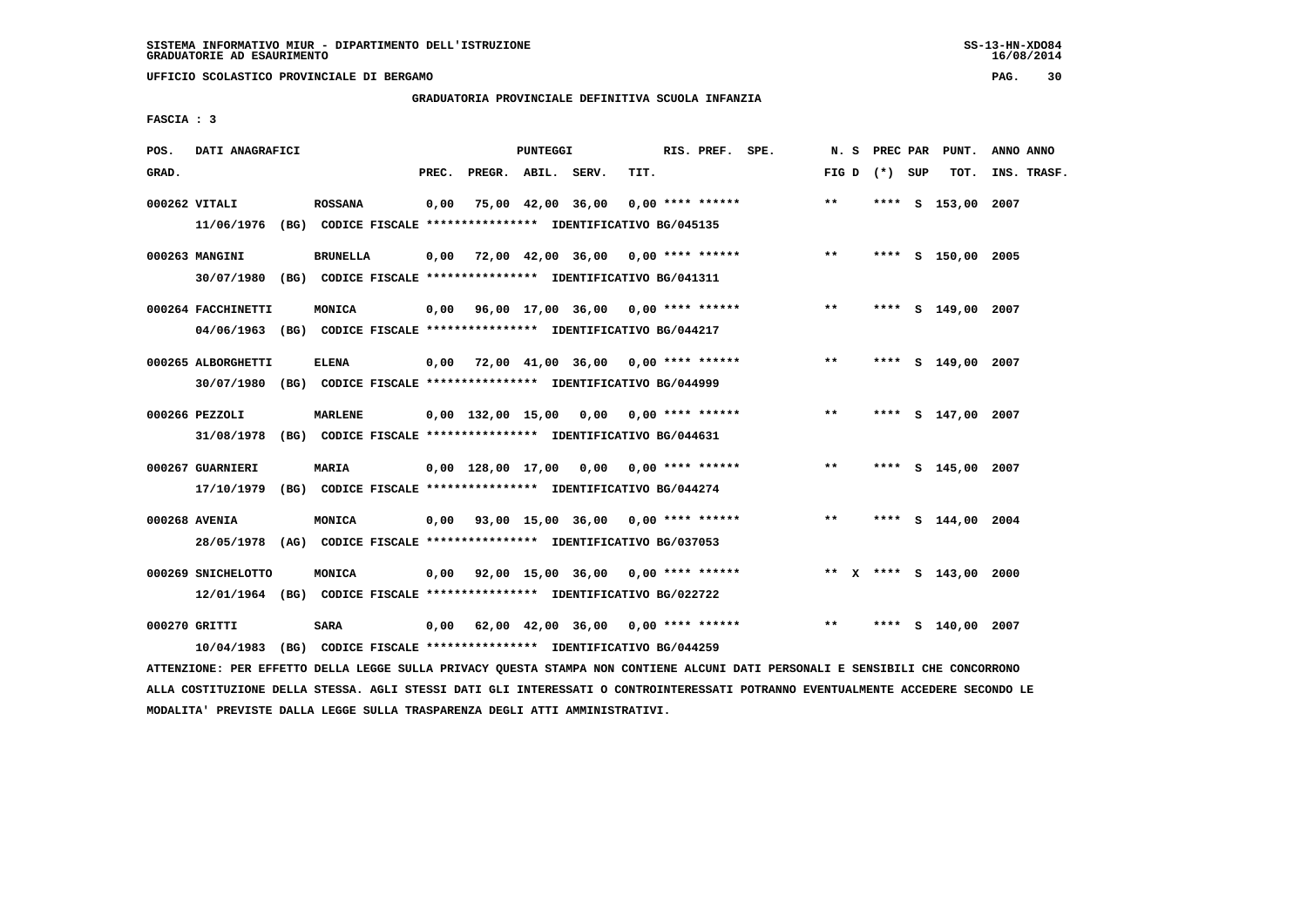**UFFICIO SCOLASTICO PROVINCIALE DI BERGAMO PAG. 30**

# **GRADUATORIA PROVINCIALE DEFINITIVA SCUOLA INFANZIA**

 **FASCIA : 3**

| POS.  | DATI ANAGRAFICI                                                         |                 |       |                    | PUNTEGGI |                                                               |      | RIS. PREF. SPE.  | N. S  | PREC PAR        | PUNT.                   | ANNO ANNO   |  |
|-------|-------------------------------------------------------------------------|-----------------|-------|--------------------|----------|---------------------------------------------------------------|------|------------------|-------|-----------------|-------------------------|-------------|--|
| GRAD. |                                                                         |                 | PREC. | PREGR. ABIL. SERV. |          |                                                               | TIT. |                  |       | FIG D $(*)$ SUP | TOT.                    | INS. TRASF. |  |
|       |                                                                         |                 |       |                    |          |                                                               |      |                  |       |                 |                         |             |  |
|       | 000262 VITALI                                                           | <b>ROSSANA</b>  | 0,00  |                    |          | 75,00 42,00 36,00                                             |      | 0,00 **** ****** | $* *$ |                 | **** S 153,00 2007      |             |  |
|       | 11/06/1976 (BG) CODICE FISCALE *************** IDENTIFICATIVO BG/045135 |                 |       |                    |          |                                                               |      |                  |       |                 |                         |             |  |
|       |                                                                         |                 |       |                    |          |                                                               |      |                  |       |                 |                         |             |  |
|       | 000263 MANGINI                                                          | <b>BRUNELLA</b> |       |                    |          | $0,00$ 72,00 42,00 36,00 0,00 **** ******                     |      |                  | $***$ |                 | **** S 150,00 2005      |             |  |
|       | 30/07/1980 (BG) CODICE FISCALE *************** IDENTIFICATIVO BG/041311 |                 |       |                    |          |                                                               |      |                  |       |                 |                         |             |  |
|       |                                                                         |                 |       |                    |          |                                                               |      |                  |       |                 |                         |             |  |
|       | 000264 FACCHINETTI                                                      | MONICA          |       |                    |          | $0,00$ 96,00 17,00 36,00 0,00 **** ******                     |      |                  | $***$ |                 | **** S 149,00 2007      |             |  |
|       | 04/06/1963 (BG) CODICE FISCALE *************** IDENTIFICATIVO BG/044217 |                 |       |                    |          |                                                               |      |                  |       |                 |                         |             |  |
|       |                                                                         |                 |       |                    |          |                                                               |      |                  |       |                 |                         |             |  |
|       | 000265 ALBORGHETTI                                                      | <b>ELENA</b>    |       |                    |          | $0,00$ 72,00 41,00 36,00 0,00 **** ******                     |      |                  | $***$ |                 | **** S 149,00 2007      |             |  |
|       | 30/07/1980 (BG) CODICE FISCALE *************** IDENTIFICATIVO BG/044999 |                 |       |                    |          |                                                               |      |                  |       |                 |                         |             |  |
|       |                                                                         |                 |       |                    |          |                                                               |      |                  |       |                 |                         |             |  |
|       | 000266 PEZZOLI                                                          | <b>MARLENE</b>  |       |                    |          | 0,00 132,00 15,00 0,00 0,00 **** ******                       |      |                  | **    |                 | **** S 147,00 2007      |             |  |
|       | 31/08/1978 (BG) CODICE FISCALE *************** IDENTIFICATIVO BG/044631 |                 |       |                    |          |                                                               |      |                  |       |                 |                         |             |  |
|       |                                                                         |                 |       |                    |          |                                                               |      |                  |       |                 |                         |             |  |
|       | 000267 GUARNIERI                                                        | <b>MARIA</b>    |       |                    |          | 0,00 128,00 17,00 0,00 0,00 **** ******                       |      |                  | $***$ |                 | **** S 145,00 2007      |             |  |
|       |                                                                         |                 |       |                    |          |                                                               |      |                  |       |                 |                         |             |  |
|       | 17/10/1979 (BG) CODICE FISCALE *************** IDENTIFICATIVO BG/044274 |                 |       |                    |          |                                                               |      |                  |       |                 |                         |             |  |
|       | 000268 AVENIA                                                           | MONICA          |       |                    |          | $0,00$ 93,00 15,00 36,00 0,00 **** ******                     |      |                  | $***$ |                 | **** S 144,00 2004      |             |  |
|       |                                                                         |                 |       |                    |          |                                                               |      |                  |       |                 |                         |             |  |
|       | 28/05/1978 (AG) CODICE FISCALE *************** IDENTIFICATIVO BG/037053 |                 |       |                    |          |                                                               |      |                  |       |                 |                         |             |  |
|       | 000269 SNICHELOTTO                                                      | MONICA          |       |                    |          | $0,00$ $92,00$ $15,00$ $36,00$ $0,00$ $***$ **** ******       |      |                  |       |                 | ** X **** S 143,00 2000 |             |  |
|       |                                                                         |                 |       |                    |          |                                                               |      |                  |       |                 |                         |             |  |
|       | 12/01/1964 (BG) CODICE FISCALE *************** IDENTIFICATIVO BG/022722 |                 |       |                    |          |                                                               |      |                  |       |                 |                         |             |  |
|       |                                                                         |                 |       |                    |          |                                                               |      |                  | $* *$ |                 |                         |             |  |
|       | 000270 GRITTI                                                           | <b>SARA</b>     |       |                    |          | $0.00$ 62.00 42.00 36.00 0.00 **** ******                     |      |                  |       | ****            | S 140,00 2007           |             |  |
|       | 10/04/1983                                                              |                 |       |                    |          | (BG) CODICE FISCALE **************** IDENTIFICATIVO BG/044259 |      |                  |       |                 |                         |             |  |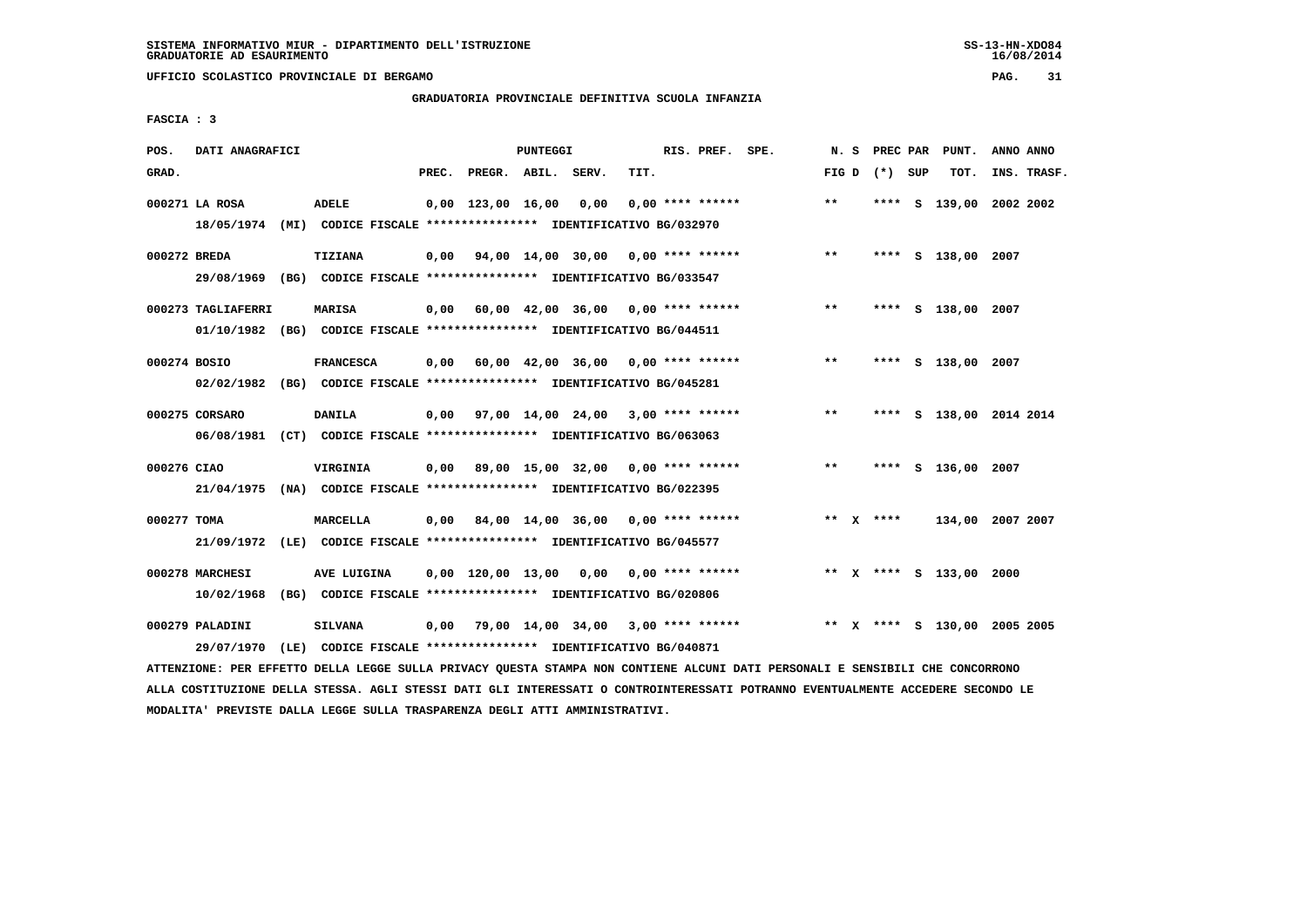**UFFICIO SCOLASTICO PROVINCIALE DI BERGAMO PAG. 31**

# **GRADUATORIA PROVINCIALE DEFINITIVA SCUOLA INFANZIA**

 **FASCIA : 3**

| POS.         | DATI ANAGRAFICI                                                                               |                                                                                 |       |                                            | PUNTEGGI |                                           |      | RIS. PREF. SPE.    |                                                         |       |                 | N. S PREC PAR PUNT.          | ANNO ANNO   |
|--------------|-----------------------------------------------------------------------------------------------|---------------------------------------------------------------------------------|-------|--------------------------------------------|----------|-------------------------------------------|------|--------------------|---------------------------------------------------------|-------|-----------------|------------------------------|-------------|
| GRAD.        |                                                                                               |                                                                                 | PREC. | PREGR. ABIL. SERV.                         |          |                                           | TIT. |                    |                                                         |       | FIG D $(*)$ SUP | тот.                         | INS. TRASF. |
|              | 000271 LA ROSA<br>18/05/1974 (MI) CODICE FISCALE *************** IDENTIFICATIVO BG/032970     | ADELE                                                                           |       | $0.00 \quad 123.00 \quad 16.00 \quad 0.00$ |          |                                           |      | $0.00$ **** ****** |                                                         | $* *$ |                 | **** S 139,00 2002 2002      |             |
| 000272 BREDA | 29/08/1969 (BG) CODICE FISCALE *************** IDENTIFICATIVO BG/033547                       | <b>TIZIANA</b>                                                                  |       |                                            |          |                                           |      |                    | $0,00$ $94,00$ $14,00$ $30,00$ $0,00$ $***$ **** ****** | $***$ |                 | **** S 138,00 2007           |             |
|              | 000273 TAGLIAFERRI<br>01/10/1982 (BG) CODICE FISCALE *************** IDENTIFICATIVO BG/044511 | <b>MARISA</b>                                                                   |       |                                            |          | $0,00$ 60,00 42,00 36,00 0,00 **** ****** |      |                    |                                                         | $***$ |                 | **** S 138,00 2007           |             |
| 000274 BOSIO | 02/02/1982 (BG) CODICE FISCALE *************** IDENTIFICATIVO BG/045281                       | <b>FRANCESCA</b>                                                                |       |                                            |          | $0.00$ 60.00 42.00 36.00 0.00 **** ****** |      |                    |                                                         | $***$ |                 | **** S 138,00 2007           |             |
|              | 000275 CORSARO<br>06/08/1981 (CT) CODICE FISCALE *************** IDENTIFICATIVO BG/063063     | <b>DANILA</b>                                                                   |       |                                            |          | 0,00 97,00 14,00 24,00 3,00 **** ******   |      |                    |                                                         | $***$ |                 | **** S 138,00 2014 2014      |             |
| 000276 CIAO  | 21/04/1975 (NA) CODICE FISCALE *************** IDENTIFICATIVO BG/022395                       | VIRGINIA                                                                        |       |                                            |          | $0,00$ 89,00 15,00 32,00 0,00 **** ****** |      |                    |                                                         | $***$ |                 | **** S 136,00 2007           |             |
| 000277 TOMA  | 21/09/1972 (LE) CODICE FISCALE *************** IDENTIFICATIVO BG/045577                       | MARCELLA                                                                        |       |                                            |          | $0,00$ 84,00 14,00 36,00 0,00 **** ****** |      |                    |                                                         |       | ** $X$ ****     | 134,00 2007 2007             |             |
|              | 000278 MARCHESI<br>10/02/1968 (BG) CODICE FISCALE *************** IDENTIFICATIVO BG/020806    | AVE LUIGINA                                                                     |       |                                            |          | $0,00$ 120,00 13,00 0,00 0,00 **** ****** |      |                    |                                                         |       |                 | ** X **** S 133,00 2000      |             |
|              | 000279 PALADINI<br>29/07/1970                                                                 | <b>SILVANA</b><br>(LE) CODICE FISCALE **************** IDENTIFICATIVO BG/040871 |       |                                            |          |                                           |      |                    | $0.00$ 79.00 14.00 34.00 3.00 **** ******               |       |                 | ** X **** S 130,00 2005 2005 |             |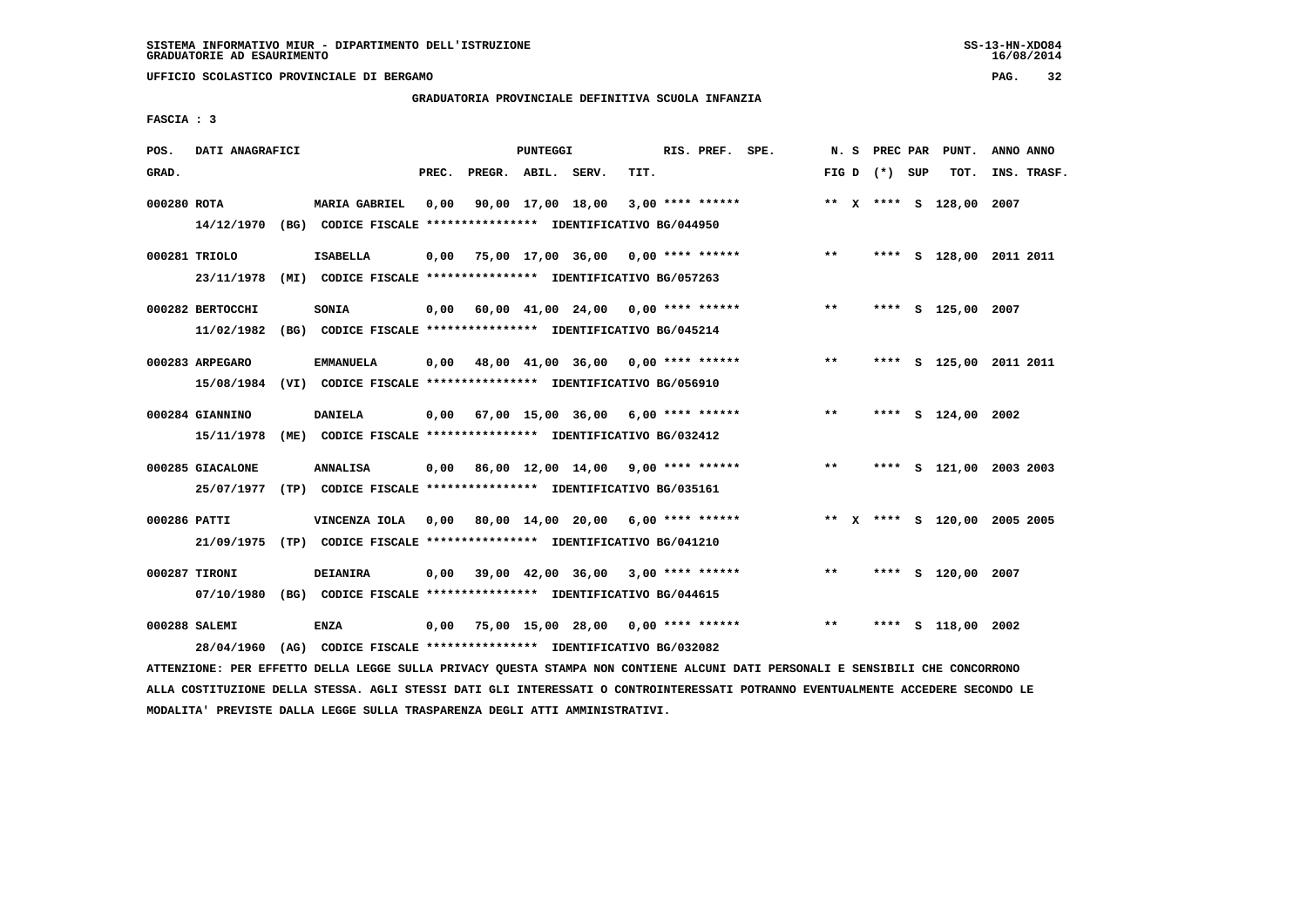**UFFICIO SCOLASTICO PROVINCIALE DI BERGAMO PAG. 32**

# **GRADUATORIA PROVINCIALE DEFINITIVA SCUOLA INFANZIA**

 **FASCIA : 3**

| POS.         | DATI ANAGRAFICI                |                                                                                                 |       |                    | PUNTEGGI |                                           |      | RIS. PREF. SPE. |                                           | N. S          |                 | PREC PAR PUNT.               | ANNO ANNO |             |
|--------------|--------------------------------|-------------------------------------------------------------------------------------------------|-------|--------------------|----------|-------------------------------------------|------|-----------------|-------------------------------------------|---------------|-----------------|------------------------------|-----------|-------------|
| GRAD.        |                                |                                                                                                 | PREC. | PREGR. ABIL. SERV. |          |                                           | TIT. |                 |                                           |               | FIG D $(*)$ SUP | тот.                         |           | INS. TRASF. |
| 000280 ROTA  |                                | <b>MARIA GABRIEL</b><br>14/12/1970 (BG) CODICE FISCALE *************** IDENTIFICATIVO BG/044950 | 0.00  |                    |          | 90,00 17,00 18,00 3,00 **** ******        |      |                 |                                           |               |                 | ** X **** S 128,00 2007      |           |             |
|              | 000281 TRIOLO<br>23/11/1978    | <b>ISABELLA</b><br>(MI) CODICE FISCALE **************** IDENTIFICATIVO BG/057263                | 0,00  |                    |          |                                           |      |                 | 75,00 17,00 36,00 0,00 **** ******        | $***$         |                 | **** S 128,00 2011 2011      |           |             |
|              | 000282 BERTOCCHI<br>11/02/1982 | SONIA<br>(BG) CODICE FISCALE **************** IDENTIFICATIVO BG/045214                          | 0,00  |                    |          | 60,00 41,00 24,00 0,00 **** ******        |      |                 |                                           | $\star \star$ |                 | **** S 125,00 2007           |           |             |
|              | 000283 ARPEGARO                | <b>EMMANUELA</b><br>15/08/1984 (VI) CODICE FISCALE *************** IDENTIFICATIVO BG/056910     |       |                    |          |                                           |      |                 | $0,00$ 48,00 41,00 36,00 0,00 **** ****** | $***$         | ****            | S 125,00 2011 2011           |           |             |
|              | 000284 GIANNINO<br>15/11/1978  | DANIELA<br>(ME) CODICE FISCALE **************** IDENTIFICATIVO BG/032412                        |       |                    |          | 0,00 67,00 15,00 36,00 6,00 **** ******   |      |                 |                                           | $* *$         |                 | **** S 124,00 2002           |           |             |
|              | 000285 GIACALONE<br>25/07/1977 | <b>ANNALISA</b><br>(TP) CODICE FISCALE **************** IDENTIFICATIVO BG/035161                |       |                    |          |                                           |      |                 | $0,00$ 86,00 12,00 14,00 9,00 **** ****** | $**$          | ****            | S 121,00 2003 2003           |           |             |
| 000286 PATTI |                                | VINCENZA IOLA<br>21/09/1975 (TP) CODICE FISCALE *************** IDENTIFICATIVO BG/041210        |       |                    |          | $0,00$ 80,00 14,00 20,00 6,00 **** ****** |      |                 |                                           |               |                 | ** X **** S 120,00 2005 2005 |           |             |
|              | 000287 TIRONI                  | <b>DEIANIRA</b><br>07/10/1980 (BG) CODICE FISCALE *************** IDENTIFICATIVO BG/044615      | 0.00  |                    |          | 39,00 42,00 36,00 3,00 **** ******        |      |                 |                                           | $***$         |                 | **** S 120,00 2007           |           |             |
|              | 000288 SALEMI<br>28/04/1960    | <b>ENZA</b><br>(AG) CODICE FISCALE **************** IDENTIFICATIVO BG/032082                    | 0,00  |                    |          | 75,00 15,00 28,00 0,00 **** ******        |      |                 |                                           | $* *$         |                 | S 118,00 2002                |           |             |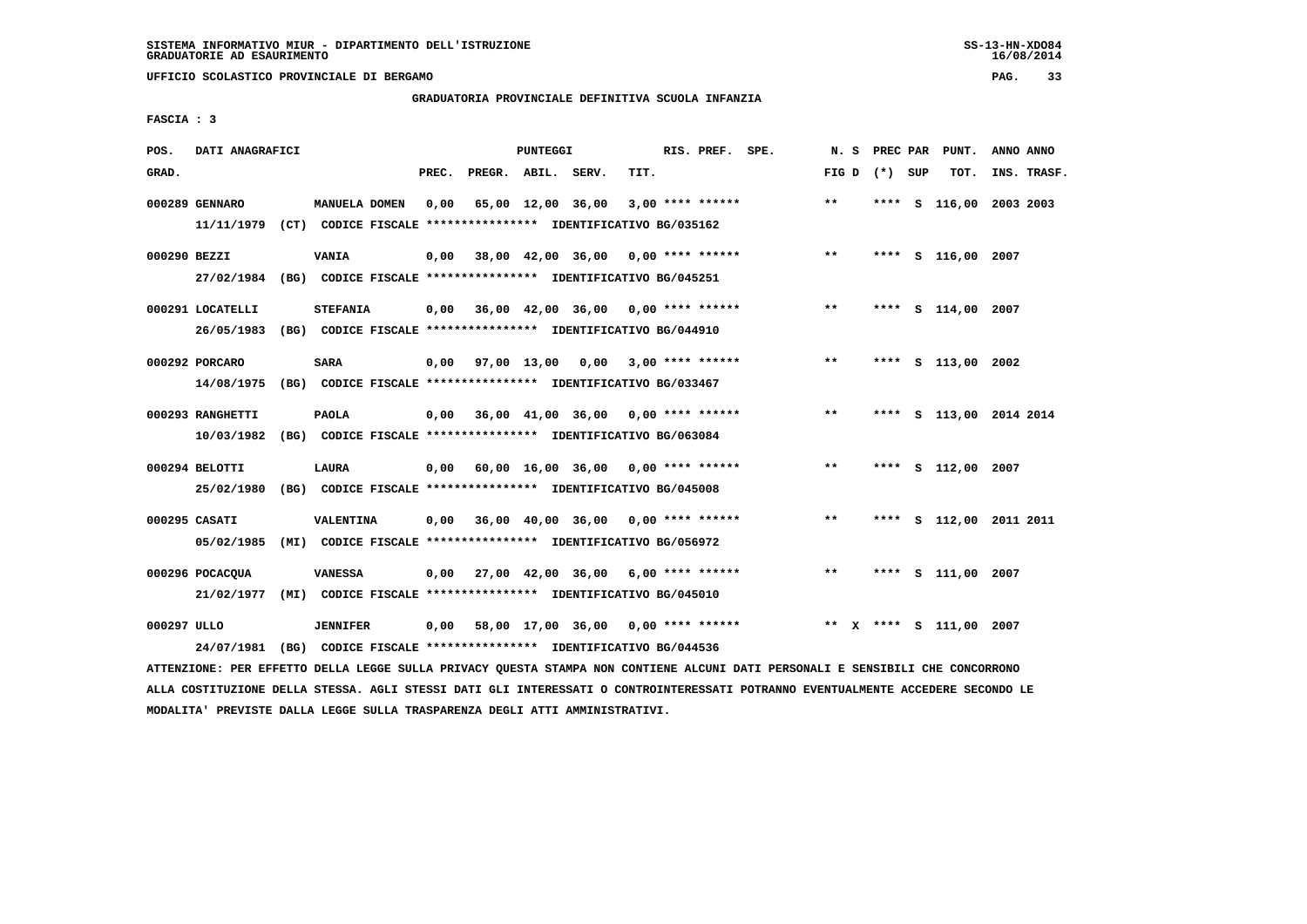**UFFICIO SCOLASTICO PROVINCIALE DI BERGAMO PAG. 33**

# **GRADUATORIA PROVINCIALE DEFINITIVA SCUOLA INFANZIA**

 **FASCIA : 3**

| POS.         | DATI ANAGRAFICI                                                                           |                                                                                  |       |                    | <b>PUNTEGGI</b> |                                                         |      | RIS. PREF. SPE. |                                           | N. S          |                 | PREC PAR PUNT.          | ANNO ANNO |             |
|--------------|-------------------------------------------------------------------------------------------|----------------------------------------------------------------------------------|-------|--------------------|-----------------|---------------------------------------------------------|------|-----------------|-------------------------------------------|---------------|-----------------|-------------------------|-----------|-------------|
| GRAD.        |                                                                                           |                                                                                  | PREC. | PREGR. ABIL. SERV. |                 |                                                         | TIT. |                 |                                           |               | FIG D $(*)$ SUP | TOT.                    |           | INS. TRASF. |
|              | 000289 GENNARO<br>11/11/1979 (CT) CODICE FISCALE *************** IDENTIFICATIVO BG/035162 | MANUELA DOMEN                                                                    | 0.00  |                    |                 | 65,00 12,00 36,00 3,00 **** ******                      |      |                 |                                           | $* *$         |                 | **** S 116,00 2003 2003 |           |             |
| 000290 BEZZI | 27/02/1984 (BG) CODICE FISCALE *************** IDENTIFICATIVO BG/045251                   | VANIA                                                                            |       |                    |                 |                                                         |      |                 | $0,00$ 38,00 42,00 36,00 0,00 **** ****** | $***$         |                 | **** S 116,00 2007      |           |             |
|              | 000291 LOCATELLI<br>26/05/1983                                                            | <b>STEFANIA</b><br>(BG) CODICE FISCALE *************** IDENTIFICATIVO BG/044910  |       |                    |                 | $0.00$ 36.00 42.00 36.00 0.00 **** ******               |      |                 |                                           | $\star \star$ |                 | **** S 114,00 2007      |           |             |
|              | 000292 PORCARO<br>14/08/1975                                                              | <b>SARA</b><br>(BG) CODICE FISCALE *************** IDENTIFICATIVO BG/033467      |       |                    |                 | 0,00 97,00 13,00 0,00 3,00 **** ******                  |      |                 |                                           | $***$         | ****            | S 113,00 2002           |           |             |
|              | 000293 RANGHETTI<br>10/03/1982                                                            | <b>PAOLA</b><br>(BG) CODICE FISCALE **************** IDENTIFICATIVO BG/063084    |       |                    |                 | $0,00$ 36,00 41,00 36,00 0,00 **** ******               |      |                 |                                           | $* *$         |                 | **** S 113,00 2014 2014 |           |             |
|              | 000294 BELOTTI<br>25/02/1980 (BG) CODICE FISCALE *************** IDENTIFICATIVO BG/045008 | LAURA                                                                            |       |                    |                 | $0,00$ 60,00 16,00 36,00 0,00 **** ******               |      |                 |                                           | $***$         |                 | **** S 112,00 2007      |           |             |
|              | 000295 CASATI<br>05/02/1985                                                               | VALENTINA<br>(MI) CODICE FISCALE **************** IDENTIFICATIVO BG/056972       |       |                    |                 | $0.00$ $36.00$ $40.00$ $36.00$ $0.00$ $***$ **** ****** |      |                 |                                           | $***$         |                 | **** S 112,00 2011 2011 |           |             |
|              | 000296 POCACQUA<br>21/02/1977                                                             | <b>VANESSA</b><br>(MI) CODICE FISCALE **************** IDENTIFICATIVO BG/045010  |       |                    |                 | $0,00$ 27,00 42,00 36,00 6,00 **** ******               |      |                 |                                           | $***$         |                 | **** S 111,00 2007      |           |             |
| 000297 ULLO  | 24/07/1981                                                                                | <b>JENNIFER</b><br>(BG) CODICE FISCALE **************** IDENTIFICATIVO BG/044536 | 0.00  |                    |                 |                                                         |      |                 | 58,00 17,00 36,00 0,00 **** ******        |               |                 | ** x **** s 111,00 2007 |           |             |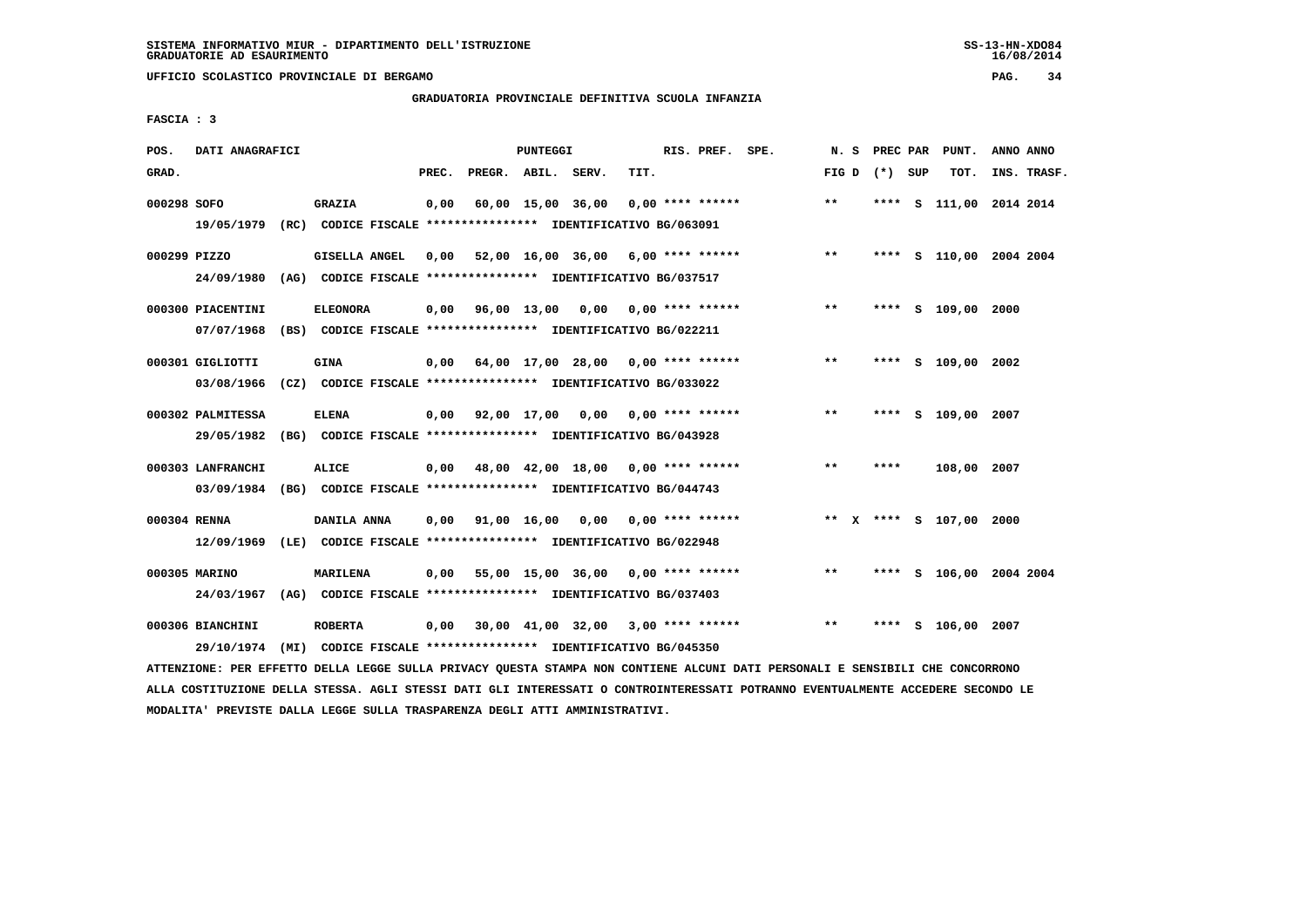**UFFICIO SCOLASTICO PROVINCIALE DI BERGAMO PAG. 34**

# **GRADUATORIA PROVINCIALE DEFINITIVA SCUOLA INFANZIA**

 **FASCIA : 3**

| POS.         | DATI ANAGRAFICI                                                                              |                 |       |                        | <b>PUNTEGGI</b> |                                                                                                     |      | RIS. PREF. SPE.           | N. S  | PREC PAR        | PUNT.                   | ANNO ANNO |             |
|--------------|----------------------------------------------------------------------------------------------|-----------------|-------|------------------------|-----------------|-----------------------------------------------------------------------------------------------------|------|---------------------------|-------|-----------------|-------------------------|-----------|-------------|
| GRAD.        |                                                                                              |                 | PREC. | PREGR. ABIL. SERV.     |                 |                                                                                                     | TIT. |                           |       | FIG D $(*)$ SUP | TOT.                    |           | INS. TRASF. |
| 000298 SOFO  | 19/05/1979 (RC) CODICE FISCALE *************** IDENTIFICATIVO BG/063091                      | GRAZIA          | 0,00  |                        |                 | 60,00 15,00 36,00                                                                                   |      | $0.00$ **** ******        | $***$ |                 | **** S 111,00 2014 2014 |           |             |
| 000299 PIZZO | 24/09/1980                                                                                   | GISELLA ANGEL   | 0.00  |                        |                 | 52,00 16,00 36,00 6,00 **** ******<br>(AG) CODICE FISCALE **************** IDENTIFICATIVO BG/037517 |      |                           | $***$ |                 | **** S 110,00 2004 2004 |           |             |
|              | 000300 PIACENTINI<br>07/07/1968                                                              | <b>ELEONORA</b> |       | $0,00$ $96,00$ $13,00$ |                 | (BS) CODICE FISCALE **************** IDENTIFICATIVO BG/022211                                       |      | $0,00$ $0,00$ **** ****** | $***$ |                 | **** S 109,00 2000      |           |             |
|              | 000301 GIGLIOTTI<br>03/08/1966                                                               | <b>GINA</b>     | 0,00  |                        |                 | 64,00 17,00 28,00 0,00 **** ******<br>(CZ) CODICE FISCALE **************** IDENTIFICATIVO BG/033022 |      |                           | $**$  |                 | **** S 109,00 2002      |           |             |
|              | 000302 PALMITESSA<br>29/05/1982 (BG) CODICE FISCALE *************** IDENTIFICATIVO BG/043928 | <b>ELENA</b>    |       | $0.00$ $92.00$ $17.00$ |                 |                                                                                                     |      |                           | $**$  |                 | **** S 109,00 2007      |           |             |
|              | 000303 LANFRANCHI<br>03/09/1984                                                              | ALICE           |       |                        |                 | 0,00 48,00 42,00 18,00<br>(BG) CODICE FISCALE **************** IDENTIFICATIVO BG/044743             |      | $0.00$ **** ******        | $**$  | ****            | 108,00 2007             |           |             |
| 000304 RENNA | 12/09/1969 (LE) CODICE FISCALE *************** IDENTIFICATIVO BG/022948                      | DANILA ANNA     | 0,00  | 91,00 16,00            |                 | 0.00                                                                                                |      | 0,00 **** ******          |       |                 | ** X **** S 107,00 2000 |           |             |
|              | 000305 MARINO<br>24/03/1967                                                                  | <b>MARILENA</b> | 0,00  |                        |                 | 55,00 15,00 36,00 0,00 **** ******<br>(AG) CODICE FISCALE **************** IDENTIFICATIVO BG/037403 |      |                           | $* *$ |                 | **** S 106,00 2004 2004 |           |             |
|              | 000306 BIANCHINI<br>29/10/1974                                                               | <b>ROBERTA</b>  | 0,00  |                        |                 | 30,00 41,00 32,00 3,00 **** ******<br>(MI) CODICE FISCALE **************** IDENTIFICATIVO BG/045350 |      |                           | $**$  |                 | **** S 106,00 2007      |           |             |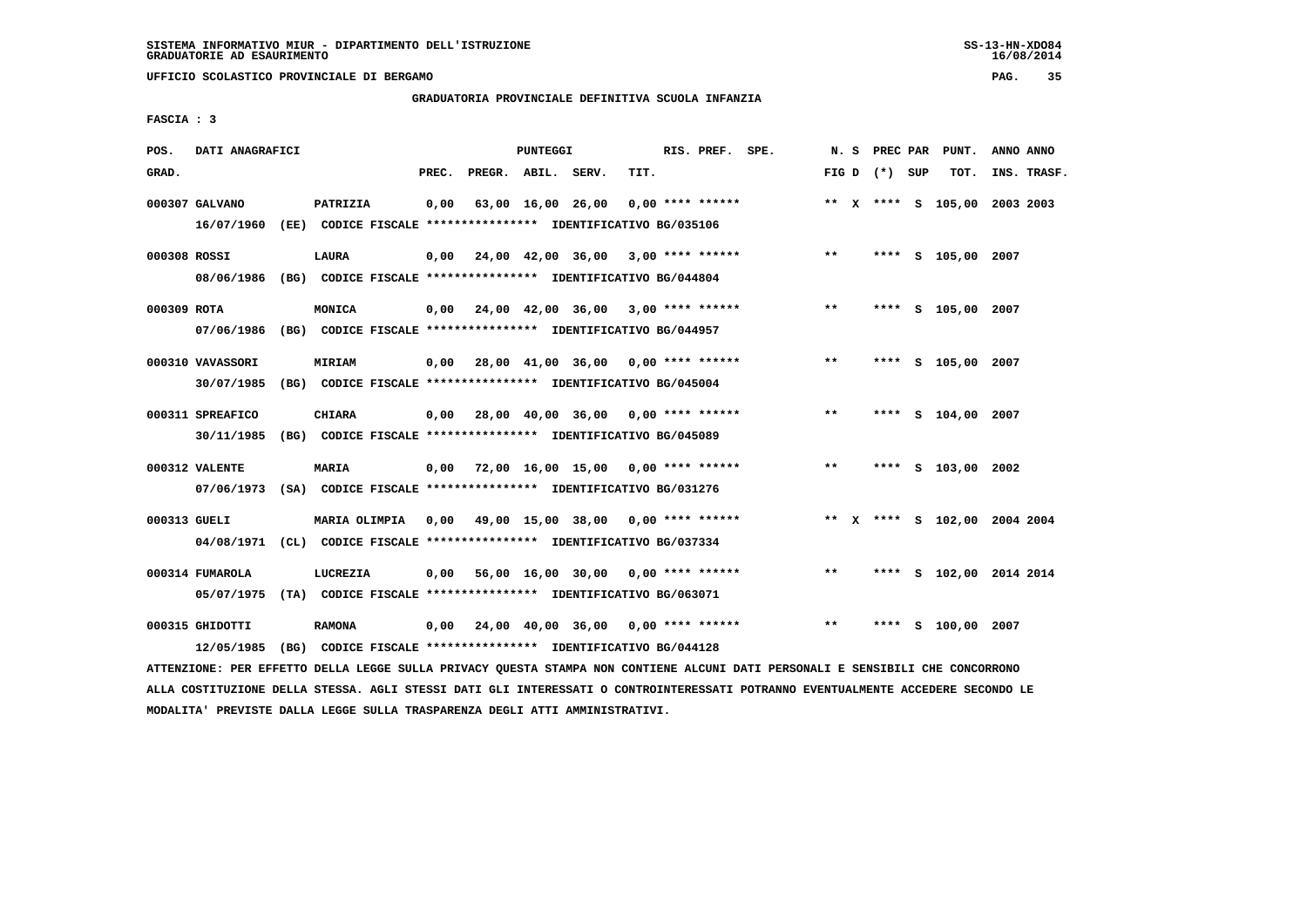**UFFICIO SCOLASTICO PROVINCIALE DI BERGAMO PAG. 35**

# **GRADUATORIA PROVINCIALE DEFINITIVA SCUOLA INFANZIA**

 **FASCIA : 3**

| POS.         | DATI ANAGRAFICI               |                                                                                     |       |                    | PUNTEGGI |                                           |      | RIS. PREF. SPE.    | N.S   |                 | PREC PAR PUNT.               | ANNO ANNO |             |
|--------------|-------------------------------|-------------------------------------------------------------------------------------|-------|--------------------|----------|-------------------------------------------|------|--------------------|-------|-----------------|------------------------------|-----------|-------------|
| GRAD.        |                               |                                                                                     | PREC. | PREGR. ABIL. SERV. |          |                                           | TIT. |                    |       | FIG D $(*)$ SUP | тот.                         |           | INS. TRASF. |
|              | 000307 GALVANO                | PATRIZIA<br>16/07/1960 (EE) CODICE FISCALE *************** IDENTIFICATIVO BG/035106 | 0,00  |                    |          | 63,00 16,00 26,00                         |      | $0.00$ **** ****** |       |                 | ** X **** S 105,00 2003 2003 |           |             |
|              |                               |                                                                                     |       |                    |          |                                           |      |                    |       |                 |                              |           |             |
| 000308 ROSSI | 08/06/1986                    | LAURA<br>(BG) CODICE FISCALE **************** IDENTIFICATIVO BG/044804              | 0,00  |                    |          | 24,00 42,00 36,00 3,00 **** ******        |      |                    | $* *$ |                 | **** S 105,00 2007           |           |             |
| 000309 ROTA  |                               | MONICA                                                                              |       |                    |          | $0,00$ 24,00 42,00 36,00 3,00 **** ****** |      |                    | $* *$ |                 | **** S 105,00 2007           |           |             |
|              | 07/06/1986                    | (BG) CODICE FISCALE **************** IDENTIFICATIVO BG/044957                       |       |                    |          |                                           |      |                    |       |                 |                              |           |             |
|              | 000310 VAVASSORI              | <b>MIRIAM</b>                                                                       | 0,00  |                    |          | 28,00 41,00 36,00 0,00 **** ******        |      |                    | $***$ |                 | **** S 105,00 2007           |           |             |
|              | 30/07/1985                    | (BG) CODICE FISCALE **************** IDENTIFICATIVO BG/045004                       |       |                    |          |                                           |      |                    |       |                 |                              |           |             |
|              | 000311 SPREAFICO              | CHIARA                                                                              |       |                    |          | $0,00$ 28,00 40,00 36,00 0,00 **** ****** |      |                    | $* *$ |                 | **** S 104,00 2007           |           |             |
|              | 30/11/1985                    | (BG) CODICE FISCALE **************** IDENTIFICATIVO BG/045089                       |       |                    |          |                                           |      |                    |       |                 |                              |           |             |
|              | 000312 VALENTE                | MARIA                                                                               |       |                    |          | $0,00$ 72,00 16,00 15,00 0,00 **** ****** |      |                    | $***$ |                 | **** S 103,00 2002           |           |             |
|              | 07/06/1973                    | (SA) CODICE FISCALE **************** IDENTIFICATIVO BG/031276                       |       |                    |          |                                           |      |                    |       |                 |                              |           |             |
| 000313 GUELI |                               | MARIA OLIMPIA                                                                       | 0,00  |                    |          | 49,00 15,00 38,00 0,00 **** ******        |      |                    |       |                 | ** X **** S 102,00 2004 2004 |           |             |
|              | 04/08/1971                    | (CL) CODICE FISCALE **************** IDENTIFICATIVO BG/037334                       |       |                    |          |                                           |      |                    |       |                 |                              |           |             |
|              | 000314 FUMAROLA               | LUCREZIA                                                                            | 0,00  |                    |          | 56,00 16,00 30,00 0,00 **** ******        |      |                    | $* *$ |                 | **** S 102,00 2014 2014      |           |             |
|              | 05/07/1975                    | (TA) CODICE FISCALE **************** IDENTIFICATIVO BG/063071                       |       |                    |          |                                           |      |                    |       |                 |                              |           |             |
|              | 000315 GHIDOTTI<br>12/05/1985 | <b>RAMONA</b><br>(BG) CODICE FISCALE **************** IDENTIFICATIVO BG/044128      |       |                    |          | $0,00$ 24,00 40,00 36,00 0,00 **** ****** |      |                    | $***$ | ****            | s 100,00 2007                |           |             |
|              |                               |                                                                                     |       |                    |          |                                           |      |                    |       |                 |                              |           |             |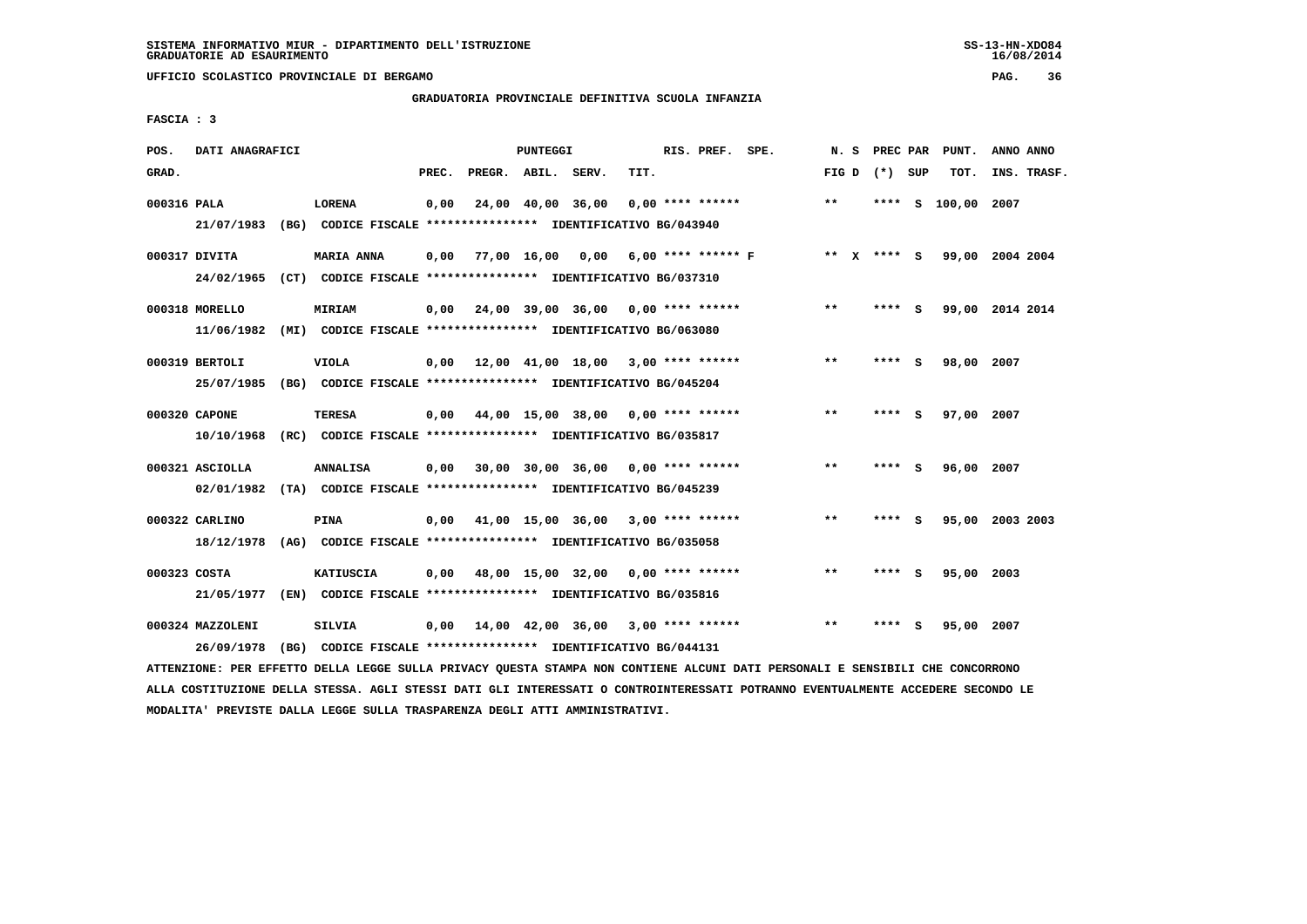**UFFICIO SCOLASTICO PROVINCIALE DI BERGAMO PAG. 36**

# **GRADUATORIA PROVINCIALE DEFINITIVA SCUOLA INFANZIA**

 **FASCIA : 3**

| POS.         | DATI ANAGRAFICI                |                                                                                              |       |                                           | <b>PUNTEGGI</b> |                                    |      | RIS. PREF. SPE.    |                    |       |                 |          | N. S PREC PAR PUNT. | ANNO ANNO |             |
|--------------|--------------------------------|----------------------------------------------------------------------------------------------|-------|-------------------------------------------|-----------------|------------------------------------|------|--------------------|--------------------|-------|-----------------|----------|---------------------|-----------|-------------|
| GRAD.        |                                |                                                                                              | PREC. |                                           |                 | PREGR. ABIL. SERV.                 | TIT. |                    |                    |       | FIG D $(*)$ SUP |          | тот.                |           | INS. TRASF. |
| 000316 PALA  |                                | <b>LORENA</b><br>21/07/1983 (BG) CODICE FISCALE *************** IDENTIFICATIVO BG/043940     | 0,00  |                                           |                 | 24,00 40,00 36,00                  |      | $0.00$ **** ****** |                    | $**$  |                 |          | **** S 100,00 2007  |           |             |
|              | 000317 DIVITA                  | <b>MARIA ANNA</b><br>24/02/1965 (CT) CODICE FISCALE *************** IDENTIFICATIVO BG/037310 |       | $0,00$ 77,00 16,00 0,00                   |                 |                                    |      |                    | 6,00 **** ****** F |       | ** x **** S     |          | 99,00 2004 2004     |           |             |
|              | 000318 MORELLO<br>11/06/1982   | MIRIAM<br>(MI) CODICE FISCALE **************** IDENTIFICATIVO BG/063080                      | 0,00  |                                           |                 | 24,00 39,00 36,00 0,00 **** ****** |      |                    |                    | $***$ | **** S          |          | 99,00 2014 2014     |           |             |
|              | 000319 BERTOLI                 | <b>VIOLA</b><br>25/07/1985 (BG) CODICE FISCALE *************** IDENTIFICATIVO BG/045204      |       | $0.00$ 12.00 41.00 18.00 3.00 **** ****** |                 |                                    |      |                    |                    | $***$ | ****            | - 5      | 98,00 2007          |           |             |
|              | 000320 CAPONE                  | TERESA<br>10/10/1968 (RC) CODICE FISCALE *************** IDENTIFICATIVO BG/035817            |       | $0,00$ 44,00 15,00 38,00 0,00 **** ****** |                 |                                    |      |                    |                    | $**$  | ****            | - 5      | 97,00 2007          |           |             |
|              | 000321 ASCIOLLA                | <b>ANNALISA</b><br>02/01/1982 (TA) CODICE FISCALE *************** IDENTIFICATIVO BG/045239   |       | $0.00$ 30.00 30.00 36.00 0.00 **** ****** |                 |                                    |      |                    |                    | $* *$ | ****            | <b>S</b> | 96,00 2007          |           |             |
|              | 000322 CARLINO                 | PINA<br>18/12/1978 (AG) CODICE FISCALE *************** IDENTIFICATIVO BG/035058              | 0.00  |                                           |                 | 41,00 15,00 36,00                  |      | $3,00$ **** ****** |                    | $***$ | **** S          |          | 95,00 2003 2003     |           |             |
| 000323 COSTA |                                | <b>KATIUSCIA</b><br>21/05/1977 (EN) CODICE FISCALE *************** IDENTIFICATIVO BG/035816  | 0.00  |                                           |                 | 48,00 15,00 32,00 0,00 **** ****** |      |                    |                    | $***$ | ****            | - S      | 95,00 2003          |           |             |
|              | 000324 MAZZOLENI<br>26/09/1978 | <b>SILVIA</b><br>(BG) CODICE FISCALE **************** IDENTIFICATIVO BG/044131               | 0.00  |                                           |                 | 14,00 42,00 36,00                  |      | $3,00$ **** ****** |                    | $* *$ | ****            | - 5      | 95,00               | 2007      |             |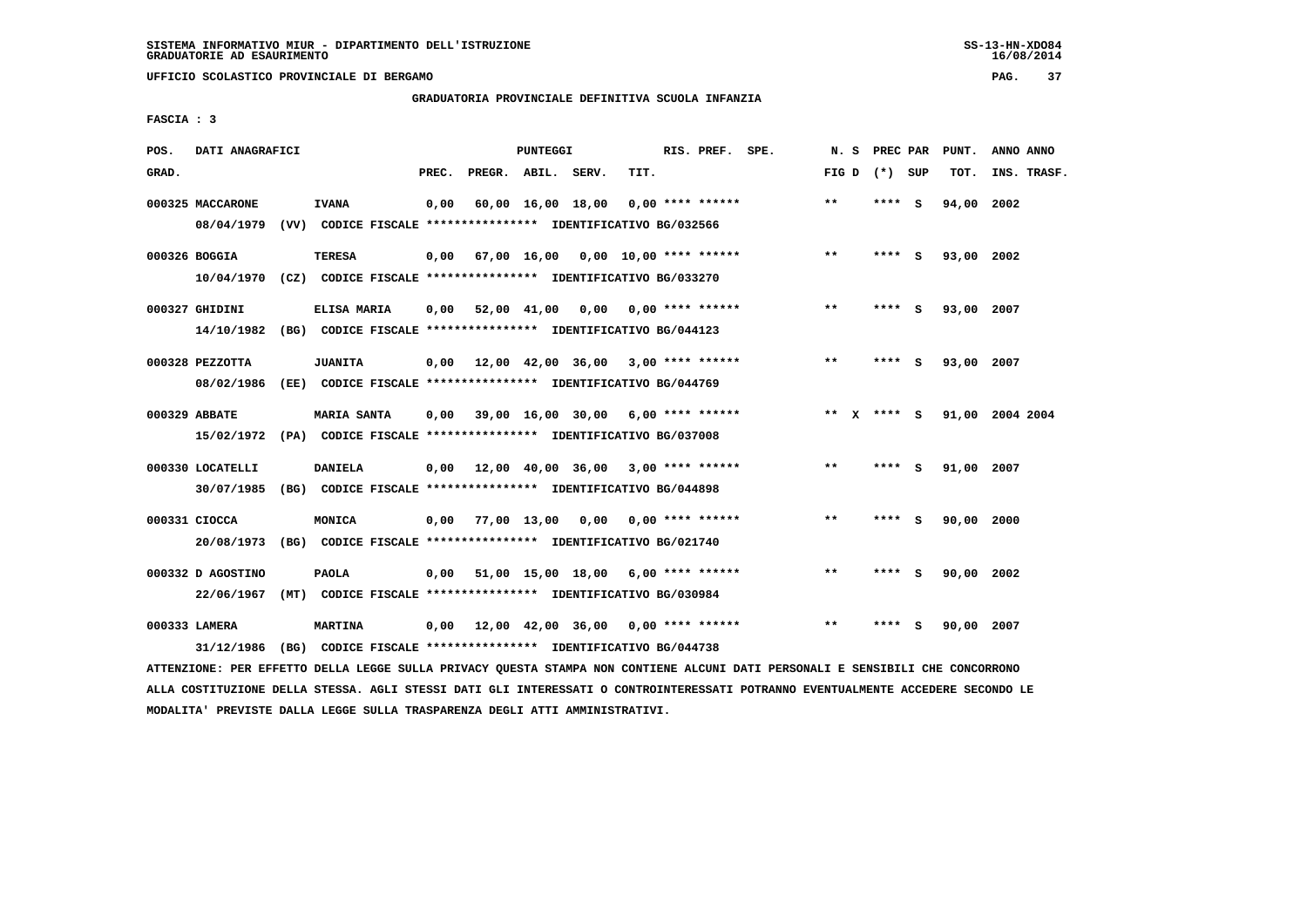**UFFICIO SCOLASTICO PROVINCIALE DI BERGAMO PAG. 37**

# **GRADUATORIA PROVINCIALE DEFINITIVA SCUOLA INFANZIA**

 **FASCIA : 3**

| POS.  | DATI ANAGRAFICI                 |                                                                                          |       |                                           | PUNTEGGI |                                      |      | RIS. PREF. SPE.  | N.S                   | PREC PAR |     | PUNT.      | ANNO ANNO       |
|-------|---------------------------------|------------------------------------------------------------------------------------------|-------|-------------------------------------------|----------|--------------------------------------|------|------------------|-----------------------|----------|-----|------------|-----------------|
| GRAD. |                                 |                                                                                          | PREC. | PREGR. ABIL. SERV.                        |          |                                      | TIT. |                  | FIG D                 | (*) SUP  |     | TOT.       | INS. TRASF.     |
|       | 000325 MACCARONE<br>08/04/1979  | <b>IVANA</b><br>(VV) CODICE FISCALE **************** IDENTIFICATIVO BG/032566            | 0,00  |                                           |          | 60,00 16,00 18,00                    |      | 0,00 **** ****** | $***$                 | **** S   |     | 94,00      | 2002            |
|       | 000326 BOGGIA                   | <b>TERESA</b><br>10/04/1970 (CZ) CODICE FISCALE *************** IDENTIFICATIVO BG/033270 | 0,00  |                                           |          | 67,00 16,00 0,00 10,00 **** ******   |      |                  | $***$                 | **** S   |     | 93,00 2002 |                 |
|       | 000327 GHIDINI<br>14/10/1982    | ELISA MARIA<br>(BG) CODICE FISCALE **************** IDENTIFICATIVO BG/044123             | 0,00  | 52,00 41,00 0,00 0,00 **** ******         |          |                                      |      |                  | $***$                 | **** S   |     | 93,00 2007 |                 |
|       | 000328 PEZZOTTA<br>08/02/1986   | <b>JUANITA</b><br>(EE) CODICE FISCALE **************** IDENTIFICATIVO BG/044769          |       | $0,00$ 12,00 42,00 36,00 3,00 **** ****** |          |                                      |      |                  | $* *$                 | **** S   |     | 93,00 2007 |                 |
|       | 000329 ABBATE                   | MARIA SANTA<br>15/02/1972 (PA) CODICE FISCALE *************** IDENTIFICATIVO BG/037008   | 0,00  |                                           |          | $39,00$ 16,00 30,00 6,00 **** ****** |      |                  | $***$<br>$\mathbf{x}$ | **** S   |     |            | 91,00 2004 2004 |
|       | 000330 LOCATELLI<br>30/07/1985  | <b>DANIELA</b><br>(BG) CODICE FISCALE *************** IDENTIFICATIVO BG/044898           |       | $0.00$ 12.00 40.00 36.00 3.00 **** ****** |          |                                      |      |                  | $***$                 | **** S   |     | 91,00 2007 |                 |
|       | 000331 CIOCCA                   | <b>MONICA</b><br>20/08/1973 (BG) CODICE FISCALE *************** IDENTIFICATIVO BG/021740 |       | $0,00$ 77,00 13,00 0,00                   |          |                                      |      | 0,00 **** ****** | $* *$                 | ****     | - S | 90,00      | 2000            |
|       | 000332 D AGOSTINO<br>22/06/1967 | <b>PAOLA</b><br>(MT) CODICE FISCALE **************** IDENTIFICATIVO BG/030984            | 0.00  |                                           |          | 51,00 15,00 18,00 6,00 **** ******   |      |                  | $* *$                 | **** S   |     | 90,00 2002 |                 |
|       | 000333 LAMERA<br>31/12/1986     | <b>MARTINA</b><br>(BG) CODICE FISCALE **************** IDENTIFICATIVO BG/044738          | 0,00  | 12,00 42,00 36,00 0,00 **** ******        |          |                                      |      |                  | $* *$                 | ****     | - S | 90,00 2007 |                 |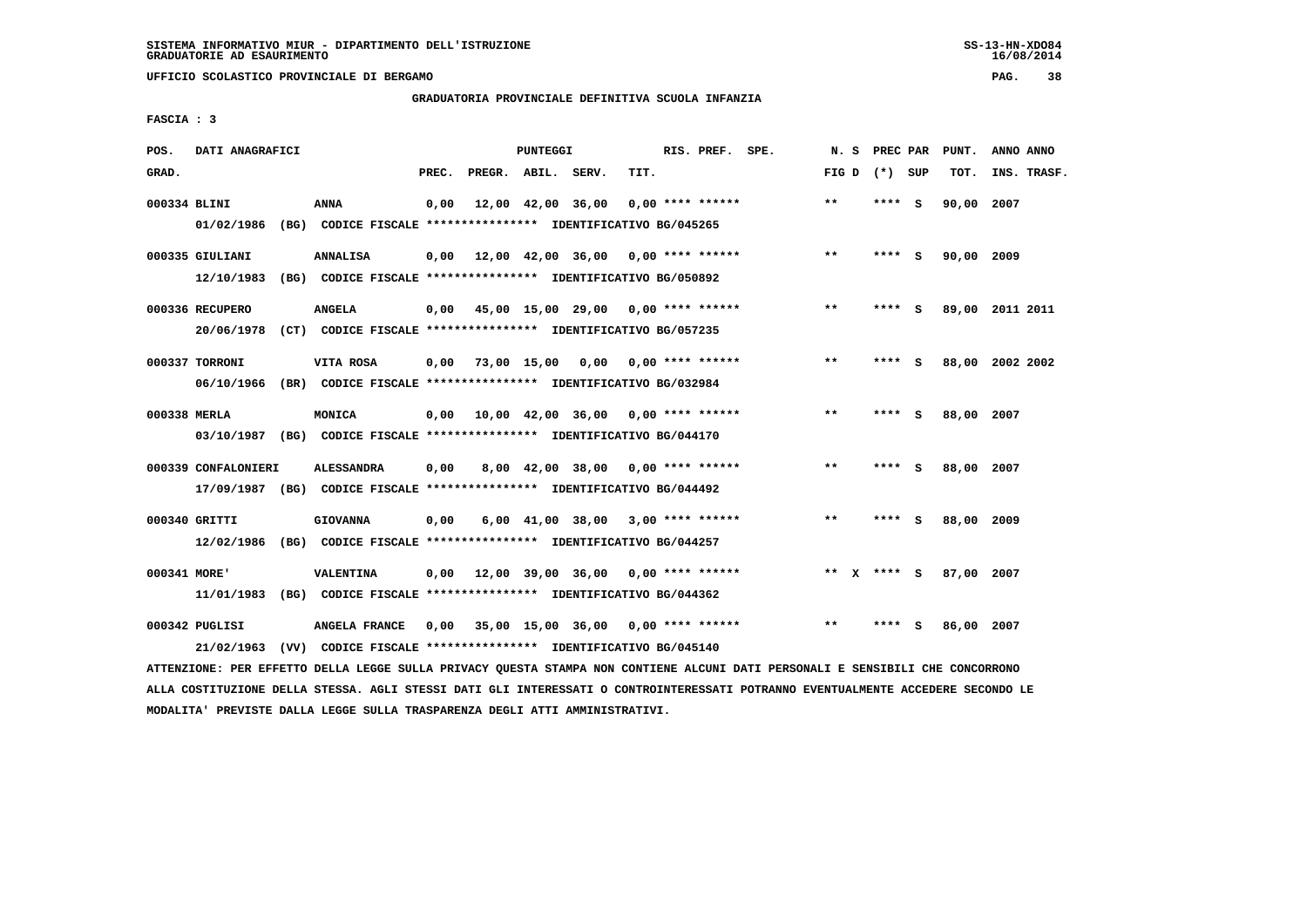**UFFICIO SCOLASTICO PROVINCIALE DI BERGAMO PAG. 38**

## **GRADUATORIA PROVINCIALE DEFINITIVA SCUOLA INFANZIA**

 **FASCIA : 3**

| POS.         | DATI ANAGRAFICI               |      |                                                                                              |       |                    | PUNTEGGI          |                                      |      | RIS. PREF. SPE.    | N.S     | PREC PAR |     | PUNT.      | ANNO ANNO       |
|--------------|-------------------------------|------|----------------------------------------------------------------------------------------------|-------|--------------------|-------------------|--------------------------------------|------|--------------------|---------|----------|-----|------------|-----------------|
| GRAD.        |                               |      |                                                                                              | PREC. | PREGR. ABIL. SERV. |                   |                                      | TIT. |                    | FIG D   | (*) SUP  |     | TOT.       | INS. TRASF.     |
| 000334 BLINI | 01/02/1986                    |      | ANNA<br>(BG) CODICE FISCALE **************** IDENTIFICATIVO BG/045265                        | 0.00  |                    | 12,00 42,00 36,00 |                                      |      | $0.00$ **** ****** | $***$   | **** S   |     | 90,00 2007 |                 |
|              | 000335 GIULIANI<br>12/10/1983 |      | <b>ANNALISA</b><br>(BG) CODICE FISCALE **************** IDENTIFICATIVO BG/050892             | 0,00  |                    |                   | 12,00 42,00 36,00 0,00 **** ******   |      |                    | $***$   | **** S   |     | 90,00 2009 |                 |
|              | 000336 RECUPERO<br>20/06/1978 |      | <b>ANGELA</b><br>(CT) CODICE FISCALE **************** IDENTIFICATIVO BG/057235               | 0.00  |                    |                   | 45,00 15,00 29,00 0,00 **** ******   |      |                    | $***$   | ****     | - S |            | 89,00 2011 2011 |
|              | 000337 TORRONI<br>06/10/1966  |      | VITA ROSA<br>(BR) CODICE FISCALE **************** IDENTIFICATIVO BG/032984                   | 0,00  |                    |                   | 73,00 15,00 0,00 0,00 **** ******    |      |                    | $***$   | **** S   |     |            | 88,00 2002 2002 |
| 000338 MERLA |                               |      | MONICA<br>03/10/1987 (BG) CODICE FISCALE *************** IDENTIFICATIVO BG/044170            | 0,00  |                    |                   | 10,00 42,00 36,00 0,00 **** ******   |      |                    | $* *$   |          | S   | 88,00 2007 |                 |
|              | 000339 CONFALONIERI           |      | <b>ALESSANDRA</b><br>17/09/1987 (BG) CODICE FISCALE *************** IDENTIFICATIVO BG/044492 | 0,00  |                    |                   | 8,00 42,00 38,00 0,00 **** ******    |      |                    | $***$   | **** S   |     | 88,00 2007 |                 |
|              | 000340 GRITTI<br>12/02/1986   |      | <b>GIOVANNA</b><br>(BG) CODICE FISCALE **************** IDENTIFICATIVO BG/044257             | 0,00  |                    |                   | 6,00 41,00 38,00                     |      | $3,00$ **** ****** | $* *$   | ****     | - S | 88,00      | 2009            |
| 000341 MORE' | 11/01/1983                    | (BG) | VALENTINA<br>CODICE FISCALE **************** IDENTIFICATIVO BG/044362                        | 0.00  |                    |                   | $12,00$ 39,00 36,00 0,00 **** ****** |      |                    | **<br>x | **** S   |     | 87.00 2007 |                 |
|              | 000342 PUGLISI<br>21/02/1963  | (VV) | ANGELA FRANCE<br>CODICE FISCALE **************** IDENTIFICATIVO BG/045140                    | 0,00  |                    |                   | $35,00$ 15,00 36,00 0,00 **** ****** |      |                    | $* *$   | ****     | S   | 86,00 2007 |                 |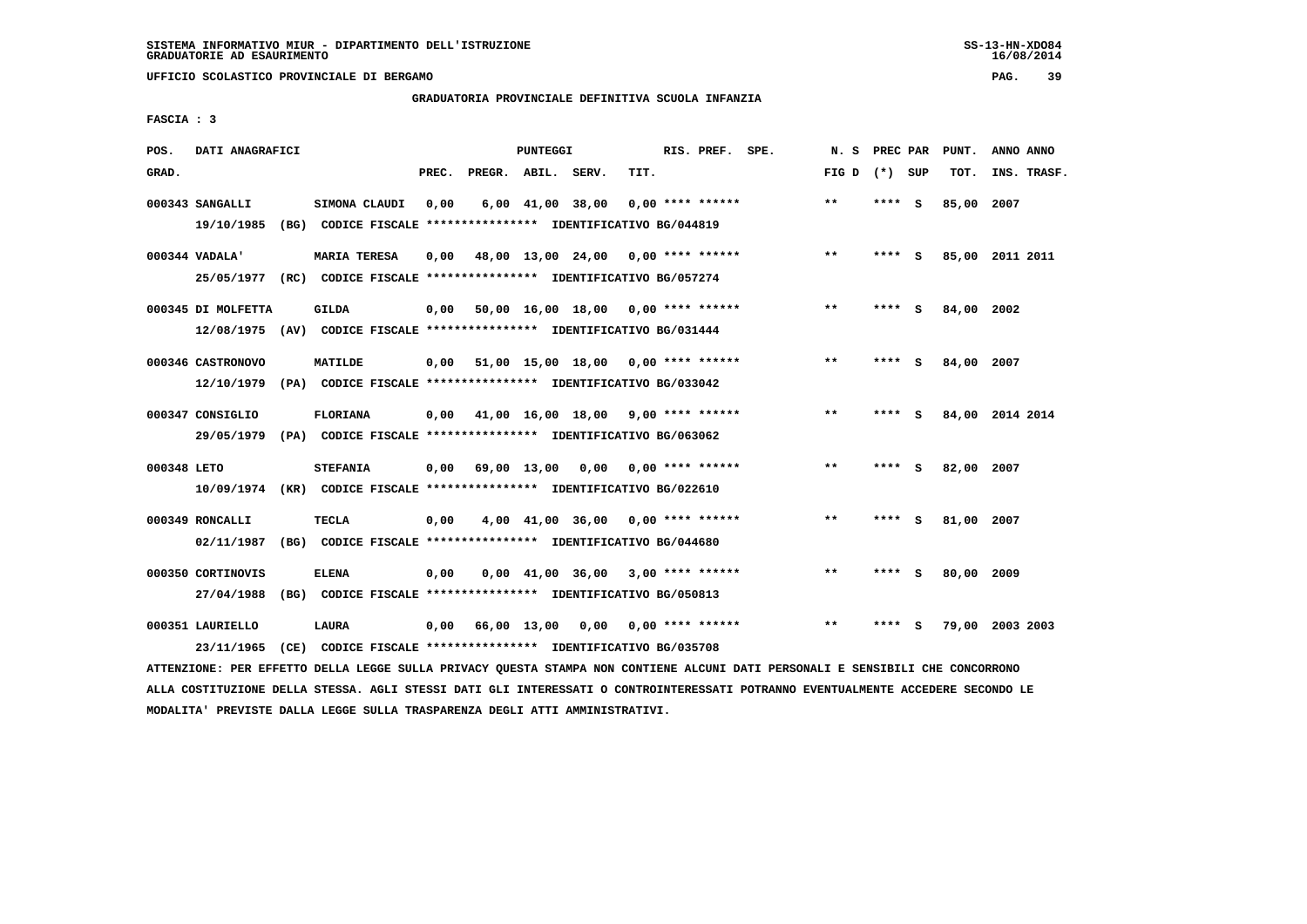**UFFICIO SCOLASTICO PROVINCIALE DI BERGAMO PAG. 39**

## **GRADUATORIA PROVINCIALE DEFINITIVA SCUOLA INFANZIA**

 **FASCIA : 3**

| POS.        | DATI ANAGRAFICI                  |      |                                                                                                |       |                    | PUNTEGGI |                                           |      | RIS. PREF. SPE.           | N.S   | PREC PAR |     | PUNT.      | ANNO ANNO       |
|-------------|----------------------------------|------|------------------------------------------------------------------------------------------------|-------|--------------------|----------|-------------------------------------------|------|---------------------------|-------|----------|-----|------------|-----------------|
| GRAD.       |                                  |      |                                                                                                | PREC. | PREGR. ABIL. SERV. |          |                                           | TIT. |                           | FIG D | (*) SUP  |     | TOT.       | INS. TRASF.     |
|             | 000343 SANGALLI<br>19/10/1985    |      | SIMONA CLAUDI<br>(BG) CODICE FISCALE **************** IDENTIFICATIVO BG/044819                 | 0.00  |                    |          | $6,00$ $41,00$ $38,00$                    |      | $0.00$ **** ******        | $***$ | ****     | - S | 85,00 2007 |                 |
|             | 000344 VADALA'                   |      | <b>MARIA TERESA</b><br>25/05/1977 (RC) CODICE FISCALE *************** IDENTIFICATIVO BG/057274 | 0,00  |                    |          | 48,00 13,00 24,00 0,00 **** ******        |      |                           | $***$ | **** S   |     |            | 85,00 2011 2011 |
|             | 000345 DI MOLFETTA<br>12/08/1975 |      | <b>GILDA</b><br>(AV) CODICE FISCALE **************** IDENTIFICATIVO BG/031444                  | 0,00  |                    |          | 50,00 16,00 18,00 0,00 **** ******        |      |                           | $***$ | ****     | - S | 84,00 2002 |                 |
|             | 000346 CASTRONOVO                |      | MATILDE<br>12/10/1979 (PA) CODICE FISCALE *************** IDENTIFICATIVO BG/033042             | 0,00  |                    |          | 51,00 15,00 18,00 0,00 **** ******        |      |                           | $***$ | ****     | - S | 84,00      | 2007            |
|             | 000347 CONSIGLIO<br>29/05/1979   |      | <b>FLORIANA</b><br>(PA) CODICE FISCALE **************** IDENTIFICATIVO BG/063062               | 0,00  |                    |          | 41,00 16,00 18,00 9,00 **** ******        |      |                           | $* *$ |          | - S |            | 84,00 2014 2014 |
| 000348 LETO |                                  |      | <b>STEFANIA</b><br>10/09/1974 (KR) CODICE FISCALE *************** IDENTIFICATIVO BG/022610     | 0.00  | 69,00 13,00        |          |                                           |      | $0.00$ $0.00$ **** ****** | $***$ | ****     | - 5 | 82,00 2007 |                 |
|             | 000349 RONCALLI<br>02/11/1987    |      | <b>TECLA</b><br>(BG) CODICE FISCALE **************** IDENTIFICATIVO BG/044680                  | 0,00  |                    |          | $4,00$ $41,00$ $36,00$ $0,00$ **** ****** |      |                           | $* *$ | ****     | s.  | 81,00      | 2007            |
|             | 000350 CORTINOVIS<br>27/04/1988  | (BG) | <b>ELENA</b><br>CODICE FISCALE **************** IDENTIFICATIVO BG/050813                       | 0.00  |                    |          | $0,00$ 41,00 36,00 3,00 **** ******       |      |                           | $***$ | ****     | - 5 | 80,00 2009 |                 |
|             | 000351 LAURIELLO<br>23/11/1965   | (CE) | LAURA<br>CODICE FISCALE **************** IDENTIFICATIVO BG/035708                              | 0.00  |                    |          | 66,00 13,00 0,00 0,00 **** ******         |      |                           | $* *$ | ****     | s   |            | 79,00 2003 2003 |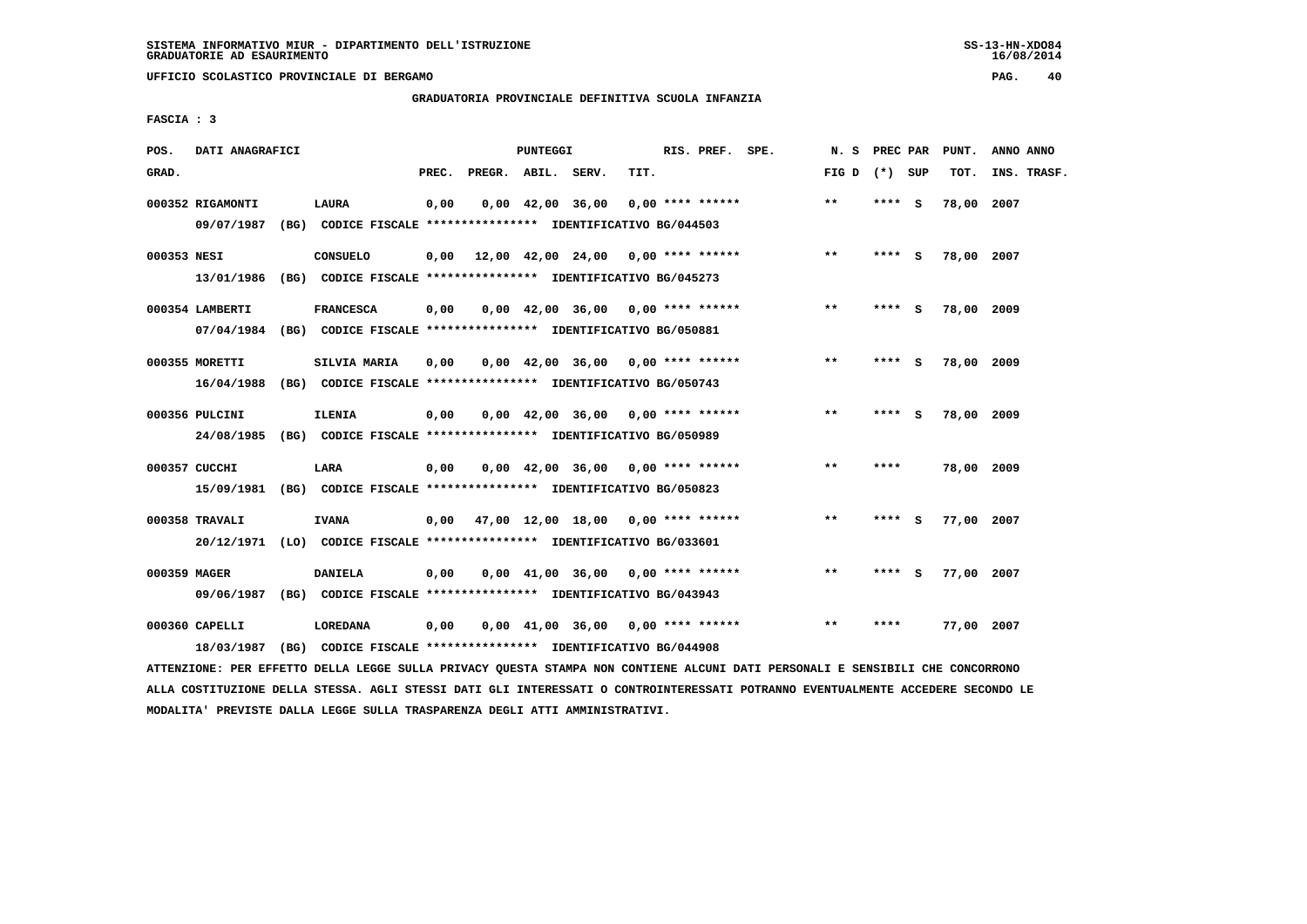**UFFICIO SCOLASTICO PROVINCIALE DI BERGAMO PAG. 40**

# **GRADUATORIA PROVINCIALE DEFINITIVA SCUOLA INFANZIA**

 **FASCIA : 3**

| POS.         | DATI ANAGRAFICI                |      |                                                                                             |       |                    | <b>PUNTEGGI</b> |                                                               |      | RIS. PREF. SPE.    | N.S   | PREC PAR |          | PUNT.      | ANNO ANNO   |
|--------------|--------------------------------|------|---------------------------------------------------------------------------------------------|-------|--------------------|-----------------|---------------------------------------------------------------|------|--------------------|-------|----------|----------|------------|-------------|
| GRAD.        |                                |      |                                                                                             | PREC. | PREGR. ABIL. SERV. |                 |                                                               | TIT. |                    | FIG D | (*) SUP  |          | TOT.       | INS. TRASF. |
|              | 000352 RIGAMONTI<br>09/07/1987 |      | <b>LAURA</b><br>(BG) CODICE FISCALE **************** IDENTIFICATIVO BG/044503               | 0,00  |                    |                 | $0,00 \quad 42,00 \quad 36,00$                                |      | $0.00$ **** ****** | $***$ | ****     | <b>S</b> | 78,00      | 2007        |
| 000353 NESI  | 13/01/1986                     | (BG) | <b>CONSUELO</b><br>CODICE FISCALE **************** IDENTIFICATIVO BG/045273                 | 0,00  |                    |                 | $12,00$ $42,00$ $24,00$ $0,00$ **** ******                    |      |                    | **    | **** S   |          | 78,00 2007 |             |
|              | 000354 LAMBERTI                |      | <b>FRANCESCA</b><br>07/04/1984 (BG) CODICE FISCALE *************** IDENTIFICATIVO BG/050881 | 0,00  |                    |                 | $0.00 \quad 42.00 \quad 36.00 \quad 0.00 \quad *** \quad ***$ |      |                    | $***$ | **** S   |          | 78,00 2009 |             |
|              | 000355 MORETTI<br>16/04/1988   |      | SILVIA MARIA<br>(BG) CODICE FISCALE **************** IDENTIFICATIVO BG/050743               | 0.00  |                    |                 | $0.00 \quad 42.00 \quad 36.00 \quad 0.00 \quad *** \quad ***$ |      |                    | $***$ | ****     | - S      | 78,00 2009 |             |
|              | 000356 PULCINI<br>24/08/1985   |      | <b>ILENIA</b><br>(BG) CODICE FISCALE **************** IDENTIFICATIVO BG/050989              | 0,00  |                    |                 | $0.00 \quad 42.00 \quad 36.00 \quad 0.00 \quad *** \quad ***$ |      |                    | $* *$ |          | S        | 78,00 2009 |             |
|              | 000357 CUCCHI<br>15/09/1981    |      | LARA<br>(BG) CODICE FISCALE **************** IDENTIFICATIVO BG/050823                       | 0,00  |                    |                 | $0,00$ 42,00 36,00 0,00 **** ******                           |      |                    | $* *$ | ****     |          | 78,00 2009 |             |
|              | 000358 TRAVALI<br>20/12/1971   |      | <b>IVANA</b><br>(LO) CODICE FISCALE **************** IDENTIFICATIVO BG/033601               |       |                    |                 | $0,00$ 47,00 12,00 18,00 0,00 **** ******                     |      |                    | $* *$ | ****     | s        | 77,00      | 2007        |
| 000359 MAGER | 09/06/1987                     |      | <b>DANIELA</b><br>(BG) CODICE FISCALE **************** IDENTIFICATIVO BG/043943             | 0,00  |                    |                 | $0.00$ 41.00 36.00 0.00 **** ******                           |      |                    | $* *$ | ****     | S.       | 77,00 2007 |             |
|              | 000360 CAPELLI<br>18/03/1987   | (BG) | <b>LOREDANA</b><br>CODICE FISCALE **************** IDENTIFICATIVO BG/044908                 | 0,00  |                    |                 | $0,00$ 41,00 36,00 0,00 **** ******                           |      |                    | $* *$ | ****     |          | 77,00 2007 |             |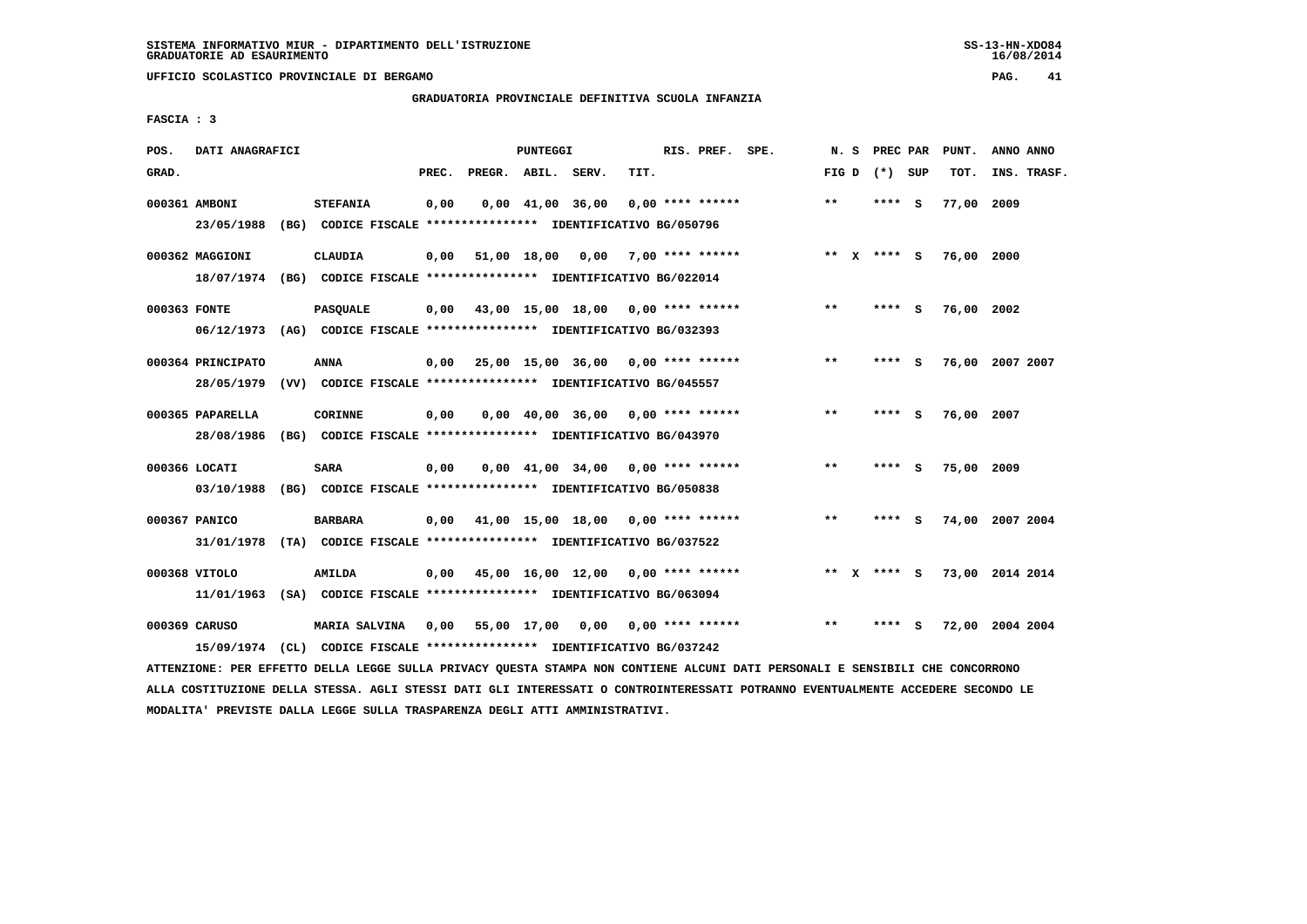**UFFICIO SCOLASTICO PROVINCIALE DI BERGAMO PAG. 41**

## **GRADUATORIA PROVINCIALE DEFINITIVA SCUOLA INFANZIA**

 **FASCIA : 3**

| POS.  | DATI ANAGRAFICI   |                                                                                                                               |       |                    | PUNTEGGI |                                                               |      | RIS. PREF. SPE.    | N. S  | PREC PAR        | PUNT.                       | ANNO ANNO |             |
|-------|-------------------|-------------------------------------------------------------------------------------------------------------------------------|-------|--------------------|----------|---------------------------------------------------------------|------|--------------------|-------|-----------------|-----------------------------|-----------|-------------|
| GRAD. |                   |                                                                                                                               | PREC. | PREGR. ABIL. SERV. |          |                                                               | TIT. |                    |       | FIG D $(*)$ SUP | тот.                        |           | INS. TRASF. |
|       | 000361 AMBONI     | <b>STEFANIA</b>                                                                                                               | 0,00  |                    |          | $0,00$ $41,00$ $36,00$                                        |      | $0.00$ **** ****** | $* *$ | **** S          | 77,00 2009                  |           |             |
|       | 23/05/1988        | (BG) CODICE FISCALE **************** IDENTIFICATIVO BG/050796                                                                 |       |                    |          |                                                               |      |                    |       |                 |                             |           |             |
|       | 000362 MAGGIONI   | <b>CLAUDIA</b>                                                                                                                |       |                    |          | $0,00$ 51,00 18,00 0,00 7,00 **** ******                      |      |                    |       | ** X **** S     | 76,00 2000                  |           |             |
|       |                   | 18/07/1974 (BG) CODICE FISCALE *************** IDENTIFICATIVO BG/022014                                                       |       |                    |          |                                                               |      |                    |       |                 |                             |           |             |
|       | 000363 FONTE      | <b>PASQUALE</b>                                                                                                               |       |                    |          | $0,00$ 43,00 15,00 18,00 0,00 **** ******                     |      |                    | $***$ | **** S          | 76,00 2002                  |           |             |
|       |                   | 06/12/1973 (AG) CODICE FISCALE *************** IDENTIFICATIVO BG/032393                                                       |       |                    |          |                                                               |      |                    |       |                 |                             |           |             |
|       |                   |                                                                                                                               |       |                    |          |                                                               |      |                    |       |                 |                             |           |             |
|       | 000364 PRINCIPATO | ANNA                                                                                                                          |       |                    |          | $0,00$ 25,00 15,00 36,00 0,00 **** ******                     |      |                    | $* *$ | **** S          | 76,00 2007 2007             |           |             |
|       | 28/05/1979        | (VV) CODICE FISCALE **************** IDENTIFICATIVO BG/045557                                                                 |       |                    |          |                                                               |      |                    |       |                 |                             |           |             |
|       | 000365 PAPARELLA  | <b>CORINNE</b>                                                                                                                | 0,00  |                    |          | $0.00 \quad 40.00 \quad 36.00 \quad 0.00 \quad *** \quad ***$ |      |                    | $***$ | **** S          | 76,00 2007                  |           |             |
|       | 28/08/1986        | (BG) CODICE FISCALE **************** IDENTIFICATIVO BG/043970                                                                 |       |                    |          |                                                               |      |                    |       |                 |                             |           |             |
|       | 000366 LOCATI     | SARA                                                                                                                          | 0,00  |                    |          | $0,00$ $41,00$ $34,00$ $0,00$ **** ******                     |      |                    | **    | **** S          | 75,00 2009                  |           |             |
|       |                   | 03/10/1988 (BG) CODICE FISCALE *************** IDENTIFICATIVO BG/050838                                                       |       |                    |          |                                                               |      |                    |       |                 |                             |           |             |
|       |                   |                                                                                                                               |       |                    |          |                                                               |      |                    |       |                 |                             |           |             |
|       | 000367 PANICO     | <b>BARBARA</b>                                                                                                                |       |                    |          | $0,00$ 41,00 15,00 18,00 0,00 **** ******                     |      |                    | $***$ | **** S          | 74,00 2007 2004             |           |             |
|       |                   | 31/01/1978 (TA) CODICE FISCALE *************** IDENTIFICATIVO BG/037522                                                       |       |                    |          |                                                               |      |                    |       |                 |                             |           |             |
|       | 000368 VITOLO     | AMILDA                                                                                                                        |       |                    |          | $0,00$ 45,00 16,00 12,00 0,00 **** ******                     |      |                    |       |                 | ** X **** S 73,00 2014 2014 |           |             |
|       |                   | 11/01/1963 (SA) CODICE FISCALE *************** IDENTIFICATIVO BG/063094                                                       |       |                    |          |                                                               |      |                    |       |                 |                             |           |             |
|       |                   |                                                                                                                               |       |                    |          |                                                               |      |                    |       |                 |                             |           |             |
|       | 000369 CARUSO     | MARIA SALVINA 0,00 55,00 17,00 0,00 0,00 **** ******                                                                          |       |                    |          |                                                               |      |                    | $* *$ | **** S          | 72,00 2004 2004             |           |             |
|       | 15/09/1974        | (CL) CODICE FISCALE **************** IDENTIFICATIVO BG/037242                                                                 |       |                    |          |                                                               |      |                    |       |                 |                             |           |             |
|       |                   | ATTENZIONE: PER EFFETTO DELLA LEGGE SULLA PRIVACY QUESTA STAMPA NON CONTIENE ALCUNI DATI PERSONALI E SENSIBILI CHE CONCORRONO |       |                    |          |                                                               |      |                    |       |                 |                             |           |             |

 **ALLA COSTITUZIONE DELLA STESSA. AGLI STESSI DATI GLI INTERESSATI O CONTROINTERESSATI POTRANNO EVENTUALMENTE ACCEDERE SECONDO LE MODALITA' PREVISTE DALLA LEGGE SULLA TRASPARENZA DEGLI ATTI AMMINISTRATIVI.**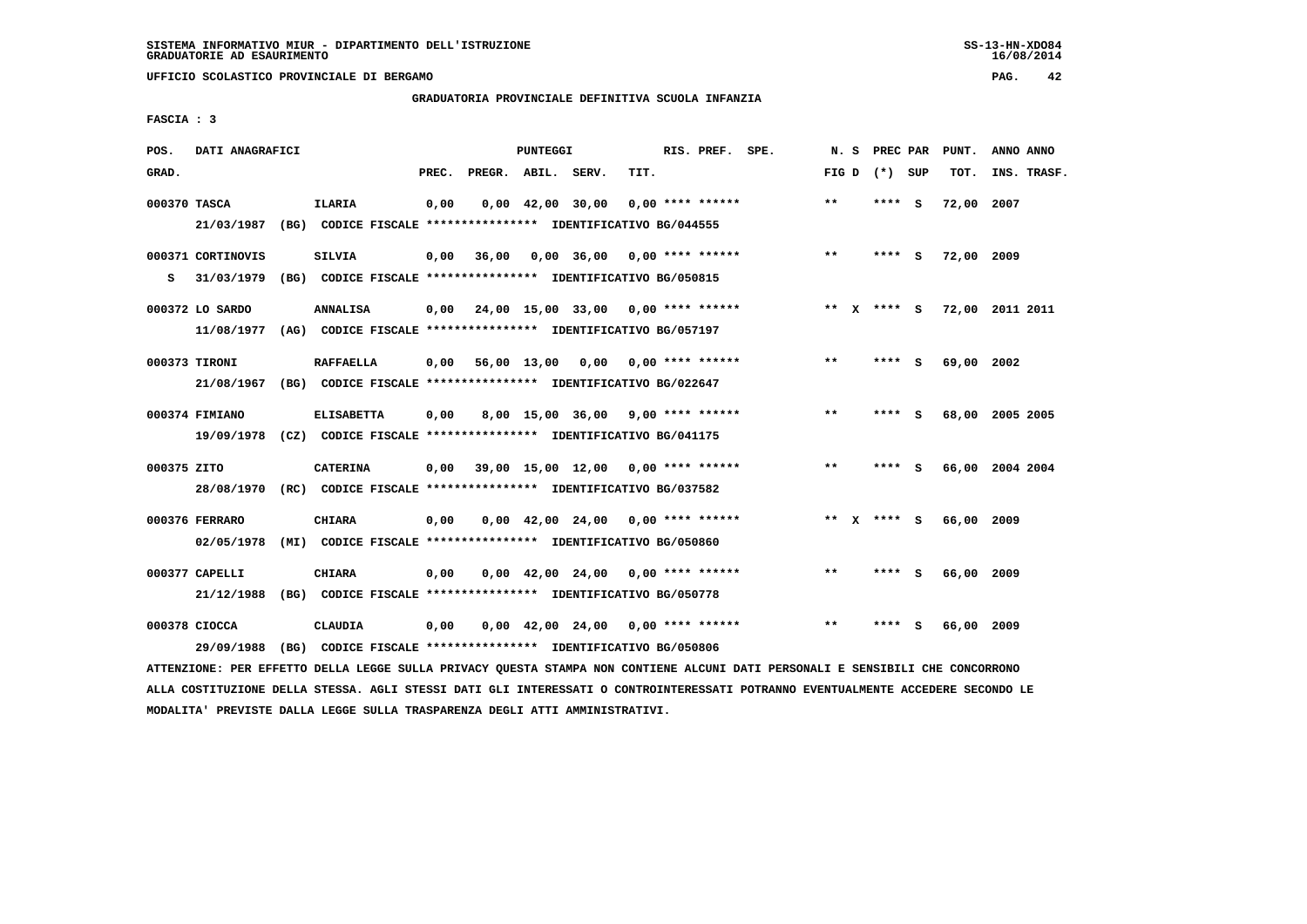**UFFICIO SCOLASTICO PROVINCIALE DI BERGAMO PAG. 42**

 **GRADUATORIA PROVINCIALE DEFINITIVA SCUOLA INFANZIA**

 **FASCIA : 3**

| POS.         | DATI ANAGRAFICI                 |                                                                                              |       |                    | PUNTEGGI                       |                                     |      | RIS. PREF. SPE.    | N.S   | PREC PAR      |     | PUNT.      | ANNO ANNO                   |
|--------------|---------------------------------|----------------------------------------------------------------------------------------------|-------|--------------------|--------------------------------|-------------------------------------|------|--------------------|-------|---------------|-----|------------|-----------------------------|
| GRAD.        |                                 |                                                                                              | PREC. | PREGR. ABIL. SERV. |                                |                                     | TIT. |                    | FIG D | (*) SUP       |     | TOT.       | INS. TRASF.                 |
| 000370 TASCA | 21/03/1987                      | <b>ILARIA</b><br>(BG) CODICE FISCALE **************** IDENTIFICATIVO BG/044555               | 0,00  |                    | $0.00 \quad 42.00 \quad 30.00$ |                                     |      | $0.00$ **** ****** | $***$ | **** S        |     | 72,00 2007 |                             |
| s            | 000371 CORTINOVIS<br>31/03/1979 | <b>SILVIA</b><br>(BG) CODICE FISCALE **************** IDENTIFICATIVO BG/050815               | 0,00  | 36,00              |                                | 0,00 36,00                          |      | $0.00$ **** ****** | $**$  | $***$ S       |     | 72,00 2009 |                             |
|              | 000372 LO SARDO<br>11/08/1977   | <b>ANNALISA</b><br>(AG) CODICE FISCALE **************** IDENTIFICATIVO BG/057197             | 0,00  |                    |                                | 24,00 15,00 33,00 0,00 **** ******  |      |                    |       |               |     |            | ** X **** S 72,00 2011 2011 |
|              | 000373 TIRONI                   | <b>RAFFAELLA</b><br>21/08/1967 (BG) CODICE FISCALE *************** IDENTIFICATIVO BG/022647  | 0,00  |                    |                                | 56,00 13,00 0,00 0,00 **** ******   |      |                    | $***$ | ****          | - S | 69,00 2002 |                             |
|              | 000374 FIMIANO                  | <b>ELISABETTA</b><br>19/09/1978 (CZ) CODICE FISCALE *************** IDENTIFICATIVO BG/041175 | 0,00  |                    |                                | 8,00 15,00 36,00 9,00 **** ******   |      |                    | $* *$ | ****          | - 5 |            | 68,00 2005 2005             |
| 000375 ZITO  | 28/08/1970                      | <b>CATERINA</b><br>(RC) CODICE FISCALE **************** IDENTIFICATIVO BG/037582             | 0.00  |                    |                                | 39,00 15,00 12,00 0,00 **** ******  |      |                    | $***$ | **** S        |     |            | 66,00 2004 2004             |
|              | 000376 FERRARO<br>02/05/1978    | <b>CHIARA</b><br>(MI) CODICE FISCALE **************** IDENTIFICATIVO BG/050860               | 0,00  |                    |                                | 0,00 42,00 24,00                    |      | $0.00$ **** ****** |       | ** $X$ **** S |     | 66,00      | 2009                        |
|              | 000377 CAPELLI<br>21/12/1988    | CHIARA<br>(BG) CODICE FISCALE **************** IDENTIFICATIVO BG/050778                      | 0.00  |                    |                                | $0,00$ 42,00 24,00 0,00 **** ****** |      |                    | $***$ | ****          | - S | 66,00 2009 |                             |
|              | 000378 CIOCCA<br>29/09/1988     | CLAUDIA<br>(BG) CODICE FISCALE **************** IDENTIFICATIVO BG/050806                     | 0,00  |                    |                                | $0,00$ 42,00 24,00 0,00 **** ****** |      |                    | $* *$ | ****          | s   | 66,00 2009 |                             |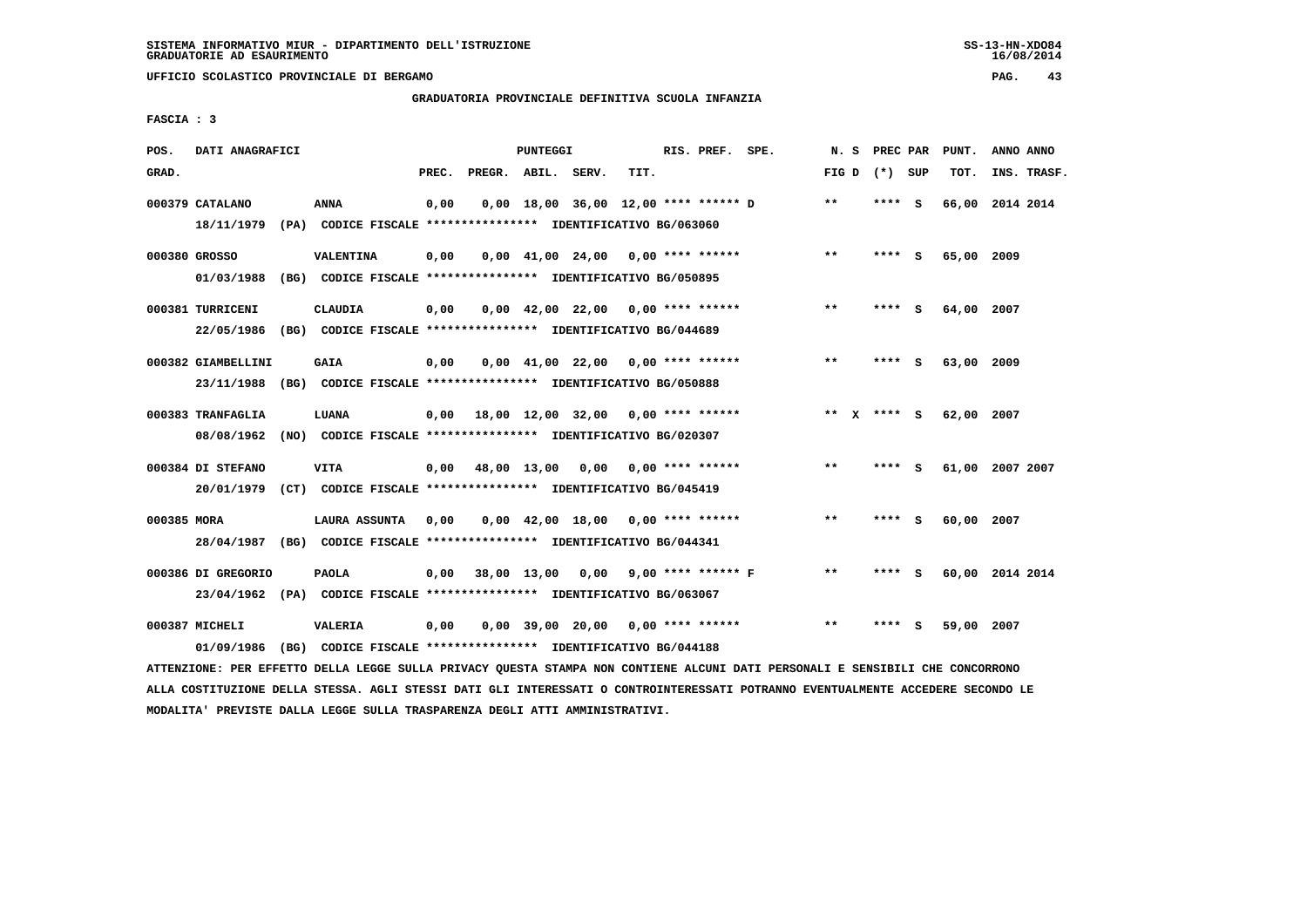**UFFICIO SCOLASTICO PROVINCIALE DI BERGAMO PAG. 43**

## **GRADUATORIA PROVINCIALE DEFINITIVA SCUOLA INFANZIA**

 **FASCIA : 3**

| POS.        | DATI ANAGRAFICI                                                         |                                                               |       |                                           | PUNTEGGI    |                                                               |      | RIS. PREF. SPE.    | N.S             | PREC PAR |          | PUNT.           | ANNO ANNO |             |
|-------------|-------------------------------------------------------------------------|---------------------------------------------------------------|-------|-------------------------------------------|-------------|---------------------------------------------------------------|------|--------------------|-----------------|----------|----------|-----------------|-----------|-------------|
| GRAD.       |                                                                         |                                                               | PREC. | PREGR. ABIL. SERV.                        |             |                                                               | TIT. |                    | FIG D $(*)$ SUP |          |          | TOT.            |           | INS. TRASF. |
|             | 000379 CATALANO                                                         | <b>ANNA</b>                                                   | 0,00  |                                           |             | 0,00 18,00 36,00 12,00 **** ****** D                          |      |                    | **              | $***$ S  |          | 66,00 2014 2014 |           |             |
|             | 18/11/1979 (PA) CODICE FISCALE *************** IDENTIFICATIVO BG/063060 |                                                               |       |                                           |             |                                                               |      |                    |                 |          |          |                 |           |             |
|             | 000380 GROSSO                                                           | VALENTINA                                                     | 0,00  |                                           |             | $0.00 \quad 41.00 \quad 24.00 \quad 0.00 \quad *** \quad ***$ |      |                    | $***$           | **** S   |          | 65,00 2009      |           |             |
|             | 01/03/1988                                                              | (BG) CODICE FISCALE **************** IDENTIFICATIVO BG/050895 |       |                                           |             |                                                               |      |                    |                 |          |          |                 |           |             |
|             | 000381 TURRICENI                                                        | <b>CLAUDIA</b>                                                | 0,00  |                                           |             | $0,00$ 42,00 22,00 0,00 **** ******                           |      |                    | **              | **** S   |          | 64,00 2007      |           |             |
|             | 22/05/1986 (BG) CODICE FISCALE *************** IDENTIFICATIVO BG/044689 |                                                               |       |                                           |             |                                                               |      |                    |                 |          |          |                 |           |             |
|             | 000382 GIAMBELLINI                                                      | <b>GAIA</b>                                                   | 0,00  |                                           |             | $0,00$ 41,00 22,00 0,00 **** ******                           |      |                    | $***$           | $***$ S  |          | 63,00 2009      |           |             |
|             | 23/11/1988 (BG) CODICE FISCALE *************** IDENTIFICATIVO BG/050888 |                                                               |       |                                           |             |                                                               |      |                    |                 |          |          |                 |           |             |
|             | 000383 TRANFAGLIA                                                       | LUANA                                                         |       | $0,00$ 18,00 12,00 32,00 0,00 **** ****** |             |                                                               |      |                    | ** $X$ **** S   |          |          | 62,00 2007      |           |             |
|             | 08/08/1962 (NO) CODICE FISCALE *************** IDENTIFICATIVO BG/020307 |                                                               |       |                                           |             |                                                               |      |                    |                 |          |          |                 |           |             |
|             | 000384 DI STEFANO                                                       | <b>VITA</b>                                                   |       | $0.00 \t 48.00 \t 13.00 \t 0.00$          |             |                                                               |      | 0,00 **** ******   | $***$           | **** S   |          | 61,00 2007 2007 |           |             |
|             | 20/01/1979 (CT) CODICE FISCALE *************** IDENTIFICATIVO BG/045419 |                                                               |       |                                           |             |                                                               |      |                    |                 |          |          |                 |           |             |
| 000385 MORA |                                                                         | <b>LAURA ASSUNTA</b>                                          | 0,00  |                                           |             | $0,00$ 42,00 18,00 0,00 **** ******                           |      |                    | $* *$           | ****     | <b>S</b> | 60,00 2007      |           |             |
|             | 28/04/1987 (BG) CODICE FISCALE *************** IDENTIFICATIVO BG/044341 |                                                               |       |                                           |             |                                                               |      |                    |                 |          |          |                 |           |             |
|             | 000386 DI GREGORIO                                                      | <b>PAOLA</b>                                                  | 0,00  |                                           | 38,00 13,00 | 0,00                                                          |      | 9,00 **** ****** F | $***$           | **** S   |          | 60,00 2014 2014 |           |             |
|             | 23/04/1962 (PA) CODICE FISCALE *************** IDENTIFICATIVO BG/063067 |                                                               |       |                                           |             |                                                               |      |                    |                 |          |          |                 |           |             |
|             | 000387 MICHELI                                                          | <b>VALERIA</b>                                                | 0,00  |                                           |             | $0.00$ 39.00 20.00 0.00 **** ******                           |      |                    | $* *$           | ****     | - S      | 59,00 2007      |           |             |
|             | 01/09/1986 (BG) CODICE FISCALE *************** IDENTIFICATIVO BG/044188 |                                                               |       |                                           |             |                                                               |      |                    |                 |          |          |                 |           |             |
|             |                                                                         |                                                               |       |                                           |             |                                                               |      |                    |                 |          |          |                 |           |             |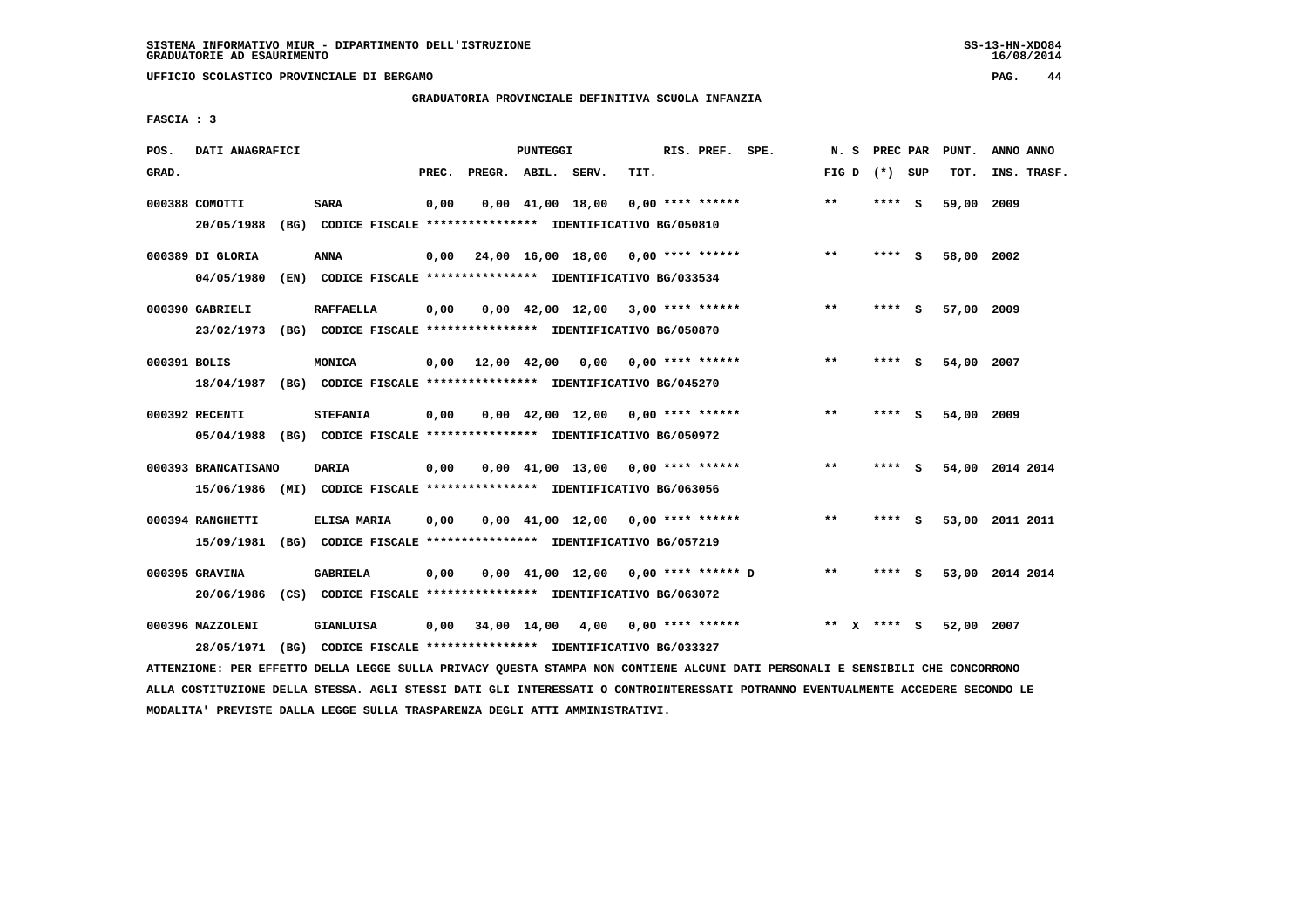**UFFICIO SCOLASTICO PROVINCIALE DI BERGAMO PAG. 44**

# **GRADUATORIA PROVINCIALE DEFINITIVA SCUOLA INFANZIA**

 **FASCIA : 3**

| POS.         | DATI ANAGRAFICI     |                                                                         |       |                    | PUNTEGGI               |                                                               |      | RIS. PREF. SPE.    | N.S   |        | PREC PAR | PUNT.      | ANNO ANNO       |
|--------------|---------------------|-------------------------------------------------------------------------|-------|--------------------|------------------------|---------------------------------------------------------------|------|--------------------|-------|--------|----------|------------|-----------------|
| GRAD.        |                     |                                                                         | PREC. | PREGR. ABIL. SERV. |                        |                                                               | TIT. |                    | FIG D |        | (*) SUP  | TOT.       | INS. TRASF.     |
|              | 000388 COMOTTI      | <b>SARA</b>                                                             | 0,00  |                    | $0,00$ $41,00$ $18,00$ |                                                               |      | $0.00$ **** ****** | $* *$ | ****   | - S      | 59,00      | 2009            |
|              | 20/05/1988          | (BG) CODICE FISCALE **************** IDENTIFICATIVO BG/050810           |       |                    |                        |                                                               |      |                    |       |        |          |            |                 |
|              | 000389 DI GLORIA    | <b>ANNA</b>                                                             | 0,00  |                    |                        | 24,00 16,00 18,00 0,00 **** ******                            |      |                    | $***$ | **** S |          | 58,00 2002 |                 |
|              | 04/05/1980          | (EN) CODICE FISCALE **************** IDENTIFICATIVO BG/033534           |       |                    |                        |                                                               |      |                    |       |        |          |            |                 |
|              | 000390 GABRIELI     | <b>RAFFAELLA</b>                                                        | 0,00  |                    |                        | $0,00$ 42,00 12,00 3,00 **** ******                           |      |                    | **    | ****   | - S      | 57,00      | 2009            |
|              | 23/02/1973          | (BG) CODICE FISCALE **************** IDENTIFICATIVO BG/050870           |       |                    |                        |                                                               |      |                    |       |        |          |            |                 |
| 000391 BOLIS |                     | MONICA                                                                  | 0,00  | 12,00 42,00        |                        | 0,00                                                          |      | 0,00 **** ******   | $* *$ | **** S |          | 54,00 2007 |                 |
|              | 18/04/1987          | (BG) CODICE FISCALE *************** IDENTIFICATIVO BG/045270            |       |                    |                        |                                                               |      |                    |       |        |          |            |                 |
|              | 000392 RECENTI      | <b>STEFANIA</b>                                                         | 0,00  |                    |                        | $0.00 \quad 42.00 \quad 12.00 \quad 0.00 \quad *** \quad ***$ |      |                    | $* *$ | ****   | - S      | 54,00      | 2009            |
|              |                     | 05/04/1988 (BG) CODICE FISCALE *************** IDENTIFICATIVO BG/050972 |       |                    |                        |                                                               |      |                    |       |        |          |            |                 |
|              | 000393 BRANCATISANO | <b>DARIA</b>                                                            | 0,00  |                    |                        | $0.00 \quad 41.00 \quad 13.00 \quad 0.00 \quad *** \quad ***$ |      |                    | $* *$ | ****   | - S      |            | 54,00 2014 2014 |
|              | 15/06/1986          | (MI) CODICE FISCALE **************** IDENTIFICATIVO BG/063056           |       |                    |                        |                                                               |      |                    |       |        |          |            |                 |
|              | 000394 RANGHETTI    | ELISA MARIA                                                             | 0,00  |                    |                        | $0.00 \quad 41.00 \quad 12.00 \quad 0.00 \quad *** \quad ***$ |      |                    | $* *$ | **** S |          |            | 53,00 2011 2011 |
|              | 15/09/1981          | (BG) CODICE FISCALE **************** IDENTIFICATIVO BG/057219           |       |                    |                        |                                                               |      |                    |       |        |          |            |                 |
|              | 000395 GRAVINA      | <b>GABRIELA</b>                                                         | 0,00  |                    |                        | 0,00 41,00 12,00 0,00 **** ****** D                           |      |                    | **    | ****   | - S      |            | 53,00 2014 2014 |
|              | 20/06/1986          | (CS) CODICE FISCALE **************** IDENTIFICATIVO BG/063072           |       |                    |                        |                                                               |      |                    |       |        |          |            |                 |
|              | 000396 MAZZOLENI    | GIANLUISA                                                               | 0,00  | 34,00 14,00        |                        | 4,00                                                          |      | $0.00$ **** ****** | $* *$ | **** S |          | 52,00      | 2007            |
|              | 28/05/1971          | (BG) CODICE FISCALE **************** IDENTIFICATIVO BG/033327           |       |                    |                        |                                                               |      |                    |       |        |          |            |                 |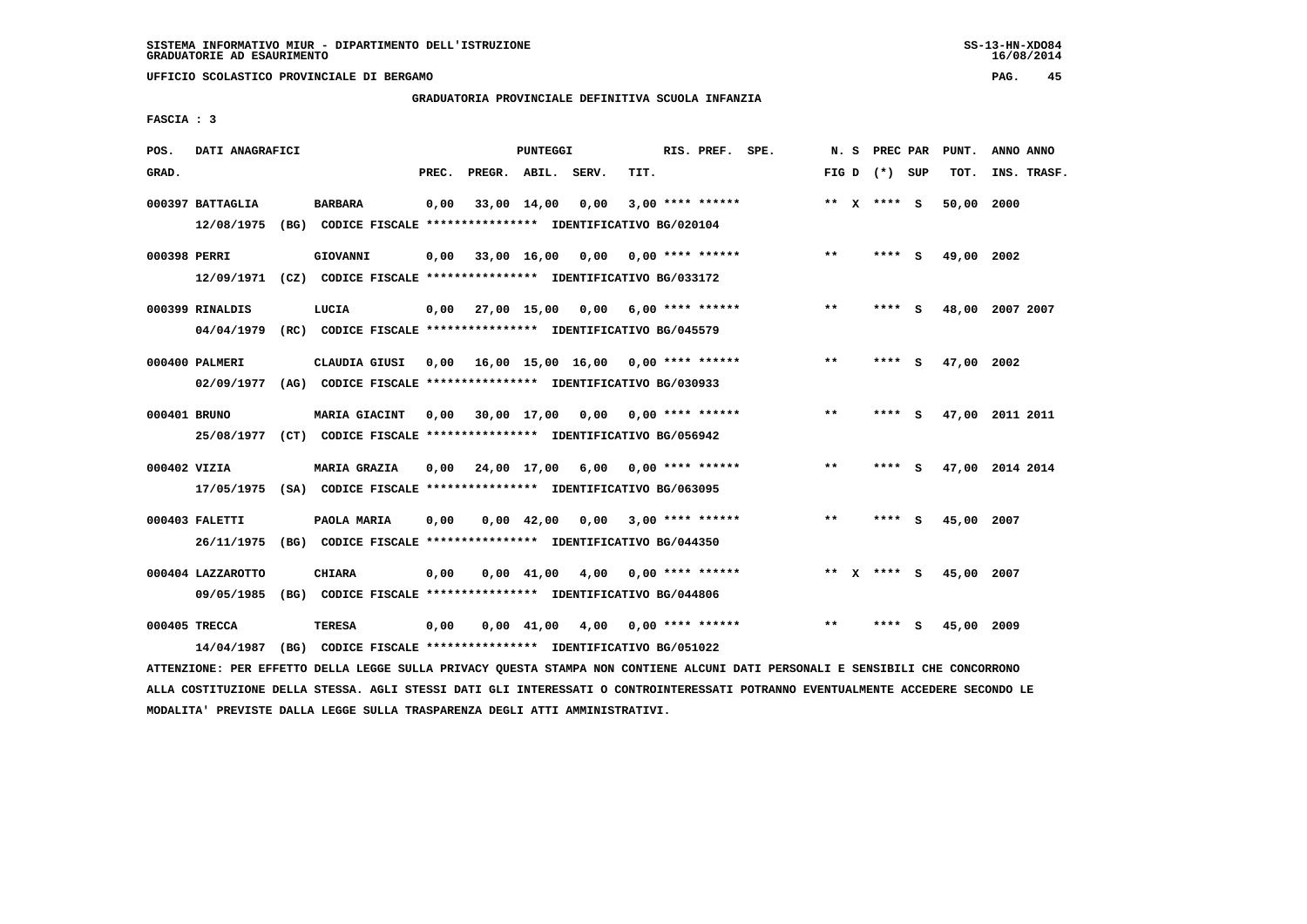**UFFICIO SCOLASTICO PROVINCIALE DI BERGAMO PAG. 45**

# **GRADUATORIA PROVINCIALE DEFINITIVA SCUOLA INFANZIA**

 **FASCIA : 3**

| POS.         | DATI ANAGRAFICI                 |      |                                                                                          |       |                    | PUNTEGGI    |                                           |      | RIS. PREF. SPE.    | N.S   | PREC PAR        |     | PUNT.      | ANNO ANNO       |
|--------------|---------------------------------|------|------------------------------------------------------------------------------------------|-------|--------------------|-------------|-------------------------------------------|------|--------------------|-------|-----------------|-----|------------|-----------------|
| GRAD.        |                                 |      |                                                                                          | PREC. | PREGR. ABIL. SERV. |             |                                           | TIT. |                    |       | FIG D $(*)$ SUP |     | TOT.       | INS. TRASF.     |
|              | 000397 BATTAGLIA<br>12/08/1975  |      | <b>BARBARA</b><br>(BG) CODICE FISCALE **************** IDENTIFICATIVO BG/020104          | 0,00  |                    | 33,00 14,00 | 0,00                                      |      | $3,00$ **** ****** |       | ** $X$ **** S   |     | 50,00      | 2000            |
| 000398 PERRI |                                 |      | GIOVANNI<br>12/09/1971 (CZ) CODICE FISCALE *************** IDENTIFICATIVO BG/033172      | 0,00  |                    |             | 33,00 16,00 0,00                          |      | 0,00 **** ******   | **    | **** S          |     | 49,00 2002 |                 |
|              | 000399 RINALDIS<br>04/04/1979   |      | LUCIA<br>(RC) CODICE FISCALE *************** IDENTIFICATIVO BG/045579                    |       |                    |             | $0,00$ 27,00 15,00 0,00 6,00 **** ******  |      |                    | $***$ | **** S          |     |            | 48,00 2007 2007 |
|              | 000400 PALMERI<br>02/09/1977    |      | CLAUDIA GIUSI<br>(AG) CODICE FISCALE **************** IDENTIFICATIVO BG/030933           |       |                    |             | $0,00$ 16,00 15,00 16,00 0,00 **** ****** |      |                    | $* *$ | ****            | s   | 47,00      | 2002            |
| 000401 BRUNO |                                 |      | MARIA GIACINT<br>25/08/1977 (CT) CODICE FISCALE *************** IDENTIFICATIVO BG/056942 |       |                    |             | $0.00$ 30.00 17.00 0.00 0.00 **** ******  |      |                    | $* *$ | ****            | - S |            | 47,00 2011 2011 |
| 000402 VIZIA | 17/05/1975                      |      | <b>MARIA GRAZIA</b><br>(SA) CODICE FISCALE **************** IDENTIFICATIVO BG/063095     | 0,00  |                    |             | 24,00 17,00 6,00 0,00 **** ******         |      |                    | **    | **** S          |     |            | 47,00 2014 2014 |
|              | 000403 FALETTI<br>26/11/1975    |      | PAOLA MARIA<br>(BG) CODICE FISCALE **************** IDENTIFICATIVO BG/044350             | 0.00  |                    | 0,00 42,00  | 0,00                                      |      | $3,00$ **** ****** | $* *$ | ****            | - S | 45,00      | 2007            |
|              | 000404 LAZZAROTTO<br>09/05/1985 |      | <b>CHIARA</b><br>(BG) CODICE FISCALE **************** IDENTIFICATIVO BG/044806           | 0.00  |                    |             | $0.00 \quad 41.00 \quad 4.00$             |      | 0,00 **** ******   |       | ** x **** s     |     | 45,00 2007 |                 |
|              | 000405 TRECCA<br>14/04/1987     | (BG) | <b>TERESA</b><br>CODICE FISCALE **************** IDENTIFICATIVO BG/051022                | 0,00  |                    |             | $0,00$ 41,00 4,00 0,00 **** ******        |      |                    | $* *$ | ****            | s   | 45,00 2009 |                 |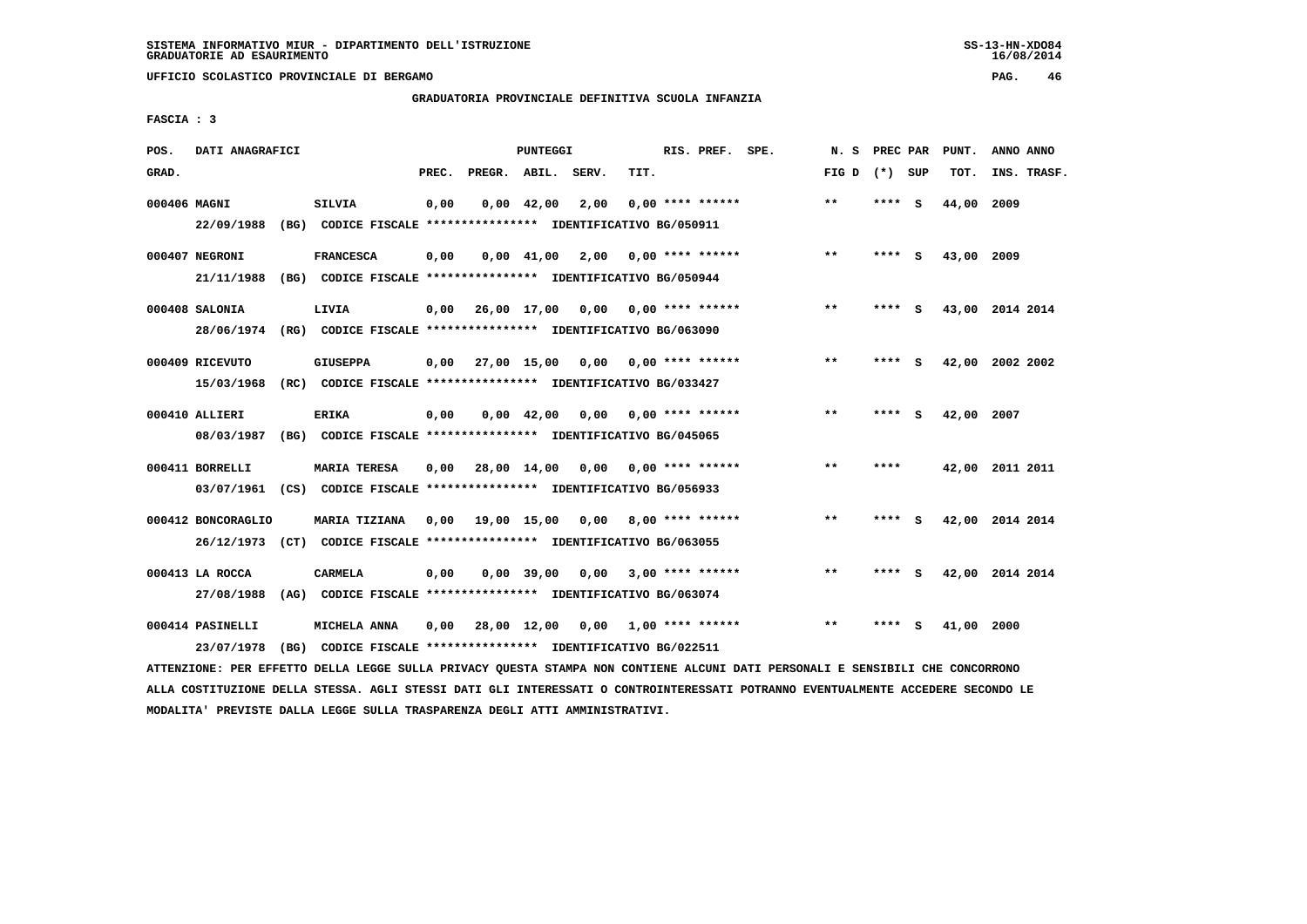**UFFICIO SCOLASTICO PROVINCIALE DI BERGAMO PAG. 46**

## **GRADUATORIA PROVINCIALE DEFINITIVA SCUOLA INFANZIA**

 **FASCIA : 3**

| POS.         | DATI ANAGRAFICI    |      |                                                               |       |                    | <b>PUNTEGGI</b> |      |      | RIS. PREF. SPE.           | N.S   | PREC PAR |     | PUNT.      | ANNO ANNO       |
|--------------|--------------------|------|---------------------------------------------------------------|-------|--------------------|-----------------|------|------|---------------------------|-------|----------|-----|------------|-----------------|
| GRAD.        |                    |      |                                                               | PREC. | PREGR. ABIL. SERV. |                 |      | TIT. |                           | FIG D | $(*)$    | SUP | TOT.       | INS. TRASF.     |
| 000406 MAGNI |                    |      | SILVIA                                                        | 0,00  |                    | $0,00$ 42,00    | 2,00 |      | $0.00$ **** ******        | $* *$ | ****     | - S | 44,00      | 2009            |
|              | 22/09/1988         |      | (BG) CODICE FISCALE **************** IDENTIFICATIVO BG/050911 |       |                    |                 |      |      |                           |       |          |     |            |                 |
|              | 000407 NEGRONI     |      | <b>FRANCESCA</b>                                              | 0,00  |                    | $0,00$ 41,00    | 2,00 |      | $0.00$ **** ******        | $***$ | ****     | - S | 43,00 2009 |                 |
|              | 21/11/1988         | (BG) | CODICE FISCALE **************** IDENTIFICATIVO BG/050944      |       |                    |                 |      |      |                           |       |          |     |            |                 |
|              | 000408 SALONIA     |      | LIVIA                                                         | 0,00  | 26,00 17,00        |                 | 0,00 |      | 0,00 **** ******          | $***$ | **** S   |     |            | 43,00 2014 2014 |
|              | 28/06/1974         |      | (RG) CODICE FISCALE **************** IDENTIFICATIVO BG/063090 |       |                    |                 |      |      |                           |       |          |     |            |                 |
|              | 000409 RICEVUTO    |      | <b>GIUSEPPA</b>                                               | 0.00  |                    | 27,00 15,00     |      |      | $0.00$ $0.00$ **** ****** | $* *$ |          | - S | 42,00      | 2002 2002       |
|              | 15/03/1968         |      | (RC) CODICE FISCALE **************** IDENTIFICATIVO BG/033427 |       |                    |                 |      |      |                           |       |          |     |            |                 |
|              | 000410 ALLIERI     |      | <b>ERIKA</b>                                                  | 0,00  |                    | $0,00$ 42,00    | 0,00 |      | $0.00$ **** ******        | $* *$ | ****     | - 5 | 42,00      | 2007            |
|              | 08/03/1987         |      | (BG) CODICE FISCALE **************** IDENTIFICATIVO BG/045065 |       |                    |                 |      |      |                           |       |          |     |            |                 |
|              |                    |      |                                                               |       |                    |                 |      |      |                           | $***$ | ****     |     |            |                 |
|              | 000411 BORRELLI    |      | <b>MARIA TERESA</b>                                           | 0,00  | 28,00 14,00        |                 | 0,00 |      | 0,00 **** ******          |       |          |     |            | 42,00 2011 2011 |
|              | 03/07/1961         |      | (CS) CODICE FISCALE **************** IDENTIFICATIVO BG/056933 |       |                    |                 |      |      |                           |       |          |     |            |                 |
|              | 000412 BONCORAGLIO |      | MARIA TIZIANA                                                 | 0,00  | 19,00 15,00        |                 | 0,00 |      | $8,00$ **** ******        | $* *$ | ****     | -S  |            | 42,00 2014 2014 |
|              | 26/12/1973         | (CT) | CODICE FISCALE **************** IDENTIFICATIVO BG/063055      |       |                    |                 |      |      |                           |       |          |     |            |                 |
|              | 000413 LA ROCCA    |      | <b>CARMELA</b>                                                | 0,00  |                    | $0,00$ 39,00    | 0,00 |      | $3.00*********$           | $* *$ | **** S   |     |            | 42,00 2014 2014 |
|              | 27/08/1988         | (AG) | CODICE FISCALE **************** IDENTIFICATIVO BG/063074      |       |                    |                 |      |      |                           |       |          |     |            |                 |
|              | 000414 PASINELLI   |      | MICHELA ANNA                                                  | 0,00  |                    | 28,00 12,00     | 0,00 |      | 1,00 **** ******          | $* *$ | ****     | s   | 41,00      | 2000            |
|              | 23/07/1978         | (BG) | CODICE FISCALE **************** IDENTIFICATIVO BG/022511      |       |                    |                 |      |      |                           |       |          |     |            |                 |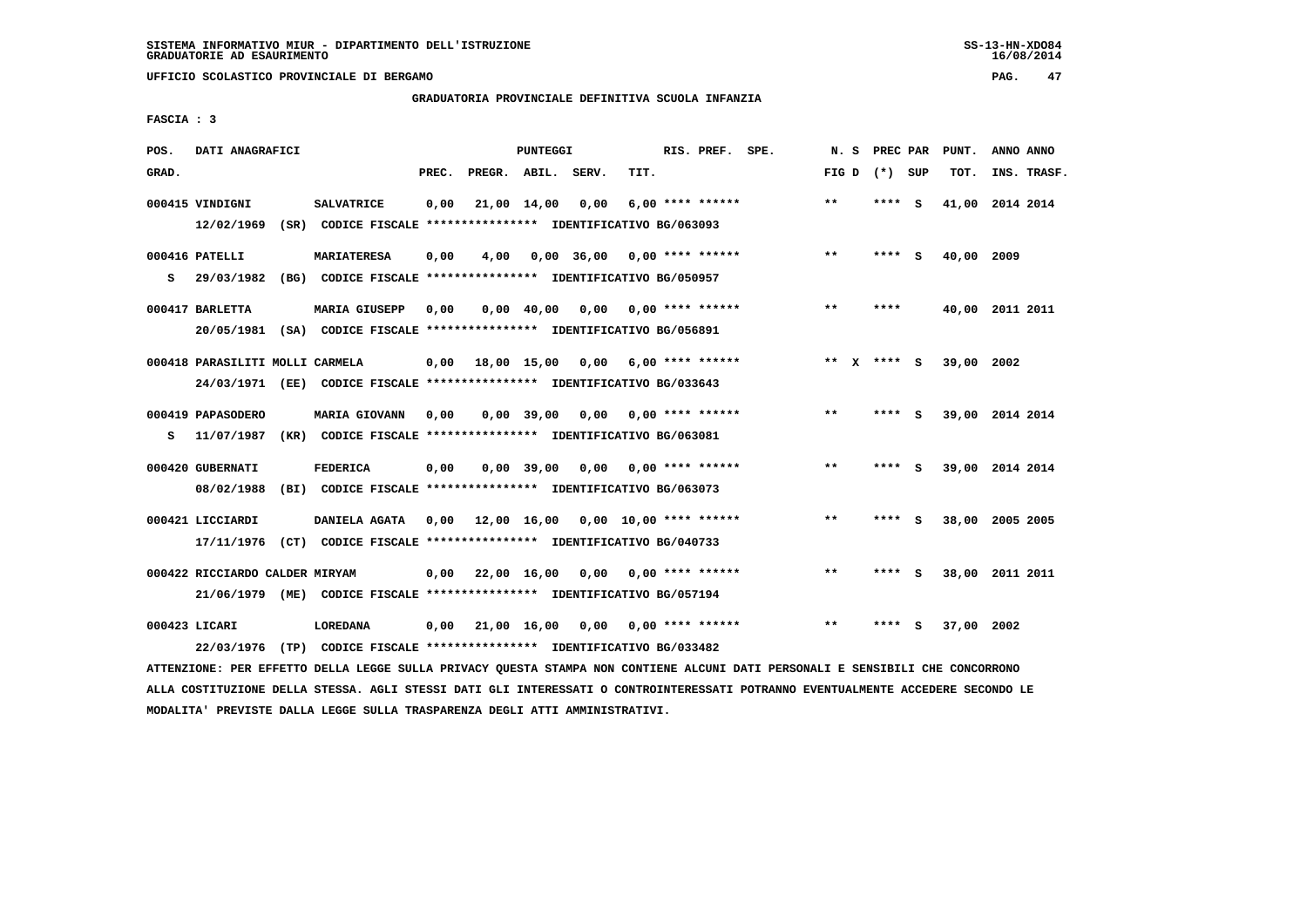**UFFICIO SCOLASTICO PROVINCIALE DI BERGAMO PAG. 47**

# **GRADUATORIA PROVINCIALE DEFINITIVA SCUOLA INFANZIA**

 **FASCIA : 3**

| POS.  | DATI ANAGRAFICI                                                         |                                                               |       |                                           | <b>PUNTEGGI</b> |              |      | RIS. PREF. SPE.    |        | N. S PREC PAR   |     | PUNT.           | ANNO ANNO |             |
|-------|-------------------------------------------------------------------------|---------------------------------------------------------------|-------|-------------------------------------------|-----------------|--------------|------|--------------------|--------|-----------------|-----|-----------------|-----------|-------------|
| GRAD. |                                                                         |                                                               | PREC. | PREGR. ABIL. SERV.                        |                 |              | TIT. |                    |        | FIG D $(*)$ SUP |     | TOT.            |           | INS. TRASF. |
|       |                                                                         |                                                               |       |                                           |                 |              |      |                    |        |                 |     |                 |           |             |
|       | 000415 VINDIGNI                                                         | <b>SALVATRICE</b>                                             | 0,00  | 21,00 14,00                               |                 | 0,00         |      | $6,00$ **** ****** | $***$  | **** S          |     | 41,00 2014 2014 |           |             |
|       | 12/02/1969                                                              | (SR) CODICE FISCALE **************** IDENTIFICATIVO BG/063093 |       |                                           |                 |              |      |                    |        |                 |     |                 |           |             |
|       | 000416 PATELLI                                                          | <b>MARIATERESA</b>                                            | 0,00  | 4,00                                      |                 | $0,00$ 36,00 |      | $0.00$ **** ****** | $***$  | **** S          |     | 40,00           | 2009      |             |
|       |                                                                         |                                                               |       |                                           |                 |              |      |                    |        |                 |     |                 |           |             |
| s     | 29/03/1982                                                              | (BG) CODICE FISCALE **************** IDENTIFICATIVO BG/050957 |       |                                           |                 |              |      |                    |        |                 |     |                 |           |             |
|       | 000417 BARLETTA                                                         | <b>MARIA GIUSEPP</b>                                          | 0,00  |                                           | $0,00$ 40,00    | 0,00         |      | $0.00$ **** ****** | $***$  | ****            |     | 40,00 2011 2011 |           |             |
|       | 20/05/1981                                                              | (SA) CODICE FISCALE **************** IDENTIFICATIVO BG/056891 |       |                                           |                 |              |      |                    |        |                 |     |                 |           |             |
|       |                                                                         |                                                               |       |                                           |                 |              |      |                    |        |                 |     |                 |           |             |
|       | 000418 PARASILITI MOLLI CARMELA                                         |                                                               |       | $0,00$ 18,00 15,00                        |                 | 0,00         |      | $6.00$ **** ****** | ** $X$ | $***$ S         |     | 39,00 2002      |           |             |
|       | 24/03/1971 (EE) CODICE FISCALE *************** IDENTIFICATIVO BG/033643 |                                                               |       |                                           |                 |              |      |                    |        |                 |     |                 |           |             |
|       |                                                                         |                                                               |       |                                           |                 |              |      |                    |        |                 |     |                 |           |             |
|       | 000419 PAPASODERO                                                       | <b>MARIA GIOVANN</b>                                          | 0.00  |                                           | $0.00$ 39.00    | 0,00         |      | $0.00$ **** ****** | $***$  | ****            | - S | 39,00 2014 2014 |           |             |
| s     | 11/07/1987                                                              | (KR) CODICE FISCALE **************** IDENTIFICATIVO BG/063081 |       |                                           |                 |              |      |                    |        |                 |     |                 |           |             |
|       |                                                                         |                                                               |       |                                           |                 |              |      |                    |        |                 |     |                 |           |             |
|       | 000420 GUBERNATI                                                        | <b>FEDERICA</b>                                               | 0,00  |                                           | $0,00$ 39,00    | 0,00         |      | $0.00$ **** ****** | $* *$  | **** S          |     | 39,00 2014 2014 |           |             |
|       | 08/02/1988                                                              | (BI) CODICE FISCALE **************** IDENTIFICATIVO BG/063073 |       |                                           |                 |              |      |                    |        |                 |     |                 |           |             |
|       | 000421 LICCIARDI                                                        | DANIELA AGATA                                                 |       | $0.00$ 12.00 16.00 0.00 10.00 **** ****** |                 |              |      |                    | $* *$  | ****            | - S | 38,00 2005 2005 |           |             |
|       | 17/11/1976 (CT) CODICE FISCALE *************** IDENTIFICATIVO BG/040733 |                                                               |       |                                           |                 |              |      |                    |        |                 |     |                 |           |             |
|       |                                                                         |                                                               |       |                                           |                 |              |      |                    |        |                 |     |                 |           |             |
|       | 000422 RICCIARDO CALDER MIRYAM                                          |                                                               |       | 0,00 22,00 16,00                          |                 | 0.00         |      | $0.00$ **** ****** | $***$  | **** S          |     | 38,00 2011 2011 |           |             |
|       | 21/06/1979 (ME) CODICE FISCALE *************** IDENTIFICATIVO BG/057194 |                                                               |       |                                           |                 |              |      |                    |        |                 |     |                 |           |             |
|       |                                                                         |                                                               |       |                                           |                 |              |      |                    |        |                 |     |                 |           |             |
|       | 000423 LICARI                                                           | LOREDANA                                                      |       | $0,00$ 21,00 16,00 0,00 0,00 **** ******  |                 |              |      |                    | $* *$  | ****            | s   | 37,00 2002      |           |             |
|       | 22/03/1976                                                              | (TP) CODICE FISCALE **************** IDENTIFICATIVO BG/033482 |       |                                           |                 |              |      |                    |        |                 |     |                 |           |             |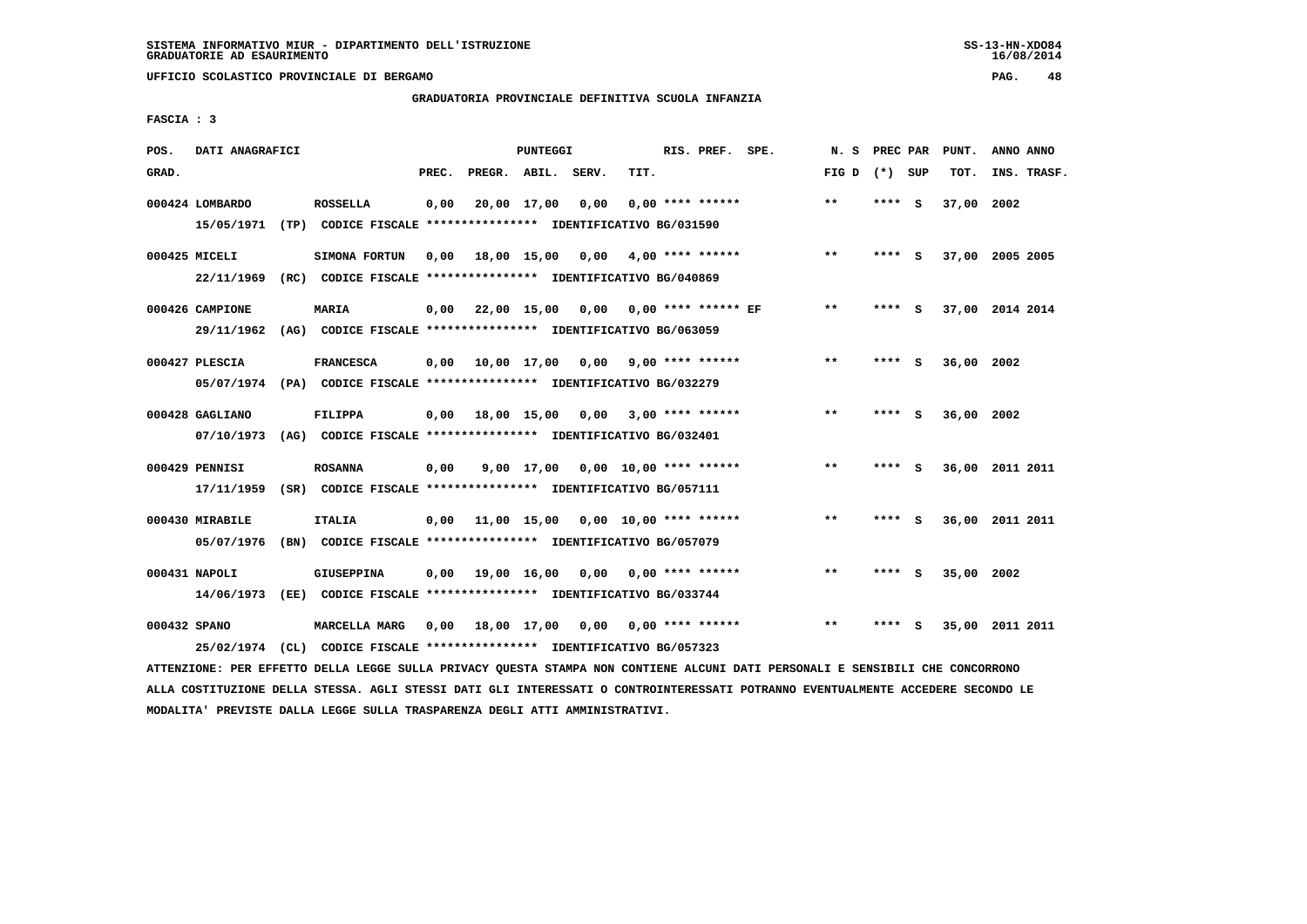**UFFICIO SCOLASTICO PROVINCIALE DI BERGAMO PAG. 48**

# **GRADUATORIA PROVINCIALE DEFINITIVA SCUOLA INFANZIA**

 **FASCIA : 3**

| POS.         | DATI ANAGRAFICI |                                                                                                                               |       |                    | PUNTEGGI |                                             |      | RIS. PREF. SPE.    |                                        | N.S             |        | PREC PAR PUNT. | ANNO ANNO       |
|--------------|-----------------|-------------------------------------------------------------------------------------------------------------------------------|-------|--------------------|----------|---------------------------------------------|------|--------------------|----------------------------------------|-----------------|--------|----------------|-----------------|
| GRAD.        |                 |                                                                                                                               | PREC. | PREGR. ABIL. SERV. |          |                                             | TIT. |                    |                                        | FIG D $(*)$ SUP |        | TOT.           | INS. TRASF.     |
|              | 000424 LOMBARDO | <b>ROSSELLA</b>                                                                                                               | 0,00  | 20,00 17,00        |          | 0,00                                        |      | $0.00$ **** ****** |                                        | $* *$           | **** S | 37,00 2002     |                 |
|              |                 | 15/05/1971 (TP) CODICE FISCALE *************** IDENTIFICATIVO BG/031590                                                       |       |                    |          |                                             |      |                    |                                        |                 |        |                |                 |
|              | 000425 MICELI   | SIMONA FORTUN                                                                                                                 | 0,00  |                    |          | 18,00 15,00 0,00 4,00 **** ******           |      |                    |                                        | $**$            | **** S |                | 37,00 2005 2005 |
|              |                 | 22/11/1969 (RC) CODICE FISCALE *************** IDENTIFICATIVO BG/040869                                                       |       |                    |          |                                             |      |                    |                                        |                 |        |                |                 |
|              | 000426 CAMPIONE | MARIA                                                                                                                         |       |                    |          | $0,00$ 22,00 15,00 0,00 0,00 **** ****** EF |      |                    |                                        | $***$           | **** S |                | 37,00 2014 2014 |
|              | 29/11/1962      | (AG) CODICE FISCALE *************** IDENTIFICATIVO BG/063059                                                                  |       |                    |          |                                             |      |                    |                                        |                 |        |                |                 |
|              | 000427 PLESCIA  | <b>FRANCESCA</b>                                                                                                              |       |                    |          | $0,00$ $10,00$ $17,00$ $0,00$               |      | $9,00$ **** ****** |                                        | $***$           | **** S | 36,00 2002     |                 |
|              |                 | 05/07/1974 (PA) CODICE FISCALE *************** IDENTIFICATIVO BG/032279                                                       |       |                    |          |                                             |      |                    |                                        |                 |        |                |                 |
|              | 000428 GAGLIANO | <b>FILIPPA</b>                                                                                                                | 0,00  |                    |          | 18,00 15,00 0,00 3,00 **** ******           |      |                    |                                        | $***$           | **** S | 36,00 2002     |                 |
|              |                 | 07/10/1973 (AG) CODICE FISCALE *************** IDENTIFICATIVO BG/032401                                                       |       |                    |          |                                             |      |                    |                                        |                 |        |                |                 |
|              | 000429 PENNISI  | <b>ROSANNA</b>                                                                                                                | 0,00  |                    |          | 9,00 17,00 0,00 10,00 **** ******           |      |                    |                                        | $***$           | **** S |                | 36,00 2011 2011 |
|              | 17/11/1959      | (SR) CODICE FISCALE **************** IDENTIFICATIVO BG/057111                                                                 |       |                    |          |                                             |      |                    |                                        |                 |        |                |                 |
|              | 000430 MIRABILE | <b>ITALIA</b>                                                                                                                 |       |                    |          | $0,00$ 11,00 15,00 0,00 10,00 **** ******   |      |                    |                                        | $***$           | **** S |                | 36,00 2011 2011 |
|              | 05/07/1976      | (BN) CODICE FISCALE **************** IDENTIFICATIVO BG/057079                                                                 |       |                    |          |                                             |      |                    |                                        |                 |        |                |                 |
|              | 000431 NAPOLI   | <b>GIUSEPPINA</b>                                                                                                             |       |                    |          | $0,00$ 19,00 16,00 0,00 0,00 **** ******    |      |                    |                                        | $***$           | **** S | 35,00 2002     |                 |
|              |                 | 14/06/1973 (EE) CODICE FISCALE *************** IDENTIFICATIVO BG/033744                                                       |       |                    |          |                                             |      |                    |                                        |                 |        |                |                 |
| 000432 SPANO |                 | <b>MARCELLA MARG</b>                                                                                                          |       |                    |          |                                             |      |                    | 0,00 18,00 17,00 0,00 0,00 **** ****** | $**$            | **** S |                | 35,00 2011 2011 |
|              | 25/02/1974      | (CL) CODICE FISCALE **************** IDENTIFICATIVO BG/057323                                                                 |       |                    |          |                                             |      |                    |                                        |                 |        |                |                 |
|              |                 | ATTENZIONE: PER EFFETTO DELLA LEGGE SULLA PRIVACY QUESTA STAMPA NON CONTIENE ALCUNI DATI PERSONALI E SENSIBILI CHE CONCORRONO |       |                    |          |                                             |      |                    |                                        |                 |        |                |                 |

 **ALLA COSTITUZIONE DELLA STESSA. AGLI STESSI DATI GLI INTERESSATI O CONTROINTERESSATI POTRANNO EVENTUALMENTE ACCEDERE SECONDO LE MODALITA' PREVISTE DALLA LEGGE SULLA TRASPARENZA DEGLI ATTI AMMINISTRATIVI.**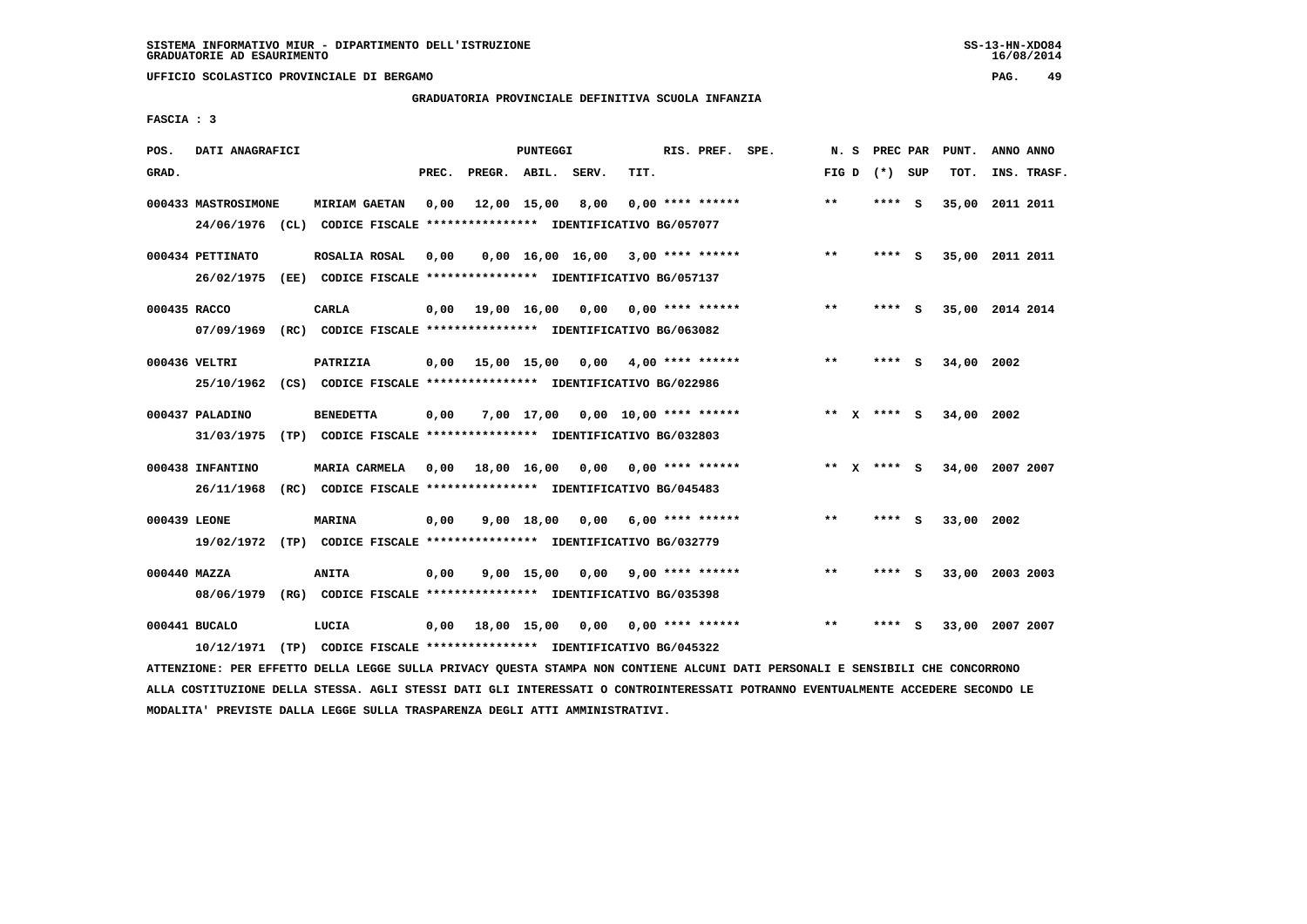**UFFICIO SCOLASTICO PROVINCIALE DI BERGAMO PAG. 49**

# **GRADUATORIA PROVINCIALE DEFINITIVA SCUOLA INFANZIA**

 **FASCIA : 3**

| POS.         | DATI ANAGRAFICI     |                                                                         |       |                    | PUNTEGGI     |                                     |                           | RIS. PREF. SPE.    | N.S          | PREC PAR      |     | PUNT.      | ANNO ANNO       |  |
|--------------|---------------------|-------------------------------------------------------------------------|-------|--------------------|--------------|-------------------------------------|---------------------------|--------------------|--------------|---------------|-----|------------|-----------------|--|
| GRAD.        |                     |                                                                         | PREC. | PREGR. ABIL. SERV. |              |                                     | TIT.                      |                    | FIG D        | (*) SUP       |     | TOT.       | INS. TRASF.     |  |
|              | 000433 MASTROSIMONE | <b>MIRIAM GAETAN</b>                                                    | 0,00  |                    | 12,00 15,00  | 8,00                                |                           | $0.00$ **** ****** | $**$         | **** S        |     | 35,00      | 2011 2011       |  |
|              |                     | 24/06/1976 (CL) CODICE FISCALE *************** IDENTIFICATIVO BG/057077 |       |                    |              |                                     |                           |                    |              |               |     |            |                 |  |
|              | 000434 PETTINATO    | ROSALIA ROSAL                                                           | 0,00  |                    |              | $0,00$ 16,00 16,00 3,00 **** ****** |                           |                    | $* *$        | **** S        |     |            | 35,00 2011 2011 |  |
|              | 26/02/1975          | (EE) CODICE FISCALE **************** IDENTIFICATIVO BG/057137           |       |                    |              |                                     |                           |                    |              |               |     |            |                 |  |
| 000435 RACCO |                     | <b>CARLA</b>                                                            | 0.00  |                    | 19,00 16,00  |                                     | $0.00$ $0.00$ **** ****** |                    | $**$         | **** S        |     |            | 35,00 2014 2014 |  |
|              | 07/09/1969          | (RC) CODICE FISCALE **************** IDENTIFICATIVO BG/063082           |       |                    |              |                                     |                           |                    |              |               |     |            |                 |  |
|              | 000436 VELTRI       | PATRIZIA                                                                | 0,00  | 15,00 15,00        |              |                                     | $0,00$ 4,00 **** ******   |                    | $\star\star$ | **** S        |     | 34,00 2002 |                 |  |
|              |                     | 25/10/1962 (CS) CODICE FISCALE *************** IDENTIFICATIVO BG/022986 |       |                    |              |                                     |                           |                    |              |               |     |            |                 |  |
|              | 000437 PALADINO     | <b>BENEDETTA</b>                                                        | 0,00  |                    |              | 7,00 17,00 0,00 10,00 **** ******   |                           |                    |              | ** $X$ **** S |     | 34,00 2002 |                 |  |
|              | 31/03/1975          | (TP) CODICE FISCALE **************** IDENTIFICATIVO BG/032803           |       |                    |              |                                     |                           |                    |              |               |     |            |                 |  |
|              |                     |                                                                         |       |                    |              |                                     |                           |                    |              |               |     |            |                 |  |
|              | 000438 INFANTINO    | MARIA CARMELA                                                           | 0,00  | 18,00 16,00        |              |                                     | $0,00$ 0,00 **** ******   |                    |              | ** x **** S   |     |            | 34,00 2007 2007 |  |
|              | 26/11/1968          | (RC) CODICE FISCALE **************** IDENTIFICATIVO BG/045483           |       |                    |              |                                     |                           |                    |              |               |     |            |                 |  |
| 000439 LEONE |                     | <b>MARINA</b>                                                           | 0,00  |                    | $9,00$ 18,00 | 0,00                                |                           | $6,00$ **** ****** | $* *$        | ****          | - S | 33,00 2002 |                 |  |
|              |                     | 19/02/1972 (TP) CODICE FISCALE *************** IDENTIFICATIVO BG/032779 |       |                    |              |                                     |                           |                    |              |               |     |            |                 |  |
| 000440 MAZZA |                     | <b>ANITA</b>                                                            | 0,00  |                    | 9,00 15,00   | 0,00                                |                           | $9,00$ **** ****** | $* *$        | ****          | - S |            | 33,00 2003 2003 |  |
|              |                     | 08/06/1979 (RG) CODICE FISCALE *************** IDENTIFICATIVO BG/035398 |       |                    |              |                                     |                           |                    |              |               |     |            |                 |  |
|              | 000441 BUCALO       | LUCIA                                                                   | 0,00  | 18,00 15,00 0,00   |              |                                     |                           | $0.00$ **** ****** | $* *$        | ****          | - S |            | 33,00 2007 2007 |  |
|              | 10/12/1971          | (TP) CODICE FISCALE **************** IDENTIFICATIVO BG/045322           |       |                    |              |                                     |                           |                    |              |               |     |            |                 |  |
|              |                     |                                                                         |       |                    |              |                                     |                           |                    |              |               |     |            |                 |  |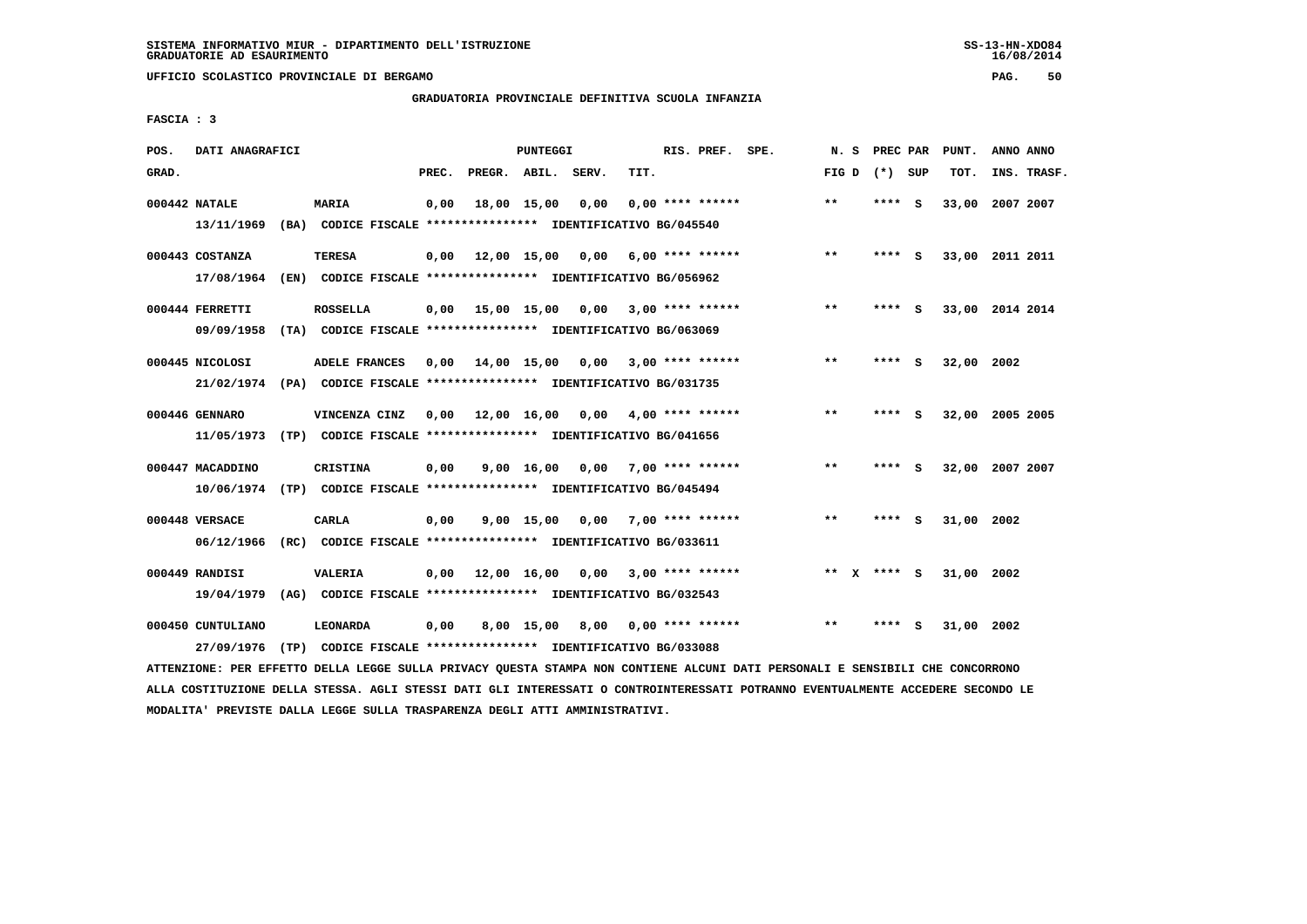**UFFICIO SCOLASTICO PROVINCIALE DI BERGAMO PAG. 50**

# **GRADUATORIA PROVINCIALE DEFINITIVA SCUOLA INFANZIA**

 **FASCIA : 3**

| POS.  | DATI ANAGRAFICI                 |      |                                                                                                 |       |                        | <b>PUNTEGGI</b>  |                                    |      | RIS. PREF. SPE.         | N.S          | PREC PAR |     | PUNT.      | ANNO ANNO       |
|-------|---------------------------------|------|-------------------------------------------------------------------------------------------------|-------|------------------------|------------------|------------------------------------|------|-------------------------|--------------|----------|-----|------------|-----------------|
| GRAD. |                                 |      |                                                                                                 | PREC. | PREGR. ABIL. SERV.     |                  |                                    | TIT. |                         | FIG D        | (*) SUP  |     | TOT.       | INS. TRASF.     |
|       | 000442 NATALE<br>13/11/1969     |      | <b>MARIA</b><br>(BA) CODICE FISCALE **************** IDENTIFICATIVO BG/045540                   | 0,00  |                        | 18,00 15,00      | 0,00                               |      | $0.00$ **** ******      | **           | **** S   |     | 33,00      | 2007 2007       |
|       | 000443 COSTANZA<br>17/08/1964   |      | <b>TERESA</b><br>(EN) CODICE FISCALE **************** IDENTIFICATIVO BG/056962                  | 0,00  |                        | 12,00 15,00 0,00 |                                    |      | $6,00$ **** ******      | $**$         | **** S   |     |            | 33,00 2011 2011 |
|       | 000444 FERRETTI<br>09/09/1958   |      | <b>ROSSELLA</b><br>(TA) CODICE FISCALE **************** IDENTIFICATIVO BG/063069                | 0,00  |                        |                  | 15,00 15,00 0,00 3,00 **** ******  |      |                         | $**$         | **** S   |     |            | 33,00 2014 2014 |
|       | 000445 NICOLOSI                 |      | <b>ADELE FRANCES</b><br>21/02/1974 (PA) CODICE FISCALE *************** IDENTIFICATIVO BG/031735 | 0,00  | 14,00 15,00            |                  |                                    |      | $0,00$ 3,00 **** ****** | $* *$        | ****     | - S | 32,00 2002 |                 |
|       | 000446 GENNARO<br>11/05/1973    |      | VINCENZA CINZ<br>(TP) CODICE FISCALE *************** IDENTIFICATIVO BG/041656                   |       | $0.00$ $12.00$ $16.00$ |                  |                                    |      | $0,00$ 4,00 **** ****** | **           | **** S   |     |            | 32,00 2005 2005 |
|       | 000447 MACADDINO                |      | CRISTINA<br>10/06/1974 (TP) CODICE FISCALE *************** IDENTIFICATIVO BG/045494             | 0.00  |                        | 9,00 16,00       |                                    |      | $0,00$ 7,00 **** ****** | $\star\star$ | ****     | - S | 32,00      | 2007 2007       |
|       | 000448 VERSACE<br>06/12/1966    |      | CARLA<br>(RC) CODICE FISCALE **************** IDENTIFICATIVO BG/033611                          | 0,00  |                        |                  | $9,00$ 15,00 0,00 7,00 **** ****** |      |                         | $* *$        | ****     | - S | 31,00 2002 |                 |
|       | 000449 RANDISI<br>19/04/1979    |      | <b>VALERIA</b><br>(AG) CODICE FISCALE **************** IDENTIFICATIVO BG/032543                 | 0,00  |                        |                  | 12,00 16,00 0,00 3,00 **** ******  |      |                         | ** x **** S  |          |     | 31,00 2002 |                 |
|       | 000450 CUNTULIANO<br>27/09/1976 | (TP) | <b>LEONARDA</b><br>CODICE FISCALE **************** IDENTIFICATIVO BG/033088                     | 0,00  |                        | 8,00 15,00       |                                    |      | 8,00 0,00 **** ******   | $* *$        | ****     | - S | 31,00      | 2002            |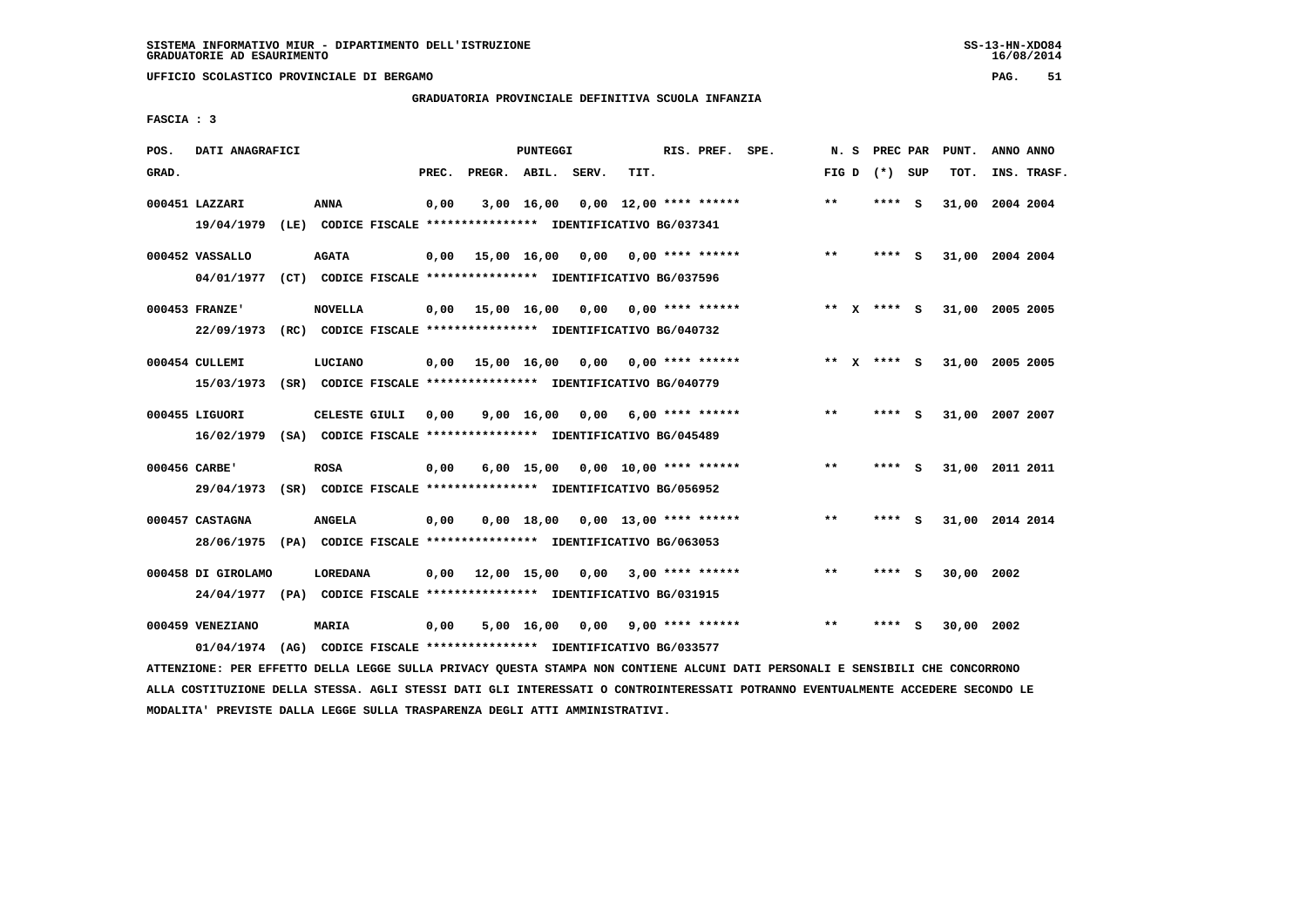**UFFICIO SCOLASTICO PROVINCIALE DI BERGAMO PAG. 51**

# **GRADUATORIA PROVINCIALE DEFINITIVA SCUOLA INFANZIA**

 **FASCIA : 3**

| POS.  | DATI ANAGRAFICI                                                                               |      |                |       |             | PUNTEGGI           |                                                                                                      |      | RIS. PREF. SPE.          | N.S          | PREC PAR    |          | PUNT.      | ANNO ANNO       |  |
|-------|-----------------------------------------------------------------------------------------------|------|----------------|-------|-------------|--------------------|------------------------------------------------------------------------------------------------------|------|--------------------------|--------------|-------------|----------|------------|-----------------|--|
| GRAD. |                                                                                               |      |                | PREC. |             |                    | PREGR. ABIL. SERV.                                                                                   | TIT. |                          | FIG D        | (*) SUP     |          | TOT.       | INS. TRASF.     |  |
|       | 000451 LAZZARI<br>19/04/1979                                                                  |      | ANNA           | 0,00  |             | $3,00$ 16,00       | (LE) CODICE FISCALE **************** IDENTIFICATIVO BG/037341                                        |      | $0.00$ 12.00 **** ****** | $***$        | **** S      |          |            | 31,00 2004 2004 |  |
|       | 000452 VASSALLO<br>04/01/1977                                                                 |      | <b>AGATA</b>   | 0,00  |             |                    | 15,00 16,00 0,00<br>(CT) CODICE FISCALE **************** IDENTIFICATIVO BG/037596                    |      | $0.00$ **** ******       | $\star\star$ | **** S      |          |            | 31,00 2004 2004 |  |
|       | 000453 FRANZE'<br>22/09/1973                                                                  |      | <b>NOVELLA</b> | 0.00  | 15,00 16,00 |                    | 0.00<br>(RC) CODICE FISCALE **************** IDENTIFICATIVO BG/040732                                |      | 0,00 **** ******         | $* *$        | X **** S    |          |            | 31,00 2005 2005 |  |
|       | 000454 CULLEMI<br>15/03/1973                                                                  |      | LUCIANO        | 0,00  | 15,00 16,00 |                    | 0,00<br>(SR) CODICE FISCALE **************** IDENTIFICATIVO BG/040779                                |      | 0,00 **** ******         |              | ** X **** S |          |            | 31,00 2005 2005 |  |
|       | 000455 LIGUORI<br>16/02/1979                                                                  |      | CELESTE GIULI  | 0,00  |             | $9,00 \quad 16,00$ | 0,00<br>(SA) CODICE FISCALE **************** IDENTIFICATIVO BG/045489                                |      | $6.00$ **** ******       | $* *$        | ****        | - S      |            | 31,00 2007 2007 |  |
|       | 000456 CARBE'<br>29/04/1973                                                                   |      | <b>ROSA</b>    | 0,00  |             |                    | $6,00$ 15,00 0,00 10,00 **** ******<br>(SR) CODICE FISCALE **************** IDENTIFICATIVO BG/056952 |      |                          | $***$        | **** S      |          |            | 31,00 2011 2011 |  |
|       | 000457 CASTAGNA<br>28/06/1975                                                                 |      | <b>ANGELA</b>  | 0,00  |             |                    | $0,00$ 18,00 0,00 13,00 **** ******<br>(PA) CODICE FISCALE **************** IDENTIFICATIVO BG/063053 |      |                          | $**$         | ****        | <b>S</b> |            | 31,00 2014 2014 |  |
|       | 000458 DI GIROLAMO<br>24/04/1977 (PA) CODICE FISCALE *************** IDENTIFICATIVO BG/031915 |      | LOREDANA       | 0.00  | 12,00 15,00 |                    | 0,00                                                                                                 |      | $3,00$ **** ******       | $**$         | ****        | <b>S</b> | 30,00 2002 |                 |  |
|       | 000459 VENEZIANO<br>01/04/1974                                                                | (AG) | <b>MARIA</b>   | 0,00  |             | $5,00 \quad 16,00$ | CODICE FISCALE **************** IDENTIFICATIVO BG/033577                                             |      | $0,00$ 9,00 **** ******  | $**$         | ****        | S.       | 30,00 2002 |                 |  |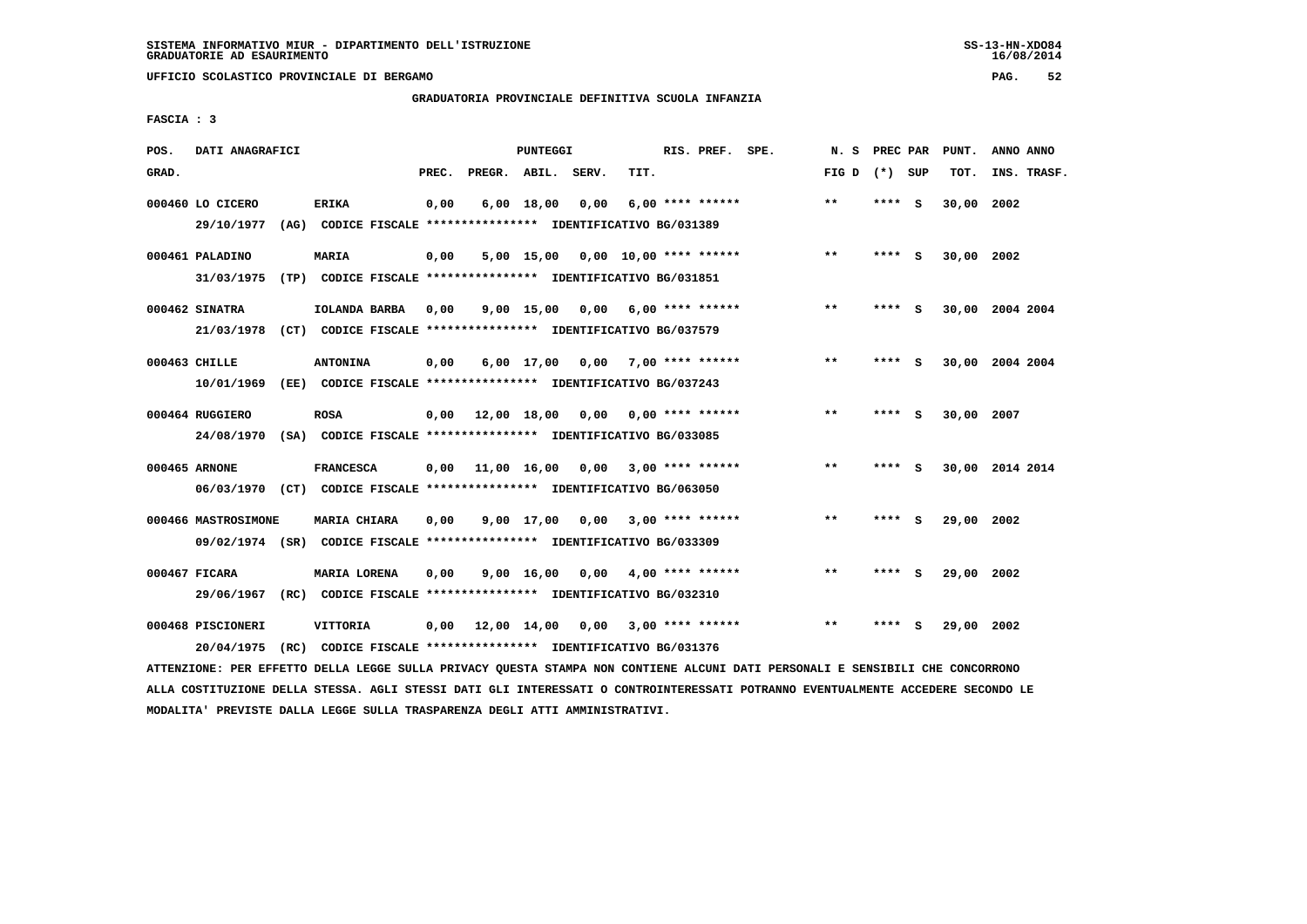**UFFICIO SCOLASTICO PROVINCIALE DI BERGAMO PAG. 52**

## **GRADUATORIA PROVINCIALE DEFINITIVA SCUOLA INFANZIA**

 **FASCIA : 3**

| POS.  | DATI ANAGRAFICI                |      |                                                                               |       |                    | <b>PUNTEGGI</b> |                                   |      | RIS. PREF. SPE.           | N.S   | PREC PAR |     | PUNT.      | ANNO ANNO       |
|-------|--------------------------------|------|-------------------------------------------------------------------------------|-------|--------------------|-----------------|-----------------------------------|------|---------------------------|-------|----------|-----|------------|-----------------|
| GRAD. |                                |      |                                                                               | PREC. | PREGR. ABIL. SERV. |                 |                                   | TIT. |                           | FIG D | (*) SUP  |     | TOT.       | INS. TRASF.     |
|       | 000460 LO CICERO<br>29/10/1977 |      | <b>ERIKA</b><br>(AG) CODICE FISCALE **************** IDENTIFICATIVO BG/031389 | 0,00  |                    | $6,00$ 18,00    | 0,00                              |      | $6,00$ **** ******        | $* *$ | **** S   |     | 30,00      | 2002            |
|       |                                |      |                                                                               |       |                    |                 |                                   |      |                           |       |          |     |            |                 |
|       | 000461 PALADINO                |      | MARIA                                                                         | 0,00  |                    |                 | 5,00 15,00 0,00 10,00 **** ****** |      |                           | $* *$ | **** S   |     | 30,00 2002 |                 |
|       | 31/03/1975                     |      | (TP) CODICE FISCALE **************** IDENTIFICATIVO BG/031851                 |       |                    |                 |                                   |      |                           |       |          |     |            |                 |
|       | 000462 SINATRA                 |      | IOLANDA BARBA                                                                 | 0,00  |                    | $9,00$ 15,00    | 0,00                              |      | 6,00 **** ******          | $***$ | **** S   |     |            | 30,00 2004 2004 |
|       | 21/03/1978                     |      | (CT) CODICE FISCALE **************** IDENTIFICATIVO BG/037579                 |       |                    |                 |                                   |      |                           |       |          |     |            |                 |
|       | 000463 CHILLE                  |      | <b>ANTONINA</b>                                                               | 0,00  |                    | $6,00$ 17,00    | 0,00                              |      | $7.00$ **** ******        | $* *$ | ****     | s   | 30,00      | 2004 2004       |
|       | 10/01/1969                     |      | (EE) CODICE FISCALE **************** IDENTIFICATIVO BG/037243                 |       |                    |                 |                                   |      |                           |       |          |     |            |                 |
|       |                                |      |                                                                               |       |                    |                 |                                   |      |                           |       |          |     |            |                 |
|       | 000464 RUGGIERO                |      | <b>ROSA</b><br>(SA) CODICE FISCALE *************** IDENTIFICATIVO BG/033085   | 0.00  |                    | 12,00 18,00     |                                   |      | $0,00$ $0,00$ **** ****** | $**$  | ****     | - S | 30,00 2007 |                 |
|       | 24/08/1970                     |      |                                                                               |       |                    |                 |                                   |      |                           |       |          |     |            |                 |
|       | 000465 ARNONE                  |      | <b>FRANCESCA</b>                                                              | 0,00  | 11,00 16,00        |                 | 0,00                              |      | $3,00$ **** ******        | $* *$ | ****     | - S |            | 30,00 2014 2014 |
|       |                                |      | 06/03/1970 (CT) CODICE FISCALE *************** IDENTIFICATIVO BG/063050       |       |                    |                 |                                   |      |                           |       |          |     |            |                 |
|       | 000466 MASTROSIMONE            |      | MARIA CHIARA                                                                  | 0,00  |                    | $9,00$ 17,00    | 0,00                              |      | $3,00$ **** ******        | $* *$ | ****     | - S | 29,00      | 2002            |
|       |                                |      | 09/02/1974 (SR) CODICE FISCALE *************** IDENTIFICATIVO BG/033309       |       |                    |                 |                                   |      |                           |       |          |     |            |                 |
|       | 000467 FICARA                  |      | MARIA LORENA                                                                  | 0.00  |                    | 9,00 16,00      | 0.00                              |      | $4,00$ **** ******        | $***$ | ****     | - S | 29,00 2002 |                 |
|       | 29/06/1967                     | (RC) | CODICE FISCALE **************** IDENTIFICATIVO BG/032310                      |       |                    |                 |                                   |      |                           |       |          |     |            |                 |
|       |                                |      |                                                                               |       |                    |                 |                                   |      |                           |       |          |     |            |                 |
|       | 000468 PISCIONERI              |      | VITTORIA                                                                      | 0.00  |                    | 12,00 14,00     | 0,00                              |      | 3,00 **** ******          | $* *$ | ****     | s   | 29,00 2002 |                 |
|       | 20/04/1975                     | (RC) | CODICE FISCALE **************** IDENTIFICATIVO BG/031376                      |       |                    |                 |                                   |      |                           |       |          |     |            |                 |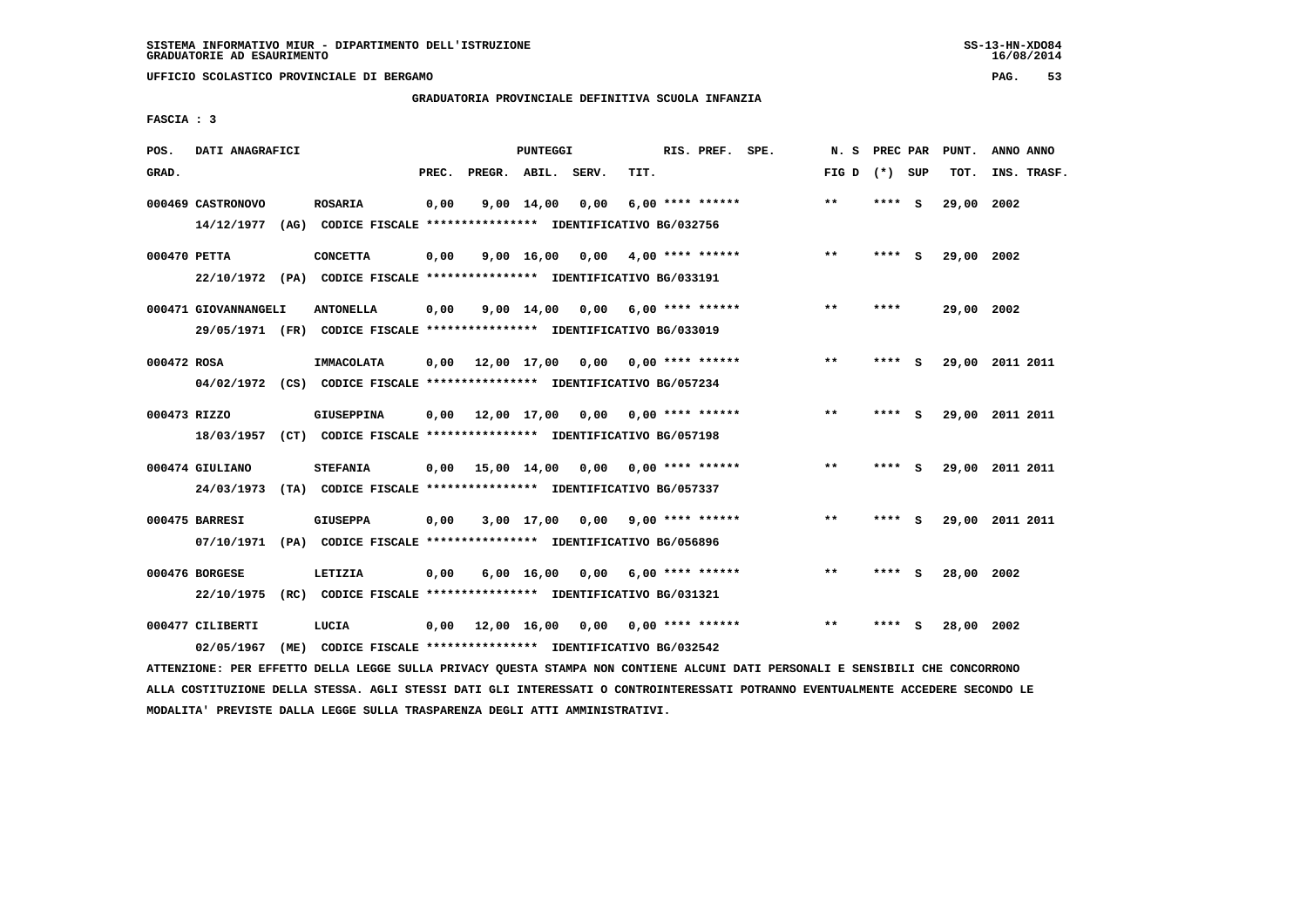**UFFICIO SCOLASTICO PROVINCIALE DI BERGAMO PAG. 53**

## **GRADUATORIA PROVINCIALE DEFINITIVA SCUOLA INFANZIA**

 **FASCIA : 3**

| POS.         | DATI ANAGRAFICI                 |      |                                                                                             |       |                    | PUNTEGGI   |                                          |      | RIS. PREF. SPE.         | N.S          | PREC PAR |     | PUNT.      | ANNO ANNO       |
|--------------|---------------------------------|------|---------------------------------------------------------------------------------------------|-------|--------------------|------------|------------------------------------------|------|-------------------------|--------------|----------|-----|------------|-----------------|
| GRAD.        |                                 |      |                                                                                             | PREC. | PREGR. ABIL. SERV. |            |                                          | TIT. |                         | FIG D        | (*) SUP  |     | TOT.       | INS. TRASF.     |
|              | 000469 CASTRONOVO<br>14/12/1977 |      | <b>ROSARIA</b><br>(AG) CODICE FISCALE **************** IDENTIFICATIVO BG/032756             | 0,00  |                    | 9,00 14,00 | 0.00                                     |      | $6.00$ **** ******      | $* *$        | ****     | - S | 29,00 2002 |                 |
| 000470 PETTA |                                 |      | <b>CONCETTA</b><br>22/10/1972 (PA) CODICE FISCALE *************** IDENTIFICATIVO BG/033191  | 0,00  |                    |            | 9,00 16,00 0,00                          |      | $4.00*********$         | **           | **** S   |     | 29,00 2002 |                 |
|              | 000471 GIOVANNANGELI            |      | <b>ANTONELLA</b><br>29/05/1971 (FR) CODICE FISCALE *************** IDENTIFICATIVO BG/033019 | 0,00  |                    |            | $9,00$ 14,00 0,00 6,00 **** ******       |      |                         | $\star\star$ | ****     |     | 29,00 2002 |                 |
| 000472 ROSA  |                                 |      | IMMACOLATA<br>04/02/1972 (CS) CODICE FISCALE *************** IDENTIFICATIVO BG/057234       |       |                    |            | $0.00$ 12.00 17.00 0.00 0.00 **** ****** |      |                         | $* *$        | ****     | - S |            | 29,00 2011 2011 |
| 000473 RIZZO |                                 |      | GIUSEPPINA<br>18/03/1957 (CT) CODICE FISCALE *************** IDENTIFICATIVO BG/057198       | 0,00  |                    |            | 12,00 17,00 0,00 0,00 **** ******        |      |                         | $***$        | **** $S$ |     |            | 29,00 2011 2011 |
|              | 000474 GIULIANO<br>24/03/1973   |      | <b>STEFANIA</b><br>(TA) CODICE FISCALE *************** IDENTIFICATIVO BG/057337             |       |                    |            | $0.00$ 15.00 14.00 0.00 0.00 **** ****** |      |                         | $* *$        | ****     | - S |            | 29,00 2011 2011 |
|              | 000475 BARRESI                  |      | <b>GIUSEPPA</b><br>07/10/1971 (PA) CODICE FISCALE *************** IDENTIFICATIVO BG/056896  | 0,00  |                    |            | 3,00 17,00 0,00                          |      | $9.00$ **** ******      | $* *$        | **** S   |     |            | 29,00 2011 2011 |
|              | 000476 BORGESE<br>22/10/1975    |      | LETIZIA<br>(RC) CODICE FISCALE **************** IDENTIFICATIVO BG/031321                    | 0,00  |                    | 6,00 16,00 |                                          |      | $0.00$ 6.00 **** ****** | $* *$        | ****     | - 5 | 28,00 2002 |                 |
|              | 000477 CILIBERTI<br>02/05/1967  | (ME) | LUCIA<br>CODICE FISCALE **************** IDENTIFICATIVO BG/032542                           | 0,00  |                    |            | 12,00 16,00 0,00 0,00 **** ******        |      |                         | $* *$        | ****     | - S | 28,00      | 2002            |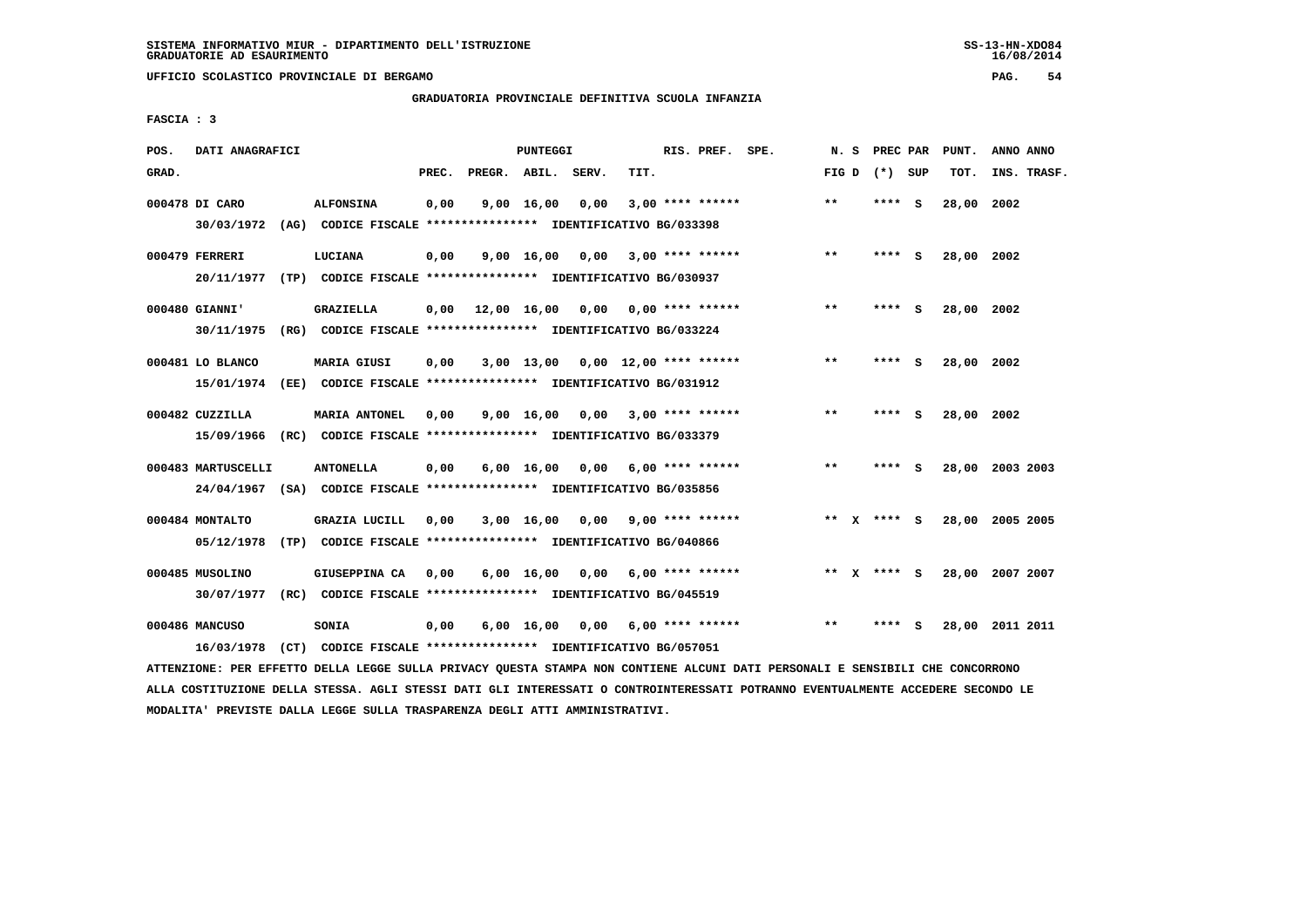**UFFICIO SCOLASTICO PROVINCIALE DI BERGAMO PAG. 54**

# **GRADUATORIA PROVINCIALE DEFINITIVA SCUOLA INFANZIA**

 **FASCIA : 3**

| POS.  | DATI ANAGRAFICI                  |      |                                                                                       |       |                    | <b>PUNTEGGI</b>    |      |      | RIS. PREF. SPE.          | N.S   | PREC PAR    |          | PUNT.      | ANNO ANNO       |
|-------|----------------------------------|------|---------------------------------------------------------------------------------------|-------|--------------------|--------------------|------|------|--------------------------|-------|-------------|----------|------------|-----------------|
| GRAD. |                                  |      |                                                                                       | PREC. | PREGR. ABIL. SERV. |                    |      | TIT. |                          | FIG D | (*) SUP     |          | TOT.       | INS. TRASF.     |
|       | 000478 DI CARO<br>30/03/1972     |      | <b>ALFONSINA</b><br>(AG) CODICE FISCALE **************** IDENTIFICATIVO BG/033398     | 0,00  |                    | 9,00 16,00         | 0,00 |      | $3,00$ **** ******       | $* *$ | ****        | <b>S</b> | 28,00      | 2002            |
|       | 000479 FERRERI<br>20/11/1977     |      | LUCIANA<br>(TP) CODICE FISCALE **************** IDENTIFICATIVO BG/030937              | 0,00  |                    | 9,00 16,00         | 0,00 |      | $3,00$ **** ******       | $* *$ | ****        | - S      | 28,00 2002 |                 |
|       | 000480 GIANNI'<br>30/11/1975     |      | GRAZIELLA<br>(RG) CODICE FISCALE **************** IDENTIFICATIVO BG/033224            | 0.00  | 12,00 16,00        |                    | 0,00 |      | 0,00 **** ******         | $* *$ | ****        | - S      | 28,00 2002 |                 |
|       | 000481 LO BLANCO<br>15/01/1974   |      | <b>MARIA GIUSI</b><br>(EE) CODICE FISCALE **************** IDENTIFICATIVO BG/031912   | 0,00  |                    | $3,00$ 13,00       |      |      | $0.00$ 12.00 **** ****** | $***$ | ****        | S.       | 28,00 2002 |                 |
|       | 000482 CUZZILLA<br>15/09/1966    |      | <b>MARIA ANTONEL</b><br>(RC) CODICE FISCALE **************** IDENTIFICATIVO BG/033379 | 0,00  |                    | 9,00 16,00         |      |      | $0,00$ 3,00 **** ******  | $***$ | ****        | - 5      | 28,00 2002 |                 |
|       | 000483 MARTUSCELLI<br>24/04/1967 |      | <b>ANTONELLA</b><br>(SA) CODICE FISCALE **************** IDENTIFICATIVO BG/035856     | 0,00  |                    | $6,00 \quad 16,00$ | 0,00 |      | $6.00$ **** ******       | $* *$ | ****        | <b>S</b> | 28,00      | 2003 2003       |
|       | 000484 MONTALTO<br>05/12/1978    |      | GRAZIA LUCILL<br>(TP) CODICE FISCALE **************** IDENTIFICATIVO BG/040866        | 0,00  |                    | 3,00 16,00         | 0.00 |      | $9,00$ **** ******       |       | ** x **** s |          | 28,00      | 2005 2005       |
|       | 000485 MUSOLINO<br>30/07/1977    |      | GIUSEPPINA CA<br>(RC) CODICE FISCALE **************** IDENTIFICATIVO BG/045519        | 0.00  |                    | $6,00 \quad 16,00$ | 0,00 |      | 6,00 **** ******         |       | ** X **** S |          |            | 28,00 2007 2007 |
|       | 000486 MANCUSO<br>16/03/1978     | (CT) | SONIA<br>CODICE FISCALE **************** IDENTIFICATIVO BG/057051                     | 0,00  |                    | $6,00 \quad 16,00$ | 0,00 |      | $6.00$ **** ******       | $**$  |             | S.       | 28,00      | 2011 2011       |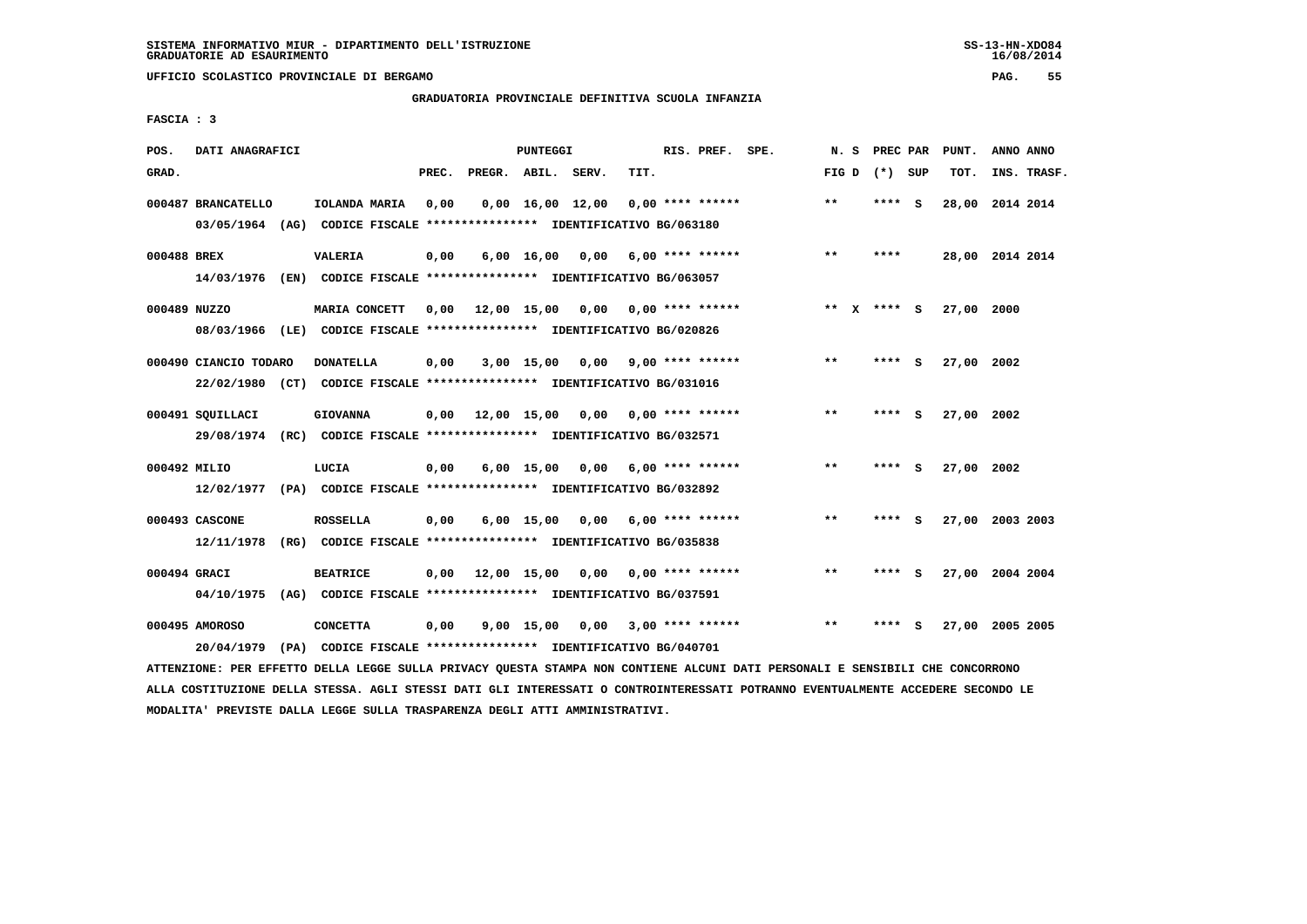**UFFICIO SCOLASTICO PROVINCIALE DI BERGAMO PAG. 55**

## **GRADUATORIA PROVINCIALE DEFINITIVA SCUOLA INFANZIA**

 **FASCIA : 3**

| POS.         | DATI ANAGRAFICI       |                                                                                                                               |       |                    | PUNTEGGI   |                                          |      | RIS. PREF. SPE.         | N.S          |                 | PREC PAR PUNT.  | ANNO ANNO |             |
|--------------|-----------------------|-------------------------------------------------------------------------------------------------------------------------------|-------|--------------------|------------|------------------------------------------|------|-------------------------|--------------|-----------------|-----------------|-----------|-------------|
| GRAD.        |                       |                                                                                                                               | PREC. | PREGR. ABIL. SERV. |            |                                          | TIT. |                         |              | FIG D $(*)$ SUP | TOT.            |           | INS. TRASF. |
|              | 000487 BRANCATELLO    | IOLANDA MARIA                                                                                                                 | 0,00  |                    |            | $0,00$ 16,00 12,00 0,00 **** ******      |      |                         | $***$        | **** S          | 28,00 2014 2014 |           |             |
|              |                       | 03/05/1964 (AG) CODICE FISCALE **************** IDENTIFICATIVO BG/063180                                                      |       |                    |            |                                          |      |                         |              |                 |                 |           |             |
| 000488 BREX  |                       | <b>VALERIA</b>                                                                                                                | 0,00  |                    |            | $6,00$ 16,00 0,00 6,00 **** ******       |      |                         | $* *$        | ****            | 28,00 2014 2014 |           |             |
|              |                       | 14/03/1976 (EN) CODICE FISCALE *************** IDENTIFICATIVO BG/063057                                                       |       |                    |            |                                          |      |                         |              |                 |                 |           |             |
| 000489 NUZZO |                       | MARIA CONCETT                                                                                                                 | 0.00  |                    |            | 12,00 15,00 0,00 0,00 **** ******        |      |                         |              | ** X **** S     | 27,00 2000      |           |             |
|              |                       | 08/03/1966 (LE) CODICE FISCALE *************** IDENTIFICATIVO BG/020826                                                       |       |                    |            |                                          |      |                         |              |                 |                 |           |             |
|              | 000490 CIANCIO TODARO | <b>DONATELLA</b>                                                                                                              | 0,00  |                    |            | 3,00 15,00 0,00                          |      | $9,00$ **** ******      | $***$        | **** S          | 27,00 2002      |           |             |
|              |                       | 22/02/1980 (CT) CODICE FISCALE *************** IDENTIFICATIVO BG/031016                                                       |       |                    |            |                                          |      |                         |              |                 |                 |           |             |
|              | 000491 SQUILLACI      | <b>GIOVANNA</b>                                                                                                               | 0,00  |                    |            | 12,00 15,00 0,00 0,00 **** ******        |      |                         | $***$        | **** S          | 27,00 2002      |           |             |
|              |                       | 29/08/1974 (RC) CODICE FISCALE *************** IDENTIFICATIVO BG/032571                                                       |       |                    |            |                                          |      |                         |              |                 |                 |           |             |
| 000492 MILIO |                       | LUCIA                                                                                                                         | 0,00  |                    | 6,00 15,00 |                                          |      | $0,00$ 6,00 **** ****** | $* *$        | **** S          | 27,00 2002      |           |             |
|              |                       | 12/02/1977 (PA) CODICE FISCALE **************** IDENTIFICATIVO BG/032892                                                      |       |                    |            |                                          |      |                         |              |                 |                 |           |             |
|              | 000493 CASCONE        | <b>ROSSELLA</b>                                                                                                               | 0,00  |                    |            | 6,00 15,00 0,00                          |      | $6,00$ **** ******      | **           | **** S          | 27,00 2003 2003 |           |             |
|              | 12/11/1978            | (RG) CODICE FISCALE **************** IDENTIFICATIVO BG/035838                                                                 |       |                    |            |                                          |      |                         |              |                 |                 |           |             |
| 000494 GRACI |                       | <b>BEATRICE</b>                                                                                                               |       |                    |            | $0,00$ 12,00 15,00 0,00 0,00 **** ****** |      |                         | $\star\star$ | **** S          | 27,00 2004 2004 |           |             |
|              |                       | 04/10/1975 (AG) CODICE FISCALE *************** IDENTIFICATIVO BG/037591                                                       |       |                    |            |                                          |      |                         |              |                 |                 |           |             |
|              | 000495 AMOROSO        | <b>CONCETTA</b>                                                                                                               | 0,00  |                    |            | 9,00 15,00 0,00 3,00 **** ******         |      |                         | $* *$        | **** S          | 27,00 2005 2005 |           |             |
|              | 20/04/1979            | (PA) CODICE FISCALE **************** IDENTIFICATIVO BG/040701                                                                 |       |                    |            |                                          |      |                         |              |                 |                 |           |             |
|              |                       | ATTENZIONE: PER EFFETTO DELLA LEGGE SULLA PRIVACY QUESTA STAMPA NON CONTIENE ALCUNI DATI PERSONALI E SENSIBILI CHE CONCORRONO |       |                    |            |                                          |      |                         |              |                 |                 |           |             |

 **ALLA COSTITUZIONE DELLA STESSA. AGLI STESSI DATI GLI INTERESSATI O CONTROINTERESSATI POTRANNO EVENTUALMENTE ACCEDERE SECONDO LE MODALITA' PREVISTE DALLA LEGGE SULLA TRASPARENZA DEGLI ATTI AMMINISTRATIVI.**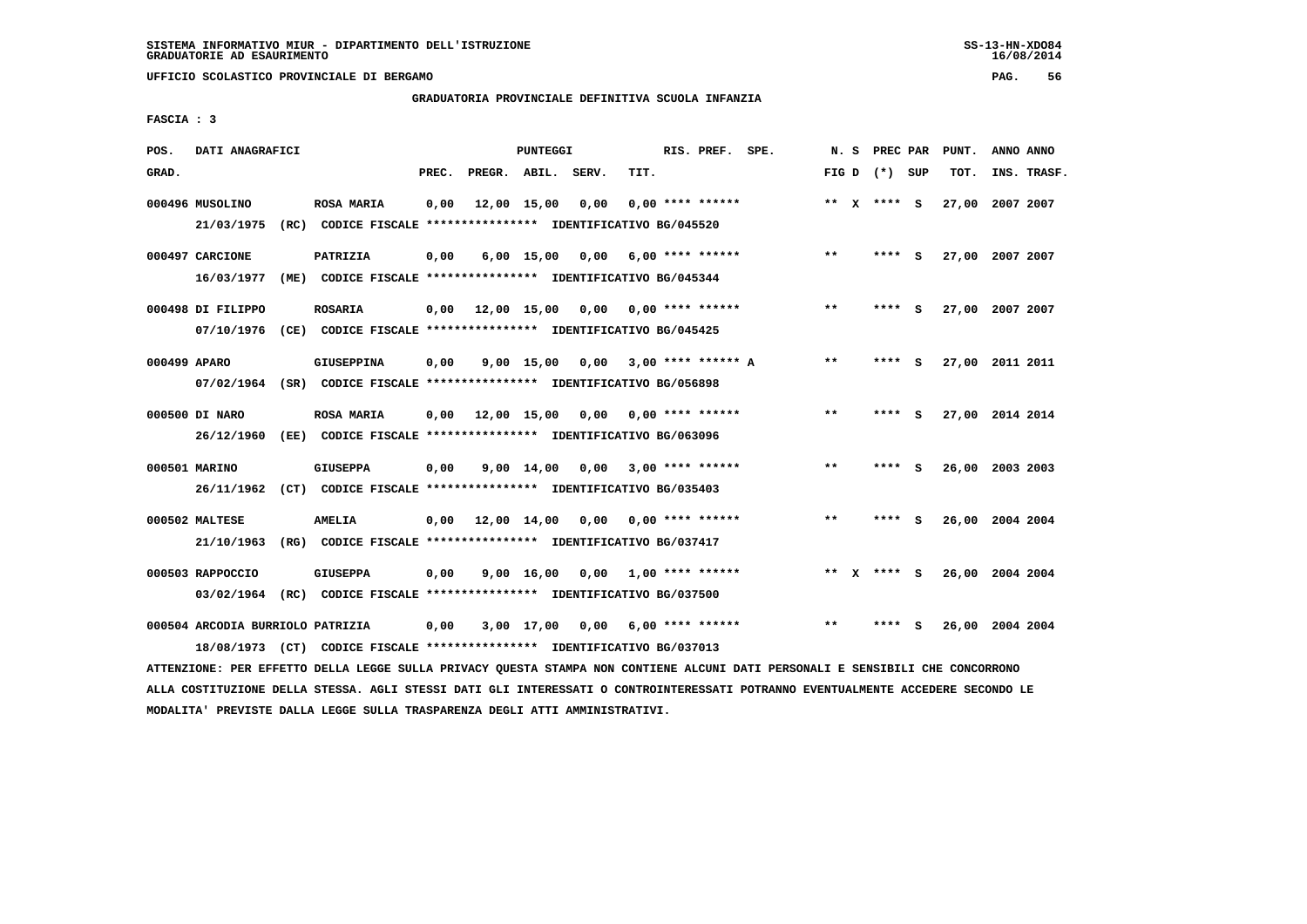**UFFICIO SCOLASTICO PROVINCIALE DI BERGAMO PAG. 56**

## **GRADUATORIA PROVINCIALE DEFINITIVA SCUOLA INFANZIA**

 **FASCIA : 3**

| POS.         | DATI ANAGRAFICI                  |      |                                                                                              |       |                    | PUNTEGGI     |      |      | RIS. PREF. SPE.         | N. S                       |              | PREC PAR        |          | PUNT.           | ANNO ANNO |             |
|--------------|----------------------------------|------|----------------------------------------------------------------------------------------------|-------|--------------------|--------------|------|------|-------------------------|----------------------------|--------------|-----------------|----------|-----------------|-----------|-------------|
| GRAD.        |                                  |      |                                                                                              | PREC. | PREGR. ABIL. SERV. |              |      | TIT. |                         |                            |              | FIG D $(*)$ SUP |          | TOT.            |           | INS. TRASF. |
|              | 000496 MUSOLINO<br>21/03/1975    |      | <b>ROSA MARIA</b><br>(RC) CODICE FISCALE **************** IDENTIFICATIVO BG/045520           | 0,00  | 12,00 15,00        |              | 0,00 |      | $0.00$ **** ******      |                            |              | ** x **** S     |          | 27,00 2007 2007 |           |             |
|              | 000497 CARCIONE<br>16/03/1977    | (ME) | PATRIZIA<br>CODICE FISCALE **************** IDENTIFICATIVO BG/045344                         | 0,00  |                    | 6,00 15,00   | 0,00 |      | $6.00$ **** ******      | $***$                      |              | ****            | <b>S</b> | 27,00 2007 2007 |           |             |
|              | 000498 DI FILIPPO<br>07/10/1976  |      | <b>ROSARIA</b><br>(CE) CODICE FISCALE **************** IDENTIFICATIVO BG/045425              | 0,00  | 12,00 15,00        |              | 0,00 |      | $0.00$ **** ******      | $* *$                      |              | ****            | - S      | 27,00 2007 2007 |           |             |
| 000499 APARO |                                  |      | <b>GIUSEPPINA</b><br>07/02/1964 (SR) CODICE FISCALE *************** IDENTIFICATIVO BG/056898 | 0.00  |                    | $9,00$ 15,00 | 0.00 |      | 3,00 **** ****** A      | $**$                       |              | **** S          |          | 27,00 2011 2011 |           |             |
|              | 000500 DI NARO<br>26/12/1960     |      | <b>ROSA MARIA</b><br>(EE) CODICE FISCALE **************** IDENTIFICATIVO BG/063096           | 0,00  | 12,00 15,00        |              | 0,00 |      | $0.00$ **** ******      | $* *$                      |              |                 | - S      | 27,00 2014 2014 |           |             |
|              | 000501 MARINO<br>26/11/1962      |      | <b>GIUSEPPA</b><br>(CT) CODICE FISCALE **************** IDENTIFICATIVO BG/035403             | 0,00  |                    | 9,00 14,00   |      |      | $0,00$ 3,00 **** ****** | **                         |              | **** S          |          | 26,00 2003 2003 |           |             |
|              | 000502 MALTESE<br>21/10/1963     |      | <b>AMELIA</b><br>(RG) CODICE FISCALE **************** IDENTIFICATIVO BG/037417               | 0,00  | 12,00 14,00        |              | 0,00 |      | $0.00$ **** ******      | $\pmb{\times}\pmb{\times}$ |              | ****            | - S      | 26,00           | 2004 2004 |             |
|              | 000503 RAPPOCCIO<br>03/02/1964   | (RC) | <b>GIUSEPPA</b><br>CODICE FISCALE **************** IDENTIFICATIVO BG/037500                  | 0,00  |                    | 9,00 16,00   | 0,00 |      | $1,00$ **** ******      | $* *$                      | $\mathbf{x}$ | **** S          |          | 26,00 2004 2004 |           |             |
|              | 000504 ARCODIA BURRIOLO PATRIZIA |      | 18/08/1973 (CT) CODICE FISCALE *************** IDENTIFICATIVO BG/037013                      | 0,00  |                    | 3,00 17,00   | 0,00 |      | 6,00 **** ******        | $* *$                      |              | ****            | - S      | 26,00 2004 2004 |           |             |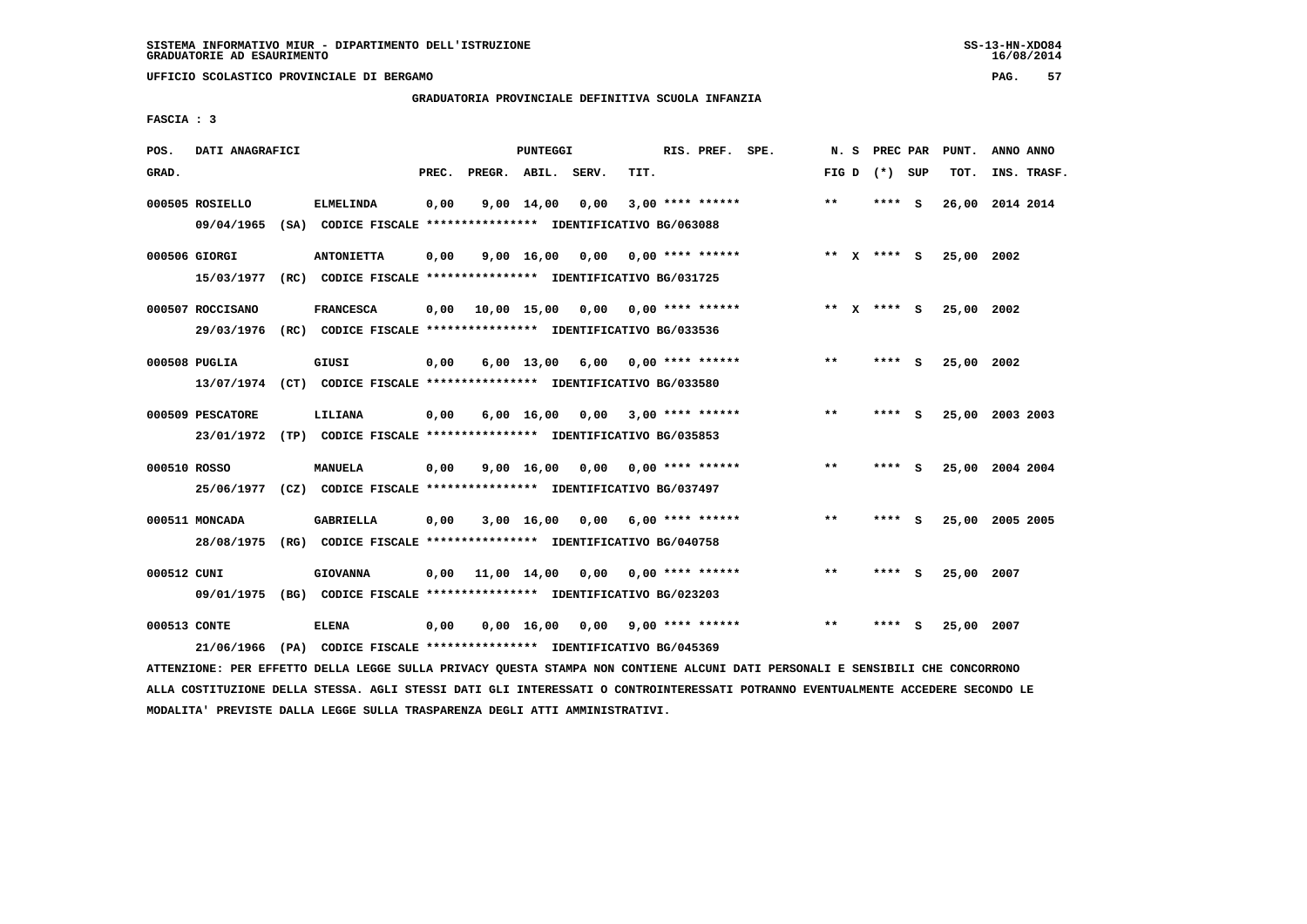**UFFICIO SCOLASTICO PROVINCIALE DI BERGAMO PAG. 57**

# **GRADUATORIA PROVINCIALE DEFINITIVA SCUOLA INFANZIA**

 **FASCIA : 3**

| POS.         | DATI ANAGRAFICI                |                                                                                    |       |                    | PUNTEGGI           |                  |      | RIS. PREF. SPE.           | N.S   | PREC PAR    |     | PUNT.           | ANNO ANNO   |  |
|--------------|--------------------------------|------------------------------------------------------------------------------------|-------|--------------------|--------------------|------------------|------|---------------------------|-------|-------------|-----|-----------------|-------------|--|
| GRAD.        |                                |                                                                                    | PREC. | PREGR. ABIL. SERV. |                    |                  | TIT. |                           | FIG D | (*) SUP     |     | TOT.            | INS. TRASF. |  |
|              | 000505 ROSIELLO<br>09/04/1965  | <b>ELMELINDA</b><br>(SA) CODICE FISCALE **************** IDENTIFICATIVO BG/063088  | 0,00  |                    | $9,00 \quad 14,00$ | 0,00             |      | $3,00$ **** ******        | $* *$ | **** S      |     | 26,00 2014 2014 |             |  |
|              | 000506 GIORGI<br>15/03/1977    | <b>ANTONIETTA</b><br>(RC) CODICE FISCALE **************** IDENTIFICATIVO BG/031725 | 0,00  |                    | 9,00 16,00         | 0,00             |      | 0,00 **** ******          |       | ** x **** s |     | 25,00 2002      |             |  |
|              | 000507 ROCCISANO<br>29/03/1976 | <b>FRANCESCA</b><br>(RC) CODICE FISCALE **************** IDENTIFICATIVO BG/033536  | 0,00  |                    |                    | 10,00 15,00 0,00 |      | 0,00 **** ******          |       | ** X **** S |     | 25,00 2002      |             |  |
|              | 000508 PUGLIA                  | GIUSI<br>13/07/1974 (CT) CODICE FISCALE *************** IDENTIFICATIVO BG/033580   | 0,00  |                    | $6,00$ 13,00       | 6,00             |      | 0,00 **** ******          | $***$ | ****        | - S | 25,00 2002      |             |  |
|              | 000509 PESCATORE               | LILIANA<br>23/01/1972 (TP) CODICE FISCALE *************** IDENTIFICATIVO BG/035853 | 0,00  |                    | $6,00 \quad 16,00$ | 0.00             |      | $3,00$ **** ******        | $* *$ | ****        | - S | 25,00 2003 2003 |             |  |
| 000510 ROSSO | 25/06/1977                     | <b>MANUELA</b><br>(CZ) CODICE FISCALE **************** IDENTIFICATIVO BG/037497    | 0,00  |                    | 9,00 16,00         |                  |      | $0,00$ $0,00$ **** ****** | $* *$ | ****        | - 5 | 25,00 2004 2004 |             |  |
|              | 000511 MONCADA<br>28/08/1975   | <b>GABRIELLA</b><br>(RG) CODICE FISCALE **************** IDENTIFICATIVO BG/040758  | 0,00  |                    | 3,00 16,00         | 0,00             |      | $6,00$ **** ******        | $* *$ | ****        | - S | 25,00 2005 2005 |             |  |
| 000512 CUNI  | 09/01/1975                     | <b>GIOVANNA</b><br>(BG) CODICE FISCALE **************** IDENTIFICATIVO BG/023203   | 0,00  |                    | 11,00 14,00        | 0,00             |      | $0.00$ **** ******        | $* *$ | ****        | - S | 25,00 2007      |             |  |
| 000513 CONTE | 21/06/1966                     | <b>ELENA</b><br>(PA) CODICE FISCALE **************** IDENTIFICATIVO BG/045369      | 0.00  |                    | 0,00 16,00         |                  |      | $0.00$ 9.00 **** ******   | $* *$ | ****        | s   | 25,00 2007      |             |  |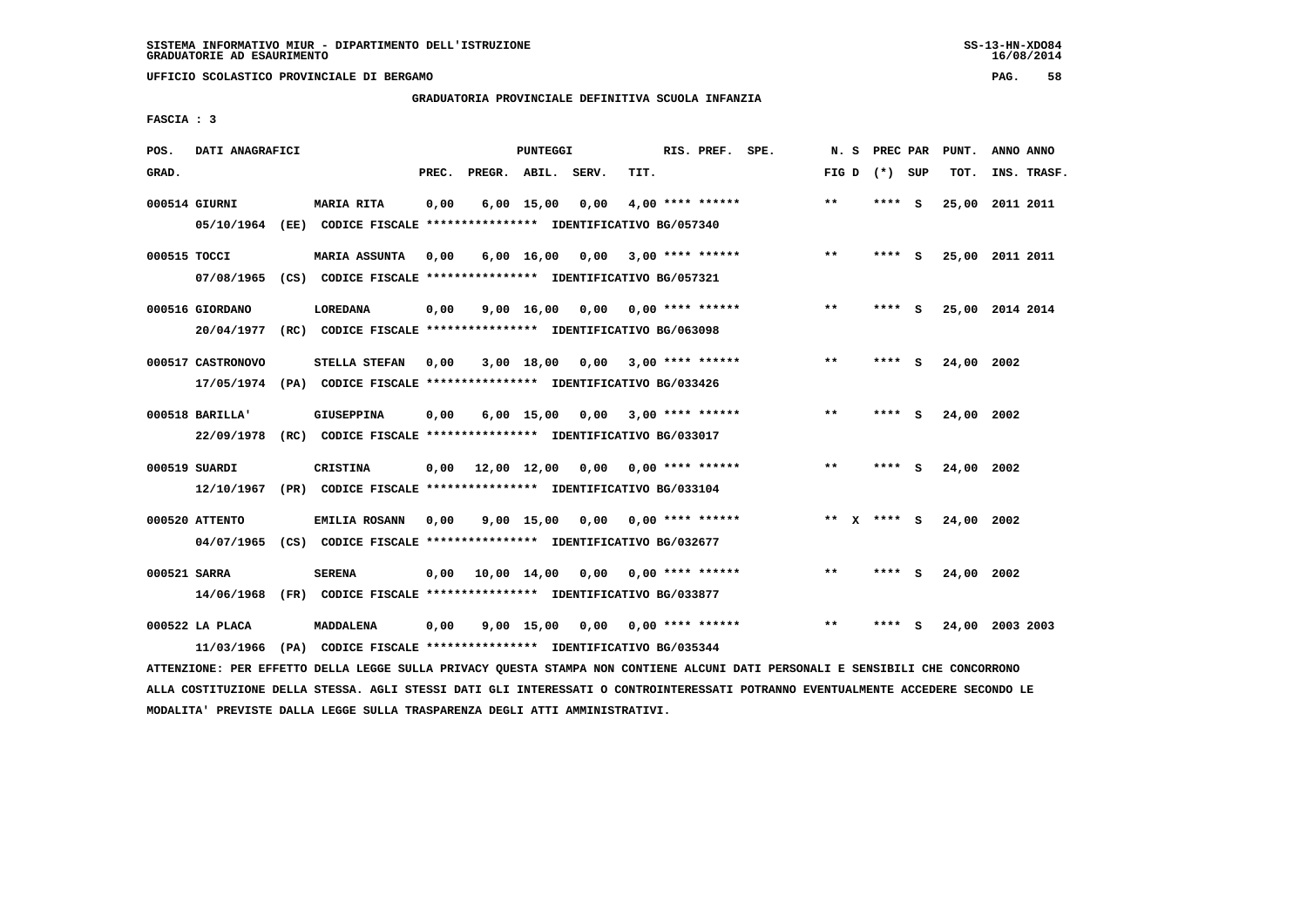**UFFICIO SCOLASTICO PROVINCIALE DI BERGAMO PAG. 58**

# **GRADUATORIA PROVINCIALE DEFINITIVA SCUOLA INFANZIA**

 **FASCIA : 3**

| POS.         | DATI ANAGRAFICI   |      |                                                                         |       |                    | PUNTEGGI     |                                   |      | RIS. PREF. SPE.                 | N.S   | PREC PAR        |     | PUNT.      | ANNO ANNO       |
|--------------|-------------------|------|-------------------------------------------------------------------------|-------|--------------------|--------------|-----------------------------------|------|---------------------------------|-------|-----------------|-----|------------|-----------------|
| GRAD.        |                   |      |                                                                         | PREC. | PREGR. ABIL. SERV. |              |                                   | TIT. |                                 |       | FIG D $(*)$ SUP |     | TOT.       | INS. TRASF.     |
|              | 000514 GIURNI     |      | <b>MARIA RITA</b>                                                       | 0,00  |                    | $6,00$ 15,00 | 0,00                              |      | $4,00$ **** ******              | $***$ | **** S          |     |            | 25,00 2011 2011 |
|              |                   |      | 05/10/1964 (EE) CODICE FISCALE *************** IDENTIFICATIVO BG/057340 |       |                    |              |                                   |      |                                 |       |                 |     |            |                 |
| 000515 TOCCI |                   |      | <b>MARIA ASSUNTA</b>                                                    | 0,00  |                    | 6,00 16,00   | 0,00                              |      | $3,00$ **** ******              | $**$  | $***$ S         |     |            | 25,00 2011 2011 |
|              | 07/08/1965        |      | (CS) CODICE FISCALE **************** IDENTIFICATIVO BG/057321           |       |                    |              |                                   |      |                                 |       |                 |     |            |                 |
|              | 000516 GIORDANO   |      | <b>LOREDANA</b>                                                         | 0,00  |                    | 9,00 16,00   |                                   |      | $0.00$ $0.00$ **** ******       | **    | ****            | - S |            | 25,00 2014 2014 |
|              | 20/04/1977        |      | (RC) CODICE FISCALE **************** IDENTIFICATIVO BG/063098           |       |                    |              |                                   |      |                                 |       |                 |     |            |                 |
|              | 000517 CASTRONOVO |      | STELLA STEFAN                                                           | 0,00  |                    | 3,00 18,00   | 0,00                              |      | $3,00$ **** ******              | $***$ | ****            | - 5 | 24,00 2002 |                 |
|              |                   |      | 17/05/1974 (PA) CODICE FISCALE *************** IDENTIFICATIVO BG/033426 |       |                    |              |                                   |      |                                 |       |                 |     |            |                 |
|              | 000518 BARILLA'   |      | GIUSEPPINA                                                              | 0,00  |                    | $6,00$ 15,00 | 0,00                              |      | 3,00 **** ******                | $* *$ | ****            | - S | 24,00 2002 |                 |
|              | 22/09/1978        |      | (RC) CODICE FISCALE *************** IDENTIFICATIVO BG/033017            |       |                    |              |                                   |      |                                 |       |                 |     |            |                 |
|              | 000519 SUARDI     |      | <b>CRISTINA</b>                                                         | 0,00  |                    |              | 12,00 12,00 0,00 0,00 **** ****** |      |                                 | $* *$ | **** S          |     | 24,00 2002 |                 |
|              | 12/10/1967        | (PR) | CODICE FISCALE **************** IDENTIFICATIVO BG/033104                |       |                    |              |                                   |      |                                 |       |                 |     |            |                 |
|              | 000520 ATTENTO    |      | EMILIA ROSANN                                                           | 0,00  |                    | $9,00$ 15,00 |                                   |      | $0,00$ $0,00$ **** ******       | ** X  | **** S          |     | 24,00 2002 |                 |
|              | 04/07/1965        |      | (CS) CODICE FISCALE **************** IDENTIFICATIVO BG/032677           |       |                    |              |                                   |      |                                 |       |                 |     |            |                 |
| 000521 SARRA |                   |      | <b>SERENA</b>                                                           | 0.00  |                    | 10,00 14,00  |                                   |      | $0.00$ $0.00$ **** ******       | $* *$ | ****            | - S | 24,00 2002 |                 |
|              | 14/06/1968        |      | (FR) CODICE FISCALE **************** IDENTIFICATIVO BG/033877           |       |                    |              |                                   |      |                                 |       |                 |     |            |                 |
|              | 000522 LA PLACA   |      | MADDALENA                                                               | 0,00  |                    | 9,00 15,00   |                                   |      | $0.00$ $0.00$ $***$ **** ****** | $* *$ |                 | s   |            | 24,00 2003 2003 |
|              | 11/03/1966        |      | (PA) CODICE FISCALE *************** IDENTIFICATIVO BG/035344            |       |                    |              |                                   |      |                                 |       |                 |     |            |                 |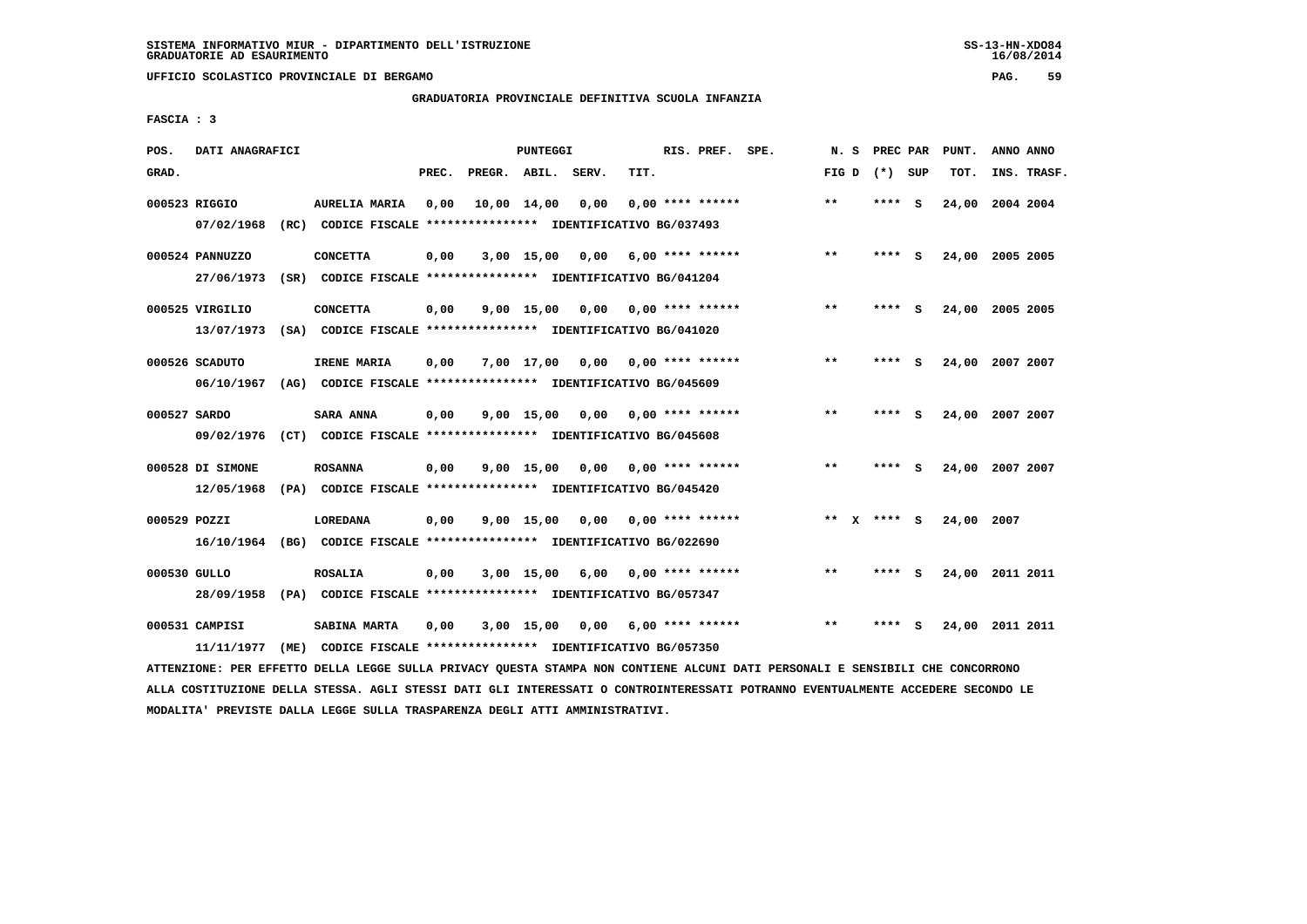**UFFICIO SCOLASTICO PROVINCIALE DI BERGAMO PAG. 59**

## **GRADUATORIA PROVINCIALE DEFINITIVA SCUOLA INFANZIA**

 **FASCIA : 3**

| POS.         | DATI ANAGRAFICI                |                                                                                       |       |                    | <b>PUNTEGGI</b> |      |      | RIS. PREF. SPE.    | N.S          | PREC PAR    |     | PUNT.      | ANNO ANNO       |  |
|--------------|--------------------------------|---------------------------------------------------------------------------------------|-------|--------------------|-----------------|------|------|--------------------|--------------|-------------|-----|------------|-----------------|--|
| GRAD.        |                                |                                                                                       | PREC. | PREGR. ABIL. SERV. |                 |      | TIT. |                    | FIG D        | (*) SUP     |     | TOT.       | INS. TRASF.     |  |
|              | 000523 RIGGIO<br>07/02/1968    | <b>AURELIA MARIA</b><br>(RC) CODICE FISCALE **************** IDENTIFICATIVO BG/037493 | 0,00  |                    | 10,00 14,00     | 0,00 |      | $0.00$ **** ****** | $* *$        | ****        | - S | 24,00      | 2004 2004       |  |
|              | 000524 PANNUZZO<br>27/06/1973  | <b>CONCETTA</b><br>(SR) CODICE FISCALE **************** IDENTIFICATIVO BG/041204      | 0,00  |                    | $3,00$ 15,00    | 0.00 |      | $6.00$ **** ****** | $***$        | ****        | - S |            | 24,00 2005 2005 |  |
|              | 000525 VIRGILIO<br>13/07/1973  | <b>CONCETTA</b><br>(SA) CODICE FISCALE **************** IDENTIFICATIVO BG/041020      | 0,00  |                    | 9,00 15,00      | 0,00 |      | $0.00$ **** ****** | **           | ****        | - S | 24,00      | 2005 2005       |  |
|              | 000526 SCADUTO<br>06/10/1967   | IRENE MARIA<br>(AG) CODICE FISCALE **************** IDENTIFICATIVO BG/045609          | 0,00  |                    | 7,00 17,00      | 0,00 |      | $0.00$ **** ****** | $* *$        | ****        | - 5 | 24,00      | 2007 2007       |  |
| 000527 SARDO | 09/02/1976                     | <b>SARA ANNA</b><br>(CT) CODICE FISCALE **************** IDENTIFICATIVO BG/045608     | 0,00  |                    | $9,00$ 15,00    | 0,00 |      | $0.00$ **** ****** | $\star\star$ | ****        | - S | 24,00      | 2007 2007       |  |
|              | 000528 DI SIMONE<br>12/05/1968 | <b>ROSANNA</b><br>(PA) CODICE FISCALE **************** IDENTIFICATIVO BG/045420       | 0,00  |                    | 9,00 15,00      | 0.00 |      | 0,00 **** ******   | $***$        | ****        | - S |            | 24,00 2007 2007 |  |
| 000529 POZZI | 16/10/1964                     | <b>LOREDANA</b><br>(BG) CODICE FISCALE **************** IDENTIFICATIVO BG/022690      | 0,00  |                    | $9,00$ 15,00    | 0,00 |      | 0,00 **** ******   |              | ** x **** s |     | 24,00 2007 |                 |  |
| 000530 GULLO | 28/09/1958                     | <b>ROSALIA</b><br>(PA) CODICE FISCALE **************** IDENTIFICATIVO BG/057347       | 0,00  |                    | $3,00$ 15,00    | 6,00 |      | $0.00$ **** ****** | $**$         | ****        | - S | 24,00      | 2011 2011       |  |
|              | 000531 CAMPISI<br>11/11/1977   | SABINA MARTA<br>(ME) CODICE FISCALE **************** IDENTIFICATIVO BG/057350         | 0,00  |                    | $3,00$ 15,00    | 0,00 |      | $6.00$ **** ****** | $***$        | ****        | s   | 24,00      | 2011 2011       |  |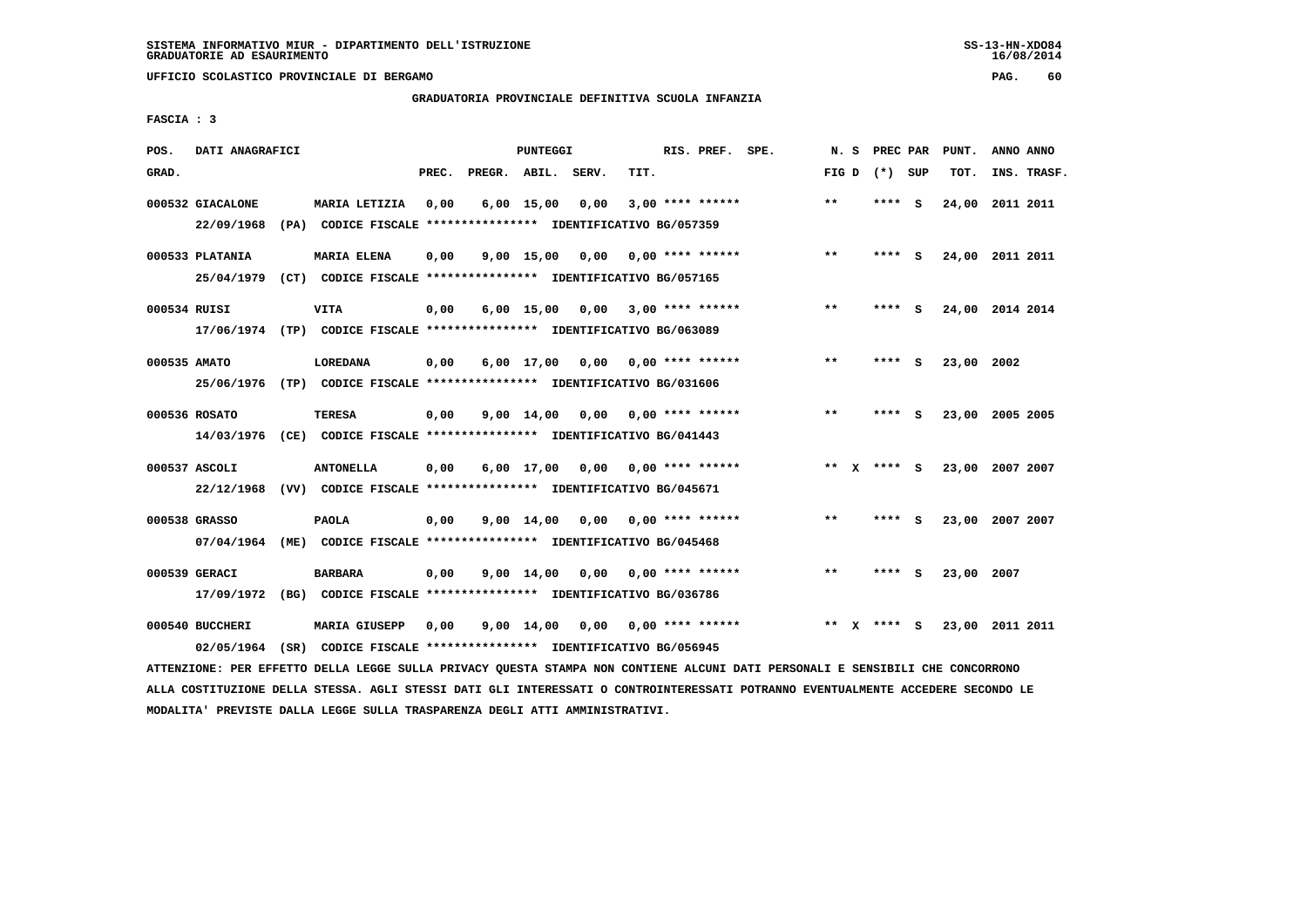**UFFICIO SCOLASTICO PROVINCIALE DI BERGAMO PAG. 60**

## **GRADUATORIA PROVINCIALE DEFINITIVA SCUOLA INFANZIA**

 **FASCIA : 3**

| POS.         | DATI ANAGRAFICI                |                                                                                   |       |                    | PUNTEGGI           |      |      | RIS. PREF. SPE.    | N. S  |              | PREC PAR    |          | PUNT.      | ANNO ANNO       |
|--------------|--------------------------------|-----------------------------------------------------------------------------------|-------|--------------------|--------------------|------|------|--------------------|-------|--------------|-------------|----------|------------|-----------------|
| GRAD.        |                                |                                                                                   | PREC. | PREGR. ABIL. SERV. |                    |      | TIT. |                    | FIG D |              | (*) SUP     |          | TOT.       | INS. TRASF.     |
|              | 000532 GIACALONE<br>22/09/1968 | MARIA LETIZIA<br>(PA) CODICE FISCALE **************** IDENTIFICATIVO BG/057359    | 0,00  |                    | $6,00$ 15,00       | 0,00 |      | $3,00$ **** ****** | $**$  |              | **** S      |          | 24,00      | 2011 2011       |
|              | 000533 PLATANIA                | <b>MARIA ELENA</b>                                                                | 0,00  |                    | $9,00$ 15,00       | 0,00 |      | $0.00$ **** ****** | $***$ |              | **** S      |          |            | 24,00 2011 2011 |
| 000534 RUISI | 25/04/1979                     | (CT) CODICE FISCALE **************** IDENTIFICATIVO BG/057165<br><b>VITA</b>      | 0,00  |                    | $6,00$ 15,00       | 0,00 |      | 3,00 **** ******   | $***$ |              | ****        | - 5      |            | 24,00 2014 2014 |
|              |                                | 17/06/1974 (TP) CODICE FISCALE *************** IDENTIFICATIVO BG/063089           |       |                    |                    |      |      |                    |       |              |             |          |            |                 |
| 000535 AMATO |                                | <b>LOREDANA</b>                                                                   | 0,00  |                    | $6,00$ 17,00       | 0,00 |      | $0.00$ **** ****** | $***$ |              | ****        | <b>S</b> | 23,00 2002 |                 |
|              | 000536 ROSATO                  | 25/06/1976 (TP) CODICE FISCALE *************** IDENTIFICATIVO BG/031606<br>TERESA | 0.00  |                    | $9,00 \quad 14,00$ | 0.00 |      | $0.00$ **** ****** | $***$ |              | ****        | <b>S</b> |            | 23,00 2005 2005 |
|              | 14/03/1976                     | (CE) CODICE FISCALE **************** IDENTIFICATIVO BG/041443                     |       |                    |                    |      |      |                    |       |              |             |          |            |                 |
|              | 000537 ASCOLI                  | <b>ANTONELLA</b>                                                                  | 0,00  |                    | $6,00$ 17,00       | 0,00 |      | $0.00$ **** ****** |       |              | ** x **** S |          |            | 23,00 2007 2007 |
|              | 22/12/1968                     | (VV) CODICE FISCALE *************** IDENTIFICATIVO BG/045671                      |       |                    |                    |      |      |                    |       |              |             |          |            |                 |
|              | 000538 GRASSO<br>07/04/1964    | <b>PAOLA</b><br>(ME) CODICE FISCALE **************** IDENTIFICATIVO BG/045468     | 0,00  |                    | 9,00 14,00         | 0,00 |      | $0.00$ **** ****** | $***$ |              | ****        | - S      |            | 23,00 2007 2007 |
|              | 000539 GERACI                  | <b>BARBARA</b>                                                                    | 0,00  |                    | 9,00 14,00         | 0,00 |      | $0.00$ **** ****** | $***$ |              | **** S      |          | 23,00 2007 |                 |
|              | 17/09/1972                     | (BG) CODICE FISCALE **************** IDENTIFICATIVO BG/036786                     |       |                    |                    |      |      |                    |       |              |             |          |            |                 |
|              | 000540 BUCCHERI                | <b>MARIA GIUSEPP</b>                                                              | 0,00  |                    | $9,00$ 14,00       | 0,00 |      | $0.00$ **** ****** | $***$ | $\mathbf{x}$ | **** S      |          |            | 23,00 2011 2011 |
|              | 02/05/1964                     | (SR) CODICE FISCALE **************** IDENTIFICATIVO BG/056945                     |       |                    |                    |      |      |                    |       |              |             |          |            |                 |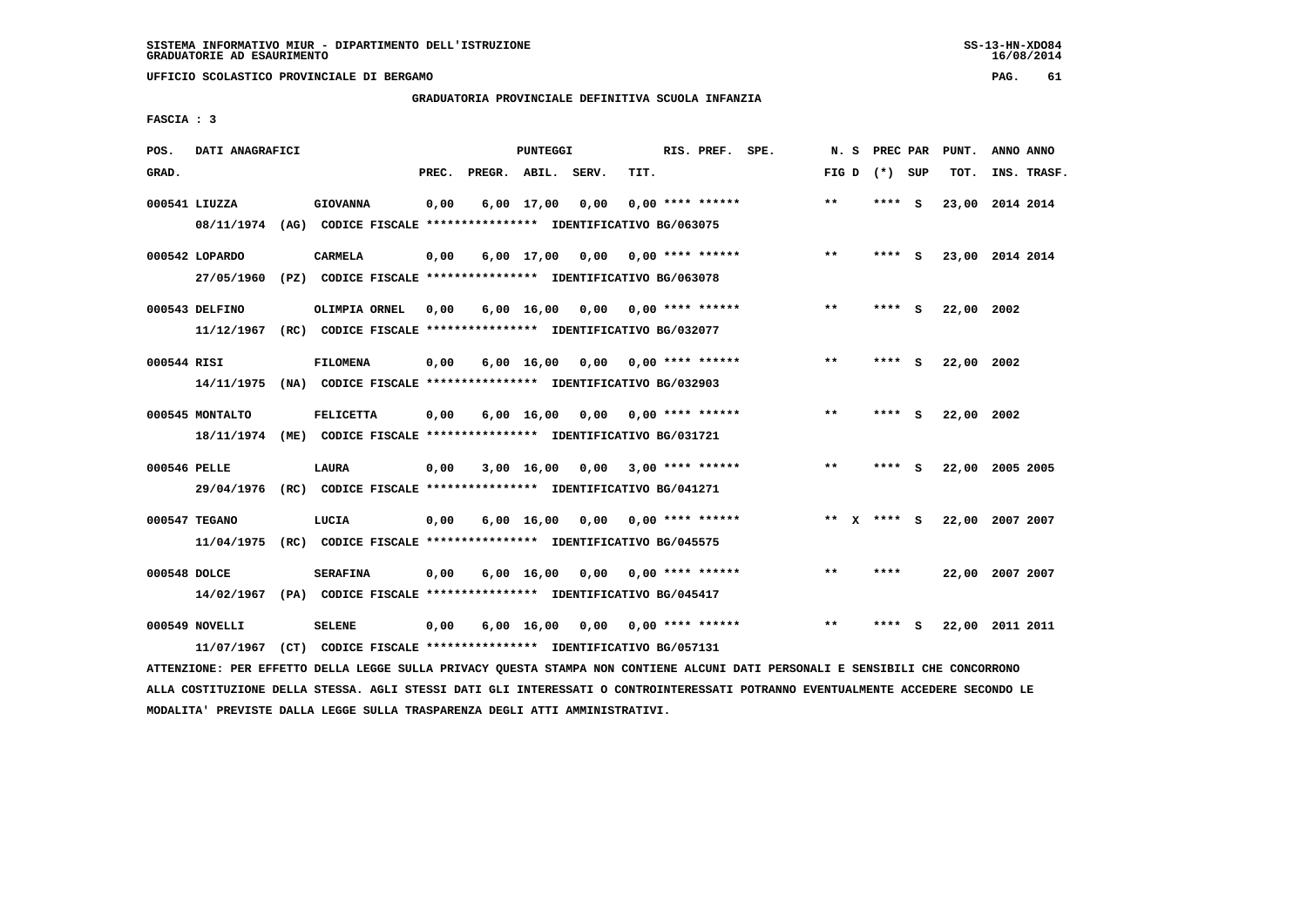**UFFICIO SCOLASTICO PROVINCIALE DI BERGAMO PAG. 61**

# **GRADUATORIA PROVINCIALE DEFINITIVA SCUOLA INFANZIA**

 **FASCIA : 3**

| POS.         | DATI ANAGRAFICI                                                         |                                                               |       |                    | PUNTEGGI           |                 |      | RIS. PREF. SPE.           | N.S   | PREC PAR        |     | PUNT.           | ANNO ANNO |             |
|--------------|-------------------------------------------------------------------------|---------------------------------------------------------------|-------|--------------------|--------------------|-----------------|------|---------------------------|-------|-----------------|-----|-----------------|-----------|-------------|
| GRAD.        |                                                                         |                                                               | PREC. | PREGR. ABIL. SERV. |                    |                 | TIT. |                           |       | FIG D $(*)$ SUP |     | TOT.            |           | INS. TRASF. |
|              | 000541 LIUZZA                                                           | <b>GIOVANNA</b>                                               | 0,00  |                    | 6,00 17,00         | 0,00            |      | $0.00$ **** ******        | $* *$ | ****            | - S | 23,00 2014 2014 |           |             |
|              | 08/11/1974 (AG) CODICE FISCALE *************** IDENTIFICATIVO BG/063075 |                                                               |       |                    |                    |                 |      |                           |       |                 |     |                 |           |             |
|              | 000542 LOPARDO                                                          | <b>CARMELA</b>                                                | 0,00  |                    | 6,00 17,00         | 0,00            |      | 0,00 **** ******          | $***$ | **** S          |     | 23,00 2014 2014 |           |             |
|              | 27/05/1960                                                              | (PZ) CODICE FISCALE **************** IDENTIFICATIVO BG/063078 |       |                    |                    |                 |      |                           |       |                 |     |                 |           |             |
|              | 000543 DELFINO                                                          | OLIMPIA ORNEL                                                 | 0,00  |                    | $6,00 \quad 16,00$ |                 |      | $0,00$ $0,00$ **** ****** | $* *$ | ****            | - S | 22,00           | 2002      |             |
|              | 11/12/1967                                                              | (RC) CODICE FISCALE **************** IDENTIFICATIVO BG/032077 |       |                    |                    |                 |      |                           |       |                 |     |                 |           |             |
| 000544 RISI  |                                                                         | <b>FILOMENA</b>                                               | 0,00  |                    | $6,00 \quad 16,00$ |                 |      | $0,00$ $0,00$ **** ****** | $* *$ | ****            | - S | 22,00 2002      |           |             |
|              | 14/11/1975                                                              | (NA) CODICE FISCALE **************** IDENTIFICATIVO BG/032903 |       |                    |                    |                 |      |                           |       |                 |     |                 |           |             |
|              | 000545 MONTALTO                                                         | <b>FELICETTA</b>                                              | 0,00  |                    | 6,00 16,00         | 0,00            |      | 0,00 **** ******          | $* *$ | ****            | - S | 22,00 2002      |           |             |
|              | 18/11/1974                                                              | (ME) CODICE FISCALE **************** IDENTIFICATIVO BG/031721 |       |                    |                    |                 |      |                           |       |                 |     |                 |           |             |
| 000546 PELLE |                                                                         | LAURA                                                         |       |                    |                    | 3,00 16,00 0,00 |      | $3,00$ **** ******        | $* *$ | ****            | - S | 22,00 2005 2005 |           |             |
|              | 29/04/1976                                                              | (RC) CODICE FISCALE *************** IDENTIFICATIVO BG/041271  | 0,00  |                    |                    |                 |      |                           |       |                 |     |                 |           |             |
|              |                                                                         |                                                               |       |                    |                    |                 |      |                           |       |                 |     |                 |           |             |
|              | 000547 TEGANO                                                           | LUCIA                                                         | 0,00  |                    | $6,00 \quad 16,00$ | 0,00            |      | 0,00 **** ******          |       | ** x **** S     |     | 22,00 2007 2007 |           |             |
|              | 11/04/1975                                                              | (RC) CODICE FISCALE *************** IDENTIFICATIVO BG/045575  |       |                    |                    |                 |      |                           |       |                 |     |                 |           |             |
| 000548 DOLCE |                                                                         | <b>SERAFINA</b>                                               | 0,00  |                    | $6,00 \quad 16,00$ |                 |      | $0.00$ $0.00$ **** ****** | $***$ | ****            |     | 22,00 2007 2007 |           |             |
|              | 14/02/1967                                                              | (PA) CODICE FISCALE **************** IDENTIFICATIVO BG/045417 |       |                    |                    |                 |      |                           |       |                 |     |                 |           |             |
|              | 000549 NOVELLI                                                          | <b>SELENE</b>                                                 | 0,00  |                    | $6,00 \quad 16,00$ |                 |      | $0,00$ $0,00$ **** ****** | $* *$ | ****            | - S | 22,00 2011 2011 |           |             |
|              | 11/07/1967                                                              | (CT) CODICE FISCALE **************** IDENTIFICATIVO BG/057131 |       |                    |                    |                 |      |                           |       |                 |     |                 |           |             |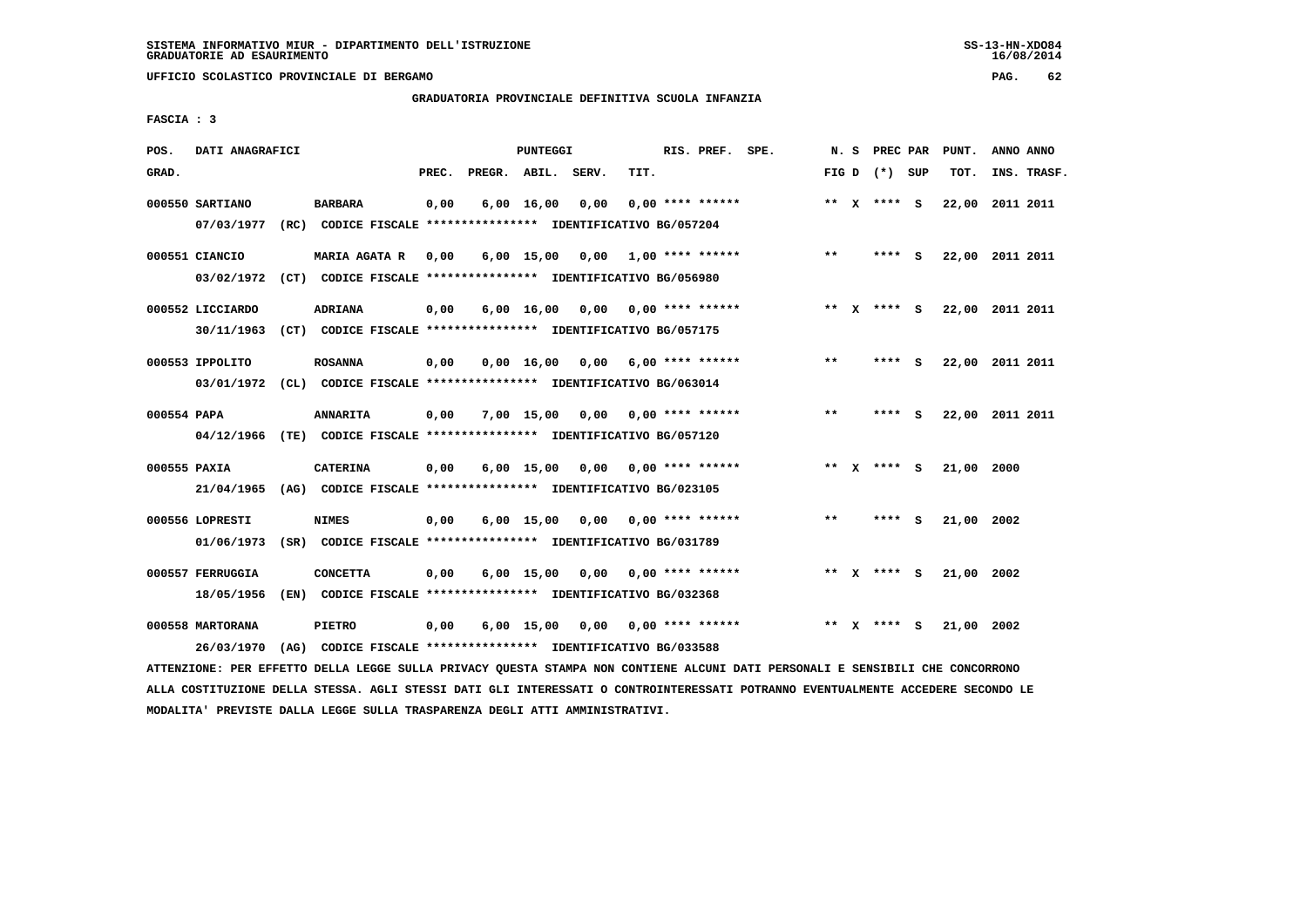**UFFICIO SCOLASTICO PROVINCIALE DI BERGAMO PAG. 62**

# **GRADUATORIA PROVINCIALE DEFINITIVA SCUOLA INFANZIA**

 **FASCIA : 3**

| POS.         | DATI ANAGRAFICI                |                                                                                           |       |                    | PUNTEGGI           |                                    |                           | RIS. PREF. SPE.    |         |              | N. S PREC PAR   |     | PUNT.           | ANNO ANNO |             |
|--------------|--------------------------------|-------------------------------------------------------------------------------------------|-------|--------------------|--------------------|------------------------------------|---------------------------|--------------------|---------|--------------|-----------------|-----|-----------------|-----------|-------------|
| GRAD.        |                                |                                                                                           | PREC. | PREGR. ABIL. SERV. |                    |                                    | TIT.                      |                    |         |              | FIG D $(*)$ SUP |     | TOT.            |           | INS. TRASF. |
|              | 000550 SARTIANO<br>07/03/1977  | <b>BARBARA</b><br>(RC) CODICE FISCALE **************** IDENTIFICATIVO BG/057204           | 0,00  |                    | $6,00 \quad 16,00$ | 0,00                               |                           | $0.00$ **** ****** |         |              | ** X **** S     |     | 22,00 2011 2011 |           |             |
|              | 000551 CIANCIO<br>03/02/1972   | <b>MARIA AGATA R</b><br>(CT) CODICE FISCALE **************** IDENTIFICATIVO BG/056980     | 0,00  |                    |                    | $6,00$ 15,00 0,00 1,00 **** ****** |                           |                    | $***$   |              | **** S          |     | 22,00           | 2011 2011 |             |
|              | 000552 LICCIARDO<br>30/11/1963 | ADRIANA<br>(CT) CODICE FISCALE **************** IDENTIFICATIVO BG/057175                  | 0,00  |                    |                    | $6,00$ $16,00$ $0,00$              | 0,00 **** ******          |                    | $***$ X |              | **** S          |     | 22,00 2011 2011 |           |             |
|              | 000553 IPPOLITO                | <b>ROSANNA</b><br>03/01/1972 (CL) CODICE FISCALE *************** IDENTIFICATIVO BG/063014 | 0,00  |                    | 0.00 16.00         |                                    | $0.00$ 6.00 **** ******   |                    | $***$   |              | **** S          |     | 22,00 2011 2011 |           |             |
| 000554 PAPA  | 04/12/1966                     | <b>ANNARITA</b><br>(TE) CODICE FISCALE *************** IDENTIFICATIVO BG/057120           | 0,00  |                    | $7.00$ 15.00       | 0.00                               |                           | $0.00$ **** ****** | $* *$   |              | **** S          |     | 22,00           | 2011 2011 |             |
| 000555 PAXIA | 21/04/1965                     | <b>CATERINA</b><br>(AG) CODICE FISCALE **************** IDENTIFICATIVO BG/023105          | 0,00  |                    | 6,00 15,00         |                                    | $0,00$ $0,00$ **** ****** |                    |         |              | ** $X$ **** S   |     | 21,00 2000      |           |             |
|              | 000556 LOPRESTI<br>01/06/1973  | <b>NIMES</b><br>(SR) CODICE FISCALE **************** IDENTIFICATIVO BG/031789             | 0,00  |                    | $6,00$ 15,00       | 0,00                               |                           | $0.00$ **** ****** | $* *$   |              | ****            | - S | 21,00 2002      |           |             |
|              | 000557 FERRUGGIA<br>18/05/1956 | <b>CONCETTA</b><br>(EN) CODICE FISCALE *************** IDENTIFICATIVO BG/032368           | 0,00  |                    | 6,00 15,00         | 0,00                               |                           | $0.00$ **** ****** |         |              | ** x **** S     |     | 21,00           | 2002      |             |
|              | 000558 MARTORANA<br>26/03/1970 | <b>PIETRO</b><br>(AG) CODICE FISCALE **************** IDENTIFICATIVO BG/033588            | 0,00  |                    | $6,00$ 15,00       |                                    | $0,00$ $0,00$ **** ****** |                    | $* *$   | $\mathbf{x}$ | $***$ S         |     | 21,00 2002      |           |             |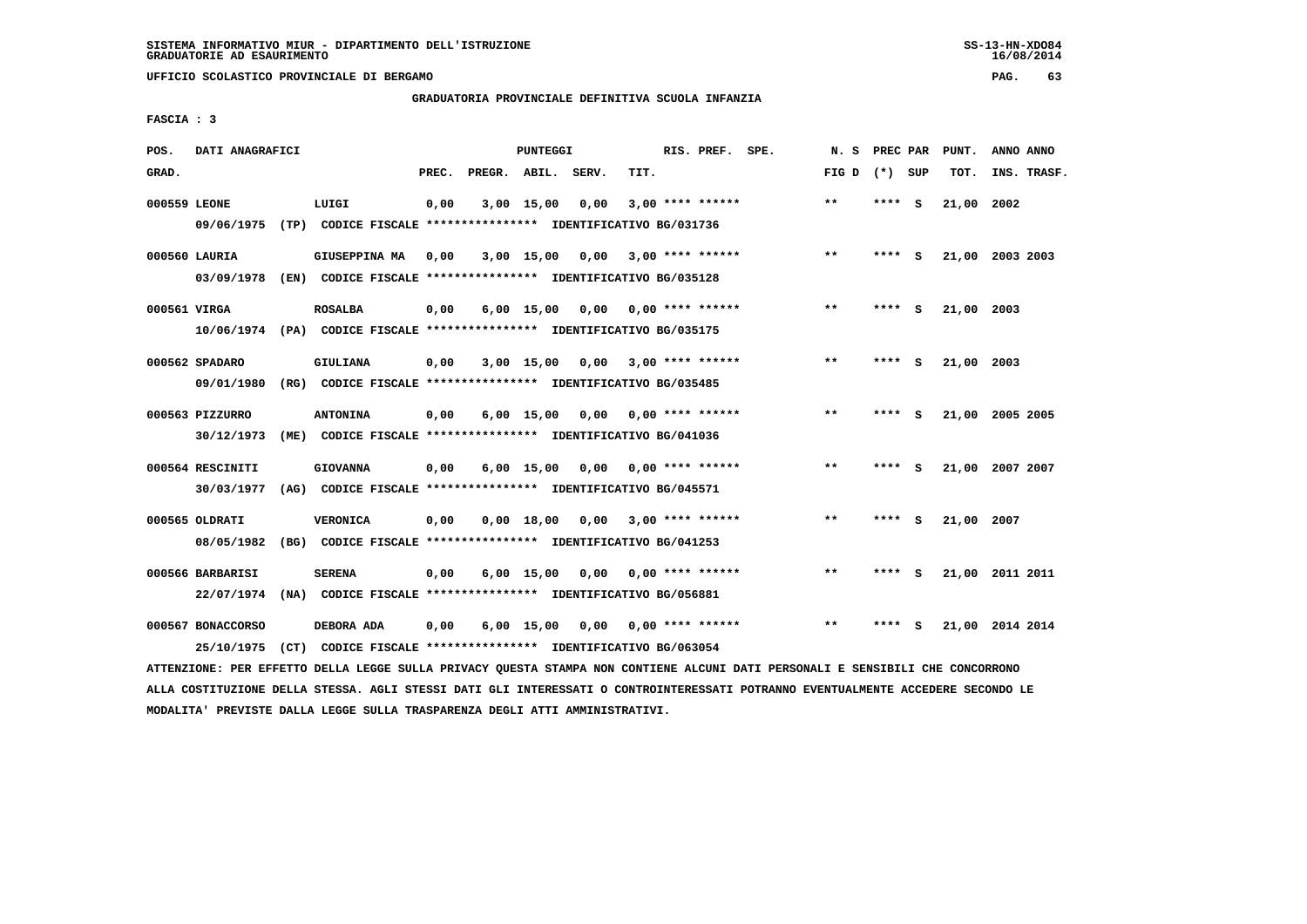**UFFICIO SCOLASTICO PROVINCIALE DI BERGAMO PAG. 63**

## **GRADUATORIA PROVINCIALE DEFINITIVA SCUOLA INFANZIA**

 **FASCIA : 3**

| POS.         | DATI ANAGRAFICI   |                                                                                                                               |       | PUNTEGGI     |                                    |      | RIS. PREF. SPE.           | N.S             | PREC PAR |          | PUNT.      | ANNO ANNO       |  |
|--------------|-------------------|-------------------------------------------------------------------------------------------------------------------------------|-------|--------------|------------------------------------|------|---------------------------|-----------------|----------|----------|------------|-----------------|--|
| GRAD.        |                   |                                                                                                                               | PREC. |              | PREGR. ABIL. SERV.                 | TIT. |                           | FIG D $(*)$ SUP |          |          | TOT.       | INS. TRASF.     |  |
| 000559 LEONE |                   | LUIGI                                                                                                                         | 0,00  | 3,00 15,00   | 0,00                               |      | $3,00$ **** ******        | $**$            | **** S   |          | 21,00 2002 |                 |  |
|              | 09/06/1975        | (TP) CODICE FISCALE **************** IDENTIFICATIVO BG/031736                                                                 |       |              |                                    |      |                           |                 |          |          |            |                 |  |
|              | 000560 LAURIA     | GIUSEPPINA MA                                                                                                                 | 0,00  |              | $3,00$ 15,00 0,00 3,00 **** ****** |      |                           | $***$           | **** S   |          |            | 21,00 2003 2003 |  |
|              | 03/09/1978        | (EN) CODICE FISCALE **************** IDENTIFICATIVO BG/035128                                                                 |       |              |                                    |      |                           |                 |          |          |            |                 |  |
| 000561 VIRGA |                   | <b>ROSALBA</b>                                                                                                                | 0,00  | $6,00$ 15,00 | 0,00                               |      | $0.00$ **** ******        | **              | **** S   |          | 21,00 2003 |                 |  |
|              |                   | 10/06/1974 (PA) CODICE FISCALE *************** IDENTIFICATIVO BG/035175                                                       |       |              |                                    |      |                           |                 |          |          |            |                 |  |
|              | 000562 SPADARO    | GIULIANA                                                                                                                      | 0,00  |              | 3,00 15,00 0,00                    |      | $3,00$ **** ******        | $**$            | **** S   |          | 21,00 2003 |                 |  |
|              | 09/01/1980        | (RG) CODICE FISCALE **************** IDENTIFICATIVO BG/035485                                                                 |       |              |                                    |      |                           |                 |          |          |            |                 |  |
|              | 000563 PIZZURRO   | <b>ANTONINA</b>                                                                                                               | 0,00  |              | $6,00$ 15,00 0,00 0,00 **** ****** |      |                           | $***$           | **** S   |          |            | 21,00 2005 2005 |  |
|              | 30/12/1973        | (ME) CODICE FISCALE *************** IDENTIFICATIVO BG/041036                                                                  |       |              |                                    |      |                           |                 |          |          |            |                 |  |
|              | 000564 RESCINITI  | <b>GIOVANNA</b>                                                                                                               | 0,00  | $6,00$ 15,00 |                                    |      | $0.00$ $0.00$ **** ****** | **              | **** S   |          |            | 21,00 2007 2007 |  |
|              | 30/03/1977        | (AG) CODICE FISCALE **************** IDENTIFICATIVO BG/045571                                                                 |       |              |                                    |      |                           |                 |          |          |            |                 |  |
|              | 000565 OLDRATI    | <b>VERONICA</b>                                                                                                               | 0,00  |              | 0,00 18,00 0,00                    |      | $3,00$ **** ******        | $* *$           | ****     | <b>S</b> | 21,00 2007 |                 |  |
|              | 08/05/1982        | (BG) CODICE FISCALE **************** IDENTIFICATIVO BG/041253                                                                 |       |              |                                    |      |                           |                 |          |          |            |                 |  |
|              | 000566 BARBARISI  | <b>SERENA</b>                                                                                                                 | 0,00  |              | $6,00$ 15,00 0,00 0,00 **** ****** |      |                           | $* *$           | **** S   |          |            | 21,00 2011 2011 |  |
|              | 22/07/1974        | (NA) CODICE FISCALE **************** IDENTIFICATIVO BG/056881                                                                 |       |              |                                    |      |                           |                 |          |          |            |                 |  |
|              | 000567 BONACCORSO | DEBORA ADA                                                                                                                    | 0,00  | $6,00$ 15,00 | $0,00$ $0,00$ **** ******          |      |                           | $***$           | **** S   |          |            | 21,00 2014 2014 |  |
|              | 25/10/1975        | (CT) CODICE FISCALE **************** IDENTIFICATIVO BG/063054                                                                 |       |              |                                    |      |                           |                 |          |          |            |                 |  |
|              |                   | ATTENZIONE: PER EFFETTO DELLA LEGGE SULLA PRIVACY QUESTA STAMPA NON CONTIENE ALCUNI DATI PERSONALI E SENSIBILI CHE CONCORRONO |       |              |                                    |      |                           |                 |          |          |            |                 |  |

 **ALLA COSTITUZIONE DELLA STESSA. AGLI STESSI DATI GLI INTERESSATI O CONTROINTERESSATI POTRANNO EVENTUALMENTE ACCEDERE SECONDO LE MODALITA' PREVISTE DALLA LEGGE SULLA TRASPARENZA DEGLI ATTI AMMINISTRATIVI.**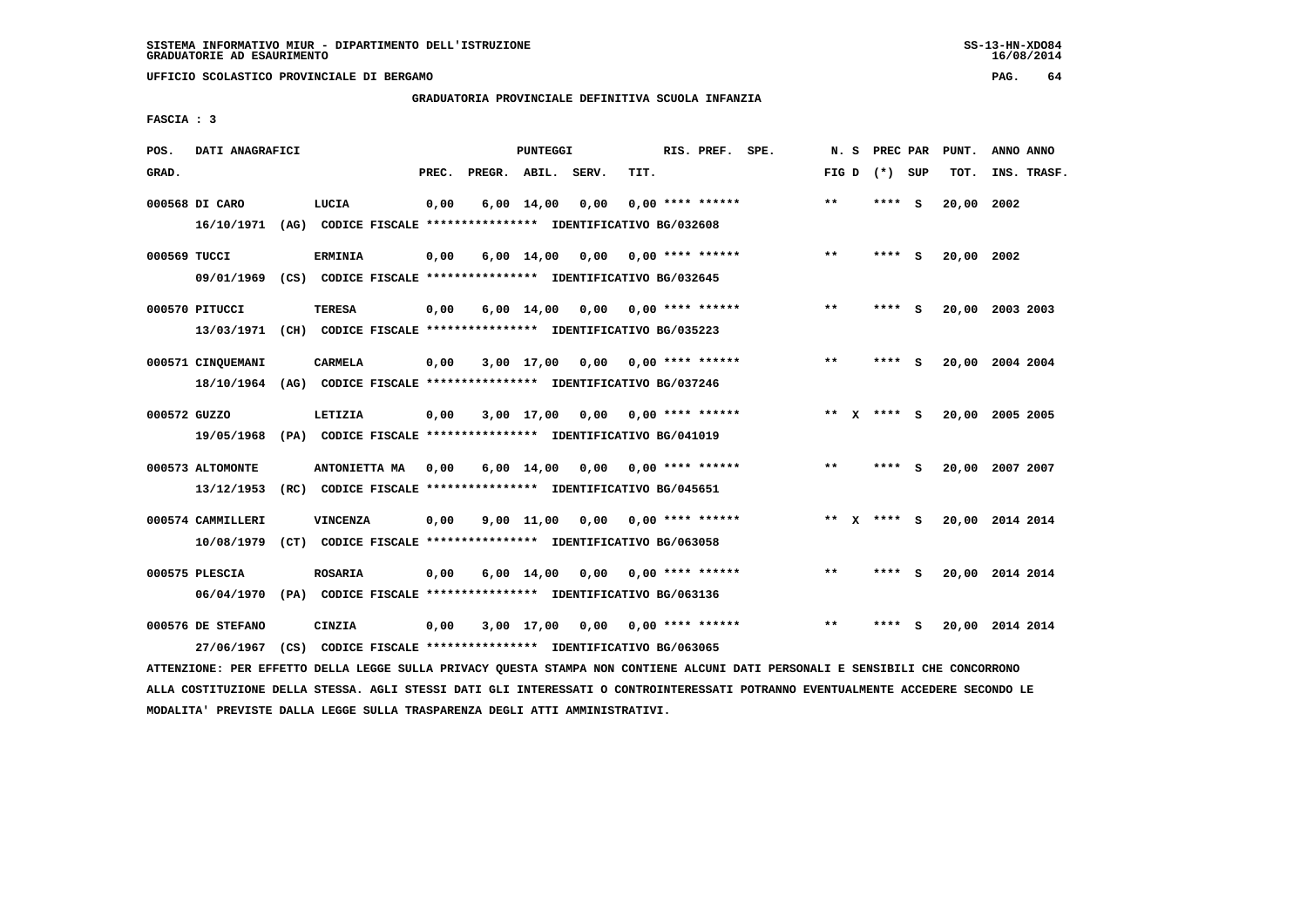**UFFICIO SCOLASTICO PROVINCIALE DI BERGAMO PAG. 64**

# **GRADUATORIA PROVINCIALE DEFINITIVA SCUOLA INFANZIA**

 **FASCIA : 3**

| POS.         | DATI ANAGRAFICI                                                         |                                                                                  |       |                    | PUNTEGGI           |      |      | RIS. PREF. SPE.           | N.S   | PREC PAR      |     | PUNT.      | ANNO ANNO       |
|--------------|-------------------------------------------------------------------------|----------------------------------------------------------------------------------|-------|--------------------|--------------------|------|------|---------------------------|-------|---------------|-----|------------|-----------------|
| GRAD.        |                                                                         |                                                                                  | PREC. | PREGR. ABIL. SERV. |                    |      | TIT. |                           | FIG D | (*) SUP       |     | TOT.       | INS. TRASF.     |
|              | 000568 DI CARO<br>16/10/1971                                            | LUCIA<br>(AG) CODICE FISCALE **************** IDENTIFICATIVO BG/032608           | 0,00  |                    | $6,00 \quad 14,00$ | 0,00 |      | $0.00$ **** ******        | $* *$ | **** S        |     | 20,00      | 2002            |
| 000569 TUCCI | 09/01/1969                                                              | <b>ERMINIA</b><br>(CS) CODICE FISCALE **************** IDENTIFICATIVO BG/032645  | 0,00  |                    | 6,00 14,00         | 0,00 |      | 0,00 **** ******          | $***$ | ****          | - S | 20,00 2002 |                 |
|              | 000570 PITUCCI                                                          | <b>TERESA</b>                                                                    | 0,00  |                    | $6,00 \quad 14,00$ | 0.00 |      | 0,00 **** ******          | $* *$ | ****          | - S |            | 20,00 2003 2003 |
|              | 13/03/1971<br>000571 CINQUEMANI                                         | (CH) CODICE FISCALE **************** IDENTIFICATIVO BG/035223<br><b>CARMELA</b>  | 0,00  |                    | 3,00 17,00         | 0,00 |      | $0.00$ **** ******        | $* *$ | ****          | - S |            | 20,00 2004 2004 |
| 000572 GUZZO | 18/10/1964 (AG) CODICE FISCALE *************** IDENTIFICATIVO BG/037246 | LETIZIA                                                                          | 0,00  |                    | $3,00$ 17,00       |      |      | $0,00$ $0,00$ **** ****** |       | ** x **** s   |     |            | 20,00 2005 2005 |
|              | 19/05/1968<br>000573 ALTOMONTE                                          | (PA) CODICE FISCALE **************** IDENTIFICATIVO BG/041019<br>ANTONIETTA MA   | 0,00  |                    | 6,00 14,00         | 0,00 |      | $0.00$ **** ******        | $***$ | ****          | - S |            | 20,00 2007 2007 |
|              | 13/12/1953                                                              | (RC) CODICE FISCALE **************** IDENTIFICATIVO BG/045651                    |       |                    |                    |      |      |                           |       |               |     |            |                 |
|              | 000574 CAMMILLERI<br>10/08/1979                                         | <b>VINCENZA</b><br>(CT) CODICE FISCALE **************** IDENTIFICATIVO BG/063058 | 0,00  |                    | 9,00 11,00         | 0.00 |      | $0.00$ **** ******        |       | ** $X$ **** S |     |            | 20,00 2014 2014 |
|              | 000575 PLESCIA<br>06/04/1970                                            | <b>ROSARIA</b><br>(PA) CODICE FISCALE **************** IDENTIFICATIVO BG/063136  | 0,00  |                    | $6,00 \quad 14,00$ | 0,00 |      | 0,00 **** ******          | $***$ | ****          | - S |            | 20,00 2014 2014 |
|              | 000576 DE STEFANO<br>27/06/1967                                         | CINZIA<br>(CS) CODICE FISCALE **************** IDENTIFICATIVO BG/063065          | 0,00  |                    | 3,00 17,00         |      |      | $0,00$ $0,00$ **** ****** | $* *$ | ****          | - 5 |            | 20,00 2014 2014 |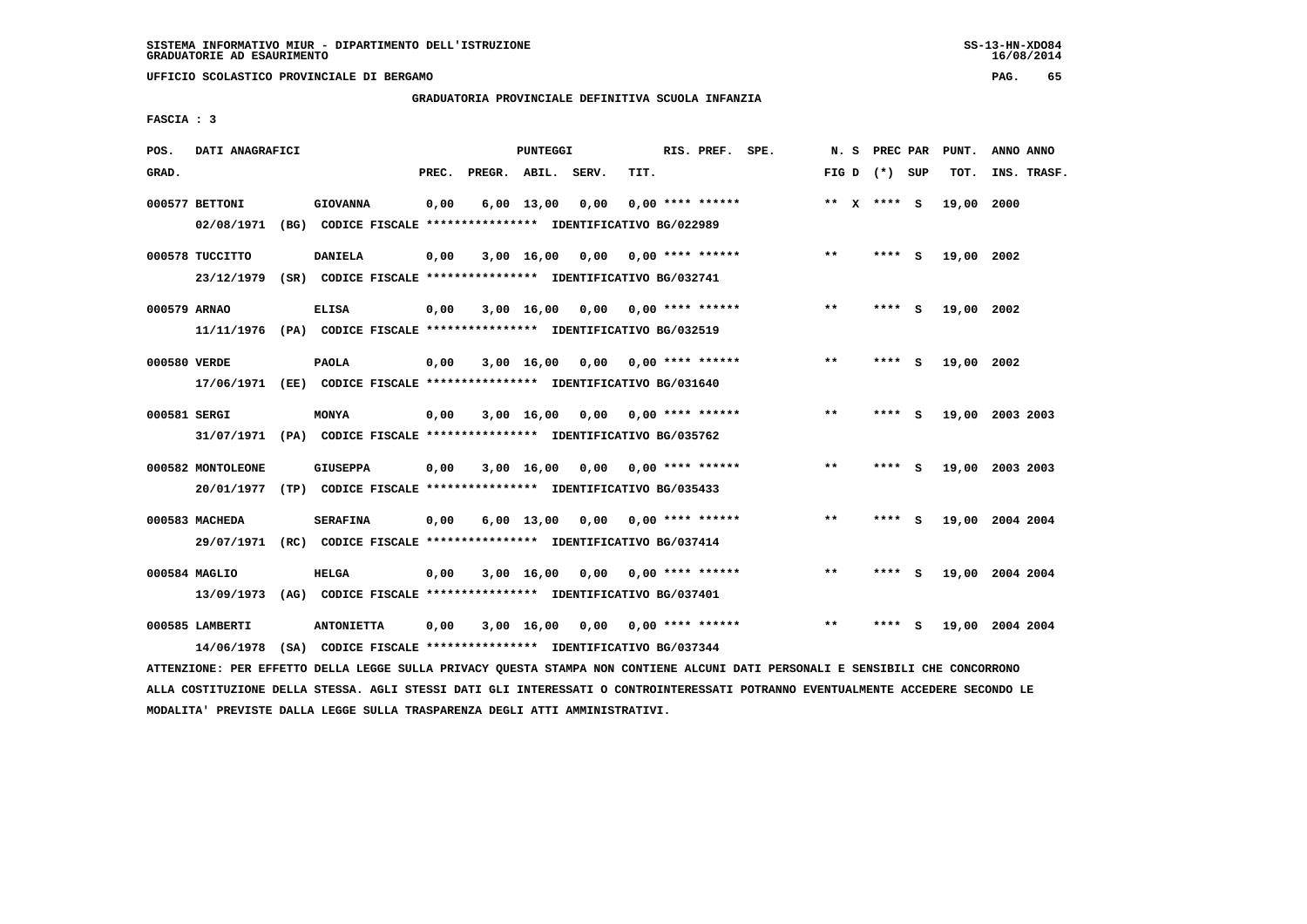**UFFICIO SCOLASTICO PROVINCIALE DI BERGAMO PAG. 65**

## **GRADUATORIA PROVINCIALE DEFINITIVA SCUOLA INFANZIA**

 **FASCIA : 3**

| POS.         | DATI ANAGRAFICI   |                                                                                                                               |       |                    | PUNTEGGI           |                                    |      | RIS. PREF. SPE.           | N. S  |                 | PREC PAR PUNT. | ANNO ANNO       |  |
|--------------|-------------------|-------------------------------------------------------------------------------------------------------------------------------|-------|--------------------|--------------------|------------------------------------|------|---------------------------|-------|-----------------|----------------|-----------------|--|
| GRAD.        |                   |                                                                                                                               | PREC. | PREGR. ABIL. SERV. |                    |                                    | TIT. |                           |       | FIG D $(*)$ SUP | TOT.           | INS. TRASF.     |  |
|              | 000577 BETTONI    | <b>GIOVANNA</b>                                                                                                               | 0,00  |                    | 6,00 13,00         | 0,00                               |      | $0,00$ **** ******        |       | ** $X$ **** S   | 19,00 2000     |                 |  |
|              | 02/08/1971        | (BG) CODICE FISCALE **************** IDENTIFICATIVO BG/022989                                                                 |       |                    |                    |                                    |      |                           |       |                 |                |                 |  |
|              | 000578 TUCCITTO   | <b>DANIELA</b>                                                                                                                | 0,00  |                    |                    | $3,00$ 16,00 0,00 0,00 **** ****** |      |                           | **    | **** S          | 19,00 2002     |                 |  |
|              |                   | 23/12/1979 (SR) CODICE FISCALE *************** IDENTIFICATIVO BG/032741                                                       |       |                    |                    |                                    |      |                           |       |                 |                |                 |  |
| 000579 ARNAO |                   | <b>ELISA</b>                                                                                                                  | 0,00  |                    | $3,00 \quad 16,00$ |                                    |      |                           | $***$ | **** S          | 19,00 2002     |                 |  |
|              |                   | 11/11/1976 (PA) CODICE FISCALE *************** IDENTIFICATIVO BG/032519                                                       |       |                    |                    |                                    |      |                           |       |                 |                |                 |  |
| 000580 VERDE |                   | <b>PAOLA</b>                                                                                                                  | 0,00  |                    |                    | $3,00$ 16,00 0,00 0,00 **** ****** |      |                           | $***$ | **** S          | 19,00 2002     |                 |  |
|              |                   | 17/06/1971 (EE) CODICE FISCALE *************** IDENTIFICATIVO BG/031640                                                       |       |                    |                    |                                    |      |                           |       |                 |                |                 |  |
| 000581 SERGI |                   | <b>MONYA</b>                                                                                                                  | 0,00  |                    |                    | $3,00$ 16,00 0,00 0,00 **** ****** |      |                           | $* *$ | **** S          |                | 19,00 2003 2003 |  |
|              |                   | 31/07/1971 (PA) CODICE FISCALE *************** IDENTIFICATIVO BG/035762                                                       |       |                    |                    |                                    |      |                           |       |                 |                |                 |  |
|              | 000582 MONTOLEONE | <b>GIUSEPPA</b>                                                                                                               | 0,00  |                    | 3,00 16,00         |                                    |      | $0,00$ $0,00$ **** ****** | $* *$ | **** S          |                | 19,00 2003 2003 |  |
|              |                   | 20/01/1977 (TP) CODICE FISCALE *************** IDENTIFICATIVO BG/035433                                                       |       |                    |                    |                                    |      |                           |       |                 |                |                 |  |
|              | 000583 MACHEDA    | <b>SERAFINA</b>                                                                                                               | 0,00  |                    |                    | $6,00$ 13,00 0,00 0,00 **** ****** |      |                           | $* *$ | **** S          |                | 19,00 2004 2004 |  |
|              |                   | 29/07/1971 (RC) CODICE FISCALE *************** IDENTIFICATIVO BG/037414                                                       |       |                    |                    |                                    |      |                           |       |                 |                |                 |  |
|              | 000584 MAGLIO     | <b>HELGA</b>                                                                                                                  | 0,00  |                    |                    | $3,00$ 16,00 0,00 0,00 **** ****** |      |                           | $* *$ | **** S          |                | 19,00 2004 2004 |  |
|              |                   | 13/09/1973 (AG) CODICE FISCALE *************** IDENTIFICATIVO BG/037401                                                       |       |                    |                    |                                    |      |                           |       |                 |                |                 |  |
|              | 000585 LAMBERTI   | <b>ANTONIETTA</b>                                                                                                             | 0,00  |                    |                    | 3,00 16,00 0,00 0,00 **** ******   |      |                           | $* *$ | **** S          |                | 19,00 2004 2004 |  |
|              | 14/06/1978        | (SA) CODICE FISCALE **************** IDENTIFICATIVO BG/037344                                                                 |       |                    |                    |                                    |      |                           |       |                 |                |                 |  |
|              |                   | ATTENZIONE: PER EFFETTO DELLA LEGGE SULLA PRIVACY QUESTA STAMPA NON CONTIENE ALCUNI DATI PERSONALI E SENSIBILI CHE CONCORRONO |       |                    |                    |                                    |      |                           |       |                 |                |                 |  |

 **ALLA COSTITUZIONE DELLA STESSA. AGLI STESSI DATI GLI INTERESSATI O CONTROINTERESSATI POTRANNO EVENTUALMENTE ACCEDERE SECONDO LE MODALITA' PREVISTE DALLA LEGGE SULLA TRASPARENZA DEGLI ATTI AMMINISTRATIVI.**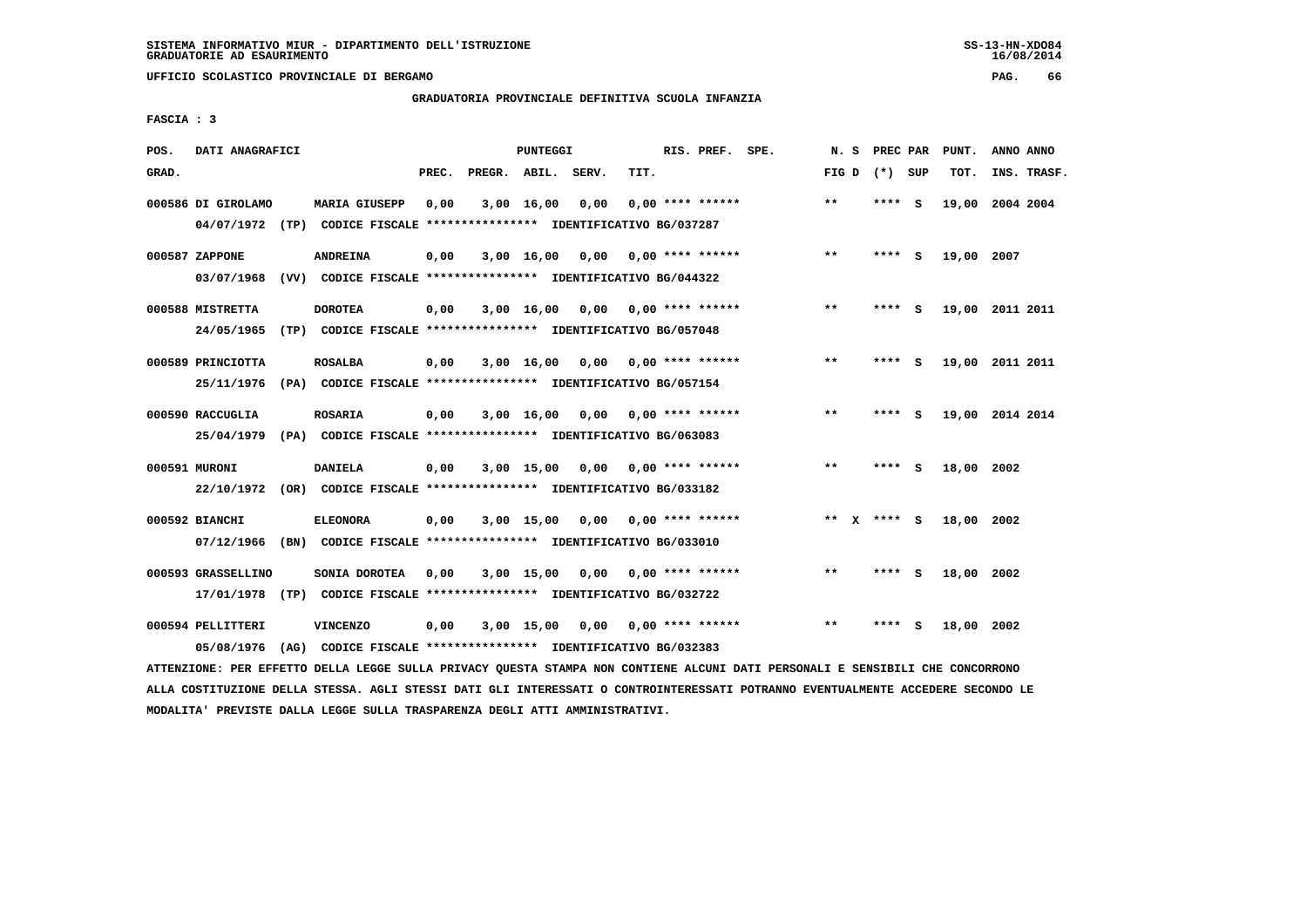**UFFICIO SCOLASTICO PROVINCIALE DI BERGAMO PAG. 66**

## **GRADUATORIA PROVINCIALE DEFINITIVA SCUOLA INFANZIA**

 **FASCIA : 3**

| POS.  | DATI ANAGRAFICI    |      |                                                                         |       |                    | PUNTEGGI     |      |      | RIS. PREF. SPE.           | N.S   | PREC PAR      |          | PUNT.      | ANNO ANNO       |
|-------|--------------------|------|-------------------------------------------------------------------------|-------|--------------------|--------------|------|------|---------------------------|-------|---------------|----------|------------|-----------------|
| GRAD. |                    |      |                                                                         | PREC. | PREGR. ABIL. SERV. |              |      | TIT. |                           | FIG D | (*) SUP       |          | TOT.       | INS. TRASF.     |
|       | 000586 DI GIROLAMO |      | <b>MARIA GIUSEPP</b>                                                    | 0,00  |                    | $3,00$ 16,00 | 0.00 |      | $0.00$ **** ******        | $***$ | ****          | - S      |            | 19,00 2004 2004 |
|       |                    |      | 04/07/1972 (TP) CODICE FISCALE *************** IDENTIFICATIVO BG/037287 |       |                    |              |      |      |                           |       |               |          |            |                 |
|       | 000587 ZAPPONE     |      | <b>ANDREINA</b>                                                         | 0,00  |                    | 3,00 16,00   | 0,00 |      | $0.00$ **** ******        | $* *$ | **** S        |          | 19,00 2007 |                 |
|       | 03/07/1968         |      | (VV) CODICE FISCALE **************** IDENTIFICATIVO BG/044322           |       |                    |              |      |      |                           |       |               |          |            |                 |
|       | 000588 MISTRETTA   |      | <b>DOROTEA</b>                                                          | 0,00  |                    | $3,00$ 16,00 | 0,00 |      | 0,00 **** ******          | $***$ | **** S        |          |            | 19,00 2011 2011 |
|       | 24/05/1965         | (TP) | CODICE FISCALE **************** IDENTIFICATIVO BG/057048                |       |                    |              |      |      |                           |       |               |          |            |                 |
|       | 000589 PRINCIOTTA  |      | <b>ROSALBA</b>                                                          | 0,00  |                    | 3,00 16,00   |      |      | $0,00$ $0,00$ **** ****** | $* *$ | ****          | - S      |            | 19,00 2011 2011 |
|       | 25/11/1976         |      | (PA) CODICE FISCALE **************** IDENTIFICATIVO BG/057154           |       |                    |              |      |      |                           |       |               |          |            |                 |
|       | 000590 RACCUGLIA   |      | <b>ROSARIA</b>                                                          | 0,00  |                    | $3,00$ 16,00 |      |      | $0,00$ $0,00$ **** ****** | $***$ | ****          | <b>S</b> |            | 19,00 2014 2014 |
|       | 25/04/1979         |      | (PA) CODICE FISCALE **************** IDENTIFICATIVO BG/063083           |       |                    |              |      |      |                           |       |               |          |            |                 |
|       |                    |      |                                                                         |       |                    |              |      |      |                           |       |               |          |            |                 |
|       | 000591 MURONI      |      | <b>DANIELA</b>                                                          | 0,00  |                    | 3,00 15,00   | 0,00 |      | 0,00 **** ******          | **    | ****          | <b>S</b> | 18,00      | 2002            |
|       |                    |      | 22/10/1972 (OR) CODICE FISCALE *************** IDENTIFICATIVO BG/033182 |       |                    |              |      |      |                           |       |               |          |            |                 |
|       | 000592 BIANCHI     |      | <b>ELEONORA</b>                                                         | 0,00  |                    | 3,00 15,00   | 0,00 |      | $0.00$ **** ******        |       | ** $X$ **** S |          | 18,00 2002 |                 |
|       | 07/12/1966         | (BN) | CODICE FISCALE **************** IDENTIFICATIVO BG/033010                |       |                    |              |      |      |                           |       |               |          |            |                 |
|       | 000593 GRASSELLINO |      | SONIA DOROTEA                                                           | 0,00  |                    | 3,00 15,00   | 0,00 |      | 0,00 **** ******          | $**$  | **** S        |          | 18,00 2002 |                 |
|       | 17/01/1978         |      | (TP) CODICE FISCALE **************** IDENTIFICATIVO BG/032722           |       |                    |              |      |      |                           |       |               |          |            |                 |
|       | 000594 PELLITTERI  |      | <b>VINCENZO</b>                                                         | 0,00  |                    | $3,00$ 15,00 |      |      | $0.00$ $0.00$ **** ****** | $* *$ |               | s        | 18,00 2002 |                 |
|       | 05/08/1976         | (AG) | CODICE FISCALE **************** IDENTIFICATIVO BG/032383                |       |                    |              |      |      |                           |       |               |          |            |                 |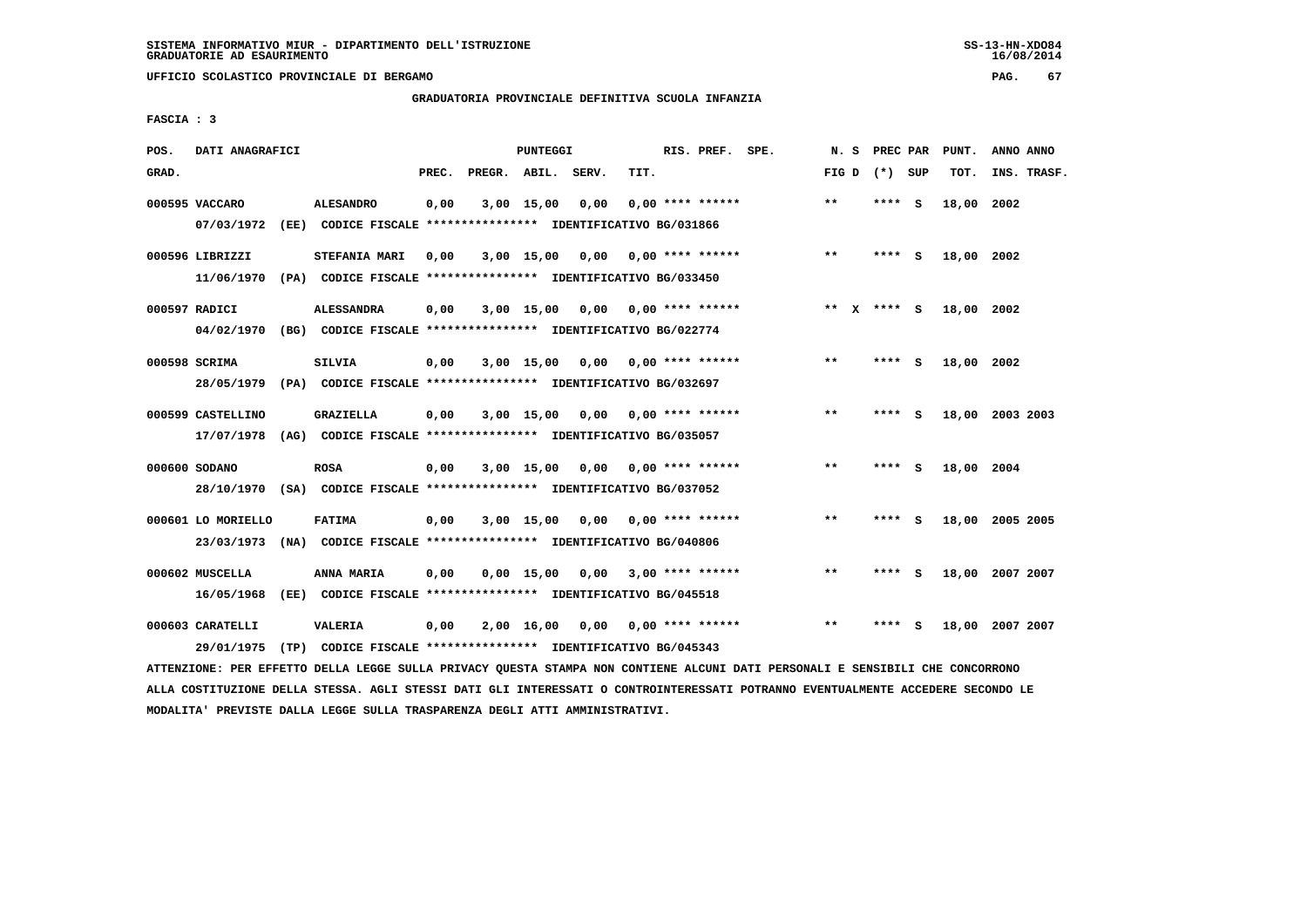**UFFICIO SCOLASTICO PROVINCIALE DI BERGAMO PAG. 67**

# **GRADUATORIA PROVINCIALE DEFINITIVA SCUOLA INFANZIA**

 **FASCIA : 3**

| POS.  | DATI ANAGRAFICI    |                                                               |       |                    | PUNTEGGI     |      |      | RIS. PREF. SPE.           | N.S   | PREC PAR |     | PUNT.      | ANNO ANNO   |
|-------|--------------------|---------------------------------------------------------------|-------|--------------------|--------------|------|------|---------------------------|-------|----------|-----|------------|-------------|
| GRAD. |                    |                                                               | PREC. | PREGR. ABIL. SERV. |              |      | TIT. |                           | FIG D | (*) SUP  |     | TOT.       | INS. TRASF. |
|       | 000595 VACCARO     | <b>ALESANDRO</b>                                              | 0,00  |                    | 3,00 15,00   | 0,00 |      | $0.00$ **** ******        | $* *$ | ****     | - S | 18,00      | 2002        |
|       | 07/03/1972         | (EE) CODICE FISCALE **************** IDENTIFICATIVO BG/031866 |       |                    |              |      |      |                           |       |          |     |            |             |
|       | 000596 LIBRIZZI    | STEFANIA MARI                                                 | 0,00  |                    | 3,00 15,00   | 0,00 |      | $0.00$ **** ******        | $**$  | $***$ S  |     | 18,00 2002 |             |
|       | 11/06/1970         | (PA) CODICE FISCALE **************** IDENTIFICATIVO BG/033450 |       |                    |              |      |      |                           |       |          |     |            |             |
|       | 000597 RADICI      | <b>ALESSANDRA</b>                                             | 0,00  |                    | 3,00 15,00   |      |      | $0,00$ $0,00$ **** ****** | ** X  | **** S   |     | 18,00 2002 |             |
|       | 04/02/1970         | (BG) CODICE FISCALE **************** IDENTIFICATIVO BG/022774 |       |                    |              |      |      |                           |       |          |     |            |             |
|       | 000598 SCRIMA      | SILVIA                                                        | 0,00  |                    | 3,00 15,00   | 0,00 |      | 0,00 **** ******          | $* *$ | **** S   |     | 18,00 2002 |             |
|       | 28/05/1979         | (PA) CODICE FISCALE **************** IDENTIFICATIVO BG/032697 |       |                    |              |      |      |                           |       |          |     |            |             |
|       | 000599 CASTELLINO  | <b>GRAZIELLA</b>                                              | 0,00  |                    | $3,00$ 15,00 | 0,00 |      | $0.00$ **** ******        | $* *$ | **** S   |     | 18,00      | 2003 2003   |
|       | 17/07/1978         | (AG) CODICE FISCALE **************** IDENTIFICATIVO BG/035057 |       |                    |              |      |      |                           |       |          |     |            |             |
|       | 000600 SODANO      | <b>ROSA</b>                                                   | 0,00  |                    | $3,00$ 15,00 |      |      | $0,00$ $0,00$ **** ****** | $* *$ | ****     | - S | 18,00 2004 |             |
|       | 28/10/1970         | (SA) CODICE FISCALE **************** IDENTIFICATIVO BG/037052 |       |                    |              |      |      |                           |       |          |     |            |             |
|       | 000601 LO MORIELLO | <b>FATIMA</b>                                                 | 0,00  |                    | 3,00 15,00   |      |      | $0.00$ $0.00$ **** ****** | $* *$ | **** S   |     | 18,00      | 2005 2005   |
|       | 23/03/1973         | (NA) CODICE FISCALE **************** IDENTIFICATIVO BG/040806 |       |                    |              |      |      |                           |       |          |     |            |             |
|       | 000602 MUSCELLA    | ANNA MARIA                                                    | 0,00  |                    | $0,00$ 15,00 | 0,00 |      | $3,00$ **** ******        | $* *$ | ****     | - S | 18,00      | 2007 2007   |
|       | 16/05/1968         | (EE) CODICE FISCALE **************** IDENTIFICATIVO BG/045518 |       |                    |              |      |      |                           |       |          |     |            |             |
|       | 000603 CARATELLI   | VALERIA                                                       | 0,00  |                    | 2,00 16,00   | 0.00 |      | $0.00$ **** ******        | $* *$ | ****     | s   | 18,00      | 2007 2007   |
|       | 29/01/1975         | (TP) CODICE FISCALE *************** IDENTIFICATIVO BG/045343  |       |                    |              |      |      |                           |       |          |     |            |             |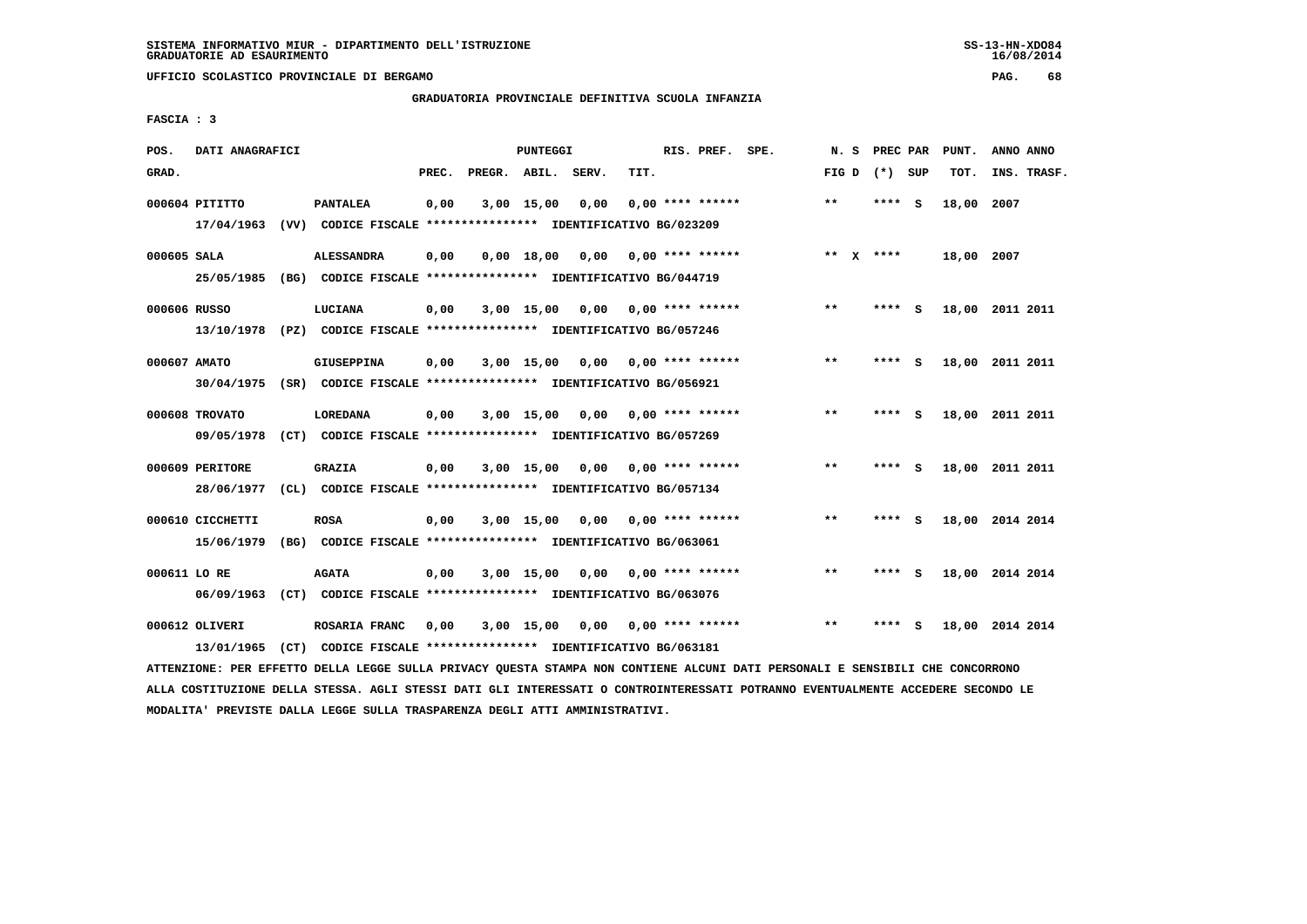**UFFICIO SCOLASTICO PROVINCIALE DI BERGAMO PAG. 68**

# **GRADUATORIA PROVINCIALE DEFINITIVA SCUOLA INFANZIA**

 **FASCIA : 3**

| POS.         | DATI ANAGRAFICI  |                                                               |       | PUNTEGGI           |                       |      | RIS. PREF. SPE.           | N.S             | PREC PAR |     | PUNT.      | ANNO ANNO       |
|--------------|------------------|---------------------------------------------------------------|-------|--------------------|-----------------------|------|---------------------------|-----------------|----------|-----|------------|-----------------|
| GRAD.        |                  |                                                               | PREC. | PREGR. ABIL. SERV. |                       | TIT. |                           | FIG D $(*)$ SUP |          |     | TOT.       | INS. TRASF.     |
|              | 000604 PITITTO   | <b>PANTALEA</b>                                               | 0,00  | 3,00 15,00         | 0,00                  |      | $0.00$ **** ******        | $***$           | ****     | - S | 18,00 2007 |                 |
|              | 17/04/1963       | (VV) CODICE FISCALE **************** IDENTIFICATIVO BG/023209 |       |                    |                       |      |                           |                 |          |     |            |                 |
| 000605 SALA  |                  | <b>ALESSANDRA</b>                                             | 0,00  | $0,00$ 18,00       | 0,00                  |      | 0,00 **** ******          | $***$           | $X$ **** |     | 18,00 2007 |                 |
|              | 25/05/1985       | (BG) CODICE FISCALE **************** IDENTIFICATIVO BG/044719 |       |                    |                       |      |                           |                 |          |     |            |                 |
| 000606 RUSSO |                  | LUCIANA                                                       | 0,00  | $3,00$ 15,00       |                       |      | $0.00$ $0.00$ **** ****** | $* *$           | **** S   |     |            | 18,00 2011 2011 |
|              | 13/10/1978       | (PZ) CODICE FISCALE **************** IDENTIFICATIVO BG/057246 |       |                    |                       |      |                           |                 |          |     |            |                 |
| 000607 AMATO |                  | <b>GIUSEPPINA</b>                                             | 0,00  | $3,00$ 15,00       | 0.00                  |      | 0,00 **** ******          | $***$           | ****     | - S |            | 18,00 2011 2011 |
|              | 30/04/1975       | (SR) CODICE FISCALE **************** IDENTIFICATIVO BG/056921 |       |                    |                       |      |                           |                 |          |     |            |                 |
|              | 000608 TROVATO   | LOREDANA                                                      | 0,00  | 3,00 15,00         | 0,00                  |      | $0.00$ **** ******        | $* *$           | ****     | - S |            | 18,00 2011 2011 |
|              | 09/05/1978       | (CT) CODICE FISCALE **************** IDENTIFICATIVO BG/057269 |       |                    |                       |      |                           |                 |          |     |            |                 |
|              |                  |                                                               |       |                    |                       |      |                           |                 |          |     |            |                 |
|              | 000609 PERITORE  | <b>GRAZIA</b>                                                 | 0,00  | $3,00$ 15,00       | 0,00 0,00 **** ****** |      |                           | $***$           | **** S   |     |            | 18,00 2011 2011 |
|              | 28/06/1977       | (CL) CODICE FISCALE **************** IDENTIFICATIVO BG/057134 |       |                    |                       |      |                           |                 |          |     |            |                 |
|              | 000610 CICCHETTI | <b>ROSA</b>                                                   | 0,00  | 3,00 15,00         |                       |      | $0.00$ $0.00$ **** ****** | $* *$           | **** S   |     |            | 18,00 2014 2014 |
|              | 15/06/1979       | (BG) CODICE FISCALE **************** IDENTIFICATIVO BG/063061 |       |                    |                       |      |                           |                 |          |     |            |                 |
| 000611 LO RE |                  | <b>AGATA</b>                                                  | 0,00  | $3,00$ 15,00       | 0,00                  |      | 0,00 **** ******          | $* *$           | ****     | - S |            | 18,00 2014 2014 |
|              | 06/09/1963       | (CT) CODICE FISCALE **************** IDENTIFICATIVO BG/063076 |       |                    |                       |      |                           |                 |          |     |            |                 |
|              | 000612 OLIVERI   | ROSARIA FRANC                                                 | 0,00  | 3,00 15,00         | 0,00                  |      | $0,00$ **** ******        | $* *$           | ****     | - S |            | 18,00 2014 2014 |
|              | 13/01/1965       | (CT) CODICE FISCALE **************** IDENTIFICATIVO BG/063181 |       |                    |                       |      |                           |                 |          |     |            |                 |
|              |                  |                                                               |       |                    |                       |      |                           |                 |          |     |            |                 |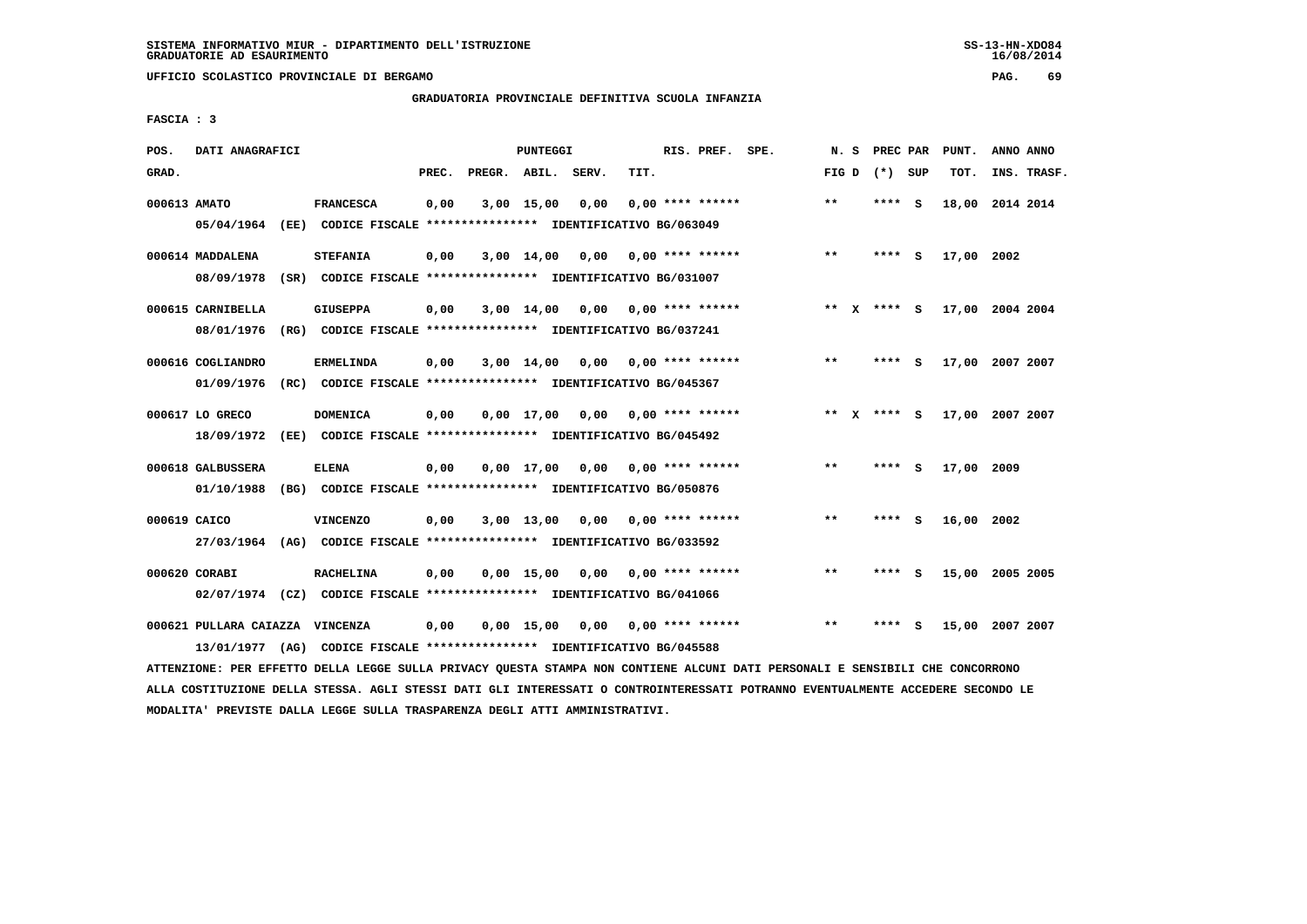**UFFICIO SCOLASTICO PROVINCIALE DI BERGAMO PAG. 69**

## **GRADUATORIA PROVINCIALE DEFINITIVA SCUOLA INFANZIA**

 **FASCIA : 3**

| POS.         | DATI ANAGRAFICI                      |      |                                                                                             |       |                    | PUNTEGGI     |      |                    | RIS. PREF.         | SPE. | N.S     | PREC PAR        |          | PUNT.           | ANNO ANNO |             |
|--------------|--------------------------------------|------|---------------------------------------------------------------------------------------------|-------|--------------------|--------------|------|--------------------|--------------------|------|---------|-----------------|----------|-----------------|-----------|-------------|
| GRAD.        |                                      |      |                                                                                             | PREC. | PREGR. ABIL. SERV. |              |      | TIT.               |                    |      |         | FIG D $(*)$ SUP |          | TOT.            |           | INS. TRASF. |
| 000613 AMATO | 05/04/1964                           |      | <b>FRANCESCA</b><br>(EE) CODICE FISCALE **************** IDENTIFICATIVO BG/063049           | 0,00  |                    | $3,00$ 15,00 | 0.00 |                    | $0,00$ **** ****** |      | $***$   | **** S          |          | 18,00 2014 2014 |           |             |
|              | 000614 MADDALENA<br>08/09/1978       |      | <b>STEFANIA</b><br>(SR) CODICE FISCALE **************** IDENTIFICATIVO BG/031007            | 0,00  |                    | $3,00$ 14,00 | 0,00 |                    | $0.00$ **** ****** |      | $***$   | ****            | - S      | 17,00           | 2002      |             |
|              | 000615 CARNIBELLA<br>08/01/1976      |      | <b>GIUSEPPA</b><br>(RG) CODICE FISCALE **************** IDENTIFICATIVO BG/037241            | 0,00  |                    | 3,00 14,00   | 0,00 | $0.00$ **** ****** |                    |      | $***$ X | **** S          |          | 17,00 2004 2004 |           |             |
|              | 000616 COGLIANDRO<br>01/09/1976      |      | <b>ERMELINDA</b><br>(RC) CODICE FISCALE *************** IDENTIFICATIVO BG/045367            | 0,00  |                    | $3,00$ 14,00 | 0,00 | $0.00$ **** ****** |                    |      | $***$   | ****            | - S      | 17,00 2007 2007 |           |             |
|              | 000617 LO GRECO<br>18/09/1972        |      | <b>DOMENICA</b><br>(EE) CODICE FISCALE **************** IDENTIFICATIVO BG/045492            | 0,00  |                    | $0.00$ 17.00 | 0.00 |                    | $0.00$ **** ****** |      | ** X    | **** S          |          | 17,00 2007 2007 |           |             |
|              | 000618 GALBUSSERA<br>01/10/1988      |      | <b>ELENA</b><br>(BG) CODICE FISCALE **************** IDENTIFICATIVO BG/050876               | 0,00  |                    | $0,00$ 17,00 | 0,00 | $0.00$ **** ****** |                    |      | **      | ****            | <b>S</b> | 17,00 2009      |           |             |
| 000619 CAICO | 27/03/1964                           |      | <b>VINCENZO</b><br>(AG) CODICE FISCALE **************** IDENTIFICATIVO BG/033592            | 0,00  |                    | 3,00 13,00   | 0,00 |                    | $0.00$ **** ****** |      | $* *$   | ****            | - S      | 16,00 2002      |           |             |
|              | 000620 CORABI                        |      | <b>RACHELINA</b><br>02/07/1974 (CZ) CODICE FISCALE *************** IDENTIFICATIVO BG/041066 | 0,00  |                    | $0,00$ 15,00 | 0,00 |                    | $0.00$ **** ****** |      | $**$    | ****            | S        | 15,00           | 2005 2005 |             |
|              | 000621 PULLARA CAIAZZA<br>13/01/1977 | (AG) | VINCENZA<br>CODICE FISCALE **************** IDENTIFICATIVO BG/045588                        | 0,00  |                    | $0,00$ 15,00 | 0,00 | $0.00$ **** ****** |                    |      | $**$    | ****            | s        | 15,00           | 2007 2007 |             |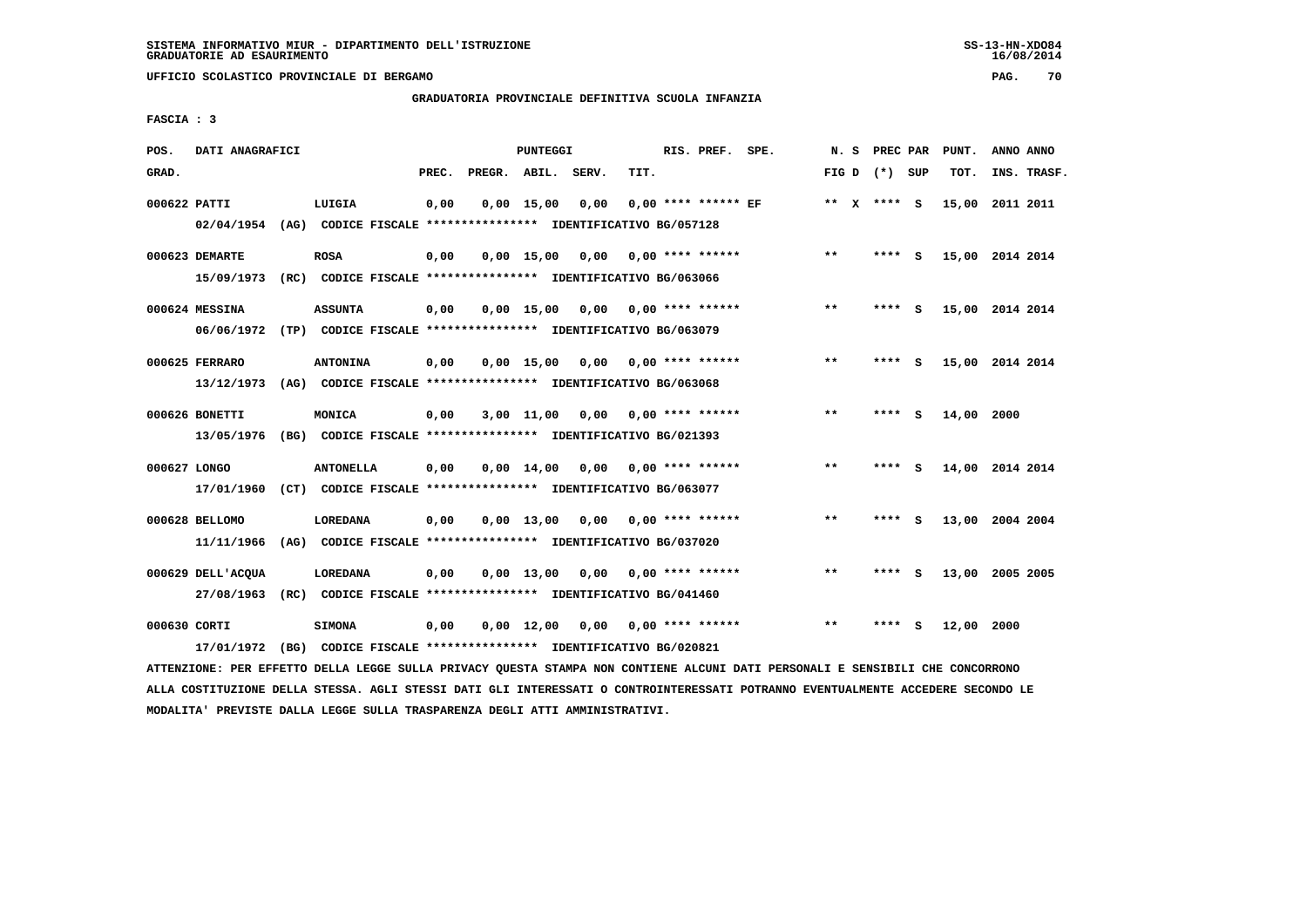**UFFICIO SCOLASTICO PROVINCIALE DI BERGAMO PAG. 70**

## **GRADUATORIA PROVINCIALE DEFINITIVA SCUOLA INFANZIA**

 **FASCIA : 3**

| POS.         | DATI ANAGRAFICI                 |      |                                                                                   |       |                    | <b>PUNTEGGI</b>    |      |      | RIS. PREF. SPE.           | N.S   | PREC PAR        |          | PUNT.      | ANNO ANNO       |
|--------------|---------------------------------|------|-----------------------------------------------------------------------------------|-------|--------------------|--------------------|------|------|---------------------------|-------|-----------------|----------|------------|-----------------|
| GRAD.        |                                 |      |                                                                                   | PREC. | PREGR. ABIL. SERV. |                    |      | TIT. |                           |       | FIG D $(*)$ SUP |          | TOT.       | INS. TRASF.     |
| 000622 PATTI | 02/04/1954                      |      | LUIGIA<br>(AG) CODICE FISCALE **************** IDENTIFICATIVO BG/057128           | 0,00  |                    | $0,00$ 15,00       | 0.00 |      | $0.00$ **** ****** EF     |       | ** X **** S     |          | 15,00      | 2011 2011       |
|              | 000623 DEMARTE<br>15/09/1973    |      | <b>ROSA</b><br>(RC) CODICE FISCALE **************** IDENTIFICATIVO BG/063066      | 0,00  |                    | 0.00 15.00         | 0,00 |      | $0.00$ **** ******        | $***$ | **** S          |          |            | 15,00 2014 2014 |
|              | 000624 MESSINA<br>06/06/1972    |      | <b>ASSUNTA</b><br>(TP) CODICE FISCALE **************** IDENTIFICATIVO BG/063079   | 0,00  |                    | 0.00 15.00         | 0,00 |      | 0,00 **** ******          | $***$ | ****            | - S      |            | 15,00 2014 2014 |
|              | 000625 FERRARO<br>13/12/1973    |      | <b>ANTONINA</b><br>(AG) CODICE FISCALE **************** IDENTIFICATIVO BG/063068  | 0,00  |                    | $0,00$ 15,00       | 0,00 |      | 0,00 **** ******          | $***$ | ****            | - S      |            | 15,00 2014 2014 |
|              | 000626 BONETTI<br>13/05/1976    |      | MONICA<br>(BG) CODICE FISCALE **************** IDENTIFICATIVO BG/021393           | 0,00  |                    | $3,00$ $11,00$     | 0,00 |      | $0.00$ **** ******        | $* *$ | ****            | - S      | 14,00 2000 |                 |
| 000627 LONGO | 17/01/1960                      |      | <b>ANTONELLA</b><br>(CT) CODICE FISCALE **************** IDENTIFICATIVO BG/063077 | 0,00  |                    | $0.00$ 14.00       |      |      | $0,00$ $0,00$ **** ****** | $* *$ | ****            | - S      |            | 14,00 2014 2014 |
|              | 000628 BELLOMO<br>11/11/1966    |      | LOREDANA<br>(AG) CODICE FISCALE **************** IDENTIFICATIVO BG/037020         | 0,00  |                    | $0.00$ 13,00       | 0.00 |      | $0.00$ **** ******        | $***$ | ****            | - S      |            | 13,00 2004 2004 |
|              | 000629 DELL'ACQUA<br>27/08/1963 | (RC) | LOREDANA<br>CODICE FISCALE **************** IDENTIFICATIVO BG/041460              | 0,00  |                    | $0.00$ 13,00       | 0,00 |      | $0.00$ **** ******        | $* *$ | ****            | <b>S</b> |            | 13,00 2005 2005 |
| 000630 CORTI | 17/01/1972                      | (BG) | <b>SIMONA</b><br>CODICE FISCALE **************** IDENTIFICATIVO BG/020821         | 0.00  |                    | $0.00 \quad 12.00$ | 0,00 |      | 0,00 **** ******          | $***$ | ****            | s        | 12,00 2000 |                 |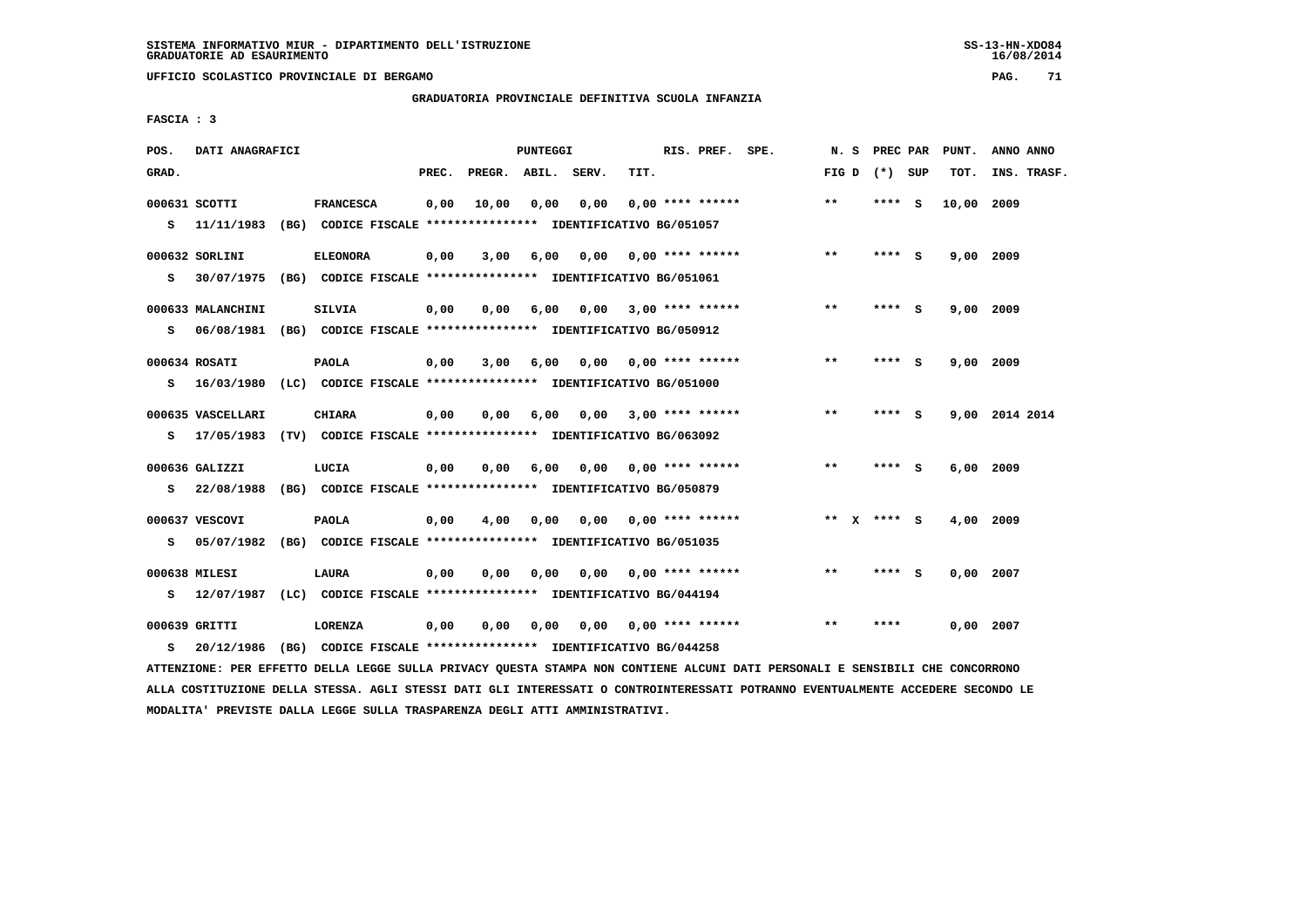**UFFICIO SCOLASTICO PROVINCIALE DI BERGAMO PAG. 71**

 **GRADUATORIA PROVINCIALE DEFINITIVA SCUOLA INFANZIA**

 **FASCIA : 3**

| POS.  | DATI ANAGRAFICI                                                         |                                                               |       |                    | PUNTEGGI |      |      | RIS. PREF. SPE.           | N.S   | PREC PAR        |     | PUNT.       | ANNO ANNO      |             |
|-------|-------------------------------------------------------------------------|---------------------------------------------------------------|-------|--------------------|----------|------|------|---------------------------|-------|-----------------|-----|-------------|----------------|-------------|
| GRAD. |                                                                         |                                                               | PREC. | PREGR. ABIL. SERV. |          |      | TIT. |                           |       | FIG D $(*)$ SUP |     | TOT.        |                | INS. TRASF. |
|       | 000631 SCOTTI                                                           | <b>FRANCESCA</b>                                              | 0,00  | 10,00              | 0,00     | 0,00 |      | $0.00$ **** ******        | **    | **** S          |     | 10,00       | 2009           |             |
| s     | 11/11/1983                                                              | (BG) CODICE FISCALE **************** IDENTIFICATIVO BG/051057 |       |                    |          |      |      |                           |       |                 |     |             |                |             |
|       | 000632 SORLINI                                                          | <b>ELEONORA</b>                                               | 0,00  | 3,00               | 6,00     | 0,00 |      | 0,00 **** ******          | $***$ | **** S          |     | 9,00 2009   |                |             |
| s     | 30/07/1975                                                              | (BG) CODICE FISCALE **************** IDENTIFICATIVO BG/051061 |       |                    |          |      |      |                           |       |                 |     |             |                |             |
|       | 000633 MALANCHINI                                                       | <b>SILVIA</b>                                                 | 0,00  | 0,00               | 6,00     |      |      | $0,00$ 3,00 **** ******   | **    | ****            | - S | 9,00 2009   |                |             |
| s     | 06/08/1981 (BG) CODICE FISCALE *************** IDENTIFICATIVO BG/050912 |                                                               |       |                    |          |      |      |                           |       |                 |     |             |                |             |
|       | 000634 ROSATI                                                           | <b>PAOLA</b>                                                  | 0,00  | 3,00               | 6,00     | 0.00 |      | 0,00 **** ******          | $* *$ | ****            | - S | 9,00 2009   |                |             |
| s     | 16/03/1980                                                              | (LC) CODICE FISCALE **************** IDENTIFICATIVO BG/051000 |       |                    |          |      |      |                           |       |                 |     |             |                |             |
|       | 000635 VASCELLARI                                                       | <b>CHIARA</b>                                                 | 0,00  | 0.00               | 6,00     | 0.00 |      | 3,00 **** ******          | $* *$ | **** S          |     |             | 9,00 2014 2014 |             |
| s     | 17/05/1983                                                              | (TV) CODICE FISCALE **************** IDENTIFICATIVO BG/063092 |       |                    |          |      |      |                           |       |                 |     |             |                |             |
|       |                                                                         |                                                               |       |                    |          |      |      |                           |       |                 |     |             |                |             |
|       | 000636 GALIZZI                                                          | LUCIA                                                         | 0,00  | 0.00               | 6,00     | 0,00 |      | 0,00 **** ******          | $* *$ | ****            | - S | $6,00$ 2009 |                |             |
| s     | 22/08/1988                                                              | (BG) CODICE FISCALE *************** IDENTIFICATIVO BG/050879  |       |                    |          |      |      |                           |       |                 |     |             |                |             |
|       | 000637 VESCOVI                                                          | <b>PAOLA</b>                                                  | 0,00  | 4,00               | 0,00     | 0.00 |      | 0,00 **** ******          | ** X  | **** S          |     | 4,00 2009   |                |             |
| s     | 05/07/1982 (BG) CODICE FISCALE *************** IDENTIFICATIVO BG/051035 |                                                               |       |                    |          |      |      |                           |       |                 |     |             |                |             |
|       | 000638 MILESI                                                           | <b>LAURA</b>                                                  | 0,00  | 0,00               | 0,00     |      |      | $0.00$ $0.00$ **** ****** | $* *$ | **** S          |     | $0.00$ 2007 |                |             |
| s     | 12/07/1987                                                              | (LC) CODICE FISCALE **************** IDENTIFICATIVO BG/044194 |       |                    |          |      |      |                           |       |                 |     |             |                |             |
|       | 000639 GRITTI                                                           | LORENZA                                                       | 0,00  | 0,00               | 0,00     |      |      | $0.00$ $0.00$ **** ****** | **    | ****            |     | $0,00$ 2007 |                |             |
| s     | 20/12/1986                                                              | (BG) CODICE FISCALE **************** IDENTIFICATIVO BG/044258 |       |                    |          |      |      |                           |       |                 |     |             |                |             |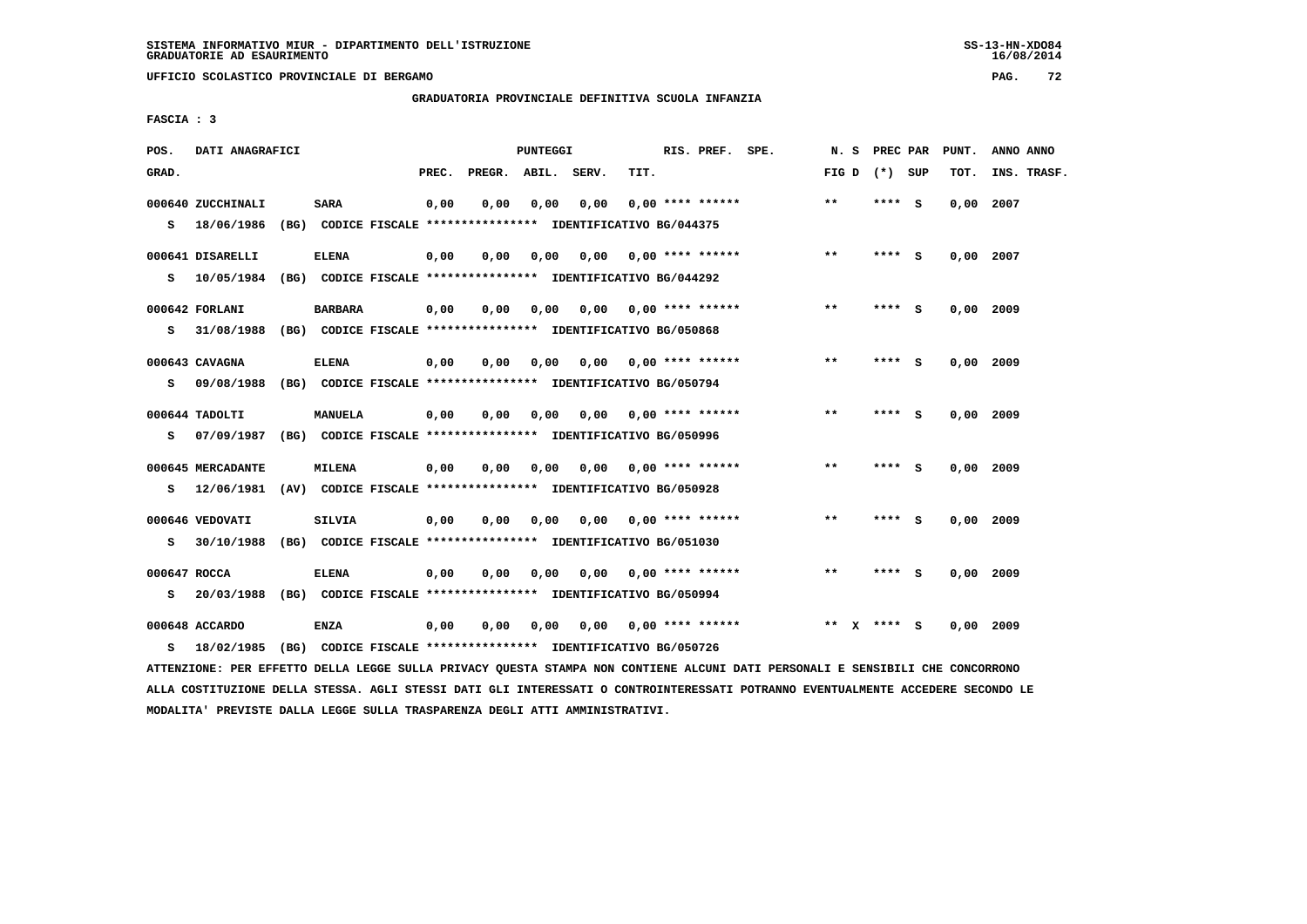**UFFICIO SCOLASTICO PROVINCIALE DI BERGAMO PAG. 72**

 **GRADUATORIA PROVINCIALE DEFINITIVA SCUOLA INFANZIA**

 **FASCIA : 3**

| POS.              | DATI ANAGRAFICI                 |                |       |        | PUNTEGGI |                                                                       |      | RIS. PREF. SPE.           | N.S   | PREC PAR        |     | PUNT.       | ANNO ANNO   |
|-------------------|---------------------------------|----------------|-------|--------|----------|-----------------------------------------------------------------------|------|---------------------------|-------|-----------------|-----|-------------|-------------|
| GRAD.             |                                 |                | PREC. | PREGR. | ABIL.    | SERV.                                                                 | TIT. |                           |       | FIG D $(*)$ SUP |     | TOT.        | INS. TRASF. |
| s                 | 000640 ZUCCHINALI<br>18/06/1986 | <b>SARA</b>    | 0,00  | 0.00   | 0,00     | 0,00<br>(BG) CODICE FISCALE **************** IDENTIFICATIVO BG/044375 |      | $0.00$ **** ******        | $* *$ | **** S          |     | 0.00        | 2007        |
| s                 | 000641 DISARELLI<br>10/05/1984  | <b>ELENA</b>   | 0,00  | 0,00   | 0,00     | 0,00<br>(BG) CODICE FISCALE **************** IDENTIFICATIVO BG/044292 |      | $0.00$ **** ******        | $***$ | **** S          |     | $0,00$ 2007 |             |
| s                 | 000642 FORLANI<br>31/08/1988    | <b>BARBARA</b> | 0,00  | 0.00   | 0.00     | (BG) CODICE FISCALE *************** IDENTIFICATIVO BG/050868          |      | $0.00$ $0.00$ **** ****** | $**$  | ****            | - S | $0.00$ 2009 |             |
| s                 | 000643 CAVAGNA<br>09/08/1988    | <b>ELENA</b>   | 0,00  | 0,00   | 0,00     | 0,00<br>(BG) CODICE FISCALE **************** IDENTIFICATIVO BG/050794 |      | $0.00$ **** ******        | $* *$ | ****            | - 5 |             | 0.00 2009   |
| s                 | $000644$ TADOLTI<br>07/09/1987  | <b>MANUELA</b> | 0,00  | 0,00   | 0.00     | 0.00<br>(BG) CODICE FISCALE **************** IDENTIFICATIVO BG/050996 |      | $0.00$ **** ******        | $**$  | **** S          |     | 0.00 2009   |             |
| s                 | 000645 MERCADANTE<br>12/06/1981 | <b>MILENA</b>  | 0,00  | 0,00   | 0,00     | 0,00<br>(AV) CODICE FISCALE **************** IDENTIFICATIVO BG/050928 |      | $0.00$ **** ******        | $***$ | **** S          |     | 0.00 2009   |             |
| s                 | 000646 VEDOVATI<br>30/10/1988   | SILVIA         | 0,00  | 0.00   | 0.00     | 0,00<br>(BG) CODICE FISCALE **************** IDENTIFICATIVO BG/051030 |      | 0,00 **** ******          | $**$  | **** S          |     | $0,00$ 2009 |             |
| 000647 ROCCA<br>s | 20/03/1988                      | <b>ELENA</b>   | 0,00  | 0,00   | 0,00     | 0,00<br>(BG) CODICE FISCALE **************** IDENTIFICATIVO BG/050994 |      | $0.00$ **** ******        | $* *$ | ****            | - 5 | 0,00        | 2009        |
| s                 | 000648 ACCARDO<br>18/02/1985    | <b>ENZA</b>    | 0,00  | 0.00   | 0,00     | 0.00<br>(BG) CODICE FISCALE **************** IDENTIFICATIVO BG/050726 |      | 0,00 **** ******          | $* *$ | ****            | - S | 0,00        | 2009        |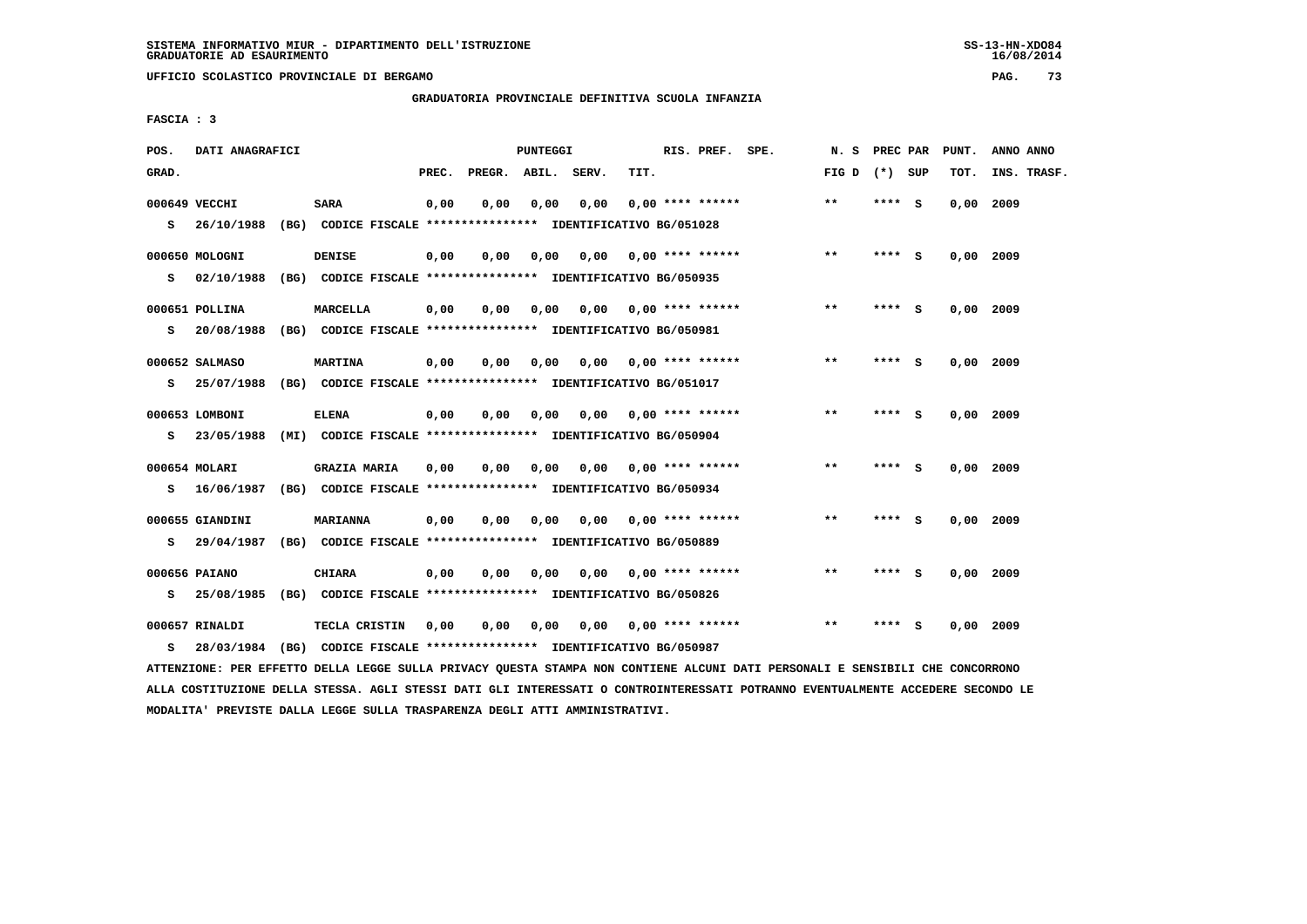$16/08/2014$ 

 **UFFICIO SCOLASTICO PROVINCIALE DI BERGAMO PAG. 73**

 **GRADUATORIA PROVINCIALE DEFINITIVA SCUOLA INFANZIA**

 **FASCIA : 3**

| POS.  | DATI ANAGRAFICI             |                                                                                      |       |                    | PUNTEGGI |      |                           | RIS. PREF. SPE.    | N.S             | PREC PAR |          | PUNT.       | ANNO ANNO   |  |
|-------|-----------------------------|--------------------------------------------------------------------------------------|-------|--------------------|----------|------|---------------------------|--------------------|-----------------|----------|----------|-------------|-------------|--|
| GRAD. |                             |                                                                                      | PREC. | PREGR. ABIL. SERV. |          |      | TIT.                      |                    | FIG D $(*)$ SUP |          |          | TOT.        | INS. TRASF. |  |
|       | 000649 VECCHI               | <b>SARA</b>                                                                          | 0,00  | 0.00               | 0.00     | 0.00 |                           | $0.00$ **** ****** | $**$            | **** S   |          | 0.00        | 2009        |  |
| s     | 26/10/1988                  | (BG) CODICE FISCALE **************** IDENTIFICATIVO BG/051028                        |       |                    |          |      |                           |                    |                 |          |          |             |             |  |
|       | 000650 MOLOGNI              | <b>DENISE</b>                                                                        | 0,00  | 0,00               | 0,00     | 0,00 |                           | $0.00$ **** ****** | $* *$           | **** S   |          | $0,00$ 2009 |             |  |
| s     | 02/10/1988                  | (BG) CODICE FISCALE **************** IDENTIFICATIVO BG/050935                        |       |                    |          |      |                           |                    |                 |          |          |             |             |  |
|       | 000651 POLLINA              | <b>MARCELLA</b>                                                                      | 0,00  | 0.00               | 0.00     |      | $0,00$ $0,00$ **** ****** |                    | $**$            | ****     | - S      | $0.00$ 2009 |             |  |
| s     | 20/08/1988                  | (BG) CODICE FISCALE *************** IDENTIFICATIVO BG/050981                         |       |                    |          |      |                           |                    |                 |          |          |             |             |  |
|       | 000652 SALMASO              | <b>MARTINA</b>                                                                       | 0,00  | 0,00               | 0,00     | 0,00 |                           | $0.00$ **** ****** | $* *$           | **** S   |          | $0,00$ 2009 |             |  |
| s     | 25/07/1988                  | (BG) CODICE FISCALE **************** IDENTIFICATIVO BG/051017                        |       |                    |          |      |                           |                    |                 |          |          |             |             |  |
|       | 000653 LOMBONI              | <b>ELENA</b>                                                                         | 0,00  | 0,00               | 0,00     | 0,00 |                           | $0.00$ **** ****** | $* *$           | ****     | <b>S</b> | 0.00        | 2009        |  |
| s     | 23/05/1988                  | (MI) CODICE FISCALE **************** IDENTIFICATIVO BG/050904                        |       |                    |          |      |                           |                    |                 |          |          |             |             |  |
|       |                             |                                                                                      |       |                    |          |      |                           |                    | $***$           | **** S   |          |             |             |  |
| s     | 000654 MOLARI<br>16/06/1987 | <b>GRAZIA MARIA</b><br>(BG) CODICE FISCALE **************** IDENTIFICATIVO BG/050934 | 0,00  | 0,00               | 0,00     | 0,00 |                           | $0.00$ **** ****** |                 |          |          | 0,00        | 2009        |  |
|       |                             |                                                                                      |       |                    |          |      |                           |                    |                 |          |          |             |             |  |
|       | 000655 GIANDINI             | <b>MARIANNA</b>                                                                      | 0,00  | 0,00               | 0,00     | 0,00 |                           | $0.00$ **** ****** | $* *$           | ****     | - S      | 0.00 2009   |             |  |
| s     | 29/04/1987                  | (BG) CODICE FISCALE **************** IDENTIFICATIVO BG/050889                        |       |                    |          |      |                           |                    |                 |          |          |             |             |  |
|       | 000656 PAIANO               | CHIARA                                                                               | 0,00  | 0.00               | 0.00     | 0,00 | 0,00 **** ******          |                    | $**$            | **** S   |          | $0.00$ 2009 |             |  |
| s     | 25/08/1985                  | (BG) CODICE FISCALE **************** IDENTIFICATIVO BG/050826                        |       |                    |          |      |                           |                    |                 |          |          |             |             |  |
|       | 000657 RINALDI              | TECLA CRISTIN                                                                        | 0,00  | 0,00               | 0,00     | 0,00 |                           | $0.00$ **** ****** | $* *$           | ****     | ్        | 0,00        | 2009        |  |
| s     | 28/03/1984                  | (BG) CODICE FISCALE **************** IDENTIFICATIVO BG/050987                        |       |                    |          |      |                           |                    |                 |          |          |             |             |  |

 **ATTENZIONE: PER EFFETTO DELLA LEGGE SULLA PRIVACY QUESTA STAMPA NON CONTIENE ALCUNI DATI PERSONALI E SENSIBILI CHE CONCORRONO ALLA COSTITUZIONE DELLA STESSA. AGLI STESSI DATI GLI INTERESSATI O CONTROINTERESSATI POTRANNO EVENTUALMENTE ACCEDERE SECONDO LE MODALITA' PREVISTE DALLA LEGGE SULLA TRASPARENZA DEGLI ATTI AMMINISTRATIVI.**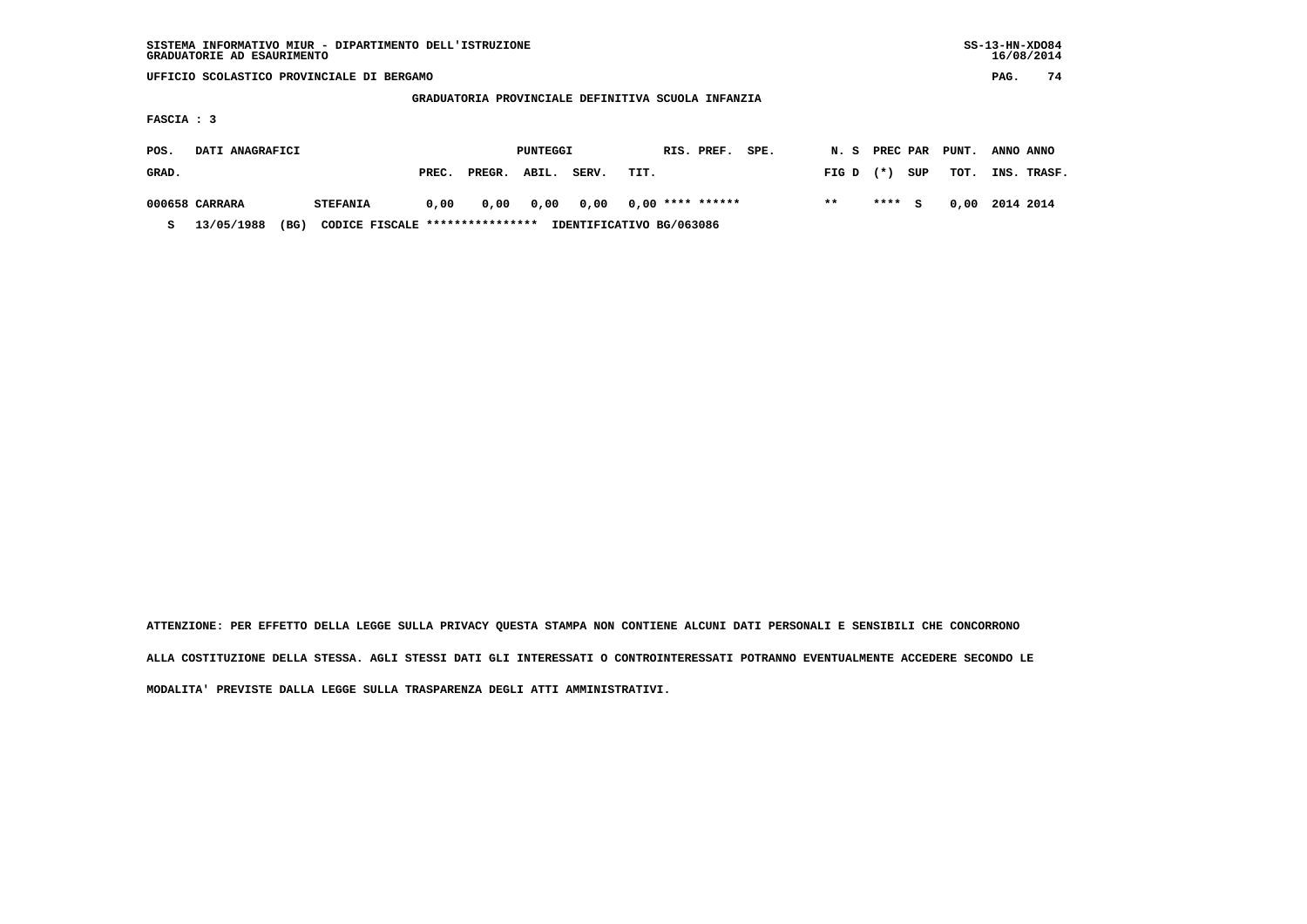|                                                    | SISTEMA INFORMATIVO MIUR - DIPARTIMENTO DELL'ISTRUZIONE<br>GRADUATORIE AD ESAURIMENTO |      |                 |                                  |        |          |       |      |                          |                          |       |       |           | $SS-13-HN-XDO84$<br>16/08/2014 |           |             |
|----------------------------------------------------|---------------------------------------------------------------------------------------|------|-----------------|----------------------------------|--------|----------|-------|------|--------------------------|--------------------------|-------|-------|-----------|--------------------------------|-----------|-------------|
|                                                    | UFFICIO SCOLASTICO PROVINCIALE DI BERGAMO                                             |      |                 |                                  |        |          |       |      |                          |                          |       |       |           | PAG.                           | 74        |             |
| GRADUATORIA PROVINCIALE DEFINITIVA SCUOLA INFANZIA |                                                                                       |      |                 |                                  |        |          |       |      |                          |                          |       |       |           |                                |           |             |
|                                                    | FASCIA : 3                                                                            |      |                 |                                  |        |          |       |      |                          |                          |       |       |           |                                |           |             |
| POS.                                               | DATI ANAGRAFICI                                                                       |      |                 |                                  |        | PUNTEGGI |       |      | RIS. PREF.               | PREC PAR<br>PUNT.<br>N.S |       |       | ANNO ANNO |                                |           |             |
| GRAD.                                              |                                                                                       |      |                 | PREC.                            | PREGR. | ABIL.    | SERV. | TIT. |                          |                          | FIG D | $(*)$ | SUP       | TOT.                           |           | INS. TRASF. |
|                                                    | 000658 CARRARA                                                                        |      | <b>STEFANIA</b> | 0,00                             | 0,00   | 0,00     | 0,00  |      | $0,00$ **** ******       |                          | $***$ | ****  | s         | 0,00                           | 2014 2014 |             |
| s                                                  | 13/05/1988                                                                            | (BG) |                 | CODICE FISCALE ***************** |        |          |       |      | IDENTIFICATIVO BG/063086 |                          |       |       |           |                                |           |             |

 **ATTENZIONE: PER EFFETTO DELLA LEGGE SULLA PRIVACY QUESTA STAMPA NON CONTIENE ALCUNI DATI PERSONALI E SENSIBILI CHE CONCORRONO ALLA COSTITUZIONE DELLA STESSA. AGLI STESSI DATI GLI INTERESSATI O CONTROINTERESSATI POTRANNO EVENTUALMENTE ACCEDERE SECONDO LE MODALITA' PREVISTE DALLA LEGGE SULLA TRASPARENZA DEGLI ATTI AMMINISTRATIVI.**